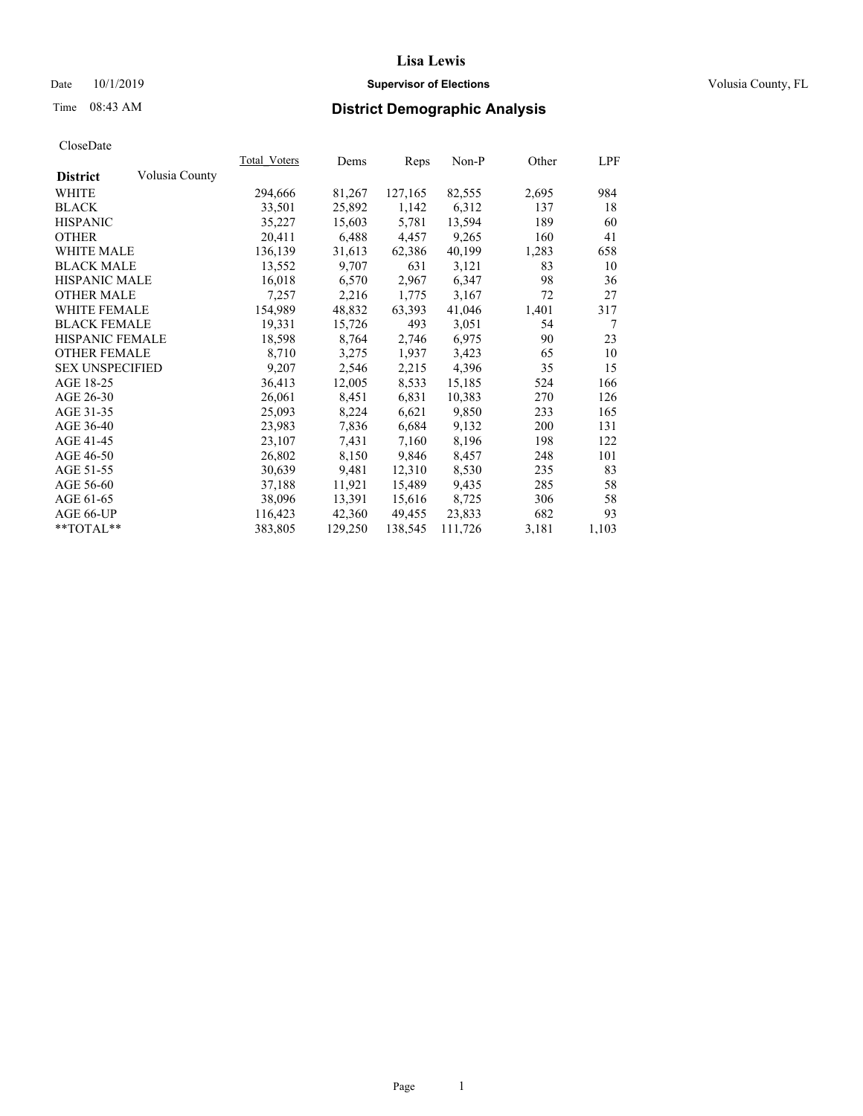## Date 10/1/2019 **Supervisor of Elections Supervisor of Elections** Volusia County, FL

# Time 08:43 AM **District Demographic Analysis**

|                        |                | Total Voters | Dems    | Reps    | Non-P   | Other | <u>LPF</u> |
|------------------------|----------------|--------------|---------|---------|---------|-------|------------|
| <b>District</b>        | Volusia County |              |         |         |         |       |            |
| WHITE                  |                | 294,666      | 81,267  | 127,165 | 82,555  | 2,695 | 984        |
| <b>BLACK</b>           |                | 33,501       | 25,892  | 1,142   | 6,312   | 137   | 18         |
| <b>HISPANIC</b>        |                | 35,227       | 15,603  | 5,781   | 13,594  | 189   | 60         |
| <b>OTHER</b>           |                | 20,411       | 6,488   | 4,457   | 9,265   | 160   | 41         |
| <b>WHITE MALE</b>      |                | 136,139      | 31,613  | 62,386  | 40,199  | 1,283 | 658        |
| <b>BLACK MALE</b>      |                | 13,552       | 9,707   | 631     | 3,121   | 83    | 10         |
| <b>HISPANIC MALE</b>   |                | 16,018       | 6,570   | 2,967   | 6,347   | 98    | 36         |
| <b>OTHER MALE</b>      |                | 7,257        | 2,216   | 1,775   | 3,167   | 72    | 27         |
| <b>WHITE FEMALE</b>    |                | 154,989      | 48,832  | 63,393  | 41,046  | 1,401 | 317        |
| <b>BLACK FEMALE</b>    |                | 19,331       | 15,726  | 493     | 3,051   | 54    | 7          |
| HISPANIC FEMALE        |                | 18,598       | 8,764   | 2,746   | 6,975   | 90    | 23         |
| <b>OTHER FEMALE</b>    |                | 8,710        | 3,275   | 1,937   | 3,423   | 65    | 10         |
| <b>SEX UNSPECIFIED</b> |                | 9,207        | 2,546   | 2,215   | 4,396   | 35    | 15         |
| AGE 18-25              |                | 36,413       | 12,005  | 8,533   | 15,185  | 524   | 166        |
| AGE 26-30              |                | 26,061       | 8,451   | 6,831   | 10,383  | 270   | 126        |
| AGE 31-35              |                | 25,093       | 8,224   | 6,621   | 9,850   | 233   | 165        |
| AGE 36-40              |                | 23,983       | 7,836   | 6,684   | 9,132   | 200   | 131        |
| AGE 41-45              |                | 23,107       | 7,431   | 7,160   | 8,196   | 198   | 122        |
| AGE 46-50              |                | 26,802       | 8,150   | 9,846   | 8,457   | 248   | 101        |
| AGE 51-55              |                | 30,639       | 9,481   | 12,310  | 8,530   | 235   | 83         |
| AGE 56-60              |                | 37,188       | 11,921  | 15,489  | 9,435   | 285   | 58         |
| AGE 61-65              |                | 38,096       | 13,391  | 15,616  | 8,725   | 306   | 58         |
| AGE 66-UP              |                | 116,423      | 42,360  | 49,455  | 23,833  | 682   | 93         |
| $*$ TOTAL $*$          |                | 383,805      | 129,250 | 138,545 | 111,726 | 3,181 | 1,103      |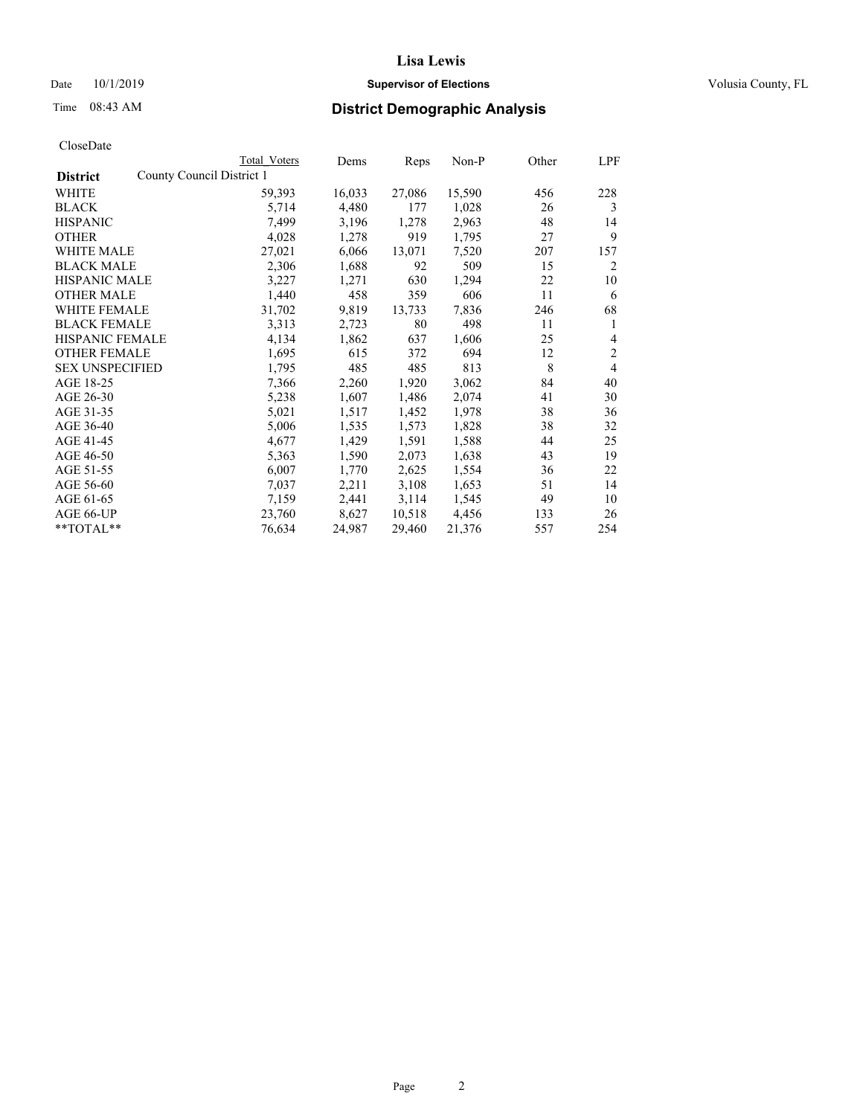## Date 10/1/2019 **Supervisor of Elections Supervisor of Elections** Volusia County, FL

| CloseDate |
|-----------|
|-----------|

| Reps<br>County Council District 1<br><b>District</b><br>WHITE<br>59,393<br>16,033<br>27,086<br>15,590<br>456<br>4,480<br><b>BLACK</b><br>5,714<br>177<br>1,028<br>26<br><b>HISPANIC</b><br>7,499<br>3,196<br>1,278<br>2,963<br>48<br>919<br><b>OTHER</b><br>4,028<br>1,278<br>1,795<br>27 | 228<br>3       |
|-------------------------------------------------------------------------------------------------------------------------------------------------------------------------------------------------------------------------------------------------------------------------------------------|----------------|
|                                                                                                                                                                                                                                                                                           |                |
|                                                                                                                                                                                                                                                                                           |                |
|                                                                                                                                                                                                                                                                                           |                |
|                                                                                                                                                                                                                                                                                           | 14             |
|                                                                                                                                                                                                                                                                                           | 9              |
| 27,021<br>6,066<br>13,071<br>7,520<br><b>WHITE MALE</b><br>207                                                                                                                                                                                                                            | 157            |
| 509<br><b>BLACK MALE</b><br>2,306<br>1,688<br>92<br>15                                                                                                                                                                                                                                    | 2              |
| <b>HISPANIC MALE</b><br>3,227<br>1,271<br>630<br>1,294<br>22                                                                                                                                                                                                                              | 10             |
| 1,440<br>458<br>359<br>606<br><b>OTHER MALE</b><br>11                                                                                                                                                                                                                                     | 6              |
| WHITE FEMALE<br>31,702<br>9,819<br>13,733<br>7,836<br>246                                                                                                                                                                                                                                 | 68             |
| <b>BLACK FEMALE</b><br>3,313<br>80<br>498<br>2,723<br>11                                                                                                                                                                                                                                  | 1              |
| <b>HISPANIC FEMALE</b><br>4,134<br>1,862<br>637<br>1,606<br>25                                                                                                                                                                                                                            | 4              |
| <b>OTHER FEMALE</b><br>1,695<br>615<br>372<br>12<br>694                                                                                                                                                                                                                                   | $\overline{2}$ |
| <b>SEX UNSPECIFIED</b><br>485<br>485<br>8<br>1,795<br>813                                                                                                                                                                                                                                 | 4              |
| AGE 18-25<br>1,920<br>7,366<br>2,260<br>3,062<br>84                                                                                                                                                                                                                                       | 40             |
| AGE 26-30<br>5,238<br>1,607<br>1,486<br>2,074<br>41                                                                                                                                                                                                                                       | 30             |
| AGE 31-35<br>38<br>5,021<br>1,517<br>1,452<br>1,978                                                                                                                                                                                                                                       | 36             |
| AGE 36-40<br>5,006<br>1,573<br>38<br>1,535<br>1,828                                                                                                                                                                                                                                       | 32             |
| AGE 41-45<br>4,677<br>1,429<br>1,591<br>1,588<br>44                                                                                                                                                                                                                                       | 25             |
| AGE 46-50<br>1,590<br>2,073<br>1,638<br>43<br>5,363                                                                                                                                                                                                                                       | 19             |
| AGE 51-55<br>6,007<br>2,625<br>1,770<br>1,554<br>36                                                                                                                                                                                                                                       | 22             |
| AGE 56-60<br>2,211<br>3,108<br>1,653<br>7,037<br>51                                                                                                                                                                                                                                       | 14             |
| 3,114<br>AGE 61-65<br>7,159<br>2,441<br>1,545<br>49                                                                                                                                                                                                                                       | 10             |
| AGE 66-UP<br>23,760<br>8,627<br>10,518<br>4,456<br>133                                                                                                                                                                                                                                    | 26             |
| **TOTAL**<br>24,987<br>76,634<br>29,460<br>21,376<br>557                                                                                                                                                                                                                                  | 254            |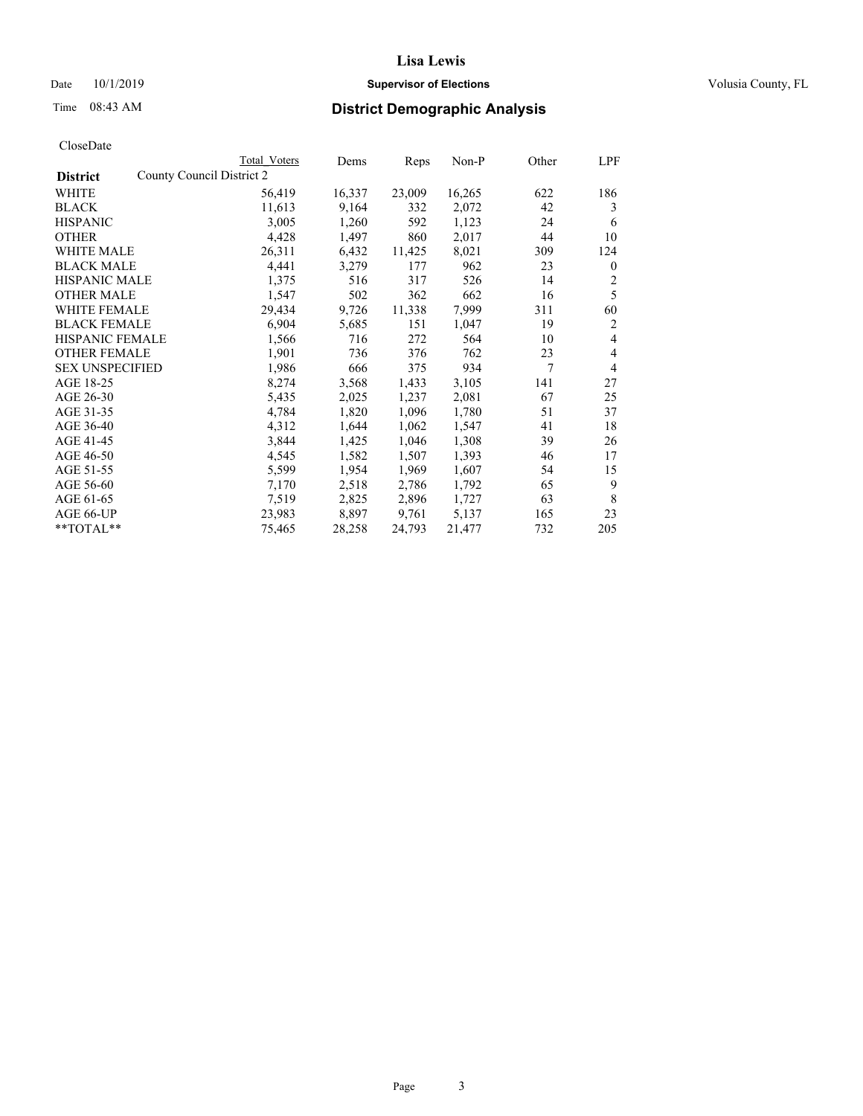## Date 10/1/2019 **Supervisor of Elections Supervisor of Elections** Volusia County, FL

|                                              | Total Voters | Dems   | Reps   | Non-P  | Other | LPF          |
|----------------------------------------------|--------------|--------|--------|--------|-------|--------------|
| County Council District 2<br><b>District</b> |              |        |        |        |       |              |
| WHITE                                        | 56,419       | 16,337 | 23,009 | 16,265 | 622   | 186          |
| <b>BLACK</b>                                 | 11,613       | 9,164  | 332    | 2,072  | 42    | 3            |
| <b>HISPANIC</b>                              | 3,005        | 1,260  | 592    | 1,123  | 24    | 6            |
| <b>OTHER</b>                                 | 4,428        | 1,497  | 860    | 2,017  | 44    | 10           |
| WHITE MALE                                   | 26,311       | 6,432  | 11,425 | 8,021  | 309   | 124          |
| <b>BLACK MALE</b>                            | 4,441        | 3,279  | 177    | 962    | 23    | $\mathbf{0}$ |
| <b>HISPANIC MALE</b>                         | 1,375        | 516    | 317    | 526    | 14    | 2            |
| <b>OTHER MALE</b>                            | 1,547        | 502    | 362    | 662    | 16    | 5            |
| <b>WHITE FEMALE</b>                          | 29,434       | 9,726  | 11,338 | 7,999  | 311   | 60           |
| <b>BLACK FEMALE</b>                          | 6,904        | 5,685  | 151    | 1,047  | 19    | 2            |
| HISPANIC FEMALE                              | 1,566        | 716    | 272    | 564    | 10    | 4            |
| <b>OTHER FEMALE</b>                          | 1,901        | 736    | 376    | 762    | 23    | 4            |
| <b>SEX UNSPECIFIED</b>                       | 1,986        | 666    | 375    | 934    | 7     | 4            |
| AGE 18-25                                    | 8,274        | 3,568  | 1,433  | 3,105  | 141   | 27           |
| AGE 26-30                                    | 5,435        | 2,025  | 1,237  | 2,081  | 67    | 25           |
| AGE 31-35                                    | 4,784        | 1,820  | 1,096  | 1,780  | 51    | 37           |
| AGE 36-40                                    | 4,312        | 1,644  | 1,062  | 1,547  | 41    | 18           |
| AGE 41-45                                    | 3,844        | 1,425  | 1,046  | 1,308  | 39    | 26           |
| AGE 46-50                                    | 4,545        | 1,582  | 1,507  | 1,393  | 46    | 17           |
| AGE 51-55                                    | 5,599        | 1,954  | 1,969  | 1,607  | 54    | 15           |
| AGE 56-60                                    | 7,170        | 2,518  | 2,786  | 1,792  | 65    | 9            |
| AGE 61-65                                    | 7,519        | 2,825  | 2,896  | 1,727  | 63    | 8            |
| AGE 66-UP                                    | 23,983       | 8,897  | 9,761  | 5,137  | 165   | 23           |
| **TOTAL**                                    | 75,465       | 28,258 | 24,793 | 21,477 | 732   | 205          |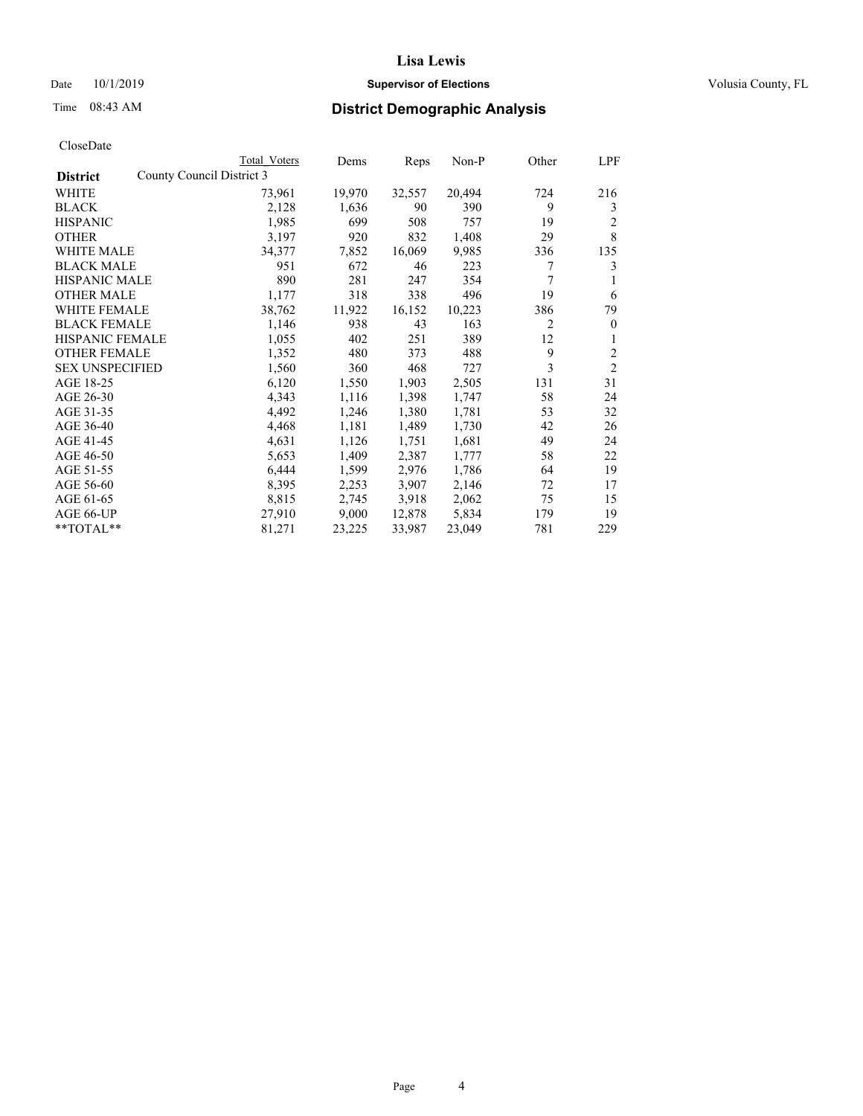## Date 10/1/2019 **Supervisor of Elections Supervisor of Elections** Volusia County, FL

| CloseDate |
|-----------|
|-----------|

|                                              | Total Voters | Dems   | Reps   | Non-P  | Other | LPF            |
|----------------------------------------------|--------------|--------|--------|--------|-------|----------------|
| County Council District 3<br><b>District</b> |              |        |        |        |       |                |
| WHITE                                        | 73,961       | 19,970 | 32,557 | 20,494 | 724   | 216            |
| <b>BLACK</b>                                 | 2,128        | 1,636  | 90     | 390    | 9     | 3              |
| <b>HISPANIC</b>                              | 1,985        | 699    | 508    | 757    | 19    | 2              |
| <b>OTHER</b>                                 | 3,197        | 920    | 832    | 1,408  | 29    | 8              |
| WHITE MALE                                   | 34,377       | 7,852  | 16,069 | 9,985  | 336   | 135            |
| <b>BLACK MALE</b>                            | 951          | 672    | 46     | 223    | 7     | 3              |
| <b>HISPANIC MALE</b>                         | 890          | 281    | 247    | 354    | 7     |                |
| <b>OTHER MALE</b>                            | 1,177        | 318    | 338    | 496    | 19    | 6              |
| <b>WHITE FEMALE</b>                          | 38,762       | 11,922 | 16,152 | 10,223 | 386   | 79             |
| <b>BLACK FEMALE</b>                          | 1,146        | 938    | 43     | 163    | 2     | $\theta$       |
| <b>HISPANIC FEMALE</b>                       | 1,055        | 402    | 251    | 389    | 12    | 1              |
| <b>OTHER FEMALE</b>                          | 1,352        | 480    | 373    | 488    | 9     | 2              |
| <b>SEX UNSPECIFIED</b>                       | 1,560        | 360    | 468    | 727    | 3     | $\overline{2}$ |
| AGE 18-25                                    | 6,120        | 1,550  | 1,903  | 2,505  | 131   | 31             |
| AGE 26-30                                    | 4,343        | 1,116  | 1,398  | 1,747  | 58    | 24             |
| AGE 31-35                                    | 4,492        | 1,246  | 1,380  | 1,781  | 53    | 32             |
| AGE 36-40                                    | 4,468        | 1,181  | 1,489  | 1,730  | 42    | 26             |
| AGE 41-45                                    | 4,631        | 1,126  | 1,751  | 1,681  | 49    | 24             |
| AGE 46-50                                    | 5,653        | 1,409  | 2,387  | 1,777  | 58    | 22             |
| AGE 51-55                                    | 6,444        | 1,599  | 2,976  | 1,786  | 64    | 19             |
| AGE 56-60                                    | 8,395        | 2,253  | 3,907  | 2,146  | 72    | 17             |
| AGE 61-65                                    | 8,815        | 2,745  | 3,918  | 2,062  | 75    | 15             |
| AGE 66-UP                                    | 27,910       | 9,000  | 12,878 | 5,834  | 179   | 19             |
| $*$ $TOTAL**$                                | 81,271       | 23,225 | 33,987 | 23,049 | 781   | 229            |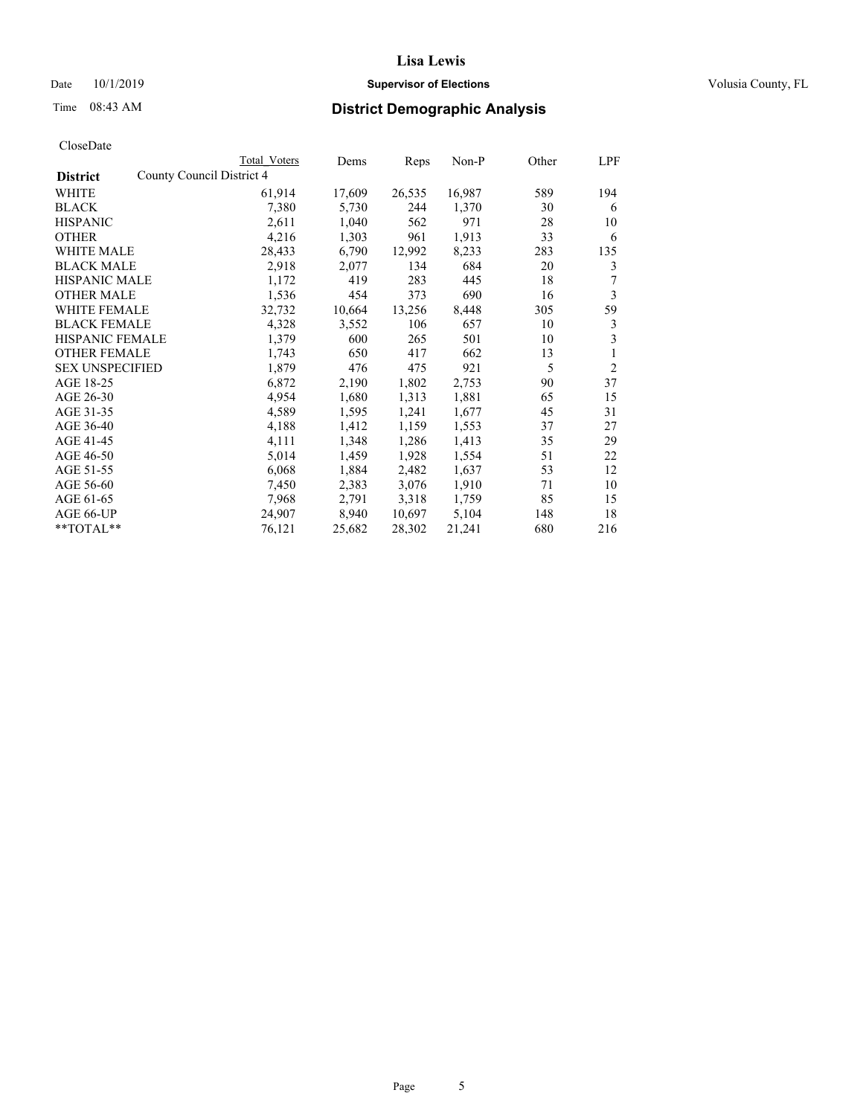## Date 10/1/2019 **Supervisor of Elections Supervisor of Elections** Volusia County, FL

|                                              | Total Voters | Dems   | Reps   | $Non-P$ | Other | LPF            |
|----------------------------------------------|--------------|--------|--------|---------|-------|----------------|
| County Council District 4<br><b>District</b> |              |        |        |         |       |                |
| WHITE                                        | 61,914       | 17,609 | 26,535 | 16,987  | 589   | 194            |
| <b>BLACK</b>                                 | 7,380        | 5,730  | 244    | 1,370   | 30    | 6              |
| <b>HISPANIC</b>                              | 2,611        | 1,040  | 562    | 971     | 28    | 10             |
| <b>OTHER</b>                                 | 4,216        | 1,303  | 961    | 1,913   | 33    | 6              |
| WHITE MALE                                   | 28,433       | 6,790  | 12,992 | 8,233   | 283   | 135            |
| <b>BLACK MALE</b>                            | 2,918        | 2,077  | 134    | 684     | 20    | 3              |
| <b>HISPANIC MALE</b>                         | 1,172        | 419    | 283    | 445     | 18    | 7              |
| <b>OTHER MALE</b>                            | 1,536        | 454    | 373    | 690     | 16    | 3              |
| <b>WHITE FEMALE</b>                          | 32,732       | 10,664 | 13,256 | 8,448   | 305   | 59             |
| <b>BLACK FEMALE</b>                          | 4,328        | 3,552  | 106    | 657     | 10    | 3              |
| <b>HISPANIC FEMALE</b>                       | 1,379        | 600    | 265    | 501     | 10    | 3              |
| <b>OTHER FEMALE</b>                          | 1,743        | 650    | 417    | 662     | 13    | 1              |
| <b>SEX UNSPECIFIED</b>                       | 1,879        | 476    | 475    | 921     | 5     | $\overline{2}$ |
| AGE 18-25                                    | 6,872        | 2,190  | 1,802  | 2,753   | 90    | 37             |
| AGE 26-30                                    | 4,954        | 1,680  | 1,313  | 1,881   | 65    | 15             |
| AGE 31-35                                    | 4,589        | 1,595  | 1,241  | 1,677   | 45    | 31             |
| AGE 36-40                                    | 4,188        | 1,412  | 1,159  | 1,553   | 37    | 27             |
| AGE 41-45                                    | 4,111        | 1,348  | 1,286  | 1,413   | 35    | 29             |
| AGE 46-50                                    | 5,014        | 1,459  | 1,928  | 1,554   | 51    | 22             |
| AGE 51-55                                    | 6,068        | 1,884  | 2,482  | 1,637   | 53    | 12             |
| AGE 56-60                                    | 7,450        | 2,383  | 3,076  | 1,910   | 71    | 10             |
| AGE 61-65                                    | 7,968        | 2,791  | 3,318  | 1,759   | 85    | 15             |
| AGE 66-UP                                    | 24,907       | 8,940  | 10,697 | 5,104   | 148   | 18             |
| $*$ $TOTAL**$                                | 76,121       | 25,682 | 28,302 | 21,241  | 680   | 216            |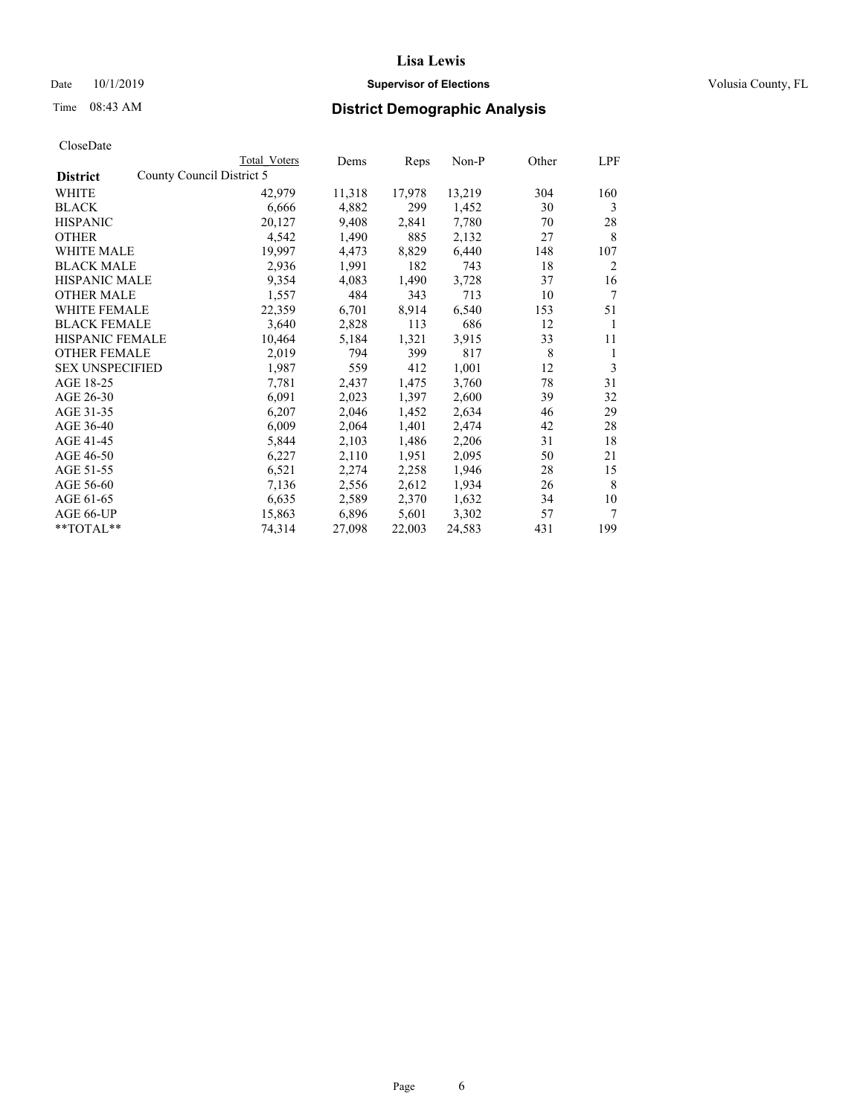## Date 10/1/2019 **Supervisor of Elections Supervisor of Elections** Volusia County, FL

|                                              | Total Voters | Dems   | Reps   | Non-P  | Other | LPF |
|----------------------------------------------|--------------|--------|--------|--------|-------|-----|
| County Council District 5<br><b>District</b> |              |        |        |        |       |     |
| WHITE                                        | 42,979       | 11,318 | 17,978 | 13,219 | 304   | 160 |
| <b>BLACK</b>                                 | 6,666        | 4,882  | 299    | 1,452  | 30    | 3   |
| <b>HISPANIC</b>                              | 20,127       | 9,408  | 2,841  | 7,780  | 70    | 28  |
| <b>OTHER</b>                                 | 4,542        | 1,490  | 885    | 2,132  | 27    | 8   |
| <b>WHITE MALE</b>                            | 19,997       | 4,473  | 8,829  | 6,440  | 148   | 107 |
| <b>BLACK MALE</b>                            | 2,936        | 1,991  | 182    | 743    | 18    | 2   |
| <b>HISPANIC MALE</b>                         | 9,354        | 4,083  | 1,490  | 3,728  | 37    | 16  |
| <b>OTHER MALE</b>                            | 1,557        | 484    | 343    | 713    | 10    | 7   |
| <b>WHITE FEMALE</b>                          | 22,359       | 6,701  | 8,914  | 6,540  | 153   | 51  |
| <b>BLACK FEMALE</b>                          | 3,640        | 2,828  | 113    | 686    | 12    | 1   |
| <b>HISPANIC FEMALE</b>                       | 10,464       | 5,184  | 1,321  | 3,915  | 33    | 11  |
| <b>OTHER FEMALE</b>                          | 2,019        | 794    | 399    | 817    | 8     | 1   |
| <b>SEX UNSPECIFIED</b>                       | 1,987        | 559    | 412    | 1,001  | 12    | 3   |
| AGE 18-25                                    | 7,781        | 2,437  | 1,475  | 3,760  | 78    | 31  |
| AGE 26-30                                    | 6,091        | 2,023  | 1,397  | 2,600  | 39    | 32  |
| AGE 31-35                                    | 6,207        | 2,046  | 1,452  | 2,634  | 46    | 29  |
| AGE 36-40                                    | 6,009        | 2,064  | 1,401  | 2,474  | 42    | 28  |
| AGE 41-45                                    | 5,844        | 2,103  | 1,486  | 2,206  | 31    | 18  |
| AGE 46-50                                    | 6,227        | 2,110  | 1,951  | 2,095  | 50    | 21  |
| AGE 51-55                                    | 6,521        | 2,274  | 2,258  | 1,946  | 28    | 15  |
| AGE 56-60                                    | 7,136        | 2,556  | 2,612  | 1,934  | 26    | 8   |
| AGE 61-65                                    | 6,635        | 2,589  | 2,370  | 1,632  | 34    | 10  |
| AGE 66-UP                                    | 15,863       | 6,896  | 5,601  | 3,302  | 57    | 7   |
| **TOTAL**                                    | 74,314       | 27,098 | 22,003 | 24,583 | 431   | 199 |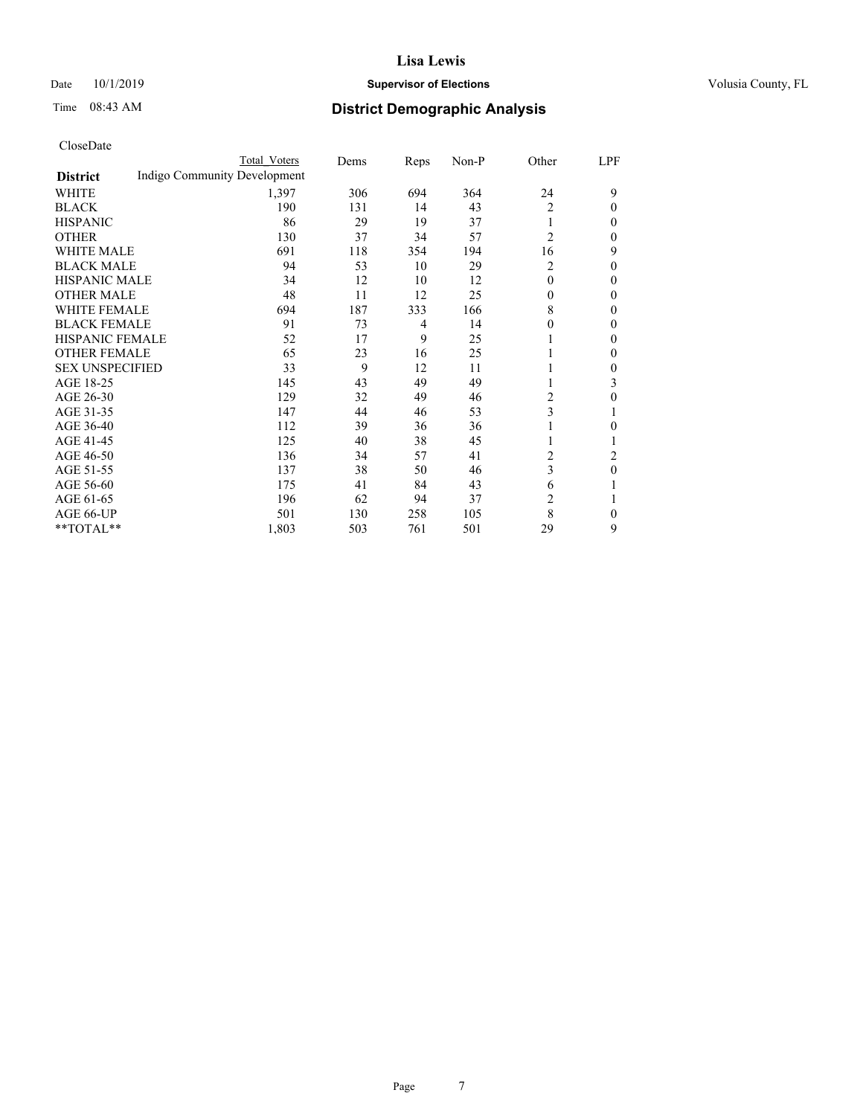## Date 10/1/2019 **Supervisor of Elections Supervisor of Elections** Volusia County, FL

# Time 08:43 AM **District Demographic Analysis**

|                        | Total Voters                 | Dems | Reps           | $Non-P$ | Other          | LPF            |
|------------------------|------------------------------|------|----------------|---------|----------------|----------------|
| <b>District</b>        | Indigo Community Development |      |                |         |                |                |
| WHITE                  | 1,397                        | 306  | 694            | 364     | 24             | 9              |
| <b>BLACK</b>           | 190                          | 131  | 14             | 43      | 2              | 0              |
| <b>HISPANIC</b>        | 86                           | 29   | 19             | 37      | 1              | 0              |
| <b>OTHER</b>           | 130                          | 37   | 34             | 57      | $\overline{2}$ | 0              |
| <b>WHITE MALE</b>      | 691                          | 118  | 354            | 194     | 16             | 9              |
| <b>BLACK MALE</b>      | 94                           | 53   | 10             | 29      | 2              | 0              |
| <b>HISPANIC MALE</b>   | 34                           | 12   | 10             | 12      | $\theta$       | 0              |
| <b>OTHER MALE</b>      | 48                           | 11   | 12             | 25      | $\mathbf{0}$   | 0              |
| <b>WHITE FEMALE</b>    | 694                          | 187  | 333            | 166     | 8              | 0              |
| <b>BLACK FEMALE</b>    | 91                           | 73   | $\overline{4}$ | 14      | $\theta$       | 0              |
| <b>HISPANIC FEMALE</b> | 52                           | 17   | 9              | 25      |                | 0              |
| <b>OTHER FEMALE</b>    | 65                           | 23   | 16             | 25      |                | 0              |
| <b>SEX UNSPECIFIED</b> | 33                           | 9    | 12             | 11      | 1              | 0              |
| AGE 18-25              | 145                          | 43   | 49             | 49      | 1              | 3              |
| AGE 26-30              | 129                          | 32   | 49             | 46      | 2              | 0              |
| AGE 31-35              | 147                          | 44   | 46             | 53      | 3              |                |
| AGE 36-40              | 112                          | 39   | 36             | 36      | 1              | 0              |
| AGE 41-45              | 125                          | 40   | 38             | 45      | 1              |                |
| AGE 46-50              | 136                          | 34   | 57             | 41      | 2              | $\overline{c}$ |
| AGE 51-55              | 137                          | 38   | 50             | 46      | 3              | 0              |
| AGE 56-60              | 175                          | 41   | 84             | 43      | 6              |                |
| AGE 61-65              | 196                          | 62   | 94             | 37      | 2              |                |
| AGE 66-UP              | 501                          | 130  | 258            | 105     | 8              | 0              |
| **TOTAL**              | 1,803                        | 503  | 761            | 501     | 29             | 9              |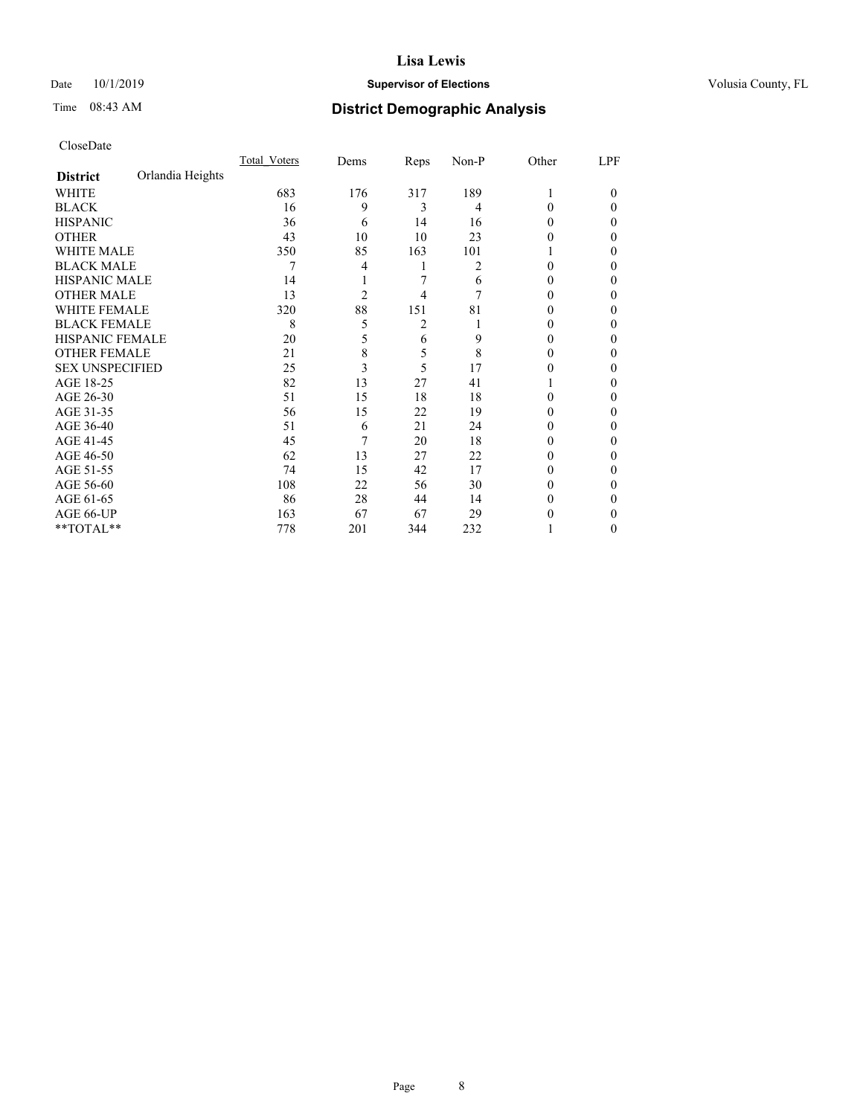## Date 10/1/2019 **Supervisor of Elections Supervisor of Elections** Volusia County, FL

# Time 08:43 AM **District Demographic Analysis**

|                        |                  | Total Voters | Dems           | Reps | Non-P | Other | LPF    |
|------------------------|------------------|--------------|----------------|------|-------|-------|--------|
| <b>District</b>        | Orlandia Heights |              |                |      |       |       |        |
| WHITE                  |                  | 683          | 176            | 317  | 189   |       | $_{0}$ |
| <b>BLACK</b>           |                  | 16           | 9              | 3    | 4     | 0     | 0      |
| <b>HISPANIC</b>        |                  | 36           | 6              | 14   | 16    | 0     | 0      |
| <b>OTHER</b>           |                  | 43           | 10             | 10   | 23    | 0     | 0      |
| WHITE MALE             |                  | 350          | 85             | 163  | 101   |       | 0      |
| <b>BLACK MALE</b>      |                  |              | 4              |      | 2     | 0     | 0      |
| HISPANIC MALE          |                  | 14           |                | 7    | 6     | 0     | 0      |
| <b>OTHER MALE</b>      |                  | 13           | $\overline{2}$ | 4    | 7     | 0     | 0      |
| <b>WHITE FEMALE</b>    |                  | 320          | 88             | 151  | 81    | 0     | 0      |
| <b>BLACK FEMALE</b>    |                  | 8            | 5              | 2    |       | 0     | 0      |
| <b>HISPANIC FEMALE</b> |                  | 20           | 5              | 6    | 9     | 0     | 0      |
| <b>OTHER FEMALE</b>    |                  | 21           | 8              | 5    | 8     | 0     | 0      |
| <b>SEX UNSPECIFIED</b> |                  | 25           | 3              | 5    | 17    | 0     | 0      |
| AGE 18-25              |                  | 82           | 13             | 27   | 41    |       | 0      |
| AGE 26-30              |                  | 51           | 15             | 18   | 18    | 0     | 0      |
| AGE 31-35              |                  | 56           | 15             | 22   | 19    | 0     | 0      |
| AGE 36-40              |                  | 51           | 6              | 21   | 24    | 0     | 0      |
| AGE 41-45              |                  | 45           | 7              | 20   | 18    | 0     | 0      |
| AGE 46-50              |                  | 62           | 13             | 27   | 22    | 0     | 0      |
| AGE 51-55              |                  | 74           | 15             | 42   | 17    | 0     | 0      |
| AGE 56-60              |                  | 108          | 22             | 56   | 30    | 0     | 0      |
| AGE 61-65              |                  | 86           | 28             | 44   | 14    | 0     | 0      |
| AGE 66-UP              |                  | 163          | 67             | 67   | 29    | 0     | 0      |
| **TOTAL**              |                  | 778          | 201            | 344  | 232   |       | 0      |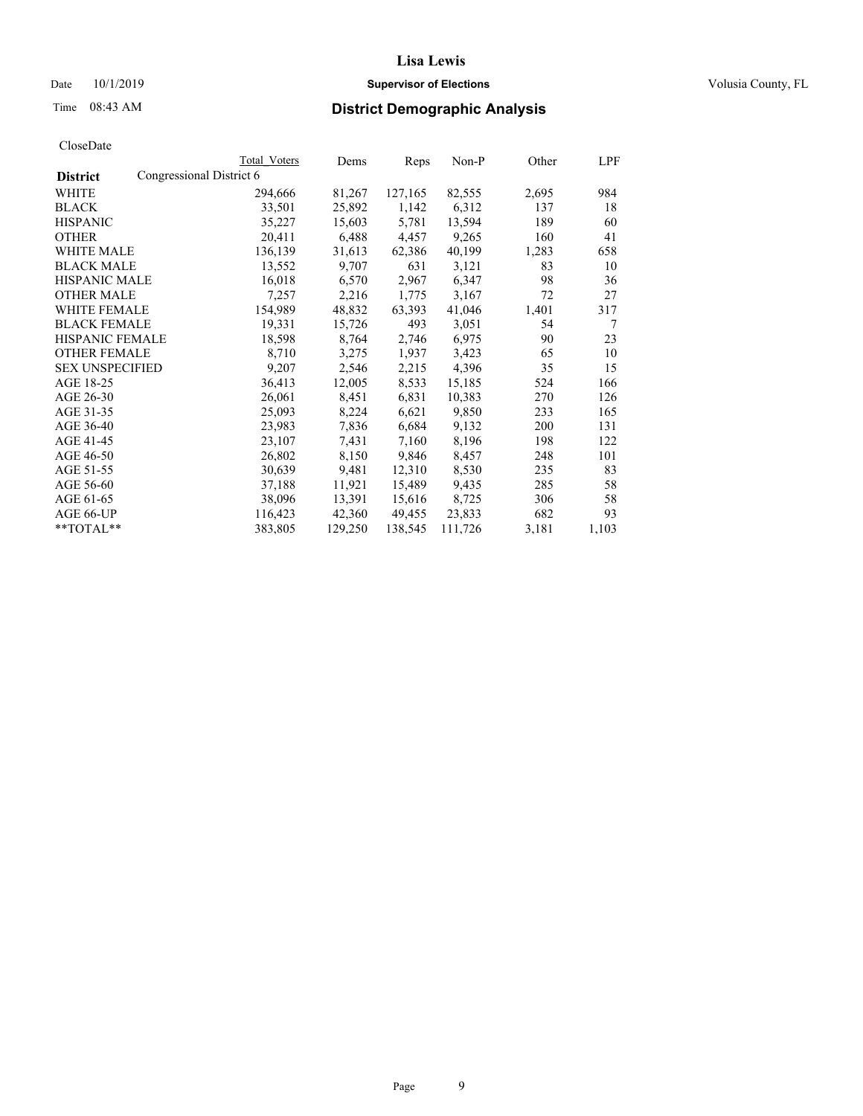## Date 10/1/2019 **Supervisor of Elections Supervisor of Elections** Volusia County, FL

|                                             | Total Voters | Dems    | Reps    | Non-P   | Other | LPF   |
|---------------------------------------------|--------------|---------|---------|---------|-------|-------|
| Congressional District 6<br><b>District</b> |              |         |         |         |       |       |
| WHITE                                       | 294,666      | 81,267  | 127,165 | 82,555  | 2,695 | 984   |
| BLACK                                       | 33,501       | 25,892  | 1,142   | 6,312   | 137   | 18    |
| <b>HISPANIC</b>                             | 35,227       | 15,603  | 5,781   | 13,594  | 189   | 60    |
| OTHER                                       | 20,411       | 6,488   | 4,457   | 9,265   | 160   | 41    |
| <b>WHITE MALE</b>                           | 136,139      | 31,613  | 62,386  | 40,199  | 1,283 | 658   |
| <b>BLACK MALE</b>                           | 13,552       | 9,707   | 631     | 3,121   | 83    | 10    |
| HISPANIC MALE                               | 16,018       | 6,570   | 2,967   | 6,347   | 98    | 36    |
| <b>OTHER MALE</b>                           | 7,257        | 2,216   | 1,775   | 3,167   | 72    | 27    |
| <b>WHITE FEMALE</b>                         | 154,989      | 48,832  | 63,393  | 41,046  | 1,401 | 317   |
| <b>BLACK FEMALE</b>                         | 19,331       | 15,726  | 493     | 3,051   | 54    | 7     |
| <b>HISPANIC FEMALE</b>                      | 18,598       | 8,764   | 2,746   | 6,975   | 90    | 23    |
| <b>OTHER FEMALE</b>                         | 8,710        | 3,275   | 1,937   | 3,423   | 65    | 10    |
| <b>SEX UNSPECIFIED</b>                      | 9,207        | 2,546   | 2,215   | 4,396   | 35    | 15    |
| AGE 18-25                                   | 36,413       | 12,005  | 8,533   | 15,185  | 524   | 166   |
| AGE 26-30                                   | 26,061       | 8,451   | 6,831   | 10,383  | 270   | 126   |
| AGE 31-35                                   | 25,093       | 8,224   | 6,621   | 9,850   | 233   | 165   |
| AGE 36-40                                   | 23,983       | 7,836   | 6,684   | 9,132   | 200   | 131   |
| AGE 41-45                                   | 23,107       | 7,431   | 7,160   | 8,196   | 198   | 122   |
| AGE 46-50                                   | 26,802       | 8,150   | 9,846   | 8,457   | 248   | 101   |
| AGE 51-55                                   | 30,639       | 9,481   | 12,310  | 8,530   | 235   | 83    |
| AGE 56-60                                   | 37,188       | 11,921  | 15,489  | 9,435   | 285   | 58    |
| AGE 61-65                                   | 38,096       | 13,391  | 15,616  | 8,725   | 306   | 58    |
| AGE 66-UP                                   | 116,423      | 42,360  | 49,455  | 23,833  | 682   | 93    |
| **TOTAL**                                   | 383,805      | 129,250 | 138,545 | 111,726 | 3,181 | 1,103 |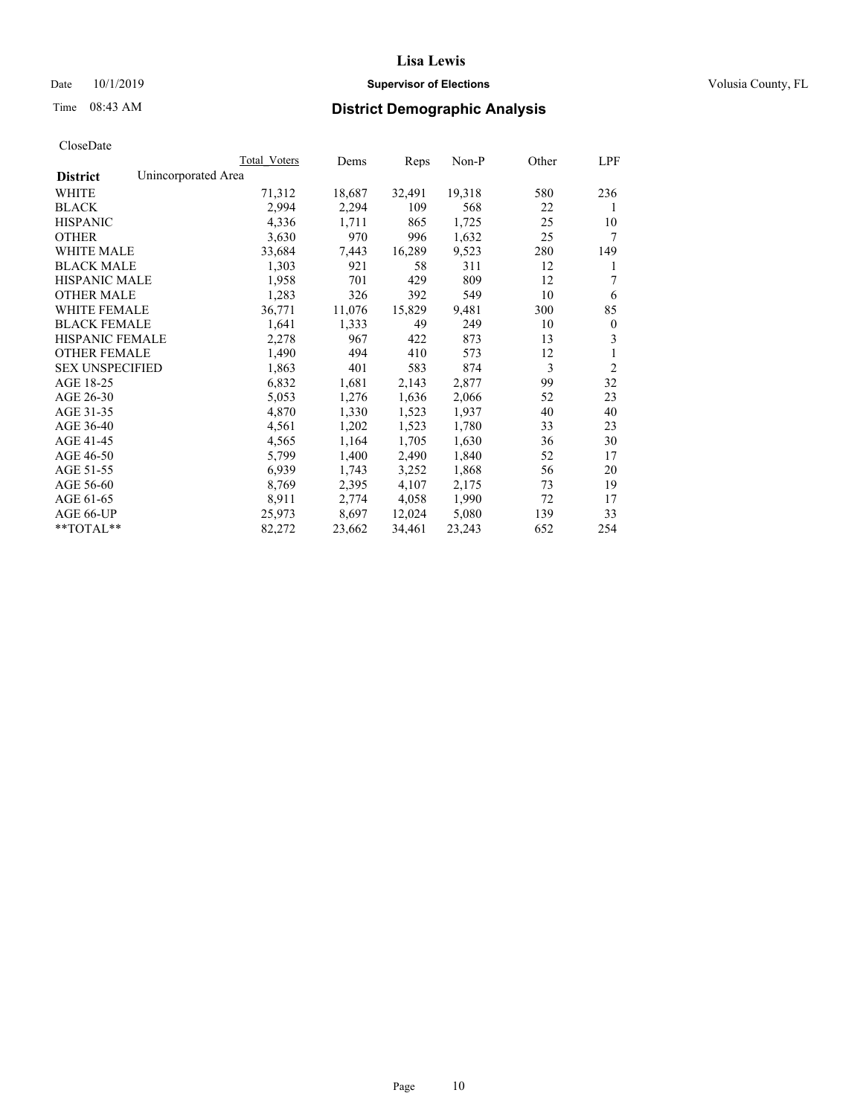## Date 10/1/2019 **Supervisor of Elections Supervisor of Elections** Volusia County, FL

# Time 08:43 AM **District Demographic Analysis**

|                        | Total Voters        | Dems   | Reps   | Non-P  | Other | LPF            |
|------------------------|---------------------|--------|--------|--------|-------|----------------|
| <b>District</b>        | Unincorporated Area |        |        |        |       |                |
| WHITE                  | 71,312              | 18,687 | 32,491 | 19,318 | 580   | 236            |
| <b>BLACK</b>           | 2,994               | 2,294  | 109    | 568    | 22    | 1              |
| <b>HISPANIC</b>        | 4,336               | 1,711  | 865    | 1,725  | 25    | 10             |
| <b>OTHER</b>           | 3,630               | 970    | 996    | 1,632  | 25    | 7              |
| WHITE MALE             | 33,684              | 7,443  | 16,289 | 9,523  | 280   | 149            |
| <b>BLACK MALE</b>      | 1,303               | 921    | 58     | 311    | 12    | 1              |
| <b>HISPANIC MALE</b>   | 1,958               | 701    | 429    | 809    | 12    | 7              |
| <b>OTHER MALE</b>      | 1,283               | 326    | 392    | 549    | 10    | 6              |
| WHITE FEMALE           | 36,771              | 11,076 | 15,829 | 9,481  | 300   | 85             |
| <b>BLACK FEMALE</b>    | 1,641               | 1,333  | 49     | 249    | 10    | $\mathbf{0}$   |
| <b>HISPANIC FEMALE</b> | 2,278               | 967    | 422    | 873    | 13    | 3              |
| <b>OTHER FEMALE</b>    | 1,490               | 494    | 410    | 573    | 12    | 1              |
| <b>SEX UNSPECIFIED</b> | 1,863               | 401    | 583    | 874    | 3     | $\overline{2}$ |
| AGE 18-25              | 6,832               | 1,681  | 2,143  | 2,877  | 99    | 32             |
| AGE 26-30              | 5,053               | 1,276  | 1,636  | 2,066  | 52    | 23             |
| AGE 31-35              | 4,870               | 1,330  | 1,523  | 1,937  | 40    | 40             |
| AGE 36-40              | 4,561               | 1,202  | 1,523  | 1,780  | 33    | 23             |
| AGE 41-45              | 4,565               | 1,164  | 1,705  | 1,630  | 36    | 30             |
| AGE 46-50              | 5,799               | 1,400  | 2,490  | 1,840  | 52    | 17             |
| AGE 51-55              | 6,939               | 1,743  | 3,252  | 1,868  | 56    | 20             |
| AGE 56-60              | 8,769               | 2,395  | 4,107  | 2,175  | 73    | 19             |
| AGE 61-65              | 8,911               | 2,774  | 4,058  | 1,990  | 72    | 17             |
| AGE 66-UP              | 25,973              | 8,697  | 12,024 | 5,080  | 139   | 33             |
| $*$ $TOTAL**$          | 82,272              | 23,662 | 34,461 | 23,243 | 652   | 254            |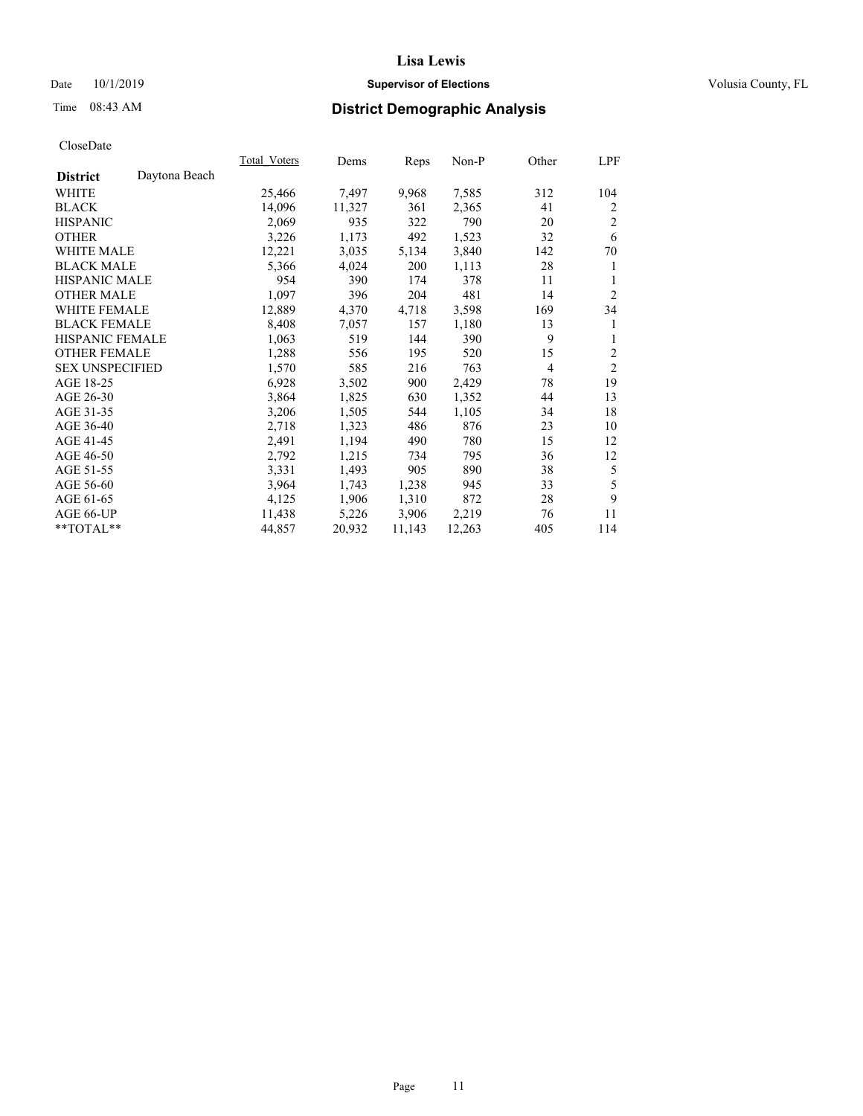## Date 10/1/2019 **Supervisor of Elections Supervisor of Elections** Volusia County, FL

# Time 08:43 AM **District Demographic Analysis**

|                                  | Total Voters | Dems   | Reps   | Non-P  | Other | LPF            |
|----------------------------------|--------------|--------|--------|--------|-------|----------------|
| Daytona Beach<br><b>District</b> |              |        |        |        |       |                |
| WHITE                            | 25,466       | 7,497  | 9,968  | 7,585  | 312   | 104            |
| <b>BLACK</b>                     | 14,096       | 11,327 | 361    | 2,365  | 41    | $\overline{2}$ |
| <b>HISPANIC</b>                  | 2,069        | 935    | 322    | 790    | 20    | 2              |
| <b>OTHER</b>                     | 3,226        | 1,173  | 492    | 1,523  | 32    | 6              |
| WHITE MALE                       | 12,221       | 3,035  | 5,134  | 3,840  | 142   | 70             |
| <b>BLACK MALE</b>                | 5,366        | 4,024  | 200    | 1,113  | 28    | 1              |
| <b>HISPANIC MALE</b>             | 954          | 390    | 174    | 378    | 11    | 1              |
| <b>OTHER MALE</b>                | 1,097        | 396    | 204    | 481    | 14    | $\overline{2}$ |
| WHITE FEMALE                     | 12,889       | 4,370  | 4,718  | 3,598  | 169   | 34             |
| <b>BLACK FEMALE</b>              | 8,408        | 7,057  | 157    | 1,180  | 13    | 1              |
| <b>HISPANIC FEMALE</b>           | 1,063        | 519    | 144    | 390    | 9     | 1              |
| <b>OTHER FEMALE</b>              | 1,288        | 556    | 195    | 520    | 15    | 2              |
| <b>SEX UNSPECIFIED</b>           | 1,570        | 585    | 216    | 763    | 4     | $\overline{2}$ |
| AGE 18-25                        | 6,928        | 3,502  | 900    | 2,429  | 78    | 19             |
| AGE 26-30                        | 3,864        | 1,825  | 630    | 1,352  | 44    | 13             |
| AGE 31-35                        | 3,206        | 1,505  | 544    | 1,105  | 34    | 18             |
| AGE 36-40                        | 2,718        | 1,323  | 486    | 876    | 23    | 10             |
| AGE 41-45                        | 2,491        | 1,194  | 490    | 780    | 15    | 12             |
| AGE 46-50                        | 2,792        | 1,215  | 734    | 795    | 36    | 12             |
| AGE 51-55                        | 3,331        | 1,493  | 905    | 890    | 38    | 5              |
| AGE 56-60                        | 3,964        | 1,743  | 1,238  | 945    | 33    | 5              |
| AGE 61-65                        | 4,125        | 1,906  | 1,310  | 872    | 28    | 9              |
| AGE 66-UP                        | 11,438       | 5,226  | 3,906  | 2,219  | 76    | 11             |
| **TOTAL**                        | 44,857       | 20,932 | 11,143 | 12,263 | 405   | 114            |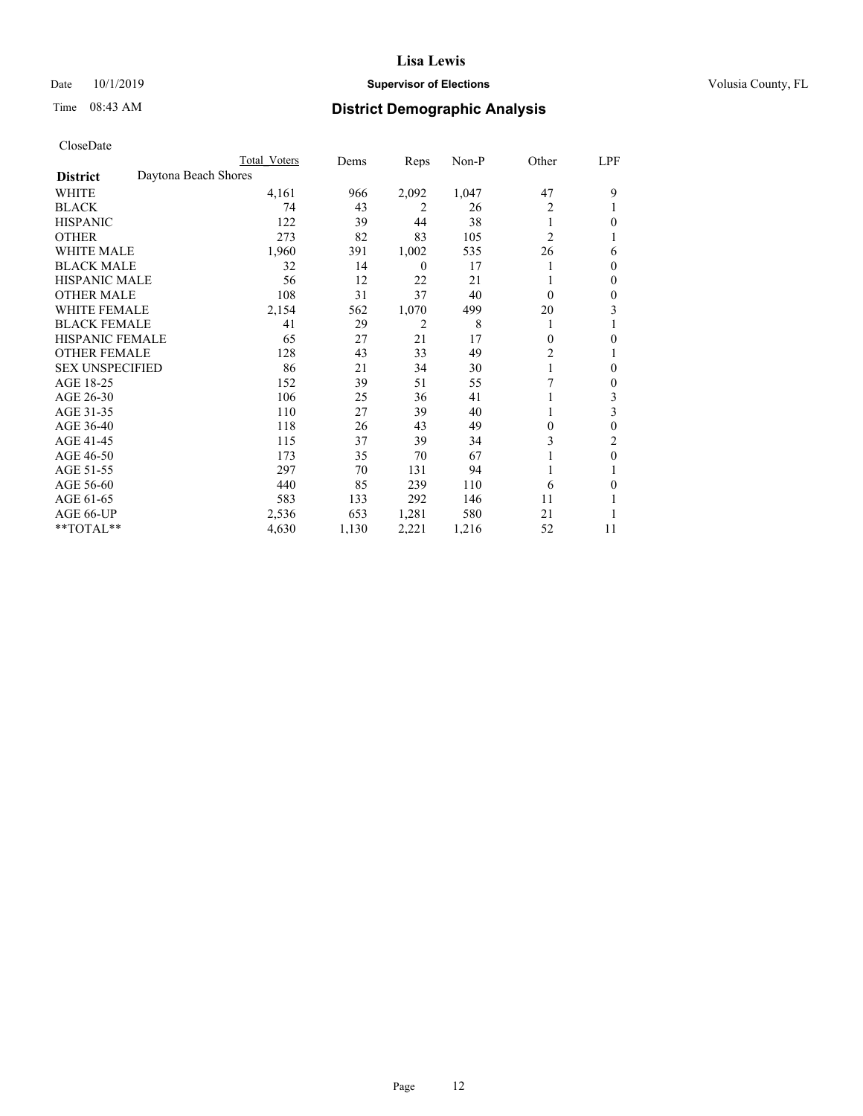## Date 10/1/2019 **Supervisor of Elections Supervisor of Elections** Volusia County, FL

# Time 08:43 AM **District Demographic Analysis**

|                        |                      | Total Voters | Dems  | Reps             | Non-P | Other          | LPF |
|------------------------|----------------------|--------------|-------|------------------|-------|----------------|-----|
| <b>District</b>        | Daytona Beach Shores |              |       |                  |       |                |     |
| WHITE                  |                      | 4,161        | 966   | 2,092            | 1,047 | 47             | 9   |
| <b>BLACK</b>           |                      | 74           | 43    | 2                | 26    | 2              |     |
| <b>HISPANIC</b>        |                      | 122          | 39    | 44               | 38    |                | 0   |
| <b>OTHER</b>           |                      | 273          | 82    | 83               | 105   | $\overline{2}$ |     |
| WHITE MALE             |                      | 1,960        | 391   | 1,002            | 535   | 26             | 6   |
| <b>BLACK MALE</b>      |                      | 32           | 14    | $\boldsymbol{0}$ | 17    |                | 0   |
| <b>HISPANIC MALE</b>   |                      | 56           | 12    | 22               | 21    |                | 0   |
| <b>OTHER MALE</b>      |                      | 108          | 31    | 37               | 40    | $\theta$       | 0   |
| WHITE FEMALE           |                      | 2,154        | 562   | 1,070            | 499   | 20             | 3   |
| <b>BLACK FEMALE</b>    |                      | 41           | 29    | 2                | 8     | 1              |     |
| <b>HISPANIC FEMALE</b> |                      | 65           | 27    | 21               | 17    | $\Omega$       | 0   |
| <b>OTHER FEMALE</b>    |                      | 128          | 43    | 33               | 49    | 2              |     |
| <b>SEX UNSPECIFIED</b> |                      | 86           | 21    | 34               | 30    |                | 0   |
| AGE 18-25              |                      | 152          | 39    | 51               | 55    | 7              | 0   |
| AGE 26-30              |                      | 106          | 25    | 36               | 41    |                | 3   |
| AGE 31-35              |                      | 110          | 27    | 39               | 40    |                | 3   |
| AGE 36-40              |                      | 118          | 26    | 43               | 49    | 0              | 0   |
| AGE 41-45              |                      | 115          | 37    | 39               | 34    | 3              | 2   |
| AGE 46-50              |                      | 173          | 35    | 70               | 67    |                | 0   |
| AGE 51-55              |                      | 297          | 70    | 131              | 94    |                |     |
| AGE 56-60              |                      | 440          | 85    | 239              | 110   | 6              | 0   |
| AGE 61-65              |                      | 583          | 133   | 292              | 146   | 11             |     |
| AGE 66-UP              |                      | 2,536        | 653   | 1,281            | 580   | 21             |     |
| **TOTAL**              |                      | 4,630        | 1,130 | 2,221            | 1,216 | 52             | 11  |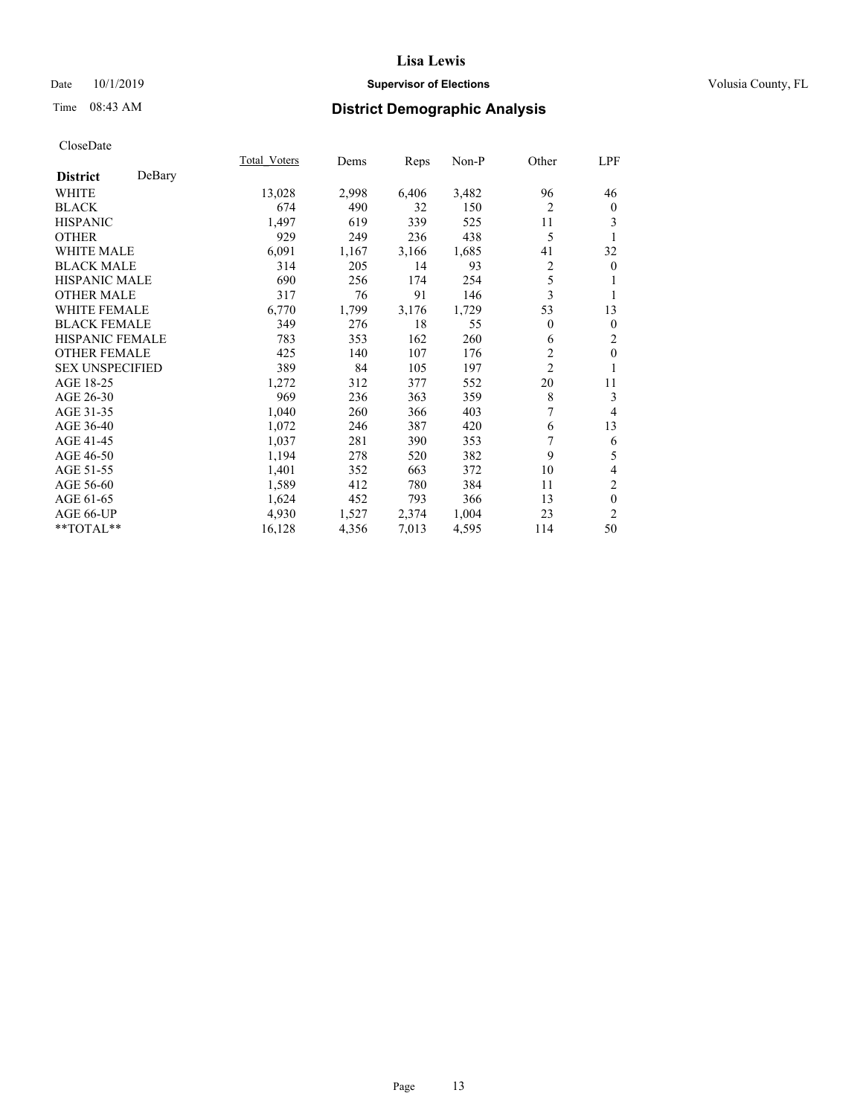## Date 10/1/2019 **Supervisor of Elections Supervisor of Elections** Volusia County, FL

# Time 08:43 AM **District Demographic Analysis**

|                        |        | Total Voters | Dems  | Reps  | $Non-P$ | Other          | LPF          |
|------------------------|--------|--------------|-------|-------|---------|----------------|--------------|
| <b>District</b>        | DeBary |              |       |       |         |                |              |
| WHITE                  |        | 13,028       | 2,998 | 6,406 | 3,482   | 96             | 46           |
| <b>BLACK</b>           |        | 674          | 490   | 32    | 150     | $\overline{2}$ | $\mathbf{0}$ |
| <b>HISPANIC</b>        |        | 1,497        | 619   | 339   | 525     | 11             | 3            |
| <b>OTHER</b>           |        | 929          | 249   | 236   | 438     | 5              | 1            |
| WHITE MALE             |        | 6,091        | 1,167 | 3,166 | 1,685   | 41             | 32           |
| <b>BLACK MALE</b>      |        | 314          | 205   | 14    | 93      | 2              | $\mathbf{0}$ |
| <b>HISPANIC MALE</b>   |        | 690          | 256   | 174   | 254     | 5              | 1            |
| <b>OTHER MALE</b>      |        | 317          | 76    | 91    | 146     | 3              | 1            |
| WHITE FEMALE           |        | 6,770        | 1,799 | 3,176 | 1,729   | 53             | 13           |
| <b>BLACK FEMALE</b>    |        | 349          | 276   | 18    | 55      | $\theta$       | $\mathbf{0}$ |
| <b>HISPANIC FEMALE</b> |        | 783          | 353   | 162   | 260     | 6              | 2            |
| <b>OTHER FEMALE</b>    |        | 425          | 140   | 107   | 176     | $\overline{c}$ | $\mathbf{0}$ |
| <b>SEX UNSPECIFIED</b> |        | 389          | 84    | 105   | 197     | $\overline{c}$ | 1            |
| AGE 18-25              |        | 1,272        | 312   | 377   | 552     | 20             | 11           |
| AGE 26-30              |        | 969          | 236   | 363   | 359     | $\,$ 8 $\,$    | 3            |
| AGE 31-35              |        | 1,040        | 260   | 366   | 403     | 7              | 4            |
| AGE 36-40              |        | 1,072        | 246   | 387   | 420     | 6              | 13           |
| AGE 41-45              |        | 1,037        | 281   | 390   | 353     | 7              | 6            |
| AGE 46-50              |        | 1,194        | 278   | 520   | 382     | 9              | 5            |
| AGE 51-55              |        | 1,401        | 352   | 663   | 372     | 10             | 4            |
| AGE 56-60              |        | 1,589        | 412   | 780   | 384     | 11             | 2            |
| AGE 61-65              |        | 1,624        | 452   | 793   | 366     | 13             | $\theta$     |
| AGE 66-UP              |        | 4,930        | 1,527 | 2,374 | 1,004   | 23             | 2            |
| **TOTAL**              |        | 16,128       | 4,356 | 7,013 | 4,595   | 114            | 50           |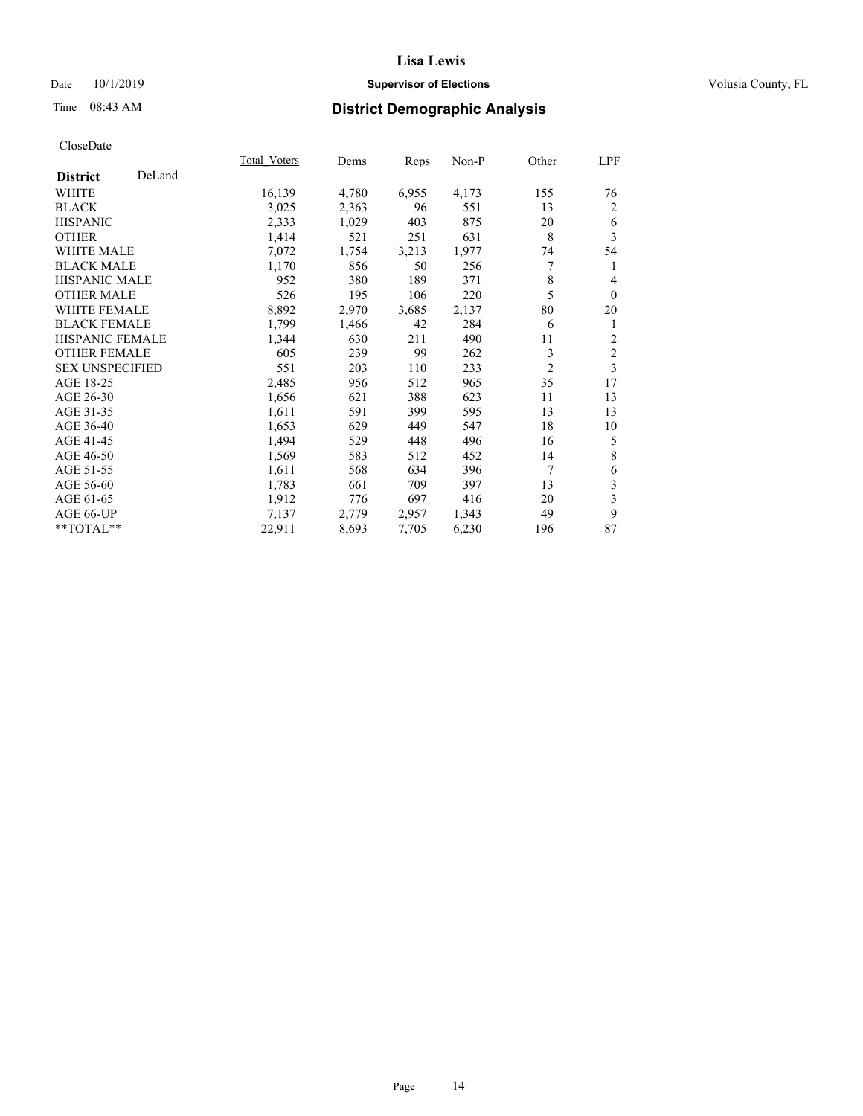## Date 10/1/2019 **Supervisor of Elections Supervisor of Elections** Volusia County, FL

# Time 08:43 AM **District Demographic Analysis**

|                        |        | Total Voters | Dems  | Reps  | Non-P | Other          | LPF            |
|------------------------|--------|--------------|-------|-------|-------|----------------|----------------|
| <b>District</b>        | DeLand |              |       |       |       |                |                |
| WHITE                  |        | 16,139       | 4,780 | 6,955 | 4,173 | 155            | 76             |
| <b>BLACK</b>           |        | 3,025        | 2,363 | 96    | 551   | 13             | 2              |
| <b>HISPANIC</b>        |        | 2,333        | 1,029 | 403   | 875   | 20             | 6              |
| <b>OTHER</b>           |        | 1,414        | 521   | 251   | 631   | 8              | 3              |
| <b>WHITE MALE</b>      |        | 7,072        | 1,754 | 3,213 | 1,977 | 74             | 54             |
| <b>BLACK MALE</b>      |        | 1,170        | 856   | 50    | 256   | 7              | 1              |
| <b>HISPANIC MALE</b>   |        | 952          | 380   | 189   | 371   | 8              | 4              |
| <b>OTHER MALE</b>      |        | 526          | 195   | 106   | 220   | 5              | $\mathbf{0}$   |
| <b>WHITE FEMALE</b>    |        | 8,892        | 2,970 | 3,685 | 2,137 | 80             | 20             |
| <b>BLACK FEMALE</b>    |        | 1,799        | 1,466 | 42    | 284   | 6              | 1              |
| <b>HISPANIC FEMALE</b> |        | 1,344        | 630   | 211   | 490   | 11             | $\overline{c}$ |
| <b>OTHER FEMALE</b>    |        | 605          | 239   | 99    | 262   | 3              | $\overline{c}$ |
| <b>SEX UNSPECIFIED</b> |        | 551          | 203   | 110   | 233   | $\overline{2}$ | 3              |
| AGE 18-25              |        | 2,485        | 956   | 512   | 965   | 35             | 17             |
| AGE 26-30              |        | 1,656        | 621   | 388   | 623   | 11             | 13             |
| AGE 31-35              |        | 1,611        | 591   | 399   | 595   | 13             | 13             |
| AGE 36-40              |        | 1,653        | 629   | 449   | 547   | 18             | 10             |
| AGE 41-45              |        | 1,494        | 529   | 448   | 496   | 16             | 5              |
| AGE 46-50              |        | 1,569        | 583   | 512   | 452   | 14             | 8              |
| AGE 51-55              |        | 1,611        | 568   | 634   | 396   | 7              | 6              |
| AGE 56-60              |        | 1,783        | 661   | 709   | 397   | 13             | 3              |
| AGE 61-65              |        | 1,912        | 776   | 697   | 416   | 20             | 3              |
| AGE 66-UP              |        | 7,137        | 2,779 | 2,957 | 1,343 | 49             | 9              |
| **TOTAL**              |        | 22,911       | 8,693 | 7,705 | 6,230 | 196            | 87             |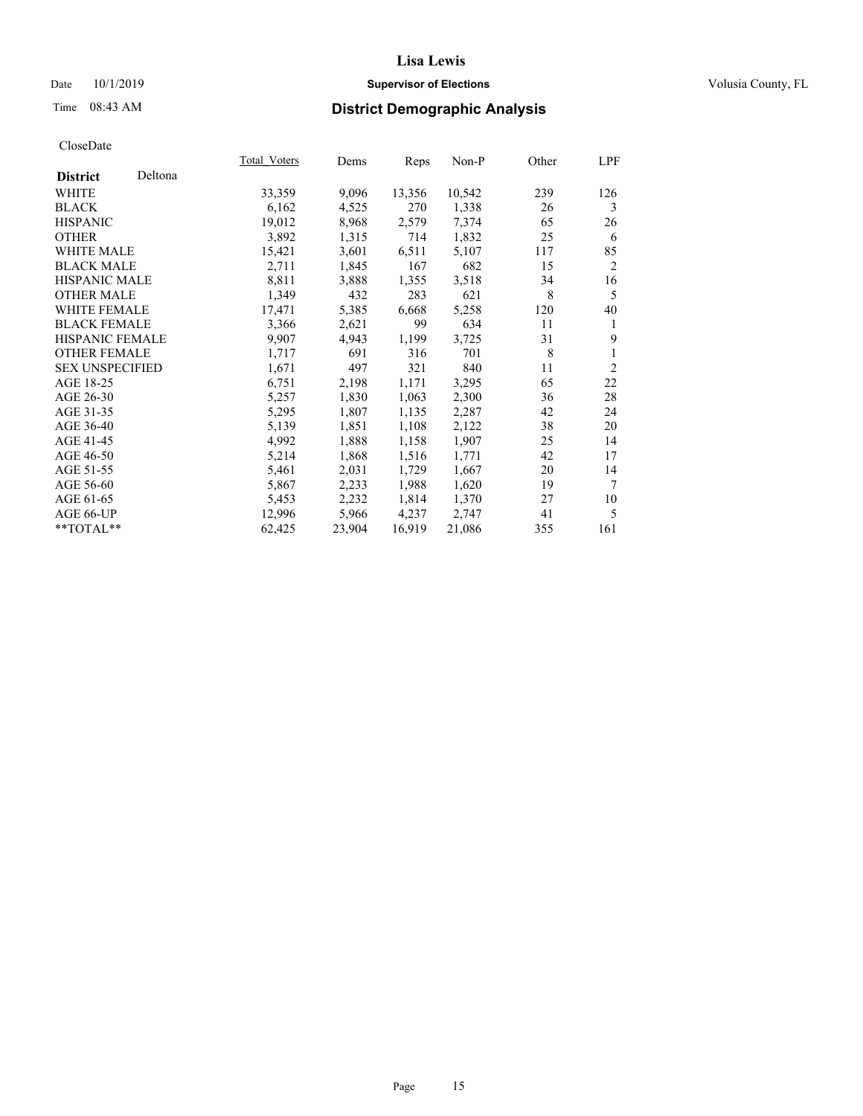## Date 10/1/2019 **Supervisor of Elections Supervisor of Elections** Volusia County, FL

## Time 08:43 AM **District Demographic Analysis**

|                        |         | Total Voters | Dems   | Reps   | $Non-P$ | Other | LPF            |
|------------------------|---------|--------------|--------|--------|---------|-------|----------------|
| <b>District</b>        | Deltona |              |        |        |         |       |                |
| WHITE                  |         | 33,359       | 9,096  | 13,356 | 10,542  | 239   | 126            |
| <b>BLACK</b>           |         | 6,162        | 4,525  | 270    | 1,338   | 26    | 3              |
| <b>HISPANIC</b>        |         | 19,012       | 8,968  | 2,579  | 7,374   | 65    | 26             |
| <b>OTHER</b>           |         | 3,892        | 1,315  | 714    | 1,832   | 25    | 6              |
| WHITE MALE             |         | 15,421       | 3,601  | 6,511  | 5,107   | 117   | 85             |
| <b>BLACK MALE</b>      |         | 2,711        | 1,845  | 167    | 682     | 15    | $\overline{2}$ |
| <b>HISPANIC MALE</b>   |         | 8,811        | 3,888  | 1,355  | 3,518   | 34    | 16             |
| <b>OTHER MALE</b>      |         | 1,349        | 432    | 283    | 621     | 8     | 5              |
| <b>WHITE FEMALE</b>    |         | 17,471       | 5,385  | 6,668  | 5,258   | 120   | 40             |
| <b>BLACK FEMALE</b>    |         | 3,366        | 2,621  | 99     | 634     | 11    | 1              |
| <b>HISPANIC FEMALE</b> |         | 9,907        | 4,943  | 1,199  | 3,725   | 31    | 9              |
| <b>OTHER FEMALE</b>    |         | 1,717        | 691    | 316    | 701     | 8     | 1              |
| <b>SEX UNSPECIFIED</b> |         | 1,671        | 497    | 321    | 840     | 11    | $\overline{2}$ |
| AGE 18-25              |         | 6,751        | 2,198  | 1,171  | 3,295   | 65    | 22             |
| AGE 26-30              |         | 5,257        | 1,830  | 1,063  | 2,300   | 36    | 28             |
| AGE 31-35              |         | 5,295        | 1,807  | 1,135  | 2,287   | 42    | 24             |
| AGE 36-40              |         | 5,139        | 1,851  | 1,108  | 2,122   | 38    | 20             |
| AGE 41-45              |         | 4,992        | 1,888  | 1,158  | 1,907   | 25    | 14             |
| AGE 46-50              |         | 5,214        | 1,868  | 1,516  | 1,771   | 42    | 17             |
| AGE 51-55              |         | 5,461        | 2,031  | 1,729  | 1,667   | 20    | 14             |
| AGE 56-60              |         | 5,867        | 2,233  | 1,988  | 1,620   | 19    | 7              |
| AGE 61-65              |         | 5,453        | 2,232  | 1,814  | 1,370   | 27    | 10             |
| AGE 66-UP              |         | 12,996       | 5,966  | 4,237  | 2,747   | 41    | 5              |
| $*$ $TOTAL**$          |         | 62,425       | 23,904 | 16,919 | 21,086  | 355   | 161            |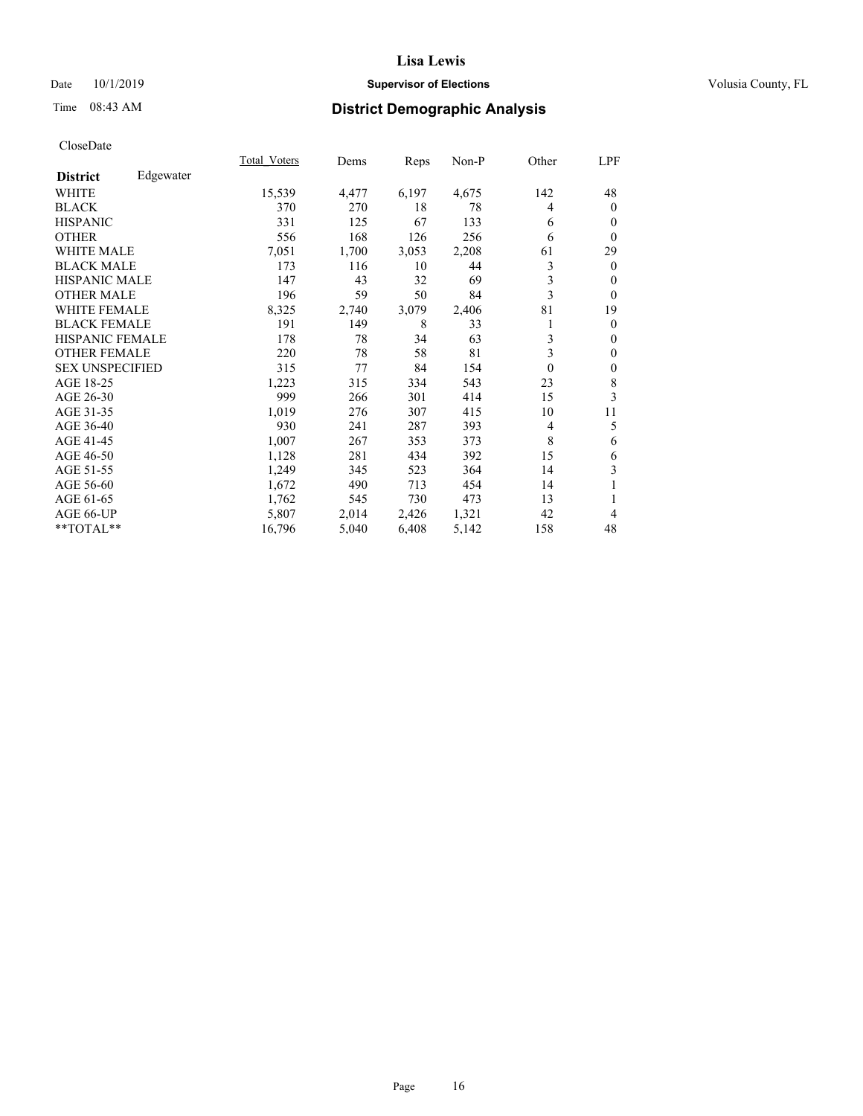## Date 10/1/2019 **Supervisor of Elections Supervisor of Elections** Volusia County, FL

# Time 08:43 AM **District Demographic Analysis**

|                        |           | Total Voters | Dems  | Reps  | Non-P | Other    | LPF            |
|------------------------|-----------|--------------|-------|-------|-------|----------|----------------|
| <b>District</b>        | Edgewater |              |       |       |       |          |                |
| WHITE                  |           | 15,539       | 4,477 | 6,197 | 4,675 | 142      | 48             |
| <b>BLACK</b>           |           | 370          | 270   | 18    | 78    | 4        | $\mathbf{0}$   |
| <b>HISPANIC</b>        |           | 331          | 125   | 67    | 133   | 6        | $\mathbf{0}$   |
| <b>OTHER</b>           |           | 556          | 168   | 126   | 256   | 6        | $\theta$       |
| <b>WHITE MALE</b>      |           | 7,051        | 1,700 | 3,053 | 2,208 | 61       | 29             |
| <b>BLACK MALE</b>      |           | 173          | 116   | 10    | 44    | 3        | $\mathbf{0}$   |
| <b>HISPANIC MALE</b>   |           | 147          | 43    | 32    | 69    | 3        | $\theta$       |
| <b>OTHER MALE</b>      |           | 196          | 59    | 50    | 84    | 3        | $\theta$       |
| <b>WHITE FEMALE</b>    |           | 8,325        | 2,740 | 3,079 | 2,406 | 81       | 19             |
| <b>BLACK FEMALE</b>    |           | 191          | 149   | 8     | 33    |          | $\overline{0}$ |
| <b>HISPANIC FEMALE</b> |           | 178          | 78    | 34    | 63    | 3        | $\mathbf{0}$   |
| <b>OTHER FEMALE</b>    |           | 220          | 78    | 58    | 81    | 3        | $\mathbf{0}$   |
| <b>SEX UNSPECIFIED</b> |           | 315          | 77    | 84    | 154   | $\theta$ | $\mathbf{0}$   |
| AGE 18-25              |           | 1,223        | 315   | 334   | 543   | 23       | 8              |
| AGE 26-30              |           | 999          | 266   | 301   | 414   | 15       | 3              |
| AGE 31-35              |           | 1,019        | 276   | 307   | 415   | 10       | 11             |
| AGE 36-40              |           | 930          | 241   | 287   | 393   | 4        | 5              |
| AGE 41-45              |           | 1,007        | 267   | 353   | 373   | 8        | 6              |
| AGE 46-50              |           | 1,128        | 281   | 434   | 392   | 15       | 6              |
| AGE 51-55              |           | 1,249        | 345   | 523   | 364   | 14       | 3              |
| AGE 56-60              |           | 1,672        | 490   | 713   | 454   | 14       | 1              |
| AGE 61-65              |           | 1,762        | 545   | 730   | 473   | 13       | 1              |
| AGE 66-UP              |           | 5,807        | 2,014 | 2,426 | 1,321 | 42       | 4              |
| **TOTAL**              |           | 16,796       | 5,040 | 6,408 | 5,142 | 158      | 48             |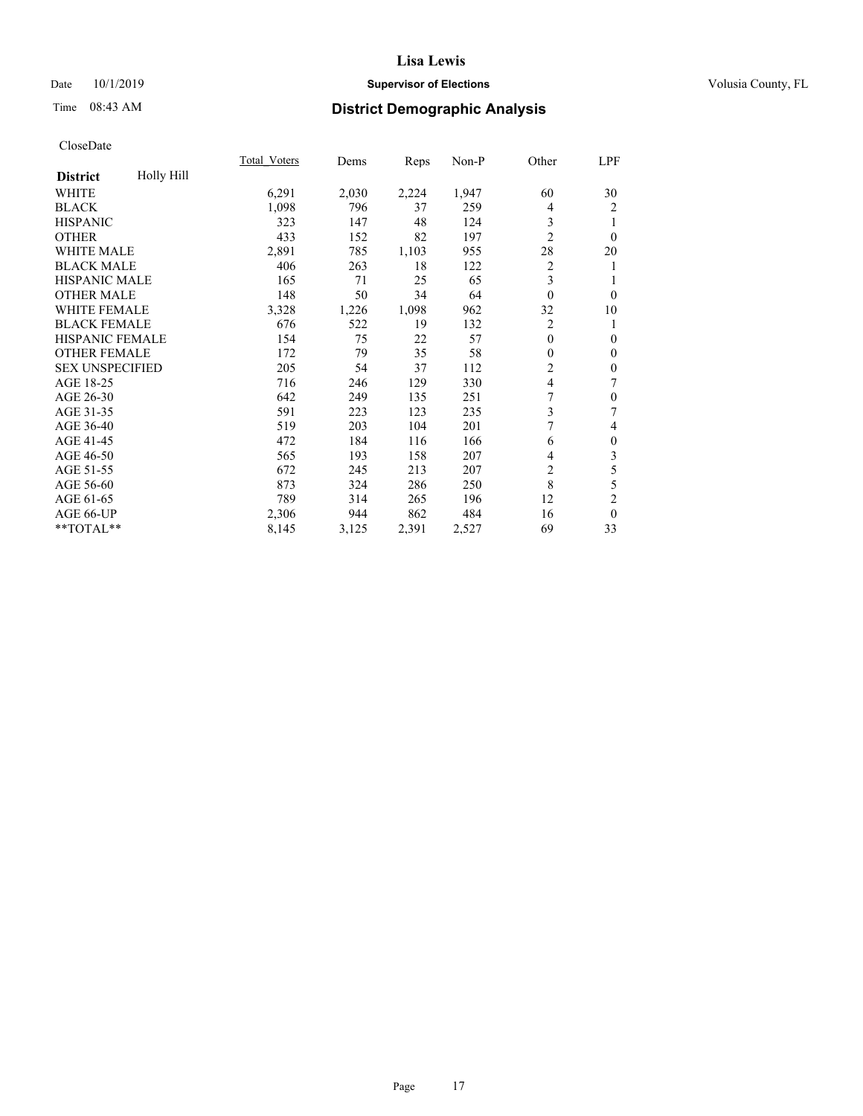## Date 10/1/2019 **Supervisor of Elections Supervisor of Elections** Volusia County, FL

# Time 08:43 AM **District Demographic Analysis**

|                        |            | Total Voters | Dems  | Reps  | Non-P | Other          | LPF              |
|------------------------|------------|--------------|-------|-------|-------|----------------|------------------|
| <b>District</b>        | Holly Hill |              |       |       |       |                |                  |
| WHITE                  |            | 6,291        | 2,030 | 2,224 | 1,947 | 60             | 30               |
| <b>BLACK</b>           |            | 1,098        | 796   | 37    | 259   | 4              | $\overline{2}$   |
| <b>HISPANIC</b>        |            | 323          | 147   | 48    | 124   | 3              | 1                |
| <b>OTHER</b>           |            | 433          | 152   | 82    | 197   | $\overline{2}$ | $\theta$         |
| WHITE MALE             |            | 2,891        | 785   | 1,103 | 955   | 28             | 20               |
| <b>BLACK MALE</b>      |            | 406          | 263   | 18    | 122   | 2              | 1                |
| <b>HISPANIC MALE</b>   |            | 165          | 71    | 25    | 65    | 3              | 1                |
| <b>OTHER MALE</b>      |            | 148          | 50    | 34    | 64    | $\theta$       | $\theta$         |
| <b>WHITE FEMALE</b>    |            | 3,328        | 1,226 | 1,098 | 962   | 32             | 10               |
| <b>BLACK FEMALE</b>    |            | 676          | 522   | 19    | 132   | 2              | 1                |
| <b>HISPANIC FEMALE</b> |            | 154          | 75    | 22    | 57    | $\theta$       | $\mathbf{0}$     |
| <b>OTHER FEMALE</b>    |            | 172          | 79    | 35    | 58    | $\overline{0}$ | $\mathbf{0}$     |
| <b>SEX UNSPECIFIED</b> |            | 205          | 54    | 37    | 112   | 2              | $\mathbf{0}$     |
| AGE 18-25              |            | 716          | 246   | 129   | 330   | $\overline{4}$ | 7                |
| AGE 26-30              |            | 642          | 249   | 135   | 251   | 7              | $\mathbf{0}$     |
| AGE 31-35              |            | 591          | 223   | 123   | 235   | 3              | 7                |
| AGE 36-40              |            | 519          | 203   | 104   | 201   | 7              | 4                |
| AGE 41-45              |            | 472          | 184   | 116   | 166   | 6              | $\boldsymbol{0}$ |
| AGE 46-50              |            | 565          | 193   | 158   | 207   | 4              | 3                |
| AGE 51-55              |            | 672          | 245   | 213   | 207   | 2              | 5                |
| AGE 56-60              |            | 873          | 324   | 286   | 250   | 8              | 5                |
| AGE 61-65              |            | 789          | 314   | 265   | 196   | 12             | $\overline{2}$   |
| AGE 66-UP              |            | 2,306        | 944   | 862   | 484   | 16             | $\theta$         |
| **TOTAL**              |            | 8,145        | 3,125 | 2,391 | 2,527 | 69             | 33               |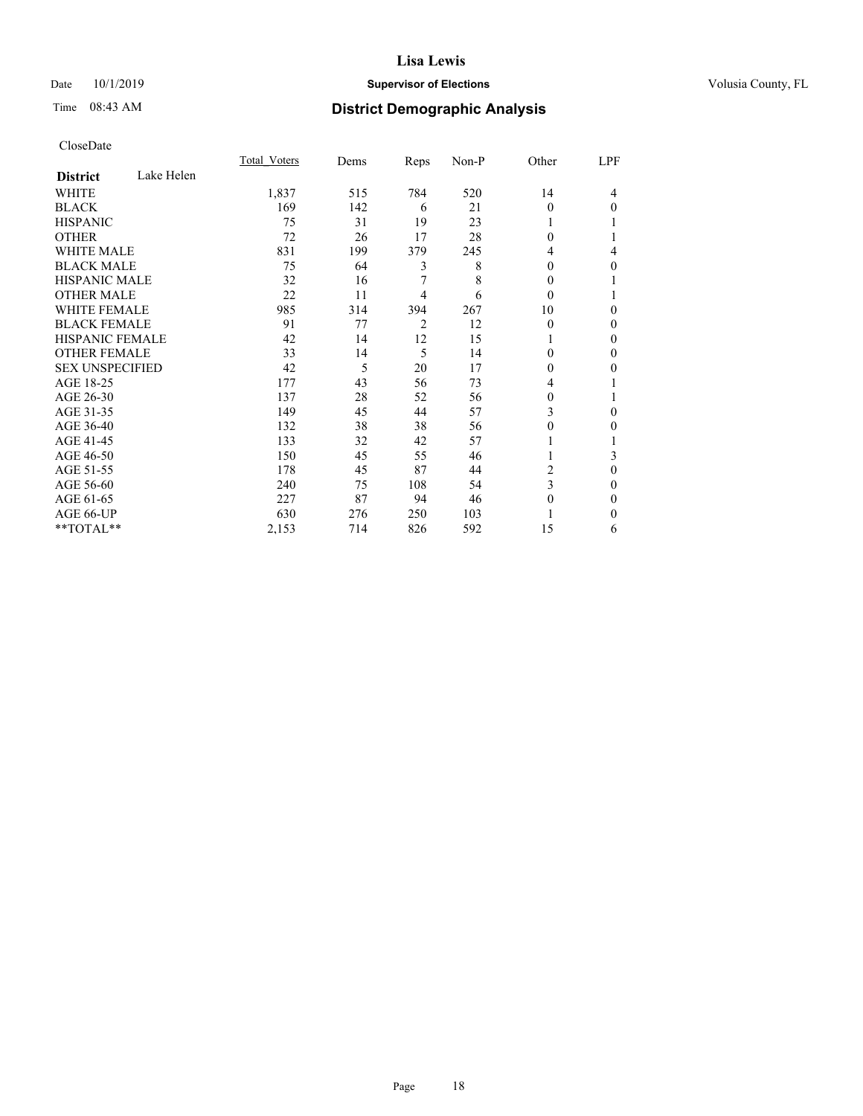## Date 10/1/2019 **Supervisor of Elections Supervisor of Elections** Volusia County, FL

# Time 08:43 AM **District Demographic Analysis**

|                        |            | Total Voters | Dems | Reps | Non-P | Other    | LPF |
|------------------------|------------|--------------|------|------|-------|----------|-----|
| <b>District</b>        | Lake Helen |              |      |      |       |          |     |
| WHITE                  |            | 1,837        | 515  | 784  | 520   | 14       | 4   |
| <b>BLACK</b>           |            | 169          | 142  | 6    | 21    | 0        | 0   |
| <b>HISPANIC</b>        |            | 75           | 31   | 19   | 23    | 1        |     |
| <b>OTHER</b>           |            | 72           | 26   | 17   | 28    | $\Omega$ |     |
| <b>WHITE MALE</b>      |            | 831          | 199  | 379  | 245   | 4        | 4   |
| <b>BLACK MALE</b>      |            | 75           | 64   | 3    | 8     | $\Omega$ | 0   |
| <b>HISPANIC MALE</b>   |            | 32           | 16   | 7    | 8     | $\Omega$ |     |
| <b>OTHER MALE</b>      |            | 22           | 11   | 4    | 6     | $\Omega$ |     |
| <b>WHITE FEMALE</b>    |            | 985          | 314  | 394  | 267   | 10       | 0   |
| <b>BLACK FEMALE</b>    |            | 91           | 77   | 2    | 12    | $\theta$ | 0   |
| <b>HISPANIC FEMALE</b> |            | 42           | 14   | 12   | 15    |          | 0   |
| <b>OTHER FEMALE</b>    |            | 33           | 14   | 5    | 14    | $\Omega$ | 0   |
| <b>SEX UNSPECIFIED</b> |            | 42           | 5    | 20   | 17    | 0        | 0   |
| AGE 18-25              |            | 177          | 43   | 56   | 73    | 4        |     |
| AGE 26-30              |            | 137          | 28   | 52   | 56    | $\Omega$ |     |
| AGE 31-35              |            | 149          | 45   | 44   | 57    | 3        | 0   |
| AGE 36-40              |            | 132          | 38   | 38   | 56    | 0        | 0   |
| AGE 41-45              |            | 133          | 32   | 42   | 57    |          |     |
| AGE 46-50              |            | 150          | 45   | 55   | 46    | 1        | 3   |
| AGE 51-55              |            | 178          | 45   | 87   | 44    | 2        | 0   |
| AGE 56-60              |            | 240          | 75   | 108  | 54    | 3        | 0   |
| AGE 61-65              |            | 227          | 87   | 94   | 46    | $\Omega$ | 0   |
| AGE 66-UP              |            | 630          | 276  | 250  | 103   |          | 0   |
| **TOTAL**              |            | 2,153        | 714  | 826  | 592   | 15       | 6   |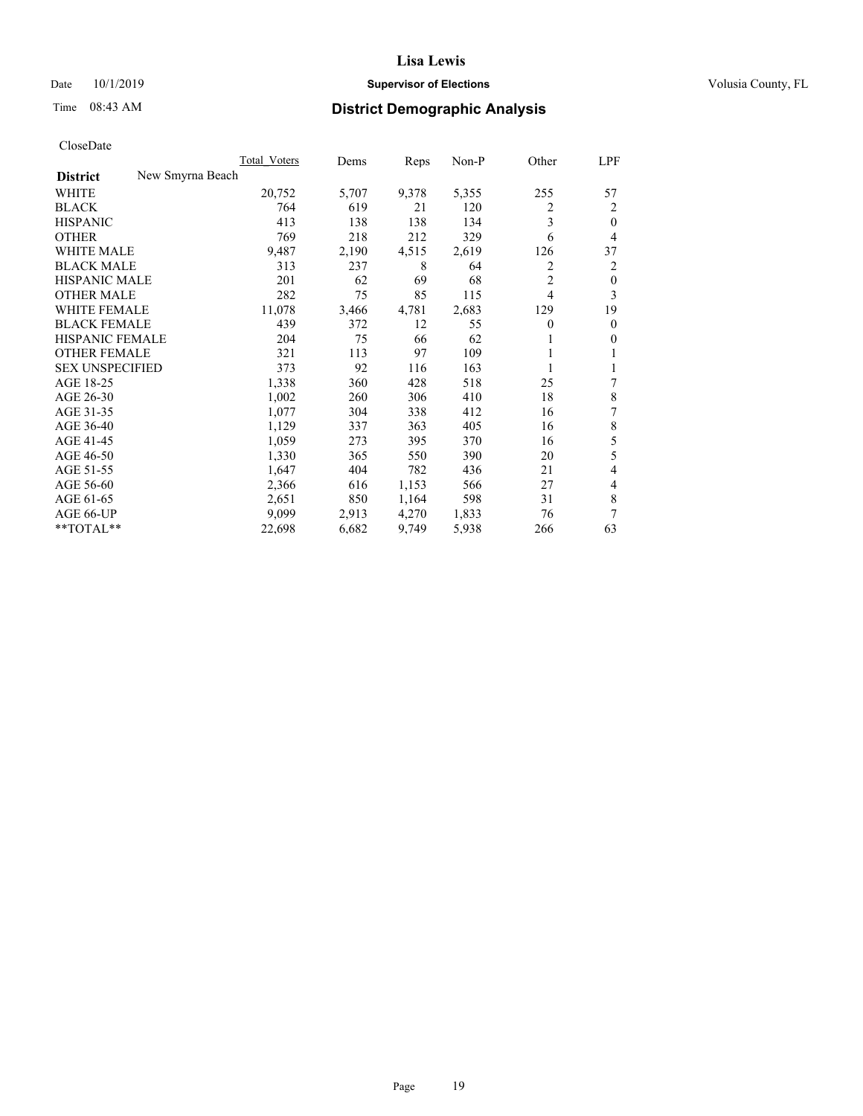## Date 10/1/2019 **Supervisor of Elections Supervisor of Elections** Volusia County, FL

# Time 08:43 AM **District Demographic Analysis**

|                                     | Total Voters | Dems  | Reps  | $Non-P$ | Other          | <u>LPF</u>   |
|-------------------------------------|--------------|-------|-------|---------|----------------|--------------|
| New Smyrna Beach<br><b>District</b> |              |       |       |         |                |              |
| WHITE                               | 20,752       | 5,707 | 9,378 | 5,355   | 255            | 57           |
| <b>BLACK</b>                        | 764          | 619   | 21    | 120     | 2              | 2            |
| <b>HISPANIC</b>                     | 413          | 138   | 138   | 134     | 3              | $\theta$     |
| <b>OTHER</b>                        | 769          | 218   | 212   | 329     | 6              | 4            |
| <b>WHITE MALE</b>                   | 9,487        | 2,190 | 4,515 | 2,619   | 126            | 37           |
| <b>BLACK MALE</b>                   | 313          | 237   | 8     | 64      | 2              | 2            |
| <b>HISPANIC MALE</b>                | 201          | 62    | 69    | 68      | $\overline{2}$ | $\mathbf{0}$ |
| <b>OTHER MALE</b>                   | 282          | 75    | 85    | 115     | 4              | 3            |
| <b>WHITE FEMALE</b>                 | 11,078       | 3,466 | 4,781 | 2,683   | 129            | 19           |
| <b>BLACK FEMALE</b>                 | 439          | 372   | 12    | 55      | 0              | $\mathbf{0}$ |
| HISPANIC FEMALE                     | 204          | 75    | 66    | 62      | 1              | $\mathbf{0}$ |
| <b>OTHER FEMALE</b>                 | 321          | 113   | 97    | 109     |                | 1            |
| <b>SEX UNSPECIFIED</b>              | 373          | 92    | 116   | 163     | 1              | 1            |
| AGE 18-25                           | 1,338        | 360   | 428   | 518     | 25             | 7            |
| AGE 26-30                           | 1,002        | 260   | 306   | 410     | 18             | 8            |
| AGE 31-35                           | 1,077        | 304   | 338   | 412     | 16             | 7            |
| AGE 36-40                           | 1,129        | 337   | 363   | 405     | 16             | 8            |
| AGE 41-45                           | 1,059        | 273   | 395   | 370     | 16             | 5            |
| AGE 46-50                           | 1,330        | 365   | 550   | 390     | 20             | 5            |
| AGE 51-55                           | 1,647        | 404   | 782   | 436     | 21             | 4            |
| AGE 56-60                           | 2,366        | 616   | 1,153 | 566     | 27             | 4            |
| AGE 61-65                           | 2,651        | 850   | 1,164 | 598     | 31             | 8            |
| AGE 66-UP                           | 9.099        | 2,913 | 4,270 | 1,833   | 76             | 7            |
| **TOTAL**                           | 22,698       | 6,682 | 9,749 | 5,938   | 266            | 63           |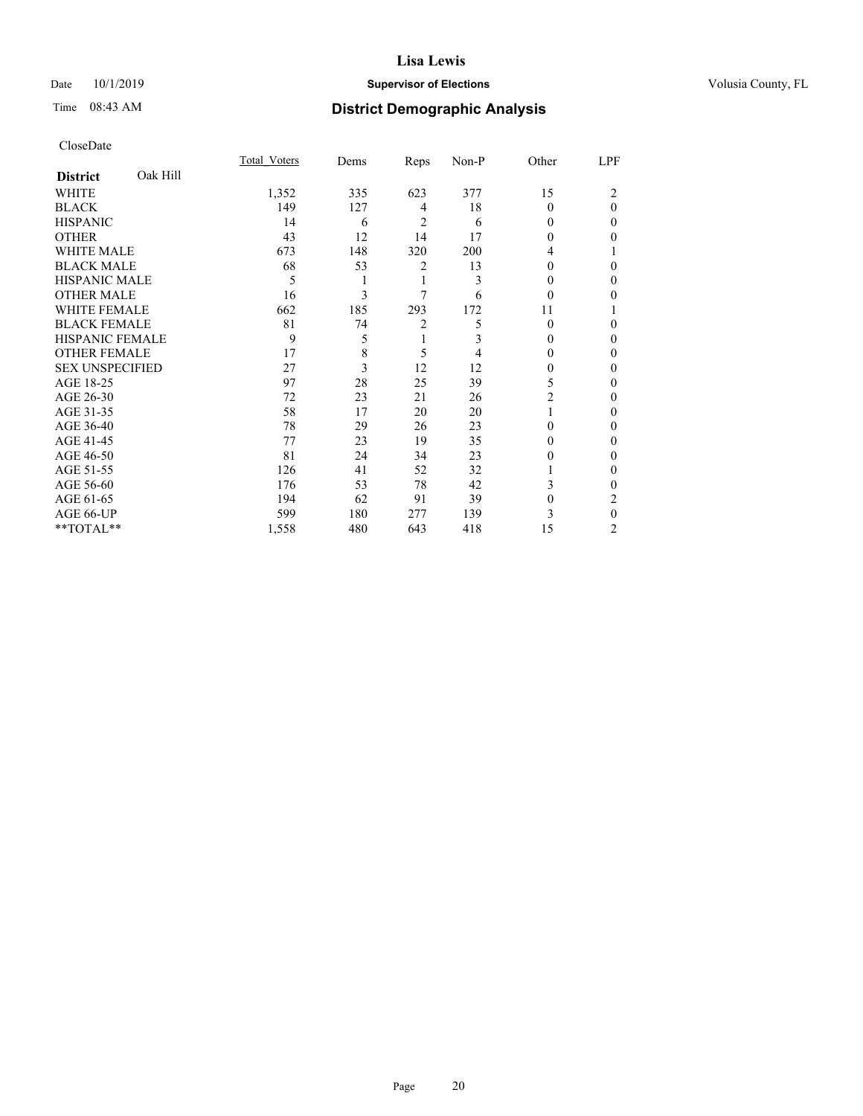## Date 10/1/2019 **Supervisor of Elections Supervisor of Elections** Volusia County, FL

# Time 08:43 AM **District Demographic Analysis**

|                        |          | Total Voters | Dems | Reps           | Non-P | Other    | LPF          |
|------------------------|----------|--------------|------|----------------|-------|----------|--------------|
| <b>District</b>        | Oak Hill |              |      |                |       |          |              |
| WHITE                  |          | 1,352        | 335  | 623            | 377   | 15       | 2            |
| <b>BLACK</b>           |          | 149          | 127  | 4              | 18    | $\Omega$ | $\theta$     |
| <b>HISPANIC</b>        |          | 14           | 6    | 2              | 6     | 0        | 0            |
| <b>OTHER</b>           |          | 43           | 12   | 14             | 17    | $\Omega$ | 0            |
| WHITE MALE             |          | 673          | 148  | 320            | 200   | 4        |              |
| <b>BLACK MALE</b>      |          | 68           | 53   | 2              | 13    | $\Omega$ | 0            |
| <b>HISPANIC MALE</b>   |          | 5            | 1    | 1              | 3     | 0        | 0            |
| <b>OTHER MALE</b>      |          | 16           | 3    | 7              | 6     | $\theta$ | 0            |
| WHITE FEMALE           |          | 662          | 185  | 293            | 172   | 11       |              |
| <b>BLACK FEMALE</b>    |          | 81           | 74   | $\overline{2}$ | 5     | $\Omega$ | 0            |
| <b>HISPANIC FEMALE</b> |          | 9            | 5    | 1              | 3     | 0        | 0            |
| <b>OTHER FEMALE</b>    |          | 17           | 8    | 5              | 4     | 0        | 0            |
| <b>SEX UNSPECIFIED</b> |          | 27           | 3    | 12             | 12    | $\theta$ | 0            |
| AGE 18-25              |          | 97           | 28   | 25             | 39    | 5        | 0            |
| AGE 26-30              |          | 72           | 23   | 21             | 26    | 2        | 0            |
| AGE 31-35              |          | 58           | 17   | 20             | 20    |          | 0            |
| AGE 36-40              |          | 78           | 29   | 26             | 23    | $\Omega$ | 0            |
| AGE 41-45              |          | 77           | 23   | 19             | 35    | 0        | 0            |
| AGE 46-50              |          | 81           | 24   | 34             | 23    | 0        | 0            |
| AGE 51-55              |          | 126          | 41   | 52             | 32    |          | $\mathbf{0}$ |
| AGE 56-60              |          | 176          | 53   | 78             | 42    | 3        | 0            |
| AGE 61-65              |          | 194          | 62   | 91             | 39    | 0        | 2            |
| AGE 66-UP              |          | 599          | 180  | 277            | 139   | 3        | $\theta$     |
| **TOTAL**              |          | 1,558        | 480  | 643            | 418   | 15       | 2            |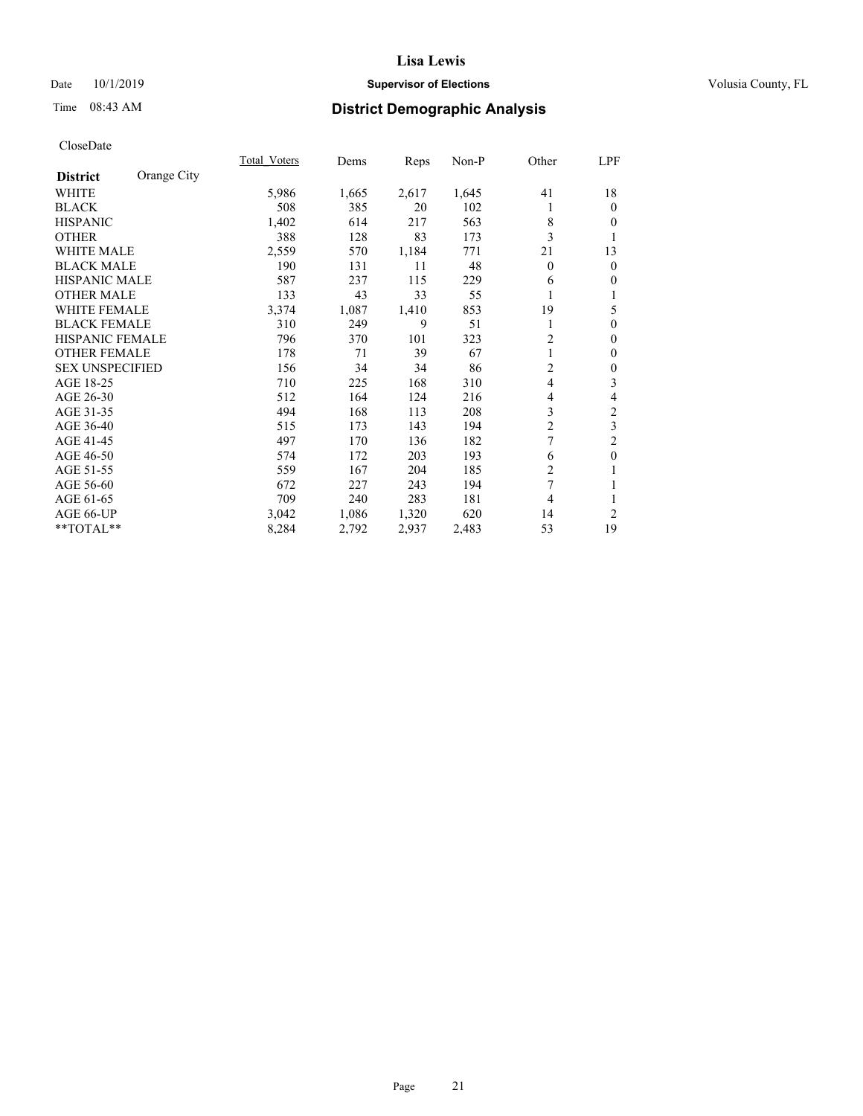## Date 10/1/2019 **Supervisor of Elections Supervisor of Elections** Volusia County, FL

## Time 08:43 AM **District Demographic Analysis**

|                        |             | Total Voters | Dems  | Reps  | Non-P | Other          | LPF              |
|------------------------|-------------|--------------|-------|-------|-------|----------------|------------------|
| <b>District</b>        | Orange City |              |       |       |       |                |                  |
| WHITE                  |             | 5,986        | 1,665 | 2,617 | 1,645 | 41             | 18               |
| <b>BLACK</b>           |             | 508          | 385   | 20    | 102   | 1              | $\mathbf{0}$     |
| <b>HISPANIC</b>        |             | 1,402        | 614   | 217   | 563   | 8              | $\theta$         |
| <b>OTHER</b>           |             | 388          | 128   | 83    | 173   | 3              | 1                |
| WHITE MALE             |             | 2,559        | 570   | 1,184 | 771   | 21             | 13               |
| <b>BLACK MALE</b>      |             | 190          | 131   | 11    | 48    | $\theta$       | $\mathbf{0}$     |
| <b>HISPANIC MALE</b>   |             | 587          | 237   | 115   | 229   | 6              | $\theta$         |
| <b>OTHER MALE</b>      |             | 133          | 43    | 33    | 55    |                | 1                |
| WHITE FEMALE           |             | 3,374        | 1,087 | 1,410 | 853   | 19             | 5                |
| <b>BLACK FEMALE</b>    |             | 310          | 249   | 9     | 51    | 1              | $\boldsymbol{0}$ |
| <b>HISPANIC FEMALE</b> |             | 796          | 370   | 101   | 323   | $\overline{2}$ | $\mathbf{0}$     |
| <b>OTHER FEMALE</b>    |             | 178          | 71    | 39    | 67    |                | $\mathbf{0}$     |
| <b>SEX UNSPECIFIED</b> |             | 156          | 34    | 34    | 86    | $\overline{2}$ | $\boldsymbol{0}$ |
| AGE 18-25              |             | 710          | 225   | 168   | 310   | 4              | 3                |
| AGE 26-30              |             | 512          | 164   | 124   | 216   | 4              | $\overline{4}$   |
| AGE 31-35              |             | 494          | 168   | 113   | 208   | 3              | $\sqrt{2}$       |
| AGE 36-40              |             | 515          | 173   | 143   | 194   | $\overline{c}$ | 3                |
| AGE 41-45              |             | 497          | 170   | 136   | 182   | 7              | $\overline{c}$   |
| AGE 46-50              |             | 574          | 172   | 203   | 193   | 6              | $\boldsymbol{0}$ |
| AGE 51-55              |             | 559          | 167   | 204   | 185   | $\overline{2}$ | 1                |
| AGE 56-60              |             | 672          | 227   | 243   | 194   | 7              | 1                |
| AGE 61-65              |             | 709          | 240   | 283   | 181   | 4              | 1                |
| AGE 66-UP              |             | 3,042        | 1,086 | 1,320 | 620   | 14             | $\overline{2}$   |
| **TOTAL**              |             | 8,284        | 2,792 | 2,937 | 2,483 | 53             | 19               |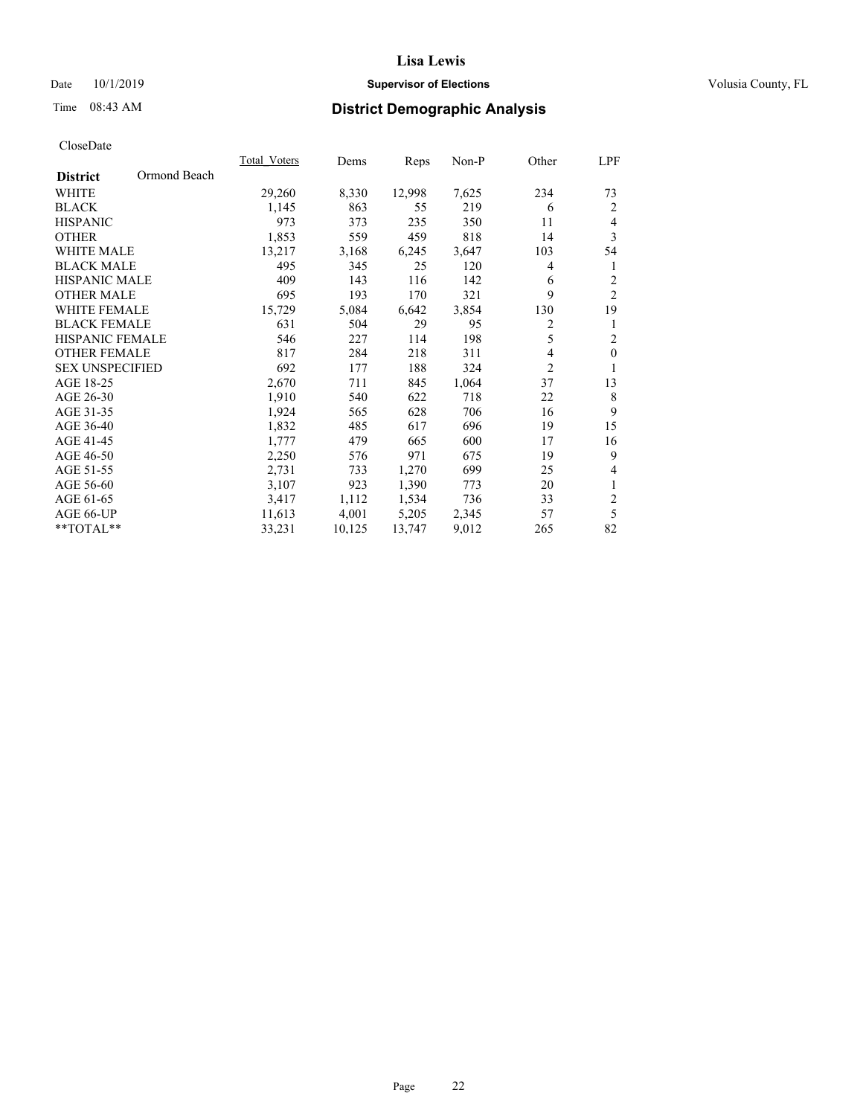## Date 10/1/2019 **Supervisor of Elections Supervisor of Elections** Volusia County, FL

# Time 08:43 AM **District Demographic Analysis**

|                        |              | Total Voters | Dems   | Reps   | Non-P | Other          | LPF            |
|------------------------|--------------|--------------|--------|--------|-------|----------------|----------------|
| <b>District</b>        | Ormond Beach |              |        |        |       |                |                |
| WHITE                  |              | 29,260       | 8,330  | 12,998 | 7,625 | 234            | 73             |
| <b>BLACK</b>           |              | 1,145        | 863    | 55     | 219   | 6              | 2              |
| <b>HISPANIC</b>        |              | 973          | 373    | 235    | 350   | 11             | $\overline{4}$ |
| <b>OTHER</b>           |              | 1,853        | 559    | 459    | 818   | 14             | 3              |
| <b>WHITE MALE</b>      |              | 13,217       | 3,168  | 6,245  | 3,647 | 103            | 54             |
| <b>BLACK MALE</b>      |              | 495          | 345    | 25     | 120   | 4              | 1              |
| <b>HISPANIC MALE</b>   |              | 409          | 143    | 116    | 142   | 6              | $\overline{2}$ |
| <b>OTHER MALE</b>      |              | 695          | 193    | 170    | 321   | 9              | $\overline{2}$ |
| <b>WHITE FEMALE</b>    |              | 15,729       | 5,084  | 6,642  | 3,854 | 130            | 19             |
| <b>BLACK FEMALE</b>    |              | 631          | 504    | 29     | 95    | 2              | 1              |
| <b>HISPANIC FEMALE</b> |              | 546          | 227    | 114    | 198   | 5              | $\overline{2}$ |
| <b>OTHER FEMALE</b>    |              | 817          | 284    | 218    | 311   | 4              | $\mathbf{0}$   |
| <b>SEX UNSPECIFIED</b> |              | 692          | 177    | 188    | 324   | $\overline{2}$ | 1              |
| AGE 18-25              |              | 2,670        | 711    | 845    | 1,064 | 37             | 13             |
| AGE 26-30              |              | 1,910        | 540    | 622    | 718   | 22             | 8              |
| AGE 31-35              |              | 1,924        | 565    | 628    | 706   | 16             | 9              |
| AGE 36-40              |              | 1,832        | 485    | 617    | 696   | 19             | 15             |
| AGE 41-45              |              | 1,777        | 479    | 665    | 600   | 17             | 16             |
| AGE 46-50              |              | 2,250        | 576    | 971    | 675   | 19             | 9              |
| AGE 51-55              |              | 2,731        | 733    | 1,270  | 699   | 25             | 4              |
| AGE 56-60              |              | 3,107        | 923    | 1,390  | 773   | 20             | $\mathbf{1}$   |
| AGE 61-65              |              | 3,417        | 1,112  | 1,534  | 736   | 33             | $\overline{2}$ |
| AGE 66-UP              |              | 11,613       | 4,001  | 5,205  | 2,345 | 57             | 5              |
| **TOTAL**              |              | 33,231       | 10,125 | 13,747 | 9,012 | 265            | 82             |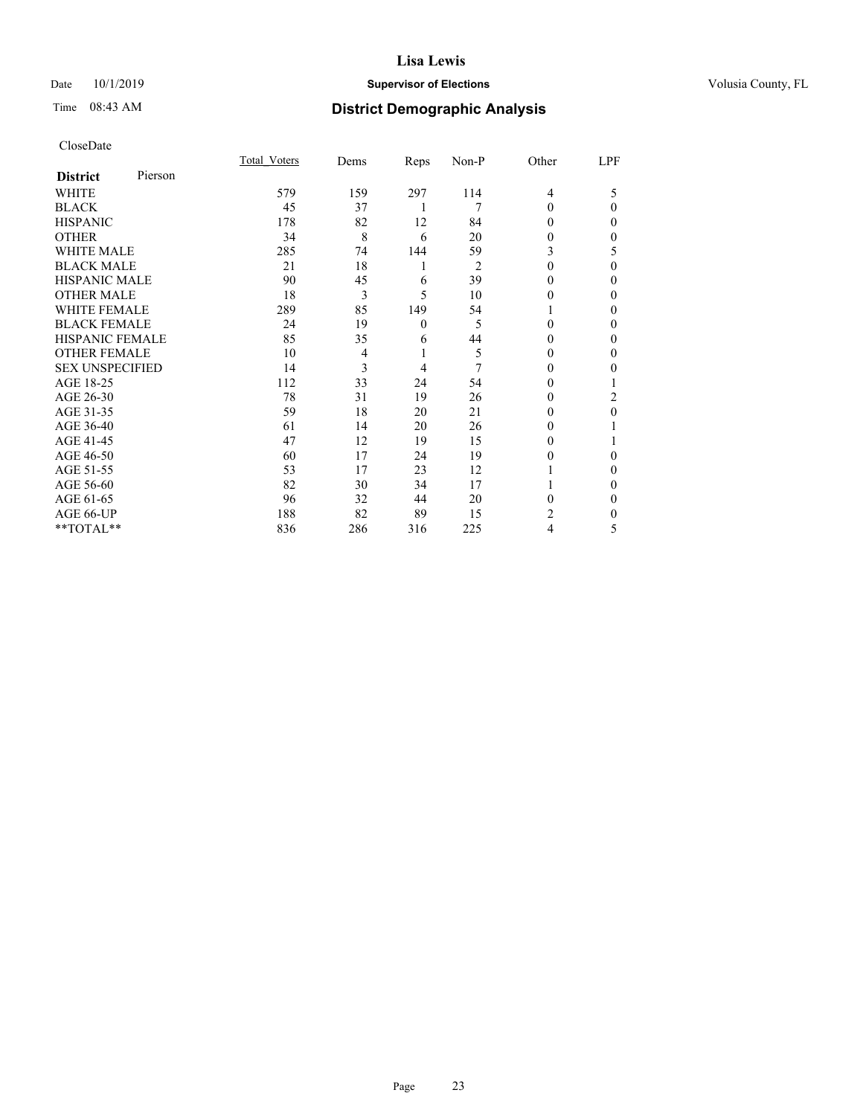## Date 10/1/2019 **Supervisor of Elections Supervisor of Elections** Volusia County, FL

| CloseDate |
|-----------|
|-----------|

|                        |         | Total Voters | Dems           | Reps     | Non-P | Other | LPF      |
|------------------------|---------|--------------|----------------|----------|-------|-------|----------|
| <b>District</b>        | Pierson |              |                |          |       |       |          |
| WHITE                  |         | 579          | 159            | 297      | 114   | 4     | 5        |
| <b>BLACK</b>           |         | 45           | 37             | 1        | 7     | 0     | $\theta$ |
| <b>HISPANIC</b>        |         | 178          | 82             | 12       | 84    | 0     | 0        |
| <b>OTHER</b>           |         | 34           | 8              | 6        | 20    | 0     | 0        |
| <b>WHITE MALE</b>      |         | 285          | 74             | 144      | 59    | 3     | 5        |
| <b>BLACK MALE</b>      |         | 21           | 18             | 1        | 2     | 0     | 0        |
| <b>HISPANIC MALE</b>   |         | 90           | 45             | 6        | 39    | 0     | 0        |
| <b>OTHER MALE</b>      |         | 18           | 3              | 5        | 10    | 0     | 0        |
| <b>WHITE FEMALE</b>    |         | 289          | 85             | 149      | 54    |       | 0        |
| <b>BLACK FEMALE</b>    |         | 24           | 19             | $\theta$ | 5     | 0     | 0        |
| <b>HISPANIC FEMALE</b> |         | 85           | 35             | 6        | 44    | 0     | 0        |
| <b>OTHER FEMALE</b>    |         | 10           | $\overline{4}$ | 1        | 5     | 0     | 0        |
| <b>SEX UNSPECIFIED</b> |         | 14           | 3              | 4        | 7     | 0     | 0        |
| AGE 18-25              |         | 112          | 33             | 24       | 54    | 0     |          |
| AGE 26-30              |         | 78           | 31             | 19       | 26    | 0     | 2        |
| AGE 31-35              |         | 59           | 18             | 20       | 21    | 0     | 0        |
| AGE 36-40              |         | 61           | 14             | 20       | 26    | 0     |          |
| AGE 41-45              |         | 47           | 12             | 19       | 15    | 0     |          |
| AGE 46-50              |         | 60           | 17             | 24       | 19    | 0     | 0        |
| AGE 51-55              |         | 53           | 17             | 23       | 12    |       | 0        |
| AGE 56-60              |         | 82           | 30             | 34       | 17    |       | 0        |
| AGE 61-65              |         | 96           | 32             | 44       | 20    | 0     | 0        |
| AGE 66-UP              |         | 188          | 82             | 89       | 15    | 2     | 0        |
| **TOTAL**              |         | 836          | 286            | 316      | 225   | 4     | 5        |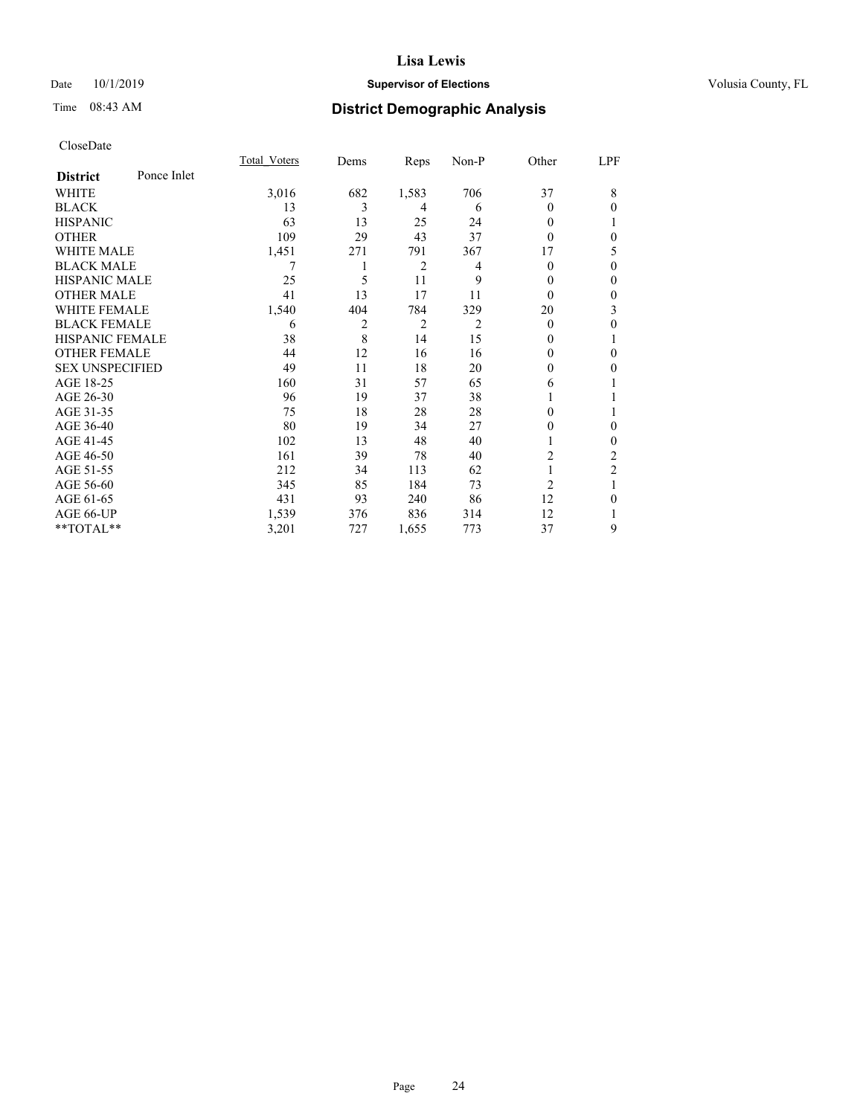## Date 10/1/2019 **Supervisor of Elections Supervisor of Elections** Volusia County, FL

# Time 08:43 AM **District Demographic Analysis**

|                        |             | Total Voters | Dems | Reps           | Non-P | Other          | LPF            |
|------------------------|-------------|--------------|------|----------------|-------|----------------|----------------|
| <b>District</b>        | Ponce Inlet |              |      |                |       |                |                |
| WHITE                  |             | 3,016        | 682  | 1,583          | 706   | 37             | 8              |
| <b>BLACK</b>           |             | 13           | 3    | 4              | 6     | 0              | $\Omega$       |
| <b>HISPANIC</b>        |             | 63           | 13   | 25             | 24    | 0              |                |
| <b>OTHER</b>           |             | 109          | 29   | 43             | 37    | 0              | $\theta$       |
| WHITE MALE             |             | 1,451        | 271  | 791            | 367   | 17             | 5              |
| <b>BLACK MALE</b>      |             |              |      | $\overline{2}$ | 4     | 0              | $\theta$       |
| <b>HISPANIC MALE</b>   |             | 25           | 5    | 11             | 9     | 0              | $\theta$       |
| <b>OTHER MALE</b>      |             | 41           | 13   | 17             | 11    | $\theta$       | $\mathbf{0}$   |
| <b>WHITE FEMALE</b>    |             | 1,540        | 404  | 784            | 329   | 20             | 3              |
| <b>BLACK FEMALE</b>    |             | 6            | 2    | 2              | 2     | $\theta$       | $\theta$       |
| <b>HISPANIC FEMALE</b> |             | 38           | 8    | 14             | 15    | $_{0}$         | 1              |
| <b>OTHER FEMALE</b>    |             | 44           | 12   | 16             | 16    | 0              | $\theta$       |
| <b>SEX UNSPECIFIED</b> |             | 49           | 11   | 18             | 20    | 0              | $\theta$       |
| AGE 18-25              |             | 160          | 31   | 57             | 65    | 6              |                |
| AGE 26-30              |             | 96           | 19   | 37             | 38    |                |                |
| AGE 31-35              |             | 75           | 18   | 28             | 28    | 0              | 1              |
| AGE 36-40              |             | 80           | 19   | 34             | 27    | 0              | $\theta$       |
| AGE 41-45              |             | 102          | 13   | 48             | 40    |                | $\theta$       |
| AGE 46-50              |             | 161          | 39   | 78             | 40    | 2              | 2              |
| AGE 51-55              |             | 212          | 34   | 113            | 62    |                | $\overline{2}$ |
| AGE 56-60              |             | 345          | 85   | 184            | 73    | $\overline{2}$ | 1              |
| AGE 61-65              |             | 431          | 93   | 240            | 86    | 12             | $\theta$       |
| AGE 66-UP              |             | 1,539        | 376  | 836            | 314   | 12             |                |
| **TOTAL**              |             | 3,201        | 727  | 1,655          | 773   | 37             | 9              |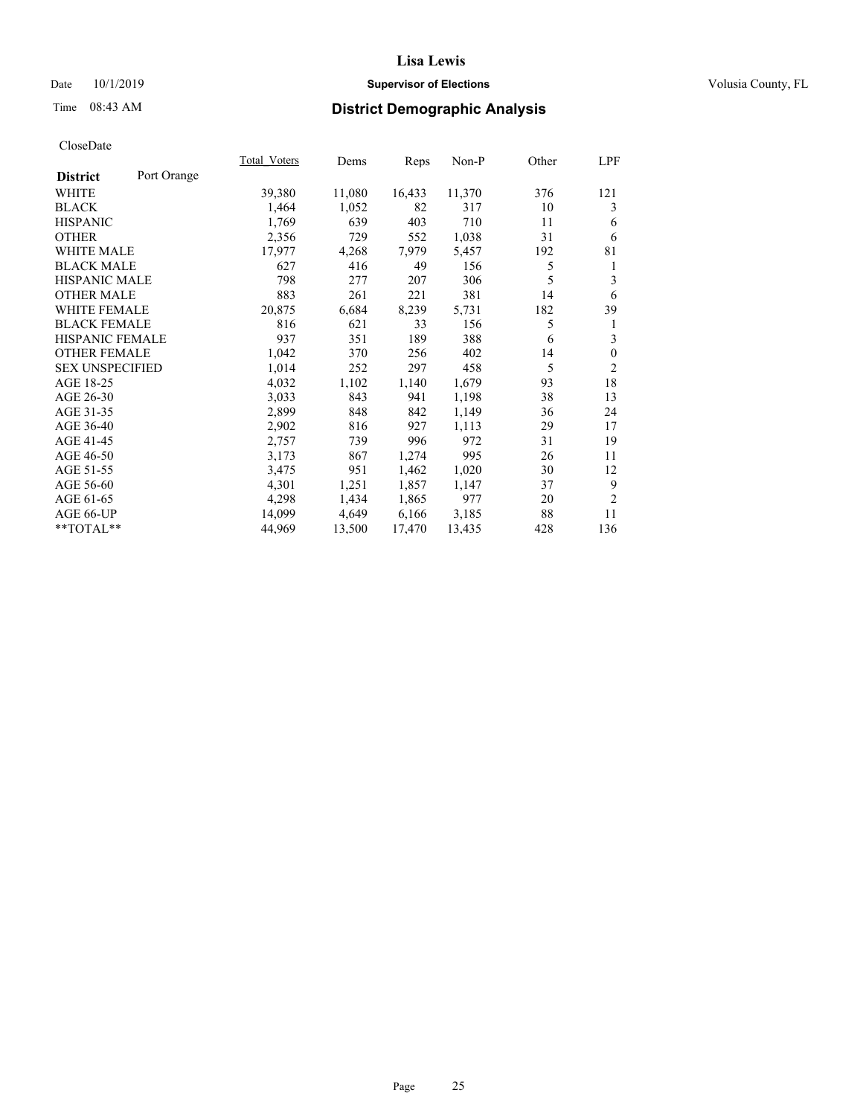## Date 10/1/2019 **Supervisor of Elections Supervisor of Elections** Volusia County, FL

# Time 08:43 AM **District Demographic Analysis**

|                        |             | Total Voters | Dems   | Reps   | Non-P  | Other | LPF            |
|------------------------|-------------|--------------|--------|--------|--------|-------|----------------|
| <b>District</b>        | Port Orange |              |        |        |        |       |                |
| <b>WHITE</b>           |             | 39,380       | 11,080 | 16,433 | 11,370 | 376   | 121            |
| <b>BLACK</b>           |             | 1,464        | 1,052  | 82     | 317    | 10    | 3              |
| <b>HISPANIC</b>        |             | 1,769        | 639    | 403    | 710    | 11    | 6              |
| <b>OTHER</b>           |             | 2,356        | 729    | 552    | 1,038  | 31    | 6              |
| <b>WHITE MALE</b>      |             | 17,977       | 4,268  | 7,979  | 5,457  | 192   | 81             |
| <b>BLACK MALE</b>      |             | 627          | 416    | 49     | 156    | 5     | 1              |
| <b>HISPANIC MALE</b>   |             | 798          | 277    | 207    | 306    | 5     | 3              |
| <b>OTHER MALE</b>      |             | 883          | 261    | 221    | 381    | 14    | 6              |
| <b>WHITE FEMALE</b>    |             | 20,875       | 6,684  | 8,239  | 5,731  | 182   | 39             |
| <b>BLACK FEMALE</b>    |             | 816          | 621    | 33     | 156    | 5     | 1              |
| <b>HISPANIC FEMALE</b> |             | 937          | 351    | 189    | 388    | 6     | 3              |
| <b>OTHER FEMALE</b>    |             | 1,042        | 370    | 256    | 402    | 14    | $\mathbf{0}$   |
| <b>SEX UNSPECIFIED</b> |             | 1,014        | 252    | 297    | 458    | 5     | $\mathfrak{2}$ |
| AGE 18-25              |             | 4,032        | 1,102  | 1,140  | 1,679  | 93    | 18             |
| AGE 26-30              |             | 3,033        | 843    | 941    | 1,198  | 38    | 13             |
| AGE 31-35              |             | 2,899        | 848    | 842    | 1,149  | 36    | 24             |
| AGE 36-40              |             | 2,902        | 816    | 927    | 1,113  | 29    | 17             |
| AGE 41-45              |             | 2,757        | 739    | 996    | 972    | 31    | 19             |
| AGE 46-50              |             | 3,173        | 867    | 1,274  | 995    | 26    | 11             |
| AGE 51-55              |             | 3,475        | 951    | 1,462  | 1,020  | 30    | 12             |
| AGE 56-60              |             | 4,301        | 1,251  | 1,857  | 1,147  | 37    | 9              |
| AGE 61-65              |             | 4,298        | 1,434  | 1,865  | 977    | 20    | $\overline{2}$ |
| AGE 66-UP              |             | 14,099       | 4,649  | 6,166  | 3,185  | 88    | 11             |
| $*$ TOTAL $*$          |             | 44,969       | 13,500 | 17,470 | 13,435 | 428   | 136            |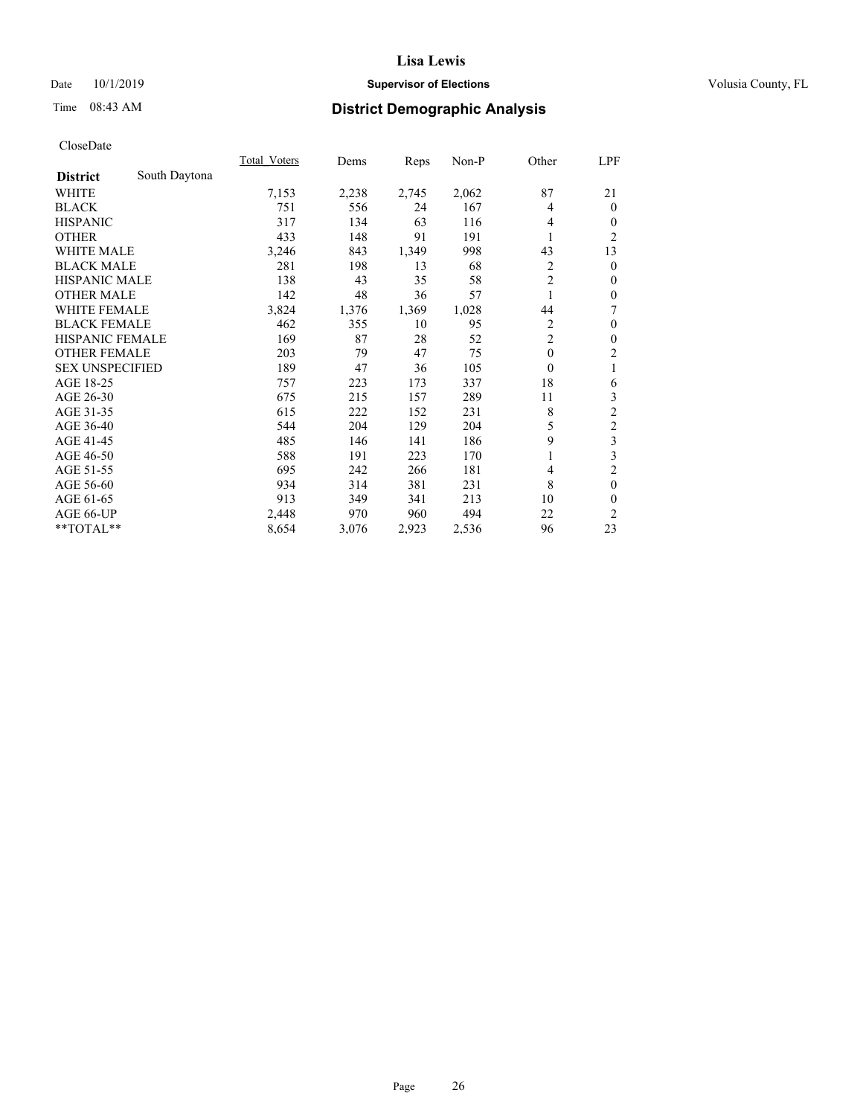## Date 10/1/2019 **Supervisor of Elections Supervisor of Elections** Volusia County, FL

# Time 08:43 AM **District Demographic Analysis**

|                        |               | Total Voters | Dems  | Reps  | Non-P | Other          | LPF              |
|------------------------|---------------|--------------|-------|-------|-------|----------------|------------------|
| <b>District</b>        | South Daytona |              |       |       |       |                |                  |
| WHITE                  |               | 7,153        | 2,238 | 2,745 | 2,062 | 87             | 21               |
| <b>BLACK</b>           |               | 751          | 556   | 24    | 167   | 4              | $\overline{0}$   |
| <b>HISPANIC</b>        |               | 317          | 134   | 63    | 116   | 4              | 0                |
| <b>OTHER</b>           |               | 433          | 148   | 91    | 191   |                | $\overline{c}$   |
| WHITE MALE             |               | 3,246        | 843   | 1,349 | 998   | 43             | 13               |
| <b>BLACK MALE</b>      |               | 281          | 198   | 13    | 68    | $\overline{2}$ | $\theta$         |
| <b>HISPANIC MALE</b>   |               | 138          | 43    | 35    | 58    | $\overline{2}$ | $\mathbf{0}$     |
| <b>OTHER MALE</b>      |               | 142          | 48    | 36    | 57    | 1              | $\theta$         |
| <b>WHITE FEMALE</b>    |               | 3,824        | 1,376 | 1,369 | 1,028 | 44             | 7                |
| <b>BLACK FEMALE</b>    |               | 462          | 355   | 10    | 95    | 2              | $\boldsymbol{0}$ |
| <b>HISPANIC FEMALE</b> |               | 169          | 87    | 28    | 52    | $\overline{2}$ | $\theta$         |
| <b>OTHER FEMALE</b>    |               | 203          | 79    | 47    | 75    | $\mathbf{0}$   | $\overline{c}$   |
| <b>SEX UNSPECIFIED</b> |               | 189          | 47    | 36    | 105   | $\theta$       | 1                |
| AGE 18-25              |               | 757          | 223   | 173   | 337   | 18             | 6                |
| AGE 26-30              |               | 675          | 215   | 157   | 289   | 11             | 3                |
| AGE 31-35              |               | 615          | 222   | 152   | 231   | 8              | $\overline{2}$   |
| AGE 36-40              |               | 544          | 204   | 129   | 204   | 5              | 2                |
| AGE 41-45              |               | 485          | 146   | 141   | 186   | 9              | 3                |
| AGE 46-50              |               | 588          | 191   | 223   | 170   |                | 3                |
| AGE 51-55              |               | 695          | 242   | 266   | 181   | 4              | $\overline{2}$   |
| AGE 56-60              |               | 934          | 314   | 381   | 231   | 8              | $\mathbf{0}$     |
| AGE 61-65              |               | 913          | 349   | 341   | 213   | 10             | 0                |
| AGE 66-UP              |               | 2,448        | 970   | 960   | 494   | 22             | $\overline{2}$   |
| **TOTAL**              |               | 8,654        | 3,076 | 2,923 | 2,536 | 96             | 23               |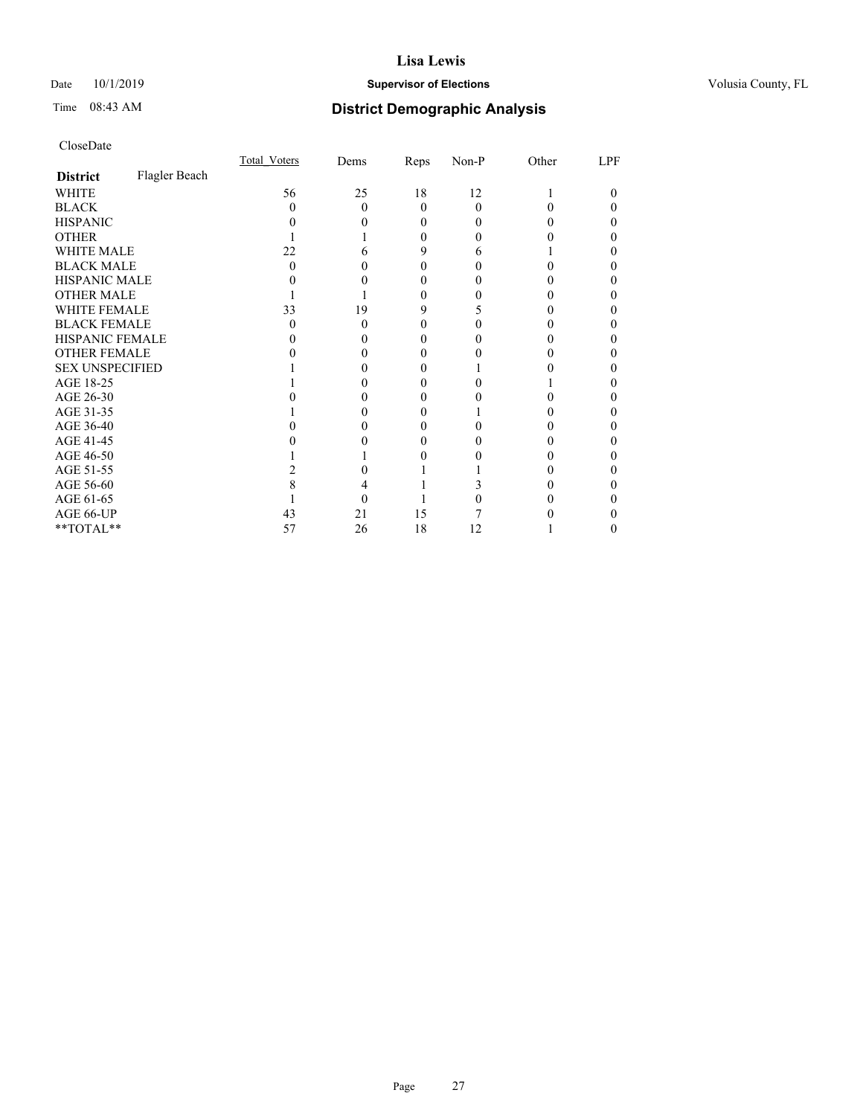## Date 10/1/2019 **Supervisor of Elections Supervisor of Elections** Volusia County, FL

# Time 08:43 AM **District Demographic Analysis**

|                        |               | Total Voters | Dems | Reps     | Non-P    | Other | LPF |
|------------------------|---------------|--------------|------|----------|----------|-------|-----|
| <b>District</b>        | Flagler Beach |              |      |          |          |       |     |
| WHITE                  |               | 56           | 25   | 18       | 12       |       | 0   |
| <b>BLACK</b>           |               | $\mathbf{0}$ | 0    | $\Omega$ | $\Omega$ |       |     |
| <b>HISPANIC</b>        |               |              |      | 0        | $\theta$ |       |     |
| <b>OTHER</b>           |               |              |      | 0        | 0        |       |     |
| WHITE MALE             |               | 22           |      | 9        | 6        |       |     |
| <b>BLACK MALE</b>      |               | O            |      |          |          |       |     |
| <b>HISPANIC MALE</b>   |               |              |      |          |          |       |     |
| <b>OTHER MALE</b>      |               |              |      | 0        |          |       | 0   |
| WHITE FEMALE           |               | 33           | 19   | 9        |          |       |     |
| <b>BLACK FEMALE</b>    |               | 0            | 0    | 0        |          |       |     |
| <b>HISPANIC FEMALE</b> |               |              |      | $\theta$ |          |       |     |
| <b>OTHER FEMALE</b>    |               |              |      | 0        |          |       | 0   |
| <b>SEX UNSPECIFIED</b> |               |              |      |          |          |       |     |
| AGE 18-25              |               |              |      | 0        |          |       |     |
| AGE 26-30              |               |              |      | 0        |          |       |     |
| AGE 31-35              |               |              |      |          |          |       |     |
| AGE 36-40              |               |              |      | $\theta$ |          |       | 0   |
| AGE 41-45              |               |              |      |          |          |       |     |
| AGE 46-50              |               |              |      |          |          |       |     |
| AGE 51-55              |               |              |      |          |          |       |     |
| AGE 56-60              |               |              |      |          |          |       |     |
| AGE 61-65              |               |              |      |          |          |       |     |
| AGE 66-UP              |               | 43           | 21   | 15       |          |       |     |
| **TOTAL**              |               | 57           | 26   | 18       | 12       |       | 0   |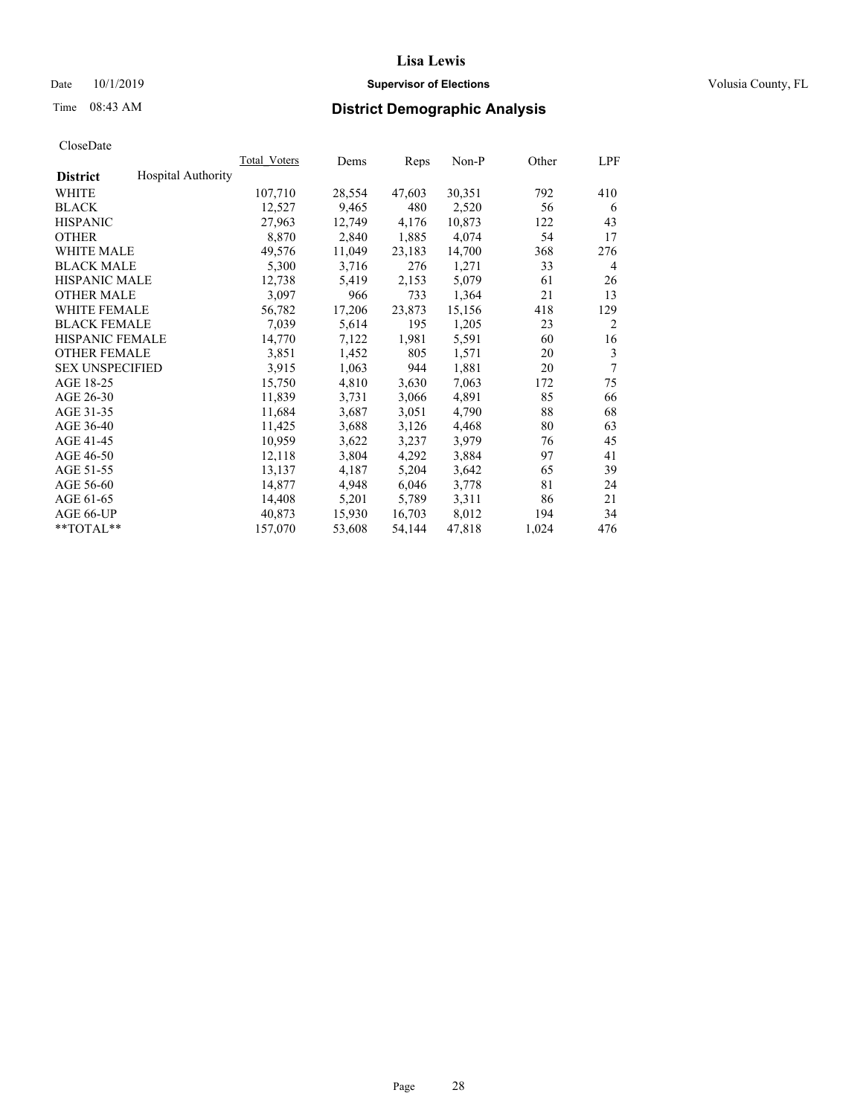## Date 10/1/2019 **Supervisor of Elections Supervisor of Elections** Volusia County, FL

# Time 08:43 AM **District Demographic Analysis**

|                        |                           | Total Voters | Dems   | Reps   | Non-P  | Other | LPF            |
|------------------------|---------------------------|--------------|--------|--------|--------|-------|----------------|
| <b>District</b>        | <b>Hospital Authority</b> |              |        |        |        |       |                |
| WHITE                  |                           | 107,710      | 28,554 | 47,603 | 30,351 | 792   | 410            |
| <b>BLACK</b>           |                           | 12,527       | 9,465  | 480    | 2,520  | 56    | 6              |
| <b>HISPANIC</b>        |                           | 27,963       | 12,749 | 4,176  | 10,873 | 122   | 43             |
| <b>OTHER</b>           |                           | 8,870        | 2,840  | 1,885  | 4,074  | 54    | 17             |
| WHITE MALE             |                           | 49,576       | 11,049 | 23,183 | 14,700 | 368   | 276            |
| <b>BLACK MALE</b>      |                           | 5,300        | 3,716  | 276    | 1,271  | 33    | 4              |
| <b>HISPANIC MALE</b>   |                           | 12,738       | 5,419  | 2,153  | 5,079  | 61    | 26             |
| <b>OTHER MALE</b>      |                           | 3,097        | 966    | 733    | 1,364  | 21    | 13             |
| WHITE FEMALE           |                           | 56,782       | 17,206 | 23,873 | 15,156 | 418   | 129            |
| <b>BLACK FEMALE</b>    |                           | 7,039        | 5,614  | 195    | 1,205  | 23    | $\overline{2}$ |
| <b>HISPANIC FEMALE</b> |                           | 14,770       | 7,122  | 1,981  | 5,591  | 60    | 16             |
| <b>OTHER FEMALE</b>    |                           | 3,851        | 1,452  | 805    | 1,571  | 20    | 3              |
| <b>SEX UNSPECIFIED</b> |                           | 3,915        | 1,063  | 944    | 1,881  | 20    | 7              |
| AGE 18-25              |                           | 15,750       | 4,810  | 3,630  | 7,063  | 172   | 75             |
| AGE 26-30              |                           | 11,839       | 3,731  | 3,066  | 4,891  | 85    | 66             |
| AGE 31-35              |                           | 11,684       | 3,687  | 3,051  | 4,790  | 88    | 68             |
| AGE 36-40              |                           | 11,425       | 3,688  | 3,126  | 4,468  | 80    | 63             |
| AGE 41-45              |                           | 10,959       | 3,622  | 3,237  | 3,979  | 76    | 45             |
| AGE 46-50              |                           | 12,118       | 3,804  | 4,292  | 3,884  | 97    | 41             |
| AGE 51-55              |                           | 13,137       | 4,187  | 5,204  | 3,642  | 65    | 39             |
| AGE 56-60              |                           | 14,877       | 4,948  | 6,046  | 3,778  | 81    | 24             |
| AGE 61-65              |                           | 14,408       | 5,201  | 5,789  | 3,311  | 86    | 21             |
| AGE 66-UP              |                           | 40,873       | 15,930 | 16,703 | 8,012  | 194   | 34             |
| $*$ TOTAL $*$          |                           | 157,070      | 53,608 | 54,144 | 47,818 | 1,024 | 476            |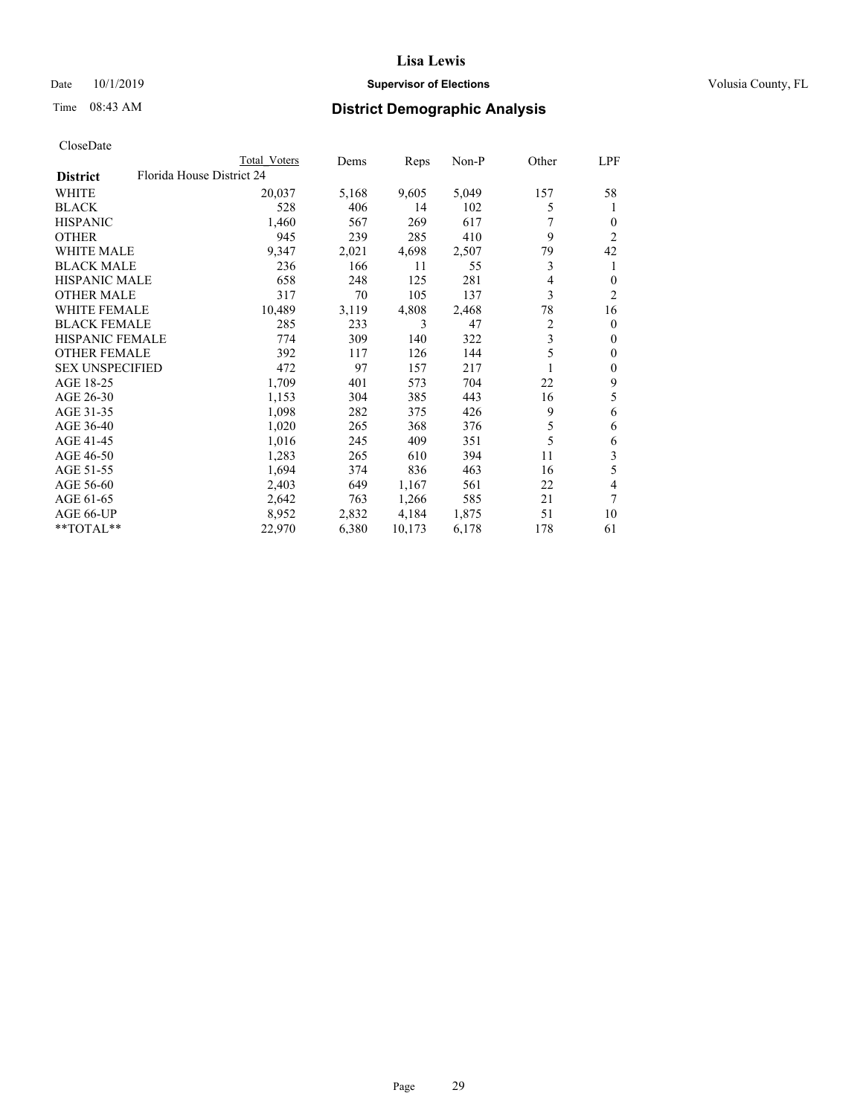## Date 10/1/2019 **Supervisor of Elections Supervisor of Elections** Volusia County, FL

| CloseDate |
|-----------|
|-----------|

|                        |                           | Total Voters | Dems  | Reps   | $Non-P$ | Other | LPF            |
|------------------------|---------------------------|--------------|-------|--------|---------|-------|----------------|
| <b>District</b>        | Florida House District 24 |              |       |        |         |       |                |
| WHITE                  |                           | 20,037       | 5,168 | 9,605  | 5,049   | 157   | 58             |
| <b>BLACK</b>           |                           | 528          | 406   | 14     | 102     | 5     | 1              |
| <b>HISPANIC</b>        |                           | 1,460        | 567   | 269    | 617     |       | $\Omega$       |
| <b>OTHER</b>           |                           | 945          | 239   | 285    | 410     | 9     | $\overline{c}$ |
| <b>WHITE MALE</b>      |                           | 9,347        | 2,021 | 4,698  | 2,507   | 79    | 42             |
| <b>BLACK MALE</b>      |                           | 236          | 166   | 11     | 55      | 3     | 1              |
| <b>HISPANIC MALE</b>   |                           | 658          | 248   | 125    | 281     | 4     | $\overline{0}$ |
| <b>OTHER MALE</b>      |                           | 317          | 70    | 105    | 137     | 3     | 2              |
| <b>WHITE FEMALE</b>    |                           | 10,489       | 3,119 | 4,808  | 2,468   | 78    | 16             |
| <b>BLACK FEMALE</b>    |                           | 285          | 233   | 3      | 47      | 2     | $\Omega$       |
| HISPANIC FEMALE        |                           | 774          | 309   | 140    | 322     | 3     | $\theta$       |
| <b>OTHER FEMALE</b>    |                           | 392          | 117   | 126    | 144     | 5     | 0              |
| <b>SEX UNSPECIFIED</b> |                           | 472          | 97    | 157    | 217     | 1     | $\overline{0}$ |
| AGE 18-25              |                           | 1,709        | 401   | 573    | 704     | 22    | 9              |
| AGE 26-30              |                           | 1,153        | 304   | 385    | 443     | 16    | 5              |
| AGE 31-35              |                           | 1,098        | 282   | 375    | 426     | 9     | 6              |
| AGE 36-40              |                           | 1,020        | 265   | 368    | 376     | 5     | 6              |
| AGE 41-45              |                           | 1,016        | 245   | 409    | 351     | 5     | 6              |
| AGE 46-50              |                           | 1,283        | 265   | 610    | 394     | 11    | 3              |
| AGE 51-55              |                           | 1,694        | 374   | 836    | 463     | 16    | 5              |
| AGE 56-60              |                           | 2,403        | 649   | 1,167  | 561     | 22    | 4              |
| AGE 61-65              |                           | 2,642        | 763   | 1,266  | 585     | 21    | 7              |
| AGE 66-UP              |                           | 8,952        | 2,832 | 4,184  | 1,875   | 51    | 10             |
| **TOTAL**              |                           | 22,970       | 6,380 | 10,173 | 6,178   | 178   | 61             |
|                        |                           |              |       |        |         |       |                |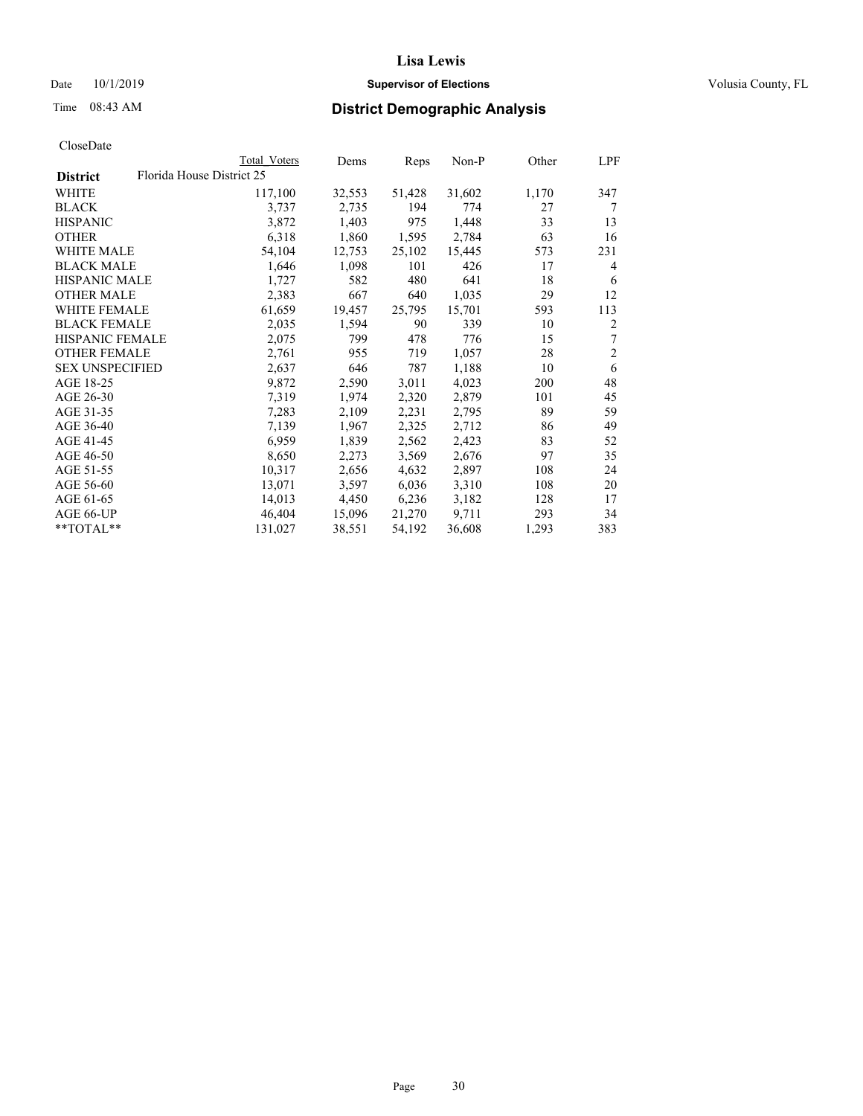## Date 10/1/2019 **Supervisor of Elections Supervisor of Elections** Volusia County, FL

| CloseDate |
|-----------|
|-----------|

|                        |                           | Total Voters | Dems   | Reps   | $Non-P$ | Other | LPF            |
|------------------------|---------------------------|--------------|--------|--------|---------|-------|----------------|
| <b>District</b>        | Florida House District 25 |              |        |        |         |       |                |
| WHITE                  |                           | 117,100      | 32,553 | 51,428 | 31,602  | 1,170 | 347            |
| <b>BLACK</b>           |                           | 3,737        | 2,735  | 194    | 774     | 27    | 7              |
| <b>HISPANIC</b>        |                           | 3,872        | 1,403  | 975    | 1,448   | 33    | 13             |
| <b>OTHER</b>           |                           | 6,318        | 1,860  | 1,595  | 2,784   | 63    | 16             |
| <b>WHITE MALE</b>      |                           | 54,104       | 12,753 | 25,102 | 15,445  | 573   | 231            |
| <b>BLACK MALE</b>      |                           | 1,646        | 1,098  | 101    | 426     | 17    | 4              |
| <b>HISPANIC MALE</b>   |                           | 1,727        | 582    | 480    | 641     | 18    | 6              |
| <b>OTHER MALE</b>      |                           | 2,383        | 667    | 640    | 1,035   | 29    | 12             |
| <b>WHITE FEMALE</b>    |                           | 61,659       | 19,457 | 25,795 | 15,701  | 593   | 113            |
| <b>BLACK FEMALE</b>    |                           | 2,035        | 1,594  | 90     | 339     | 10    | $\overline{2}$ |
| <b>HISPANIC FEMALE</b> |                           | 2,075        | 799    | 478    | 776     | 15    | 7              |
| <b>OTHER FEMALE</b>    |                           | 2,761        | 955    | 719    | 1,057   | 28    | $\overline{2}$ |
| <b>SEX UNSPECIFIED</b> |                           | 2,637        | 646    | 787    | 1,188   | 10    | 6              |
| AGE 18-25              |                           | 9,872        | 2,590  | 3,011  | 4,023   | 200   | 48             |
| AGE 26-30              |                           | 7,319        | 1,974  | 2,320  | 2,879   | 101   | 45             |
| AGE 31-35              |                           | 7,283        | 2,109  | 2,231  | 2,795   | 89    | 59             |
| AGE 36-40              |                           | 7,139        | 1,967  | 2,325  | 2,712   | 86    | 49             |
| AGE 41-45              |                           | 6,959        | 1,839  | 2,562  | 2,423   | 83    | 52             |
| AGE 46-50              |                           | 8,650        | 2,273  | 3,569  | 2,676   | 97    | 35             |
| AGE 51-55              |                           | 10,317       | 2,656  | 4,632  | 2,897   | 108   | 24             |
| AGE 56-60              |                           | 13,071       | 3,597  | 6,036  | 3,310   | 108   | 20             |
| AGE 61-65              |                           | 14,013       | 4,450  | 6,236  | 3,182   | 128   | 17             |
| AGE 66-UP              |                           | 46,404       | 15,096 | 21,270 | 9,711   | 293   | 34             |
| **TOTAL**              |                           | 131,027      | 38,551 | 54,192 | 36,608  | 1,293 | 383            |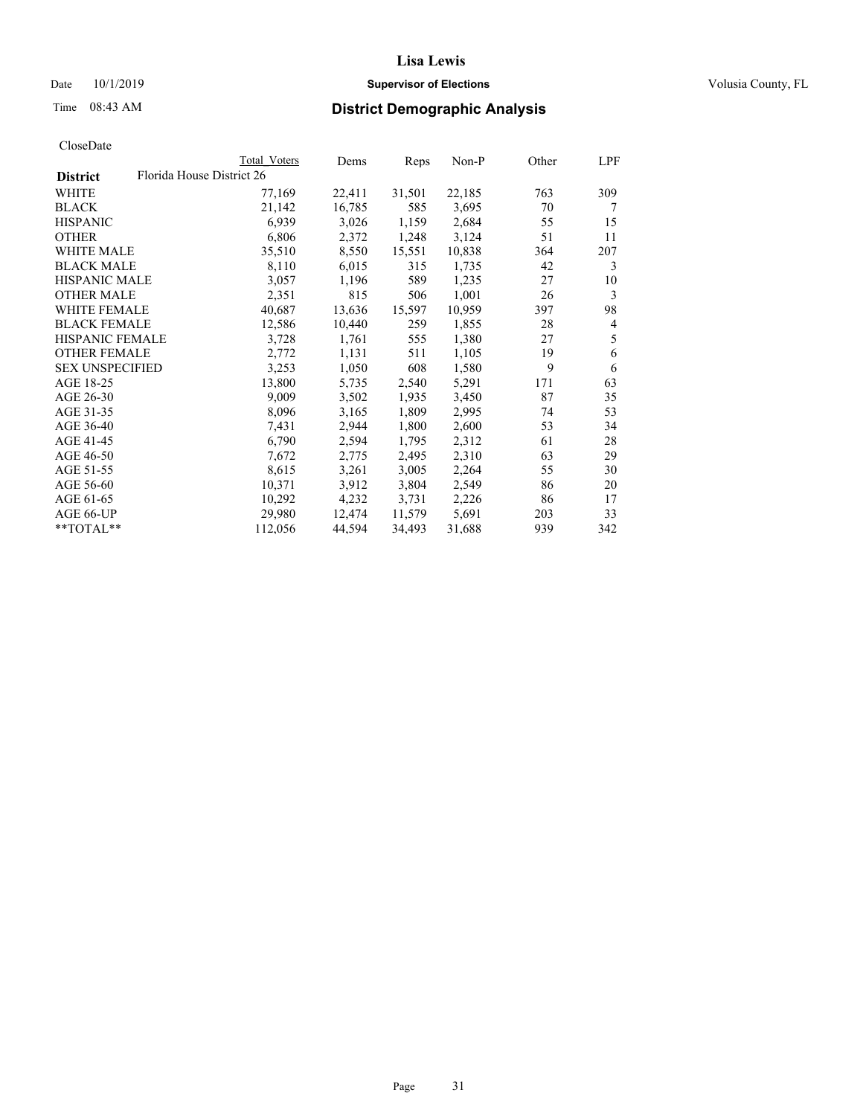## Date 10/1/2019 **Supervisor of Elections Supervisor of Elections** Volusia County, FL

|                        | Total Voters              | Dems   | Reps   | Non-P  | Other | LPF |
|------------------------|---------------------------|--------|--------|--------|-------|-----|
| <b>District</b>        | Florida House District 26 |        |        |        |       |     |
| WHITE                  | 77,169                    | 22,411 | 31,501 | 22,185 | 763   | 309 |
| BLACK                  | 21,142                    | 16,785 | 585    | 3,695  | 70    | 7   |
| <b>HISPANIC</b>        | 6,939                     | 3,026  | 1,159  | 2,684  | 55    | 15  |
| <b>OTHER</b>           | 6,806                     | 2,372  | 1,248  | 3,124  | 51    | 11  |
| <b>WHITE MALE</b>      | 35,510                    | 8,550  | 15,551 | 10,838 | 364   | 207 |
| <b>BLACK MALE</b>      | 8,110                     | 6,015  | 315    | 1,735  | 42    | 3   |
| <b>HISPANIC MALE</b>   | 3,057                     | 1,196  | 589    | 1,235  | 27    | 10  |
| <b>OTHER MALE</b>      | 2,351                     | 815    | 506    | 1,001  | 26    | 3   |
| <b>WHITE FEMALE</b>    | 40,687                    | 13,636 | 15,597 | 10,959 | 397   | 98  |
| <b>BLACK FEMALE</b>    | 12,586                    | 10,440 | 259    | 1,855  | 28    | 4   |
| HISPANIC FEMALE        | 3,728                     | 1,761  | 555    | 1,380  | 27    | 5   |
| <b>OTHER FEMALE</b>    | 2,772                     | 1,131  | 511    | 1,105  | 19    | 6   |
| <b>SEX UNSPECIFIED</b> | 3,253                     | 1,050  | 608    | 1,580  | 9     | 6   |
| AGE 18-25              | 13,800                    | 5,735  | 2,540  | 5,291  | 171   | 63  |
| AGE 26-30              | 9,009                     | 3,502  | 1,935  | 3,450  | 87    | 35  |
| AGE 31-35              | 8,096                     | 3,165  | 1,809  | 2,995  | 74    | 53  |
| AGE 36-40              | 7,431                     | 2,944  | 1,800  | 2,600  | 53    | 34  |
| AGE 41-45              | 6,790                     | 2,594  | 1,795  | 2,312  | 61    | 28  |
| AGE 46-50              | 7,672                     | 2,775  | 2,495  | 2,310  | 63    | 29  |
| AGE 51-55              | 8,615                     | 3,261  | 3,005  | 2,264  | 55    | 30  |
| AGE 56-60              | 10,371                    | 3,912  | 3,804  | 2,549  | 86    | 20  |
| AGE 61-65              | 10,292                    | 4,232  | 3,731  | 2,226  | 86    | 17  |
| AGE 66-UP              | 29,980                    | 12,474 | 11,579 | 5,691  | 203   | 33  |
| **TOTAL**              | 112,056                   | 44,594 | 34,493 | 31,688 | 939   | 342 |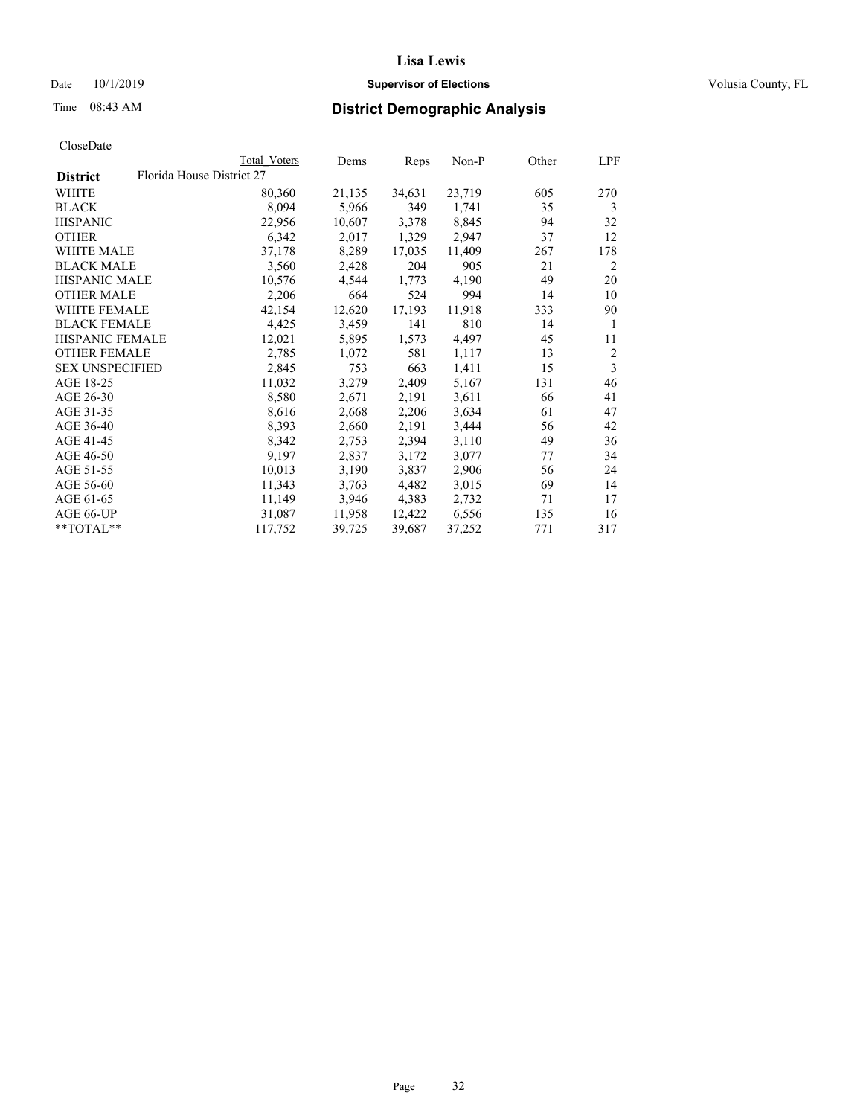## Date 10/1/2019 **Supervisor of Elections Supervisor of Elections** Volusia County, FL

| CloseDate |
|-----------|
|-----------|

|                        |                           | Total Voters | Dems   | Reps   | Non-P  | Other | LPF            |
|------------------------|---------------------------|--------------|--------|--------|--------|-------|----------------|
| <b>District</b>        | Florida House District 27 |              |        |        |        |       |                |
| WHITE                  |                           | 80,360       | 21,135 | 34,631 | 23,719 | 605   | 270            |
| <b>BLACK</b>           |                           | 8,094        | 5,966  | 349    | 1,741  | 35    | 3              |
| <b>HISPANIC</b>        |                           | 22,956       | 10,607 | 3,378  | 8,845  | 94    | 32             |
| <b>OTHER</b>           |                           | 6,342        | 2,017  | 1,329  | 2,947  | 37    | 12             |
| WHITE MALE             |                           | 37,178       | 8,289  | 17,035 | 11,409 | 267   | 178            |
| <b>BLACK MALE</b>      |                           | 3,560        | 2,428  | 204    | 905    | 21    | 2              |
| <b>HISPANIC MALE</b>   |                           | 10,576       | 4,544  | 1,773  | 4,190  | 49    | 20             |
| <b>OTHER MALE</b>      |                           | 2,206        | 664    | 524    | 994    | 14    | 10             |
| <b>WHITE FEMALE</b>    |                           | 42,154       | 12,620 | 17,193 | 11,918 | 333   | 90             |
| <b>BLACK FEMALE</b>    |                           | 4,425        | 3,459  | 141    | 810    | 14    | 1              |
| <b>HISPANIC FEMALE</b> |                           | 12,021       | 5,895  | 1,573  | 4,497  | 45    | 11             |
| <b>OTHER FEMALE</b>    |                           | 2,785        | 1,072  | 581    | 1,117  | 13    | $\overline{2}$ |
| <b>SEX UNSPECIFIED</b> |                           | 2,845        | 753    | 663    | 1,411  | 15    | 3              |
| AGE 18-25              |                           | 11,032       | 3,279  | 2,409  | 5,167  | 131   | 46             |
| AGE 26-30              |                           | 8,580        | 2,671  | 2,191  | 3,611  | 66    | 41             |
| AGE 31-35              |                           | 8,616        | 2,668  | 2,206  | 3,634  | 61    | 47             |
| AGE 36-40              |                           | 8,393        | 2,660  | 2,191  | 3,444  | 56    | 42             |
| AGE 41-45              |                           | 8,342        | 2,753  | 2,394  | 3,110  | 49    | 36             |
| AGE 46-50              |                           | 9,197        | 2,837  | 3,172  | 3,077  | 77    | 34             |
| AGE 51-55              |                           | 10,013       | 3,190  | 3,837  | 2,906  | 56    | 24             |
| AGE 56-60              |                           | 11,343       | 3,763  | 4,482  | 3,015  | 69    | 14             |
| AGE 61-65              |                           | 11,149       | 3,946  | 4,383  | 2,732  | 71    | 17             |
| AGE 66-UP              |                           | 31,087       | 11,958 | 12,422 | 6,556  | 135   | 16             |
| **TOTAL**              |                           | 117,752      | 39,725 | 39,687 | 37,252 | 771   | 317            |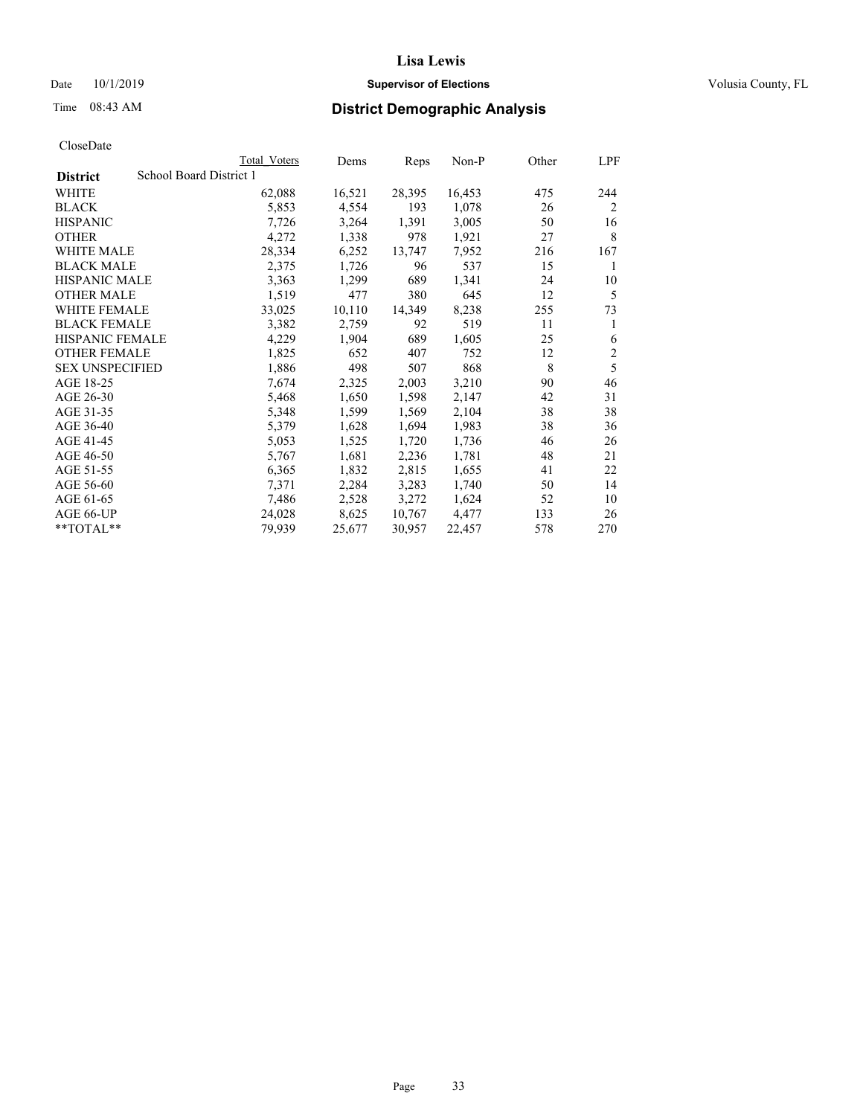## Date 10/1/2019 **Supervisor of Elections Supervisor of Elections** Volusia County, FL

# Time 08:43 AM **District Demographic Analysis**

|                        | Total Voters            | Dems   | Reps   | Non-P  | Other | LPF            |
|------------------------|-------------------------|--------|--------|--------|-------|----------------|
| <b>District</b>        | School Board District 1 |        |        |        |       |                |
| WHITE                  | 62,088                  | 16,521 | 28,395 | 16,453 | 475   | 244            |
| <b>BLACK</b>           | 5,853                   | 4,554  | 193    | 1,078  | 26    | 2              |
| <b>HISPANIC</b>        | 7,726                   | 3,264  | 1,391  | 3,005  | 50    | 16             |
| <b>OTHER</b>           | 4,272                   | 1,338  | 978    | 1,921  | 27    | 8              |
| WHITE MALE             | 28,334                  | 6,252  | 13,747 | 7,952  | 216   | 167            |
| <b>BLACK MALE</b>      | 2,375                   | 1,726  | 96     | 537    | 15    | 1              |
| <b>HISPANIC MALE</b>   | 3,363                   | 1,299  | 689    | 1,341  | 24    | 10             |
| <b>OTHER MALE</b>      | 1,519                   | 477    | 380    | 645    | 12    | 5              |
| WHITE FEMALE           | 33,025                  | 10,110 | 14,349 | 8,238  | 255   | 73             |
| <b>BLACK FEMALE</b>    | 3,382                   | 2,759  | 92     | 519    | 11    | 1              |
| <b>HISPANIC FEMALE</b> | 4,229                   | 1,904  | 689    | 1,605  | 25    | 6              |
| <b>OTHER FEMALE</b>    | 1,825                   | 652    | 407    | 752    | 12    | $\mathfrak{2}$ |
| <b>SEX UNSPECIFIED</b> | 1,886                   | 498    | 507    | 868    | 8     | 5              |
| AGE 18-25              | 7,674                   | 2,325  | 2,003  | 3,210  | 90    | 46             |
| AGE 26-30              | 5,468                   | 1,650  | 1,598  | 2,147  | 42    | 31             |
| AGE 31-35              | 5,348                   | 1,599  | 1,569  | 2,104  | 38    | 38             |
| AGE 36-40              | 5,379                   | 1,628  | 1,694  | 1,983  | 38    | 36             |
| AGE 41-45              | 5,053                   | 1,525  | 1,720  | 1,736  | 46    | 26             |
| AGE 46-50              | 5,767                   | 1,681  | 2,236  | 1,781  | 48    | 21             |
| AGE 51-55              | 6,365                   | 1,832  | 2,815  | 1,655  | 41    | 22             |
| AGE 56-60              | 7,371                   | 2,284  | 3,283  | 1,740  | 50    | 14             |
| AGE 61-65              | 7,486                   | 2,528  | 3,272  | 1,624  | 52    | 10             |
| AGE 66-UP              | 24,028                  | 8,625  | 10,767 | 4,477  | 133   | 26             |
| $*$ $TOTAL**$          | 79,939                  | 25,677 | 30,957 | 22,457 | 578   | 270            |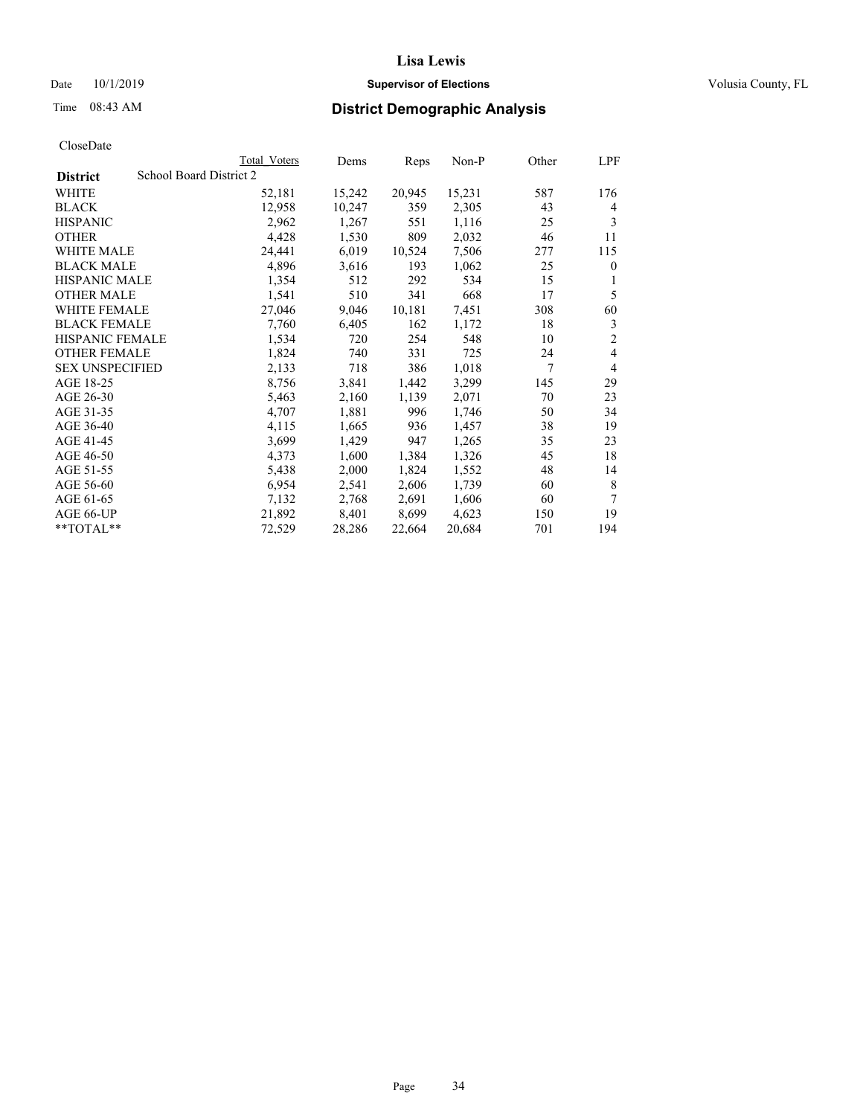## Date 10/1/2019 **Supervisor of Elections Supervisor of Elections** Volusia County, FL

| CloseDate |
|-----------|
|-----------|

|                        | Total Voters            | Dems   | Reps   | Non-P  | Other | LPF            |
|------------------------|-------------------------|--------|--------|--------|-------|----------------|
| <b>District</b>        | School Board District 2 |        |        |        |       |                |
| WHITE                  | 52,181                  | 15,242 | 20,945 | 15,231 | 587   | 176            |
| <b>BLACK</b>           | 12,958                  | 10,247 | 359    | 2,305  | 43    | 4              |
| <b>HISPANIC</b>        | 2,962                   | 1,267  | 551    | 1,116  | 25    | 3              |
| <b>OTHER</b>           | 4,428                   | 1,530  | 809    | 2,032  | 46    | 11             |
| WHITE MALE             | 24,441                  | 6,019  | 10,524 | 7,506  | 277   | 115            |
| <b>BLACK MALE</b>      | 4,896                   | 3,616  | 193    | 1,062  | 25    | $\theta$       |
| <b>HISPANIC MALE</b>   | 1,354                   | 512    | 292    | 534    | 15    | 1              |
| <b>OTHER MALE</b>      | 1,541                   | 510    | 341    | 668    | 17    | 5              |
| <b>WHITE FEMALE</b>    | 27,046                  | 9,046  | 10,181 | 7,451  | 308   | 60             |
| <b>BLACK FEMALE</b>    | 7,760                   | 6,405  | 162    | 1,172  | 18    | 3              |
| <b>HISPANIC FEMALE</b> | 1,534                   | 720    | 254    | 548    | 10    | $\overline{2}$ |
| <b>OTHER FEMALE</b>    | 1,824                   | 740    | 331    | 725    | 24    | 4              |
| <b>SEX UNSPECIFIED</b> | 2,133                   | 718    | 386    | 1,018  | 7     | $\overline{4}$ |
| AGE 18-25              | 8,756                   | 3,841  | 1,442  | 3,299  | 145   | 29             |
| AGE 26-30              | 5,463                   | 2,160  | 1,139  | 2,071  | 70    | 23             |
| AGE 31-35              | 4,707                   | 1,881  | 996    | 1,746  | 50    | 34             |
| AGE 36-40              | 4,115                   | 1,665  | 936    | 1,457  | 38    | 19             |
| AGE 41-45              | 3,699                   | 1,429  | 947    | 1,265  | 35    | 23             |
| AGE 46-50              | 4,373                   | 1,600  | 1,384  | 1,326  | 45    | 18             |
| AGE 51-55              | 5,438                   | 2,000  | 1,824  | 1,552  | 48    | 14             |
| AGE 56-60              | 6,954                   | 2,541  | 2,606  | 1,739  | 60    | 8              |
| AGE 61-65              | 7,132                   | 2,768  | 2,691  | 1,606  | 60    | 7              |
| AGE 66-UP              | 21,892                  | 8,401  | 8,699  | 4,623  | 150   | 19             |
| $*$ $TOTAL**$          | 72,529                  | 28,286 | 22,664 | 20,684 | 701   | 194            |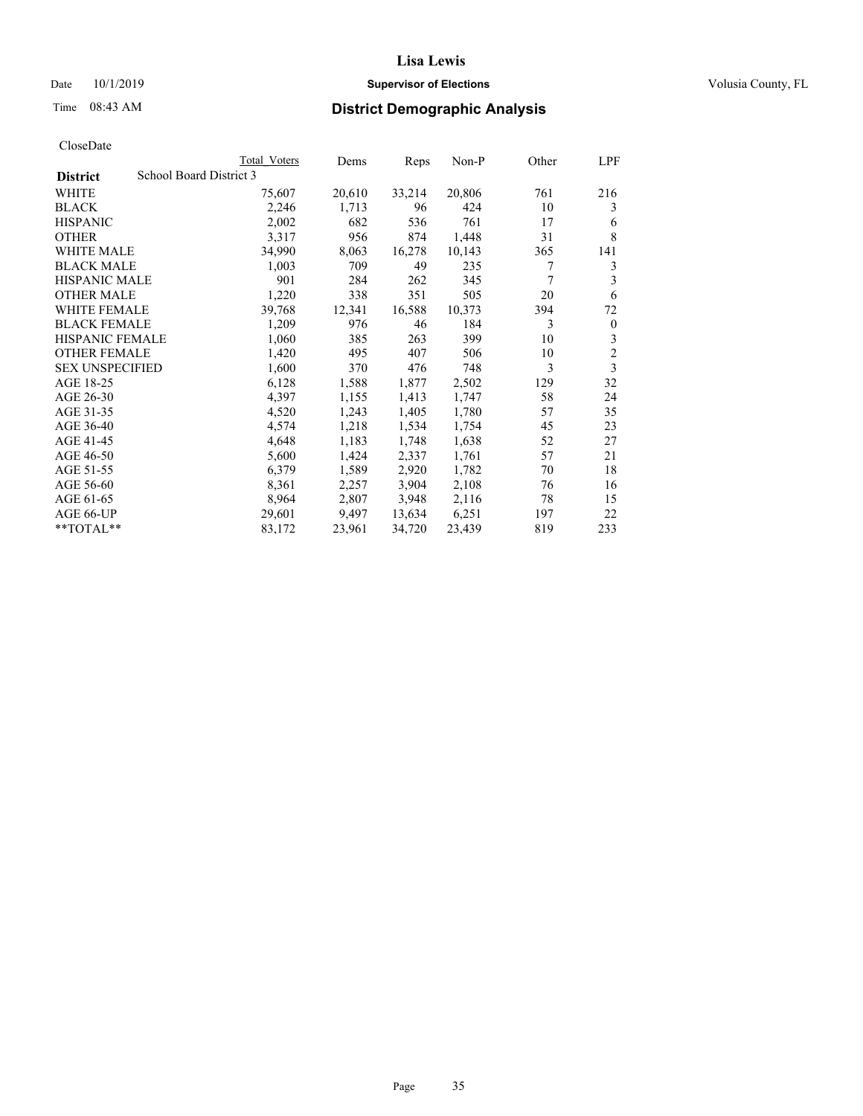## Date 10/1/2019 **Supervisor of Elections Supervisor of Elections** Volusia County, FL

## Time 08:43 AM **District Demographic Analysis**

|                        | Total Voters            | Dems   | Reps   | Non-P  | Other | LPF            |
|------------------------|-------------------------|--------|--------|--------|-------|----------------|
| <b>District</b>        | School Board District 3 |        |        |        |       |                |
| WHITE                  | 75,607                  | 20,610 | 33,214 | 20,806 | 761   | 216            |
| <b>BLACK</b>           | 2,246                   | 1,713  | 96     | 424    | 10    | 3              |
| <b>HISPANIC</b>        | 2,002                   | 682    | 536    | 761    | 17    | 6              |
| <b>OTHER</b>           | 3,317                   | 956    | 874    | 1,448  | 31    | 8              |
| WHITE MALE             | 34,990                  | 8,063  | 16,278 | 10,143 | 365   | 141            |
| <b>BLACK MALE</b>      | 1,003                   | 709    | 49     | 235    | 7     | 3              |
| <b>HISPANIC MALE</b>   | 901                     | 284    | 262    | 345    | 7     | 3              |
| <b>OTHER MALE</b>      | 1,220                   | 338    | 351    | 505    | 20    | 6              |
| <b>WHITE FEMALE</b>    | 39,768                  | 12,341 | 16,588 | 10,373 | 394   | 72             |
| <b>BLACK FEMALE</b>    | 1,209                   | 976    | 46     | 184    | 3     | $\mathbf{0}$   |
| <b>HISPANIC FEMALE</b> | 1,060                   | 385    | 263    | 399    | 10    | 3              |
| <b>OTHER FEMALE</b>    | 1,420                   | 495    | 407    | 506    | 10    | $\overline{c}$ |
| <b>SEX UNSPECIFIED</b> | 1,600                   | 370    | 476    | 748    | 3     | 3              |
| AGE 18-25              | 6,128                   | 1,588  | 1,877  | 2,502  | 129   | 32             |
| AGE 26-30              | 4,397                   | 1,155  | 1,413  | 1,747  | 58    | 24             |
| AGE 31-35              | 4,520                   | 1,243  | 1,405  | 1,780  | 57    | 35             |
| AGE 36-40              | 4,574                   | 1,218  | 1,534  | 1,754  | 45    | 23             |
| AGE 41-45              | 4,648                   | 1,183  | 1,748  | 1,638  | 52    | 27             |
| AGE 46-50              | 5,600                   | 1,424  | 2,337  | 1,761  | 57    | 21             |
| AGE 51-55              | 6,379                   | 1,589  | 2,920  | 1,782  | 70    | 18             |
| AGE 56-60              | 8,361                   | 2,257  | 3,904  | 2,108  | 76    | 16             |
| AGE 61-65              | 8,964                   | 2,807  | 3,948  | 2,116  | 78    | 15             |
| AGE 66-UP              | 29,601                  | 9,497  | 13,634 | 6,251  | 197   | 22             |
| $*$ TOTAL $*$          | 83,172                  | 23,961 | 34,720 | 23,439 | 819   | 233            |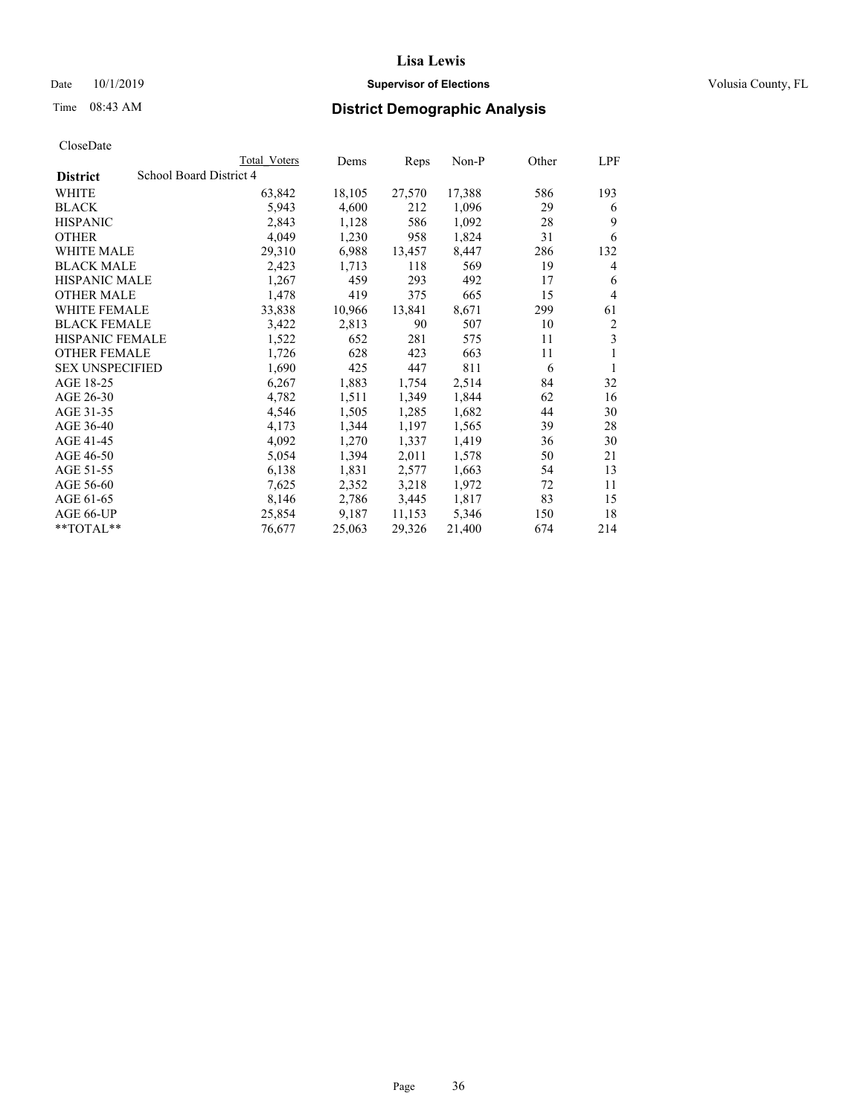## Date 10/1/2019 **Supervisor of Elections Supervisor of Elections** Volusia County, FL

# Time 08:43 AM **District Demographic Analysis**

|                        | Total Voters            | Dems   | Reps   | Non-P  | Other | LPF |
|------------------------|-------------------------|--------|--------|--------|-------|-----|
| <b>District</b>        | School Board District 4 |        |        |        |       |     |
| WHITE                  | 63,842                  | 18,105 | 27,570 | 17,388 | 586   | 193 |
| <b>BLACK</b>           | 5,943                   | 4,600  | 212    | 1,096  | 29    | 6   |
| <b>HISPANIC</b>        | 2,843                   | 1,128  | 586    | 1,092  | 28    | 9   |
| <b>OTHER</b>           | 4,049                   | 1,230  | 958    | 1,824  | 31    | 6   |
| WHITE MALE             | 29,310                  | 6,988  | 13,457 | 8,447  | 286   | 132 |
| <b>BLACK MALE</b>      | 2,423                   | 1,713  | 118    | 569    | 19    | 4   |
| <b>HISPANIC MALE</b>   | 1,267                   | 459    | 293    | 492    | 17    | 6   |
| <b>OTHER MALE</b>      | 1,478                   | 419    | 375    | 665    | 15    | 4   |
| <b>WHITE FEMALE</b>    | 33,838                  | 10,966 | 13,841 | 8,671  | 299   | 61  |
| <b>BLACK FEMALE</b>    | 3,422                   | 2,813  | 90     | 507    | 10    | 2   |
| <b>HISPANIC FEMALE</b> | 1,522                   | 652    | 281    | 575    | 11    | 3   |
| <b>OTHER FEMALE</b>    | 1,726                   | 628    | 423    | 663    | 11    | 1   |
| <b>SEX UNSPECIFIED</b> | 1,690                   | 425    | 447    | 811    | 6     | 1   |
| AGE 18-25              | 6,267                   | 1,883  | 1,754  | 2,514  | 84    | 32  |
| AGE 26-30              | 4,782                   | 1,511  | 1,349  | 1,844  | 62    | 16  |
| AGE 31-35              | 4,546                   | 1,505  | 1,285  | 1,682  | 44    | 30  |
| AGE 36-40              | 4,173                   | 1,344  | 1,197  | 1,565  | 39    | 28  |
| AGE 41-45              | 4,092                   | 1,270  | 1,337  | 1,419  | 36    | 30  |
| AGE 46-50              | 5,054                   | 1,394  | 2,011  | 1,578  | 50    | 21  |
| AGE 51-55              | 6,138                   | 1,831  | 2,577  | 1,663  | 54    | 13  |
| AGE 56-60              | 7,625                   | 2,352  | 3,218  | 1,972  | 72    | 11  |
| AGE 61-65              | 8,146                   | 2,786  | 3,445  | 1,817  | 83    | 15  |
| AGE 66-UP              | 25,854                  | 9,187  | 11,153 | 5,346  | 150   | 18  |
| $*$ TOTAL $*$          | 76,677                  | 25,063 | 29,326 | 21,400 | 674   | 214 |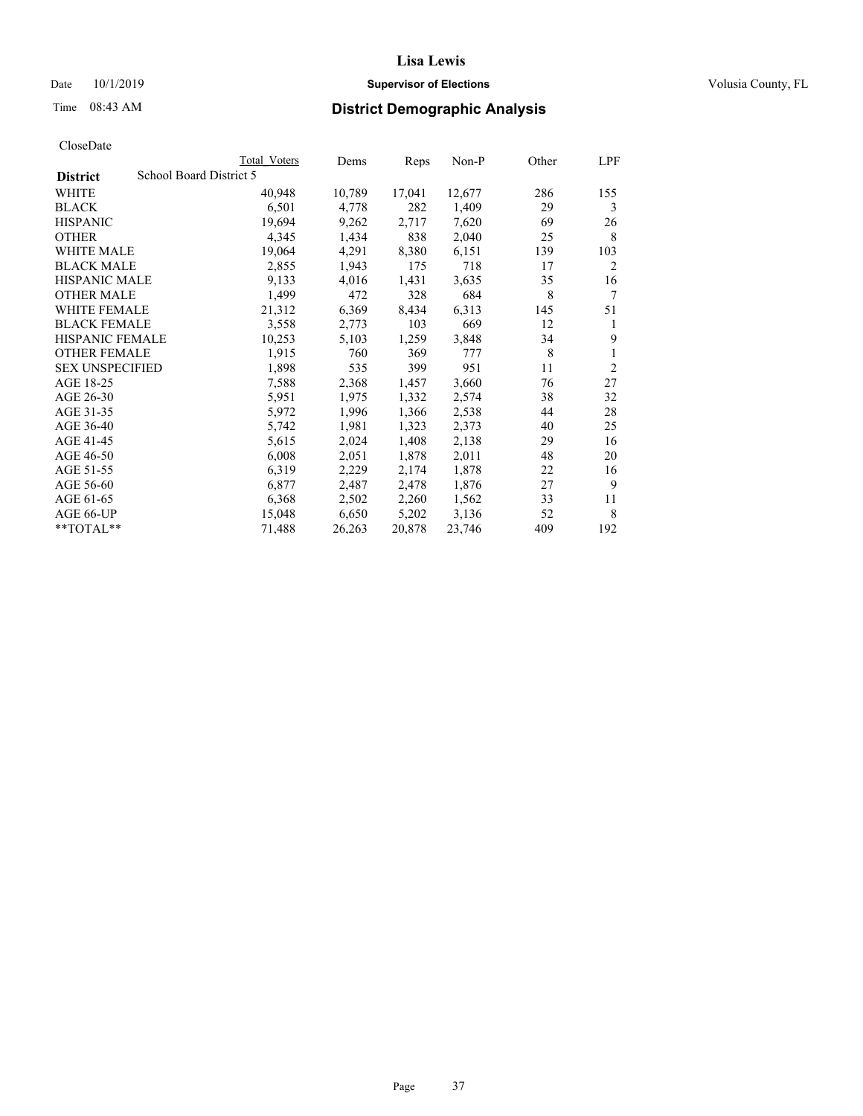## Date 10/1/2019 **Supervisor of Elections Supervisor of Elections** Volusia County, FL

|                        |                         | Total Voters | Dems   | Reps   | Non-P  | Other | LPF            |
|------------------------|-------------------------|--------------|--------|--------|--------|-------|----------------|
| <b>District</b>        | School Board District 5 |              |        |        |        |       |                |
| WHITE                  |                         | 40,948       | 10,789 | 17,041 | 12,677 | 286   | 155            |
| <b>BLACK</b>           |                         | 6,501        | 4,778  | 282    | 1,409  | 29    | 3              |
| <b>HISPANIC</b>        |                         | 19,694       | 9,262  | 2,717  | 7,620  | 69    | 26             |
| <b>OTHER</b>           |                         | 4,345        | 1,434  | 838    | 2,040  | 25    | 8              |
| WHITE MALE             |                         | 19,064       | 4,291  | 8,380  | 6,151  | 139   | 103            |
| <b>BLACK MALE</b>      |                         | 2,855        | 1,943  | 175    | 718    | 17    | 2              |
| <b>HISPANIC MALE</b>   |                         | 9,133        | 4,016  | 1,431  | 3,635  | 35    | 16             |
| <b>OTHER MALE</b>      |                         | 1,499        | 472    | 328    | 684    | 8     | 7              |
| <b>WHITE FEMALE</b>    |                         | 21,312       | 6,369  | 8,434  | 6,313  | 145   | 51             |
| <b>BLACK FEMALE</b>    |                         | 3,558        | 2,773  | 103    | 669    | 12    | 1              |
| <b>HISPANIC FEMALE</b> |                         | 10,253       | 5,103  | 1,259  | 3,848  | 34    | 9              |
| <b>OTHER FEMALE</b>    |                         | 1,915        | 760    | 369    | 777    | 8     | 1              |
| <b>SEX UNSPECIFIED</b> |                         | 1,898        | 535    | 399    | 951    | 11    | $\overline{2}$ |
| AGE 18-25              |                         | 7,588        | 2,368  | 1,457  | 3,660  | 76    | 27             |
| AGE 26-30              |                         | 5,951        | 1,975  | 1,332  | 2,574  | 38    | 32             |
| AGE 31-35              |                         | 5,972        | 1,996  | 1,366  | 2,538  | 44    | 28             |
| AGE 36-40              |                         | 5,742        | 1,981  | 1,323  | 2,373  | 40    | 25             |
| AGE 41-45              |                         | 5,615        | 2,024  | 1,408  | 2,138  | 29    | 16             |
| AGE 46-50              |                         | 6,008        | 2,051  | 1,878  | 2,011  | 48    | 20             |
| AGE 51-55              |                         | 6,319        | 2,229  | 2,174  | 1,878  | 22    | 16             |
| AGE 56-60              |                         | 6,877        | 2,487  | 2,478  | 1,876  | 27    | 9              |
| AGE 61-65              |                         | 6,368        | 2,502  | 2,260  | 1,562  | 33    | 11             |
| AGE 66-UP              |                         | 15,048       | 6,650  | 5,202  | 3,136  | 52    | 8              |
| $*$ $TOTAL**$          |                         | 71,488       | 26,263 | 20,878 | 23,746 | 409   | 192            |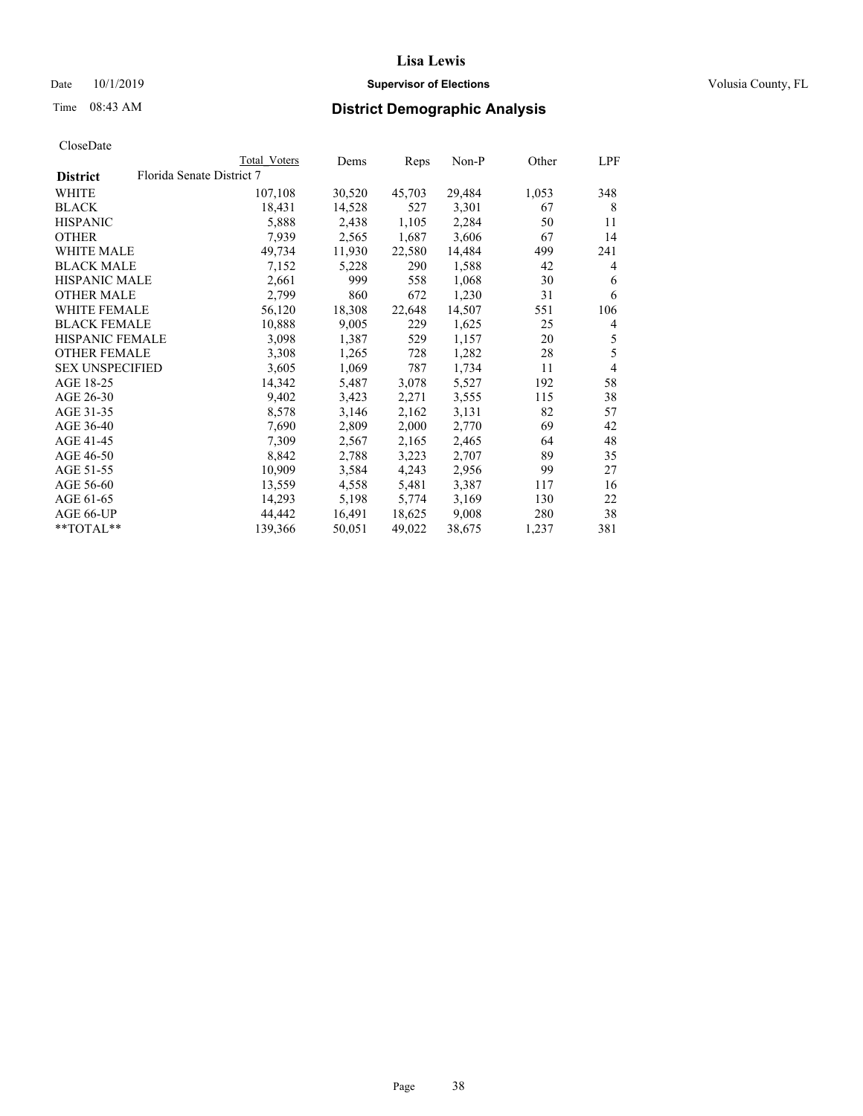Date 10/1/2019 **Supervisor of Elections Supervisor of Elections** Volusia County, FL

# Time 08:43 AM **District Demographic Analysis**

|                        |                           | Total Voters | Dems   | Reps   | Non-P  | Other | LPF            |
|------------------------|---------------------------|--------------|--------|--------|--------|-------|----------------|
| <b>District</b>        | Florida Senate District 7 |              |        |        |        |       |                |
| WHITE                  |                           | 107,108      | 30,520 | 45,703 | 29,484 | 1,053 | 348            |
| <b>BLACK</b>           |                           | 18,431       | 14,528 | 527    | 3,301  | 67    | 8              |
| <b>HISPANIC</b>        |                           | 5,888        | 2,438  | 1,105  | 2,284  | 50    | 11             |
| <b>OTHER</b>           |                           | 7,939        | 2,565  | 1,687  | 3,606  | 67    | 14             |
| WHITE MALE             |                           | 49,734       | 11,930 | 22,580 | 14,484 | 499   | 241            |
| <b>BLACK MALE</b>      |                           | 7,152        | 5,228  | 290    | 1,588  | 42    | 4              |
| <b>HISPANIC MALE</b>   |                           | 2,661        | 999    | 558    | 1,068  | 30    | 6              |
| <b>OTHER MALE</b>      |                           | 2,799        | 860    | 672    | 1,230  | 31    | 6              |
| <b>WHITE FEMALE</b>    |                           | 56,120       | 18,308 | 22,648 | 14,507 | 551   | 106            |
| <b>BLACK FEMALE</b>    |                           | 10,888       | 9,005  | 229    | 1,625  | 25    | 4              |
| <b>HISPANIC FEMALE</b> |                           | 3,098        | 1,387  | 529    | 1,157  | 20    | 5              |
| <b>OTHER FEMALE</b>    |                           | 3,308        | 1,265  | 728    | 1,282  | 28    | 5              |
| <b>SEX UNSPECIFIED</b> |                           | 3,605        | 1,069  | 787    | 1,734  | 11    | $\overline{4}$ |
| AGE 18-25              |                           | 14,342       | 5,487  | 3,078  | 5,527  | 192   | 58             |
| AGE 26-30              |                           | 9,402        | 3,423  | 2,271  | 3,555  | 115   | 38             |
| AGE 31-35              |                           | 8,578        | 3,146  | 2,162  | 3,131  | 82    | 57             |
| AGE 36-40              |                           | 7,690        | 2,809  | 2,000  | 2,770  | 69    | 42             |
| AGE 41-45              |                           | 7,309        | 2,567  | 2,165  | 2,465  | 64    | 48             |
| AGE 46-50              |                           | 8,842        | 2,788  | 3,223  | 2,707  | 89    | 35             |
| AGE 51-55              |                           | 10,909       | 3,584  | 4,243  | 2,956  | 99    | 27             |
| AGE 56-60              |                           | 13,559       | 4,558  | 5,481  | 3,387  | 117   | 16             |
| AGE 61-65              |                           | 14,293       | 5,198  | 5,774  | 3,169  | 130   | 22             |
| AGE 66-UP              |                           | 44,442       | 16,491 | 18,625 | 9,008  | 280   | 38             |
| $*$ TOTAL $*$          |                           | 139,366      | 50,051 | 49,022 | 38,675 | 1,237 | 381            |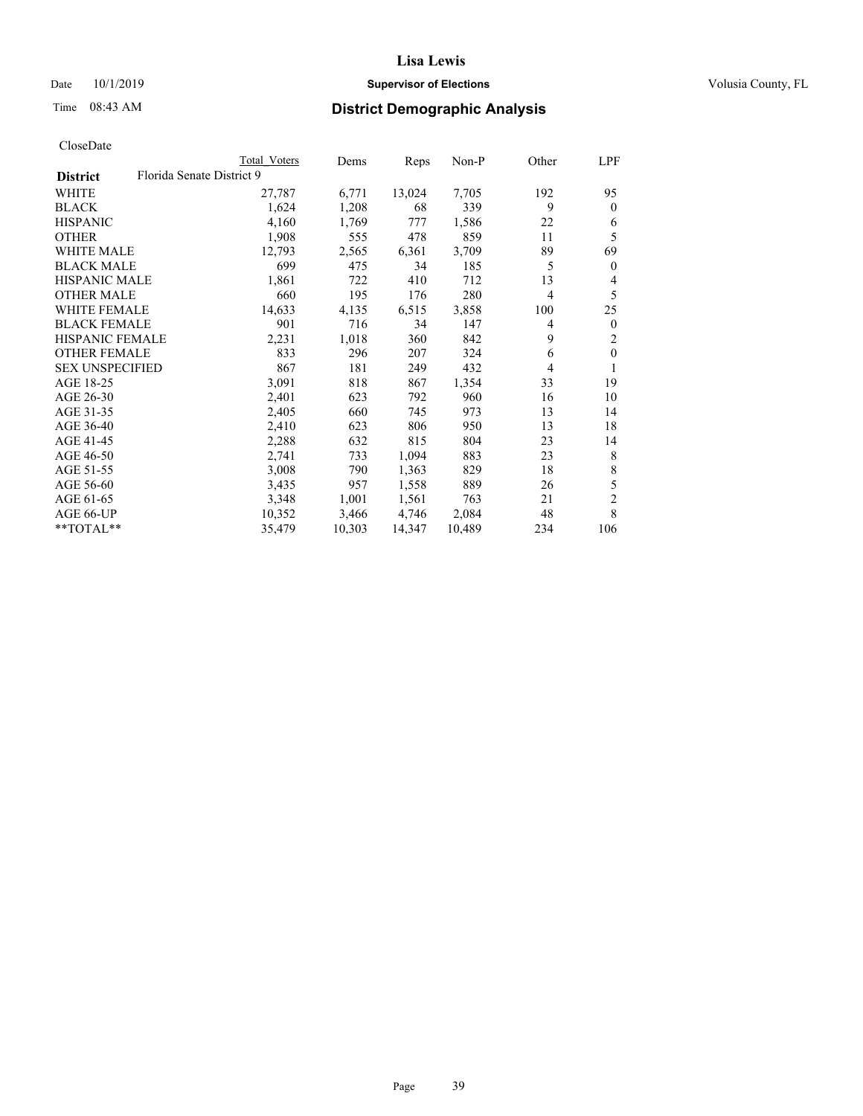## Date 10/1/2019 **Supervisor of Elections Supervisor of Elections** Volusia County, FL

# Time 08:43 AM **District Demographic Analysis**

|                        |                           | Total Voters | Dems   | Reps   | $Non-P$ | Other          | LPF            |
|------------------------|---------------------------|--------------|--------|--------|---------|----------------|----------------|
| <b>District</b>        | Florida Senate District 9 |              |        |        |         |                |                |
| WHITE                  |                           | 27,787       | 6,771  | 13,024 | 7,705   | 192            | 95             |
| <b>BLACK</b>           |                           | 1,624        | 1,208  | 68     | 339     | 9              | $\theta$       |
| <b>HISPANIC</b>        |                           | 4,160        | 1,769  | 777    | 1,586   | 22             | 6              |
| <b>OTHER</b>           |                           | 1,908        | 555    | 478    | 859     | 11             | 5              |
| WHITE MALE             |                           | 12,793       | 2,565  | 6,361  | 3,709   | 89             | 69             |
| <b>BLACK MALE</b>      |                           | 699          | 475    | 34     | 185     | 5              | $\mathbf{0}$   |
| <b>HISPANIC MALE</b>   |                           | 1,861        | 722    | 410    | 712     | 13             | 4              |
| <b>OTHER MALE</b>      |                           | 660          | 195    | 176    | 280     | $\overline{4}$ | 5              |
| WHITE FEMALE           |                           | 14,633       | 4,135  | 6,515  | 3,858   | 100            | 25             |
| <b>BLACK FEMALE</b>    |                           | 901          | 716    | 34     | 147     | 4              | $\mathbf{0}$   |
| HISPANIC FEMALE        |                           | 2,231        | 1,018  | 360    | 842     | 9              | 2              |
| <b>OTHER FEMALE</b>    |                           | 833          | 296    | 207    | 324     | 6              | $\mathbf{0}$   |
| <b>SEX UNSPECIFIED</b> |                           | 867          | 181    | 249    | 432     | 4              | 1              |
| AGE 18-25              |                           | 3,091        | 818    | 867    | 1,354   | 33             | 19             |
| AGE 26-30              |                           | 2,401        | 623    | 792    | 960     | 16             | 10             |
| AGE 31-35              |                           | 2,405        | 660    | 745    | 973     | 13             | 14             |
| AGE 36-40              |                           | 2,410        | 623    | 806    | 950     | 13             | 18             |
| AGE 41-45              |                           | 2,288        | 632    | 815    | 804     | 23             | 14             |
| AGE 46-50              |                           | 2,741        | 733    | 1,094  | 883     | 23             | 8              |
| AGE 51-55              |                           | 3,008        | 790    | 1,363  | 829     | 18             | 8              |
| AGE 56-60              |                           | 3,435        | 957    | 1,558  | 889     | 26             | 5              |
| AGE 61-65              |                           | 3,348        | 1,001  | 1,561  | 763     | 21             | $\overline{c}$ |
| AGE 66-UP              |                           | 10,352       | 3,466  | 4,746  | 2,084   | 48             | 8              |
| $*$ TOTAL $*$          |                           | 35,479       | 10,303 | 14,347 | 10,489  | 234            | 106            |
|                        |                           |              |        |        |         |                |                |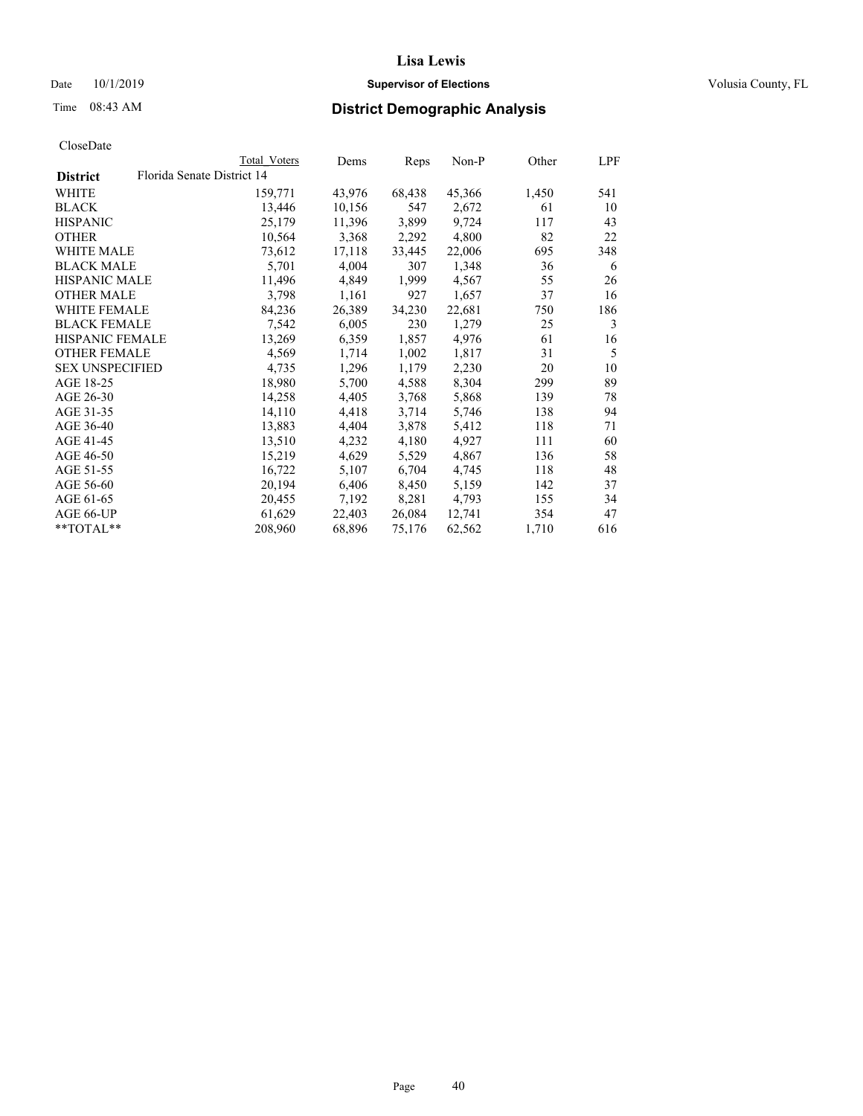## Date 10/1/2019 **Supervisor of Elections Supervisor of Elections** Volusia County, FL

|                        | Total Voters               | Dems   | Reps   | Non-P  | Other | LPF |
|------------------------|----------------------------|--------|--------|--------|-------|-----|
| <b>District</b>        | Florida Senate District 14 |        |        |        |       |     |
| WHITE                  | 159,771                    | 43,976 | 68,438 | 45,366 | 1,450 | 541 |
| BLACK                  | 13,446                     | 10,156 | 547    | 2,672  | 61    | 10  |
| HISPANIC               | 25,179                     | 11,396 | 3,899  | 9,724  | 117   | 43  |
| OTHER                  | 10,564                     | 3,368  | 2,292  | 4,800  | 82    | 22  |
| WHITE MALE             | 73,612                     | 17,118 | 33,445 | 22,006 | 695   | 348 |
| BLACK MALE             | 5,701                      | 4,004  | 307    | 1,348  | 36    | 6   |
| HISPANIC MALE          | 11,496                     | 4,849  | 1,999  | 4,567  | 55    | 26  |
| <b>OTHER MALE</b>      | 3,798                      | 1,161  | 927    | 1,657  | 37    | 16  |
| WHITE FEMALE           | 84,236                     | 26,389 | 34,230 | 22,681 | 750   | 186 |
| BLACK FEMALE           | 7,542                      | 6,005  | 230    | 1,279  | 25    | 3   |
| HISPANIC FEMALE        | 13,269                     | 6,359  | 1,857  | 4,976  | 61    | 16  |
| OTHER FEMALE           | 4,569                      | 1,714  | 1,002  | 1,817  | 31    | 5   |
| <b>SEX UNSPECIFIED</b> | 4,735                      | 1,296  | 1,179  | 2,230  | 20    | 10  |
| AGE 18-25              | 18,980                     | 5,700  | 4,588  | 8,304  | 299   | 89  |
| AGE 26-30              | 14,258                     | 4,405  | 3,768  | 5,868  | 139   | 78  |
| AGE 31-35              | 14,110                     | 4,418  | 3,714  | 5,746  | 138   | 94  |
| AGE 36-40              | 13,883                     | 4,404  | 3,878  | 5,412  | 118   | 71  |
| AGE 41-45              | 13,510                     | 4,232  | 4,180  | 4,927  | 111   | 60  |
| AGE 46-50              | 15,219                     | 4,629  | 5,529  | 4,867  | 136   | 58  |
| AGE 51-55              | 16,722                     | 5,107  | 6,704  | 4,745  | 118   | 48  |
| AGE 56-60              | 20,194                     | 6,406  | 8,450  | 5,159  | 142   | 37  |
| AGE 61-65              | 20,455                     | 7,192  | 8,281  | 4,793  | 155   | 34  |
| AGE 66-UP              | 61,629                     | 22,403 | 26,084 | 12,741 | 354   | 47  |
| **TOTAL**              | 208,960                    | 68,896 | 75,176 | 62,562 | 1,710 | 616 |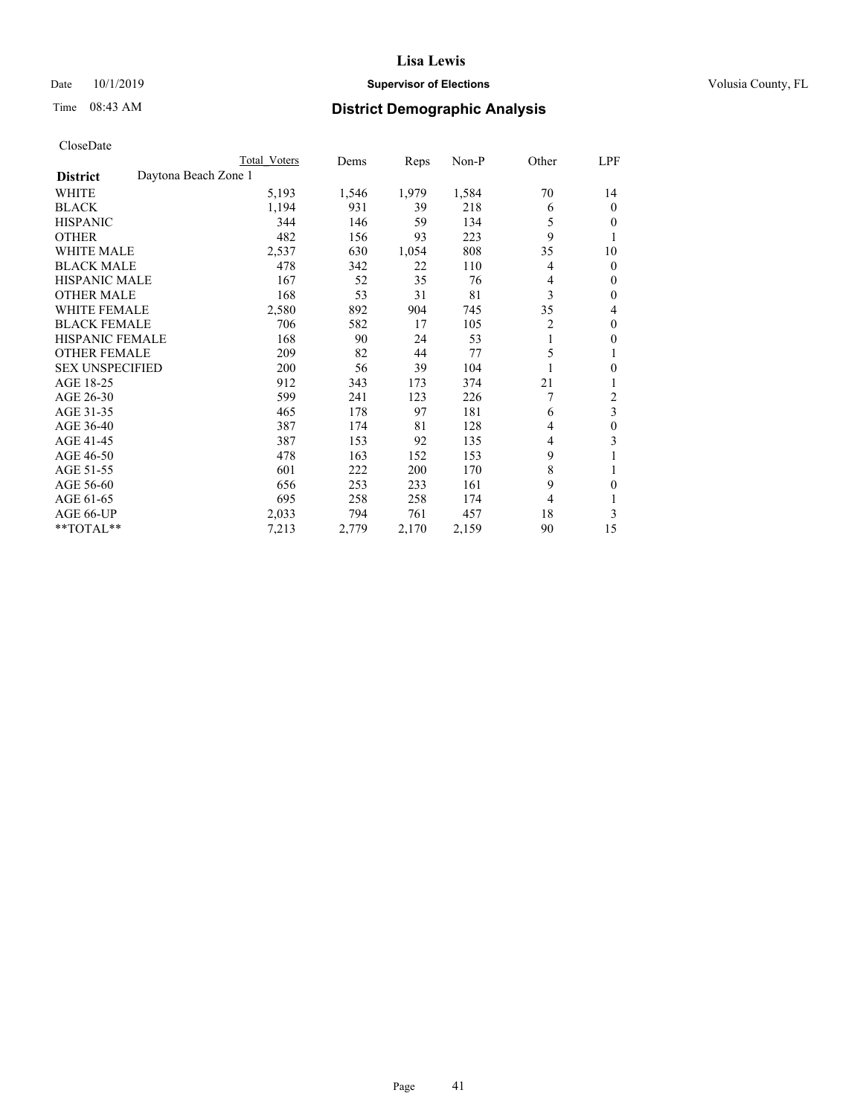## Date 10/1/2019 **Supervisor of Elections Supervisor of Elections** Volusia County, FL

# Time 08:43 AM **District Demographic Analysis**

|                        | Total Voters         | Dems  | Reps  | Non-P | Other          | LPF |
|------------------------|----------------------|-------|-------|-------|----------------|-----|
| <b>District</b>        | Daytona Beach Zone 1 |       |       |       |                |     |
| WHITE                  | 5,193                | 1,546 | 1,979 | 1,584 | 70             | 14  |
| <b>BLACK</b>           | 1,194                | 931   | 39    | 218   | 6              | 0   |
| <b>HISPANIC</b>        | 344                  | 146   | 59    | 134   | 5              | 0   |
| <b>OTHER</b>           | 482                  | 156   | 93    | 223   | 9              |     |
| WHITE MALE             | 2,537                | 630   | 1,054 | 808   | 35             | 10  |
| <b>BLACK MALE</b>      | 478                  | 342   | 22    | 110   | 4              | 0   |
| <b>HISPANIC MALE</b>   | 167                  | 52    | 35    | 76    | 4              | 0   |
| <b>OTHER MALE</b>      | 168                  | 53    | 31    | 81    | 3              | 0   |
| <b>WHITE FEMALE</b>    | 2,580                | 892   | 904   | 745   | 35             | 4   |
| <b>BLACK FEMALE</b>    | 706                  | 582   | 17    | 105   | $\overline{2}$ | 0   |
| <b>HISPANIC FEMALE</b> | 168                  | 90    | 24    | 53    |                | 0   |
| <b>OTHER FEMALE</b>    | 209                  | 82    | 44    | 77    | 5              |     |
| <b>SEX UNSPECIFIED</b> | 200                  | 56    | 39    | 104   |                | 0   |
| AGE 18-25              | 912                  | 343   | 173   | 374   | 21             |     |
| AGE 26-30              | 599                  | 241   | 123   | 226   | 7              | 2   |
| AGE 31-35              | 465                  | 178   | 97    | 181   | 6              | 3   |
| AGE 36-40              | 387                  | 174   | 81    | 128   | 4              | 0   |
| AGE 41-45              | 387                  | 153   | 92    | 135   | 4              | 3   |
| AGE 46-50              | 478                  | 163   | 152   | 153   | 9              |     |
| AGE 51-55              | 601                  | 222   | 200   | 170   | 8              |     |
| AGE 56-60              | 656                  | 253   | 233   | 161   | 9              | 0   |
| AGE 61-65              | 695                  | 258   | 258   | 174   | 4              |     |
| AGE 66-UP              | 2,033                | 794   | 761   | 457   | 18             | 3   |
| **TOTAL**              | 7,213                | 2,779 | 2,170 | 2,159 | 90             | 15  |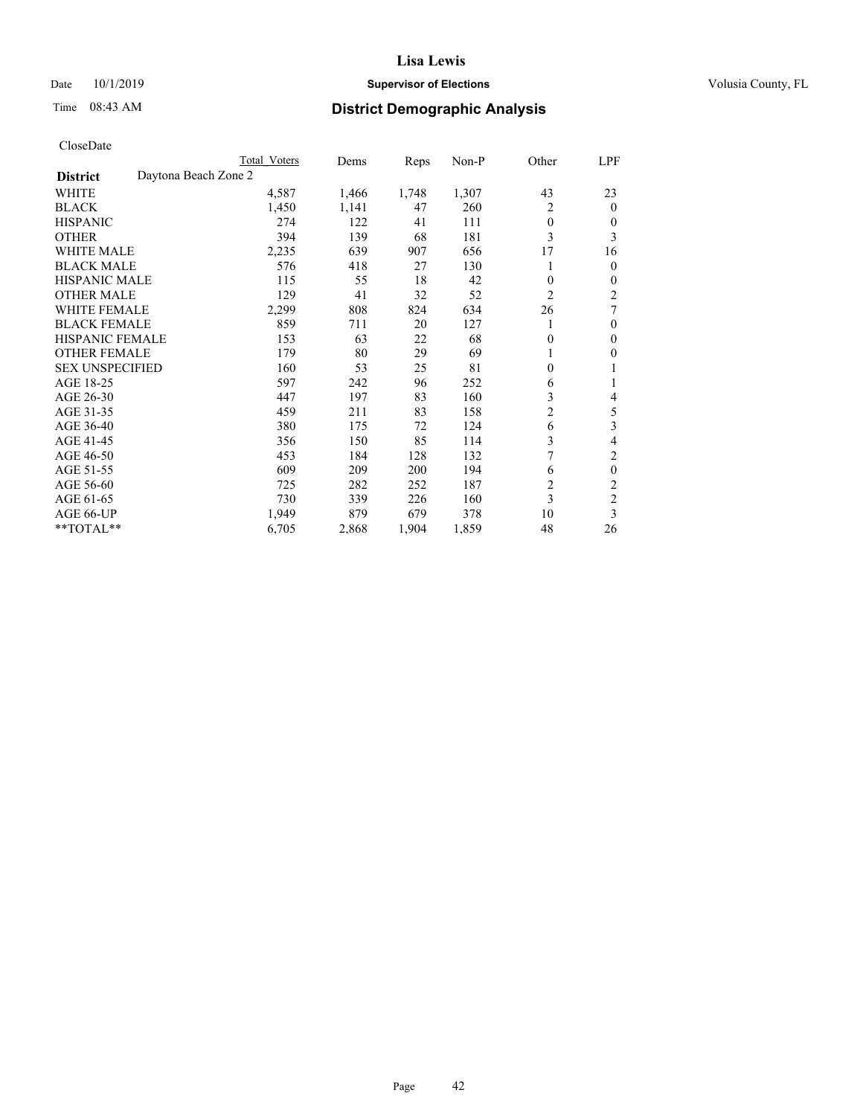## Date 10/1/2019 **Supervisor of Elections Supervisor of Elections** Volusia County, FL

# Time 08:43 AM **District Demographic Analysis**

|                        | Total Voters         | Dems  | Reps  | Non-P | Other          | LPF            |
|------------------------|----------------------|-------|-------|-------|----------------|----------------|
| <b>District</b>        | Daytona Beach Zone 2 |       |       |       |                |                |
| WHITE                  | 4,587                | 1,466 | 1,748 | 1,307 | 43             | 23             |
| <b>BLACK</b>           | 1,450                | 1,141 | 47    | 260   | 2              | $\mathbf{0}$   |
| <b>HISPANIC</b>        | 274                  | 122   | 41    | 111   | $\theta$       | $\Omega$       |
| <b>OTHER</b>           | 394                  | 139   | 68    | 181   | 3              | 3              |
| <b>WHITE MALE</b>      | 2,235                | 639   | 907   | 656   | 17             | 16             |
| <b>BLACK MALE</b>      | 576                  | 418   | 27    | 130   |                | $\theta$       |
| <b>HISPANIC MALE</b>   | 115                  | 55    | 18    | 42    | $\mathbf{0}$   | $\mathbf{0}$   |
| <b>OTHER MALE</b>      | 129                  | 41    | 32    | 52    | $\overline{c}$ | $\overline{2}$ |
| WHITE FEMALE           | 2,299                | 808   | 824   | 634   | 26             | 7              |
| <b>BLACK FEMALE</b>    | 859                  | 711   | 20    | 127   |                | $\mathbf{0}$   |
| <b>HISPANIC FEMALE</b> | 153                  | 63    | 22    | 68    | $\theta$       | $\theta$       |
| <b>OTHER FEMALE</b>    | 179                  | 80    | 29    | 69    |                | $\theta$       |
| <b>SEX UNSPECIFIED</b> | 160                  | 53    | 25    | 81    | $\mathbf{0}$   |                |
| AGE 18-25              | 597                  | 242   | 96    | 252   | 6              |                |
| AGE 26-30              | 447                  | 197   | 83    | 160   | 3              | 4              |
| AGE 31-35              | 459                  | 211   | 83    | 158   | $\overline{c}$ | 5              |
| AGE 36-40              | 380                  | 175   | 72    | 124   | 6              | 3              |
| AGE 41-45              | 356                  | 150   | 85    | 114   | 3              | 4              |
| AGE 46-50              | 453                  | 184   | 128   | 132   | 7              | 2              |
| AGE 51-55              | 609                  | 209   | 200   | 194   | 6              | $\mathbf{0}$   |
| AGE 56-60              | 725                  | 282   | 252   | 187   | $\overline{c}$ | $\overline{c}$ |
| AGE 61-65              | 730                  | 339   | 226   | 160   | 3              | $\overline{c}$ |
| AGE 66-UP              | 1,949                | 879   | 679   | 378   | 10             | 3              |
| **TOTAL**              | 6,705                | 2,868 | 1,904 | 1,859 | 48             | 26             |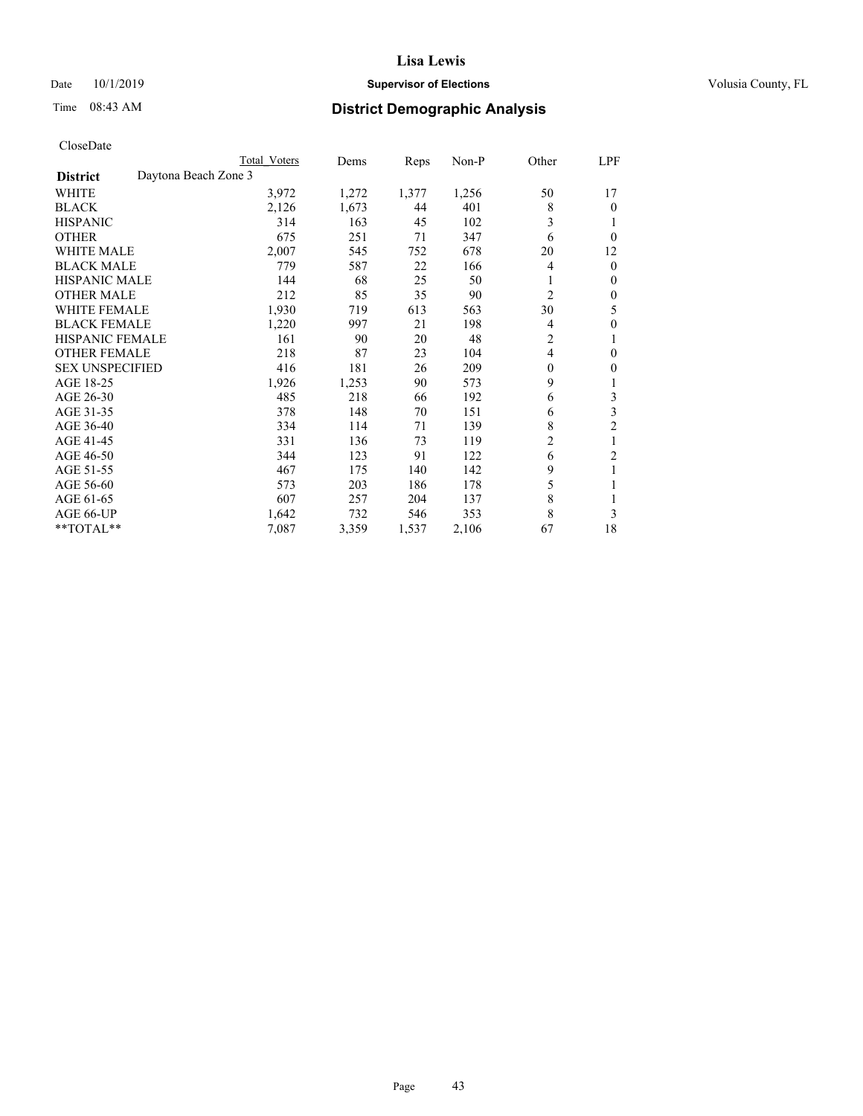## Date 10/1/2019 **Supervisor of Elections Supervisor of Elections** Volusia County, FL

# Time 08:43 AM **District Demographic Analysis**

|                        |                      | Total Voters | Dems  | Reps  | Non-P | Other    | LPF              |
|------------------------|----------------------|--------------|-------|-------|-------|----------|------------------|
| <b>District</b>        | Daytona Beach Zone 3 |              |       |       |       |          |                  |
| WHITE                  |                      | 3,972        | 1,272 | 1,377 | 1,256 | 50       | 17               |
| <b>BLACK</b>           |                      | 2,126        | 1,673 | 44    | 401   | 8        | $\theta$         |
| <b>HISPANIC</b>        |                      | 314          | 163   | 45    | 102   | 3        | 1                |
| <b>OTHER</b>           |                      | 675          | 251   | 71    | 347   | 6        | $\theta$         |
| <b>WHITE MALE</b>      |                      | 2,007        | 545   | 752   | 678   | 20       | 12               |
| <b>BLACK MALE</b>      |                      | 779          | 587   | 22    | 166   | 4        | $\mathbf{0}$     |
| <b>HISPANIC MALE</b>   |                      | 144          | 68    | 25    | 50    |          | $\mathbf{0}$     |
| <b>OTHER MALE</b>      |                      | 212          | 85    | 35    | 90    | 2        | $\mathbf{0}$     |
| WHITE FEMALE           |                      | 1,930        | 719   | 613   | 563   | 30       | 5                |
| <b>BLACK FEMALE</b>    |                      | 1,220        | 997   | 21    | 198   | 4        | 0                |
| <b>HISPANIC FEMALE</b> |                      | 161          | 90    | 20    | 48    | 2        | 1                |
| <b>OTHER FEMALE</b>    |                      | 218          | 87    | 23    | 104   | 4        | 0                |
| <b>SEX UNSPECIFIED</b> |                      | 416          | 181   | 26    | 209   | $\theta$ | $\boldsymbol{0}$ |
| AGE 18-25              |                      | 1,926        | 1,253 | 90    | 573   | 9        | 1                |
| AGE 26-30              |                      | 485          | 218   | 66    | 192   | 6        | 3                |
| AGE 31-35              |                      | 378          | 148   | 70    | 151   | 6        | 3                |
| AGE 36-40              |                      | 334          | 114   | 71    | 139   | 8        | $\overline{c}$   |
| AGE 41-45              |                      | 331          | 136   | 73    | 119   | 2        | 1                |
| AGE 46-50              |                      | 344          | 123   | 91    | 122   | 6        | 2                |
| AGE 51-55              |                      | 467          | 175   | 140   | 142   | 9        | 1                |
| AGE 56-60              |                      | 573          | 203   | 186   | 178   | 5        |                  |
| AGE 61-65              |                      | 607          | 257   | 204   | 137   | 8        | 1                |
| AGE 66-UP              |                      | 1,642        | 732   | 546   | 353   | 8        | 3                |
| **TOTAL**              |                      | 7,087        | 3,359 | 1,537 | 2,106 | 67       | 18               |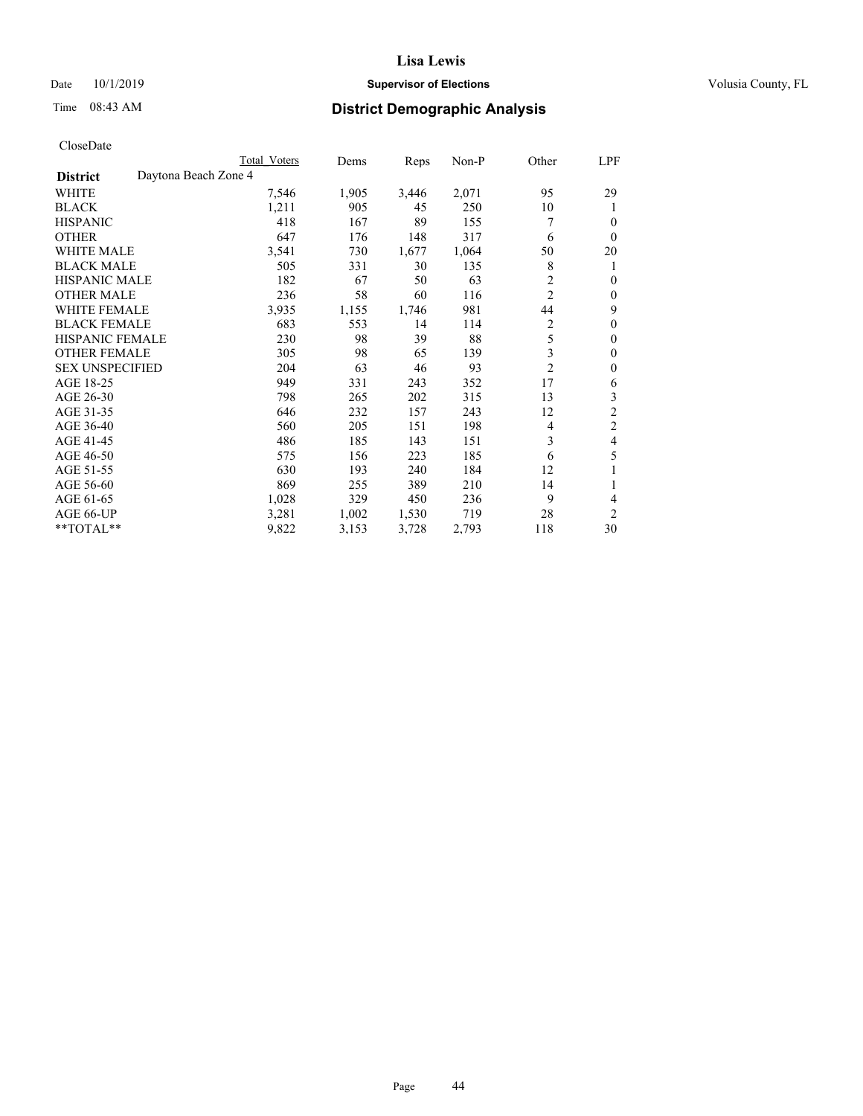## Date 10/1/2019 **Supervisor of Elections Supervisor of Elections** Volusia County, FL

# Time 08:43 AM **District Demographic Analysis**

|                        |                      | Total Voters | Dems  | Reps  | Non-P | Other          | LPF            |
|------------------------|----------------------|--------------|-------|-------|-------|----------------|----------------|
| <b>District</b>        | Daytona Beach Zone 4 |              |       |       |       |                |                |
| WHITE                  |                      | 7,546        | 1,905 | 3,446 | 2,071 | 95             | 29             |
| <b>BLACK</b>           |                      | 1,211        | 905   | 45    | 250   | 10             | 1              |
| <b>HISPANIC</b>        |                      | 418          | 167   | 89    | 155   | 7              | 0              |
| <b>OTHER</b>           |                      | 647          | 176   | 148   | 317   | 6              | $\Omega$       |
| WHITE MALE             |                      | 3,541        | 730   | 1,677 | 1,064 | 50             | 20             |
| <b>BLACK MALE</b>      |                      | 505          | 331   | 30    | 135   | 8              | 1              |
| <b>HISPANIC MALE</b>   |                      | 182          | 67    | 50    | 63    | 2              | 0              |
| <b>OTHER MALE</b>      |                      | 236          | 58    | 60    | 116   | $\overline{2}$ | 0              |
| WHITE FEMALE           |                      | 3,935        | 1,155 | 1,746 | 981   | 44             | 9              |
| <b>BLACK FEMALE</b>    |                      | 683          | 553   | 14    | 114   | $\overline{2}$ | 0              |
| <b>HISPANIC FEMALE</b> |                      | 230          | 98    | 39    | 88    | 5              | 0              |
| <b>OTHER FEMALE</b>    |                      | 305          | 98    | 65    | 139   | 3              | 0              |
| <b>SEX UNSPECIFIED</b> |                      | 204          | 63    | 46    | 93    | $\overline{2}$ | 0              |
| AGE 18-25              |                      | 949          | 331   | 243   | 352   | 17             | 6              |
| AGE 26-30              |                      | 798          | 265   | 202   | 315   | 13             | 3              |
| AGE 31-35              |                      | 646          | 232   | 157   | 243   | 12             | $\overline{c}$ |
| AGE 36-40              |                      | 560          | 205   | 151   | 198   | 4              | $\overline{c}$ |
| AGE 41-45              |                      | 486          | 185   | 143   | 151   | 3              | 4              |
| AGE 46-50              |                      | 575          | 156   | 223   | 185   | 6              | 5              |
| AGE 51-55              |                      | 630          | 193   | 240   | 184   | 12             | 1              |
| AGE 56-60              |                      | 869          | 255   | 389   | 210   | 14             |                |
| AGE 61-65              |                      | 1,028        | 329   | 450   | 236   | 9              | 4              |
| AGE 66-UP              |                      | 3,281        | 1,002 | 1,530 | 719   | 28             | $\overline{c}$ |
| **TOTAL**              |                      | 9,822        | 3,153 | 3,728 | 2,793 | 118            | 30             |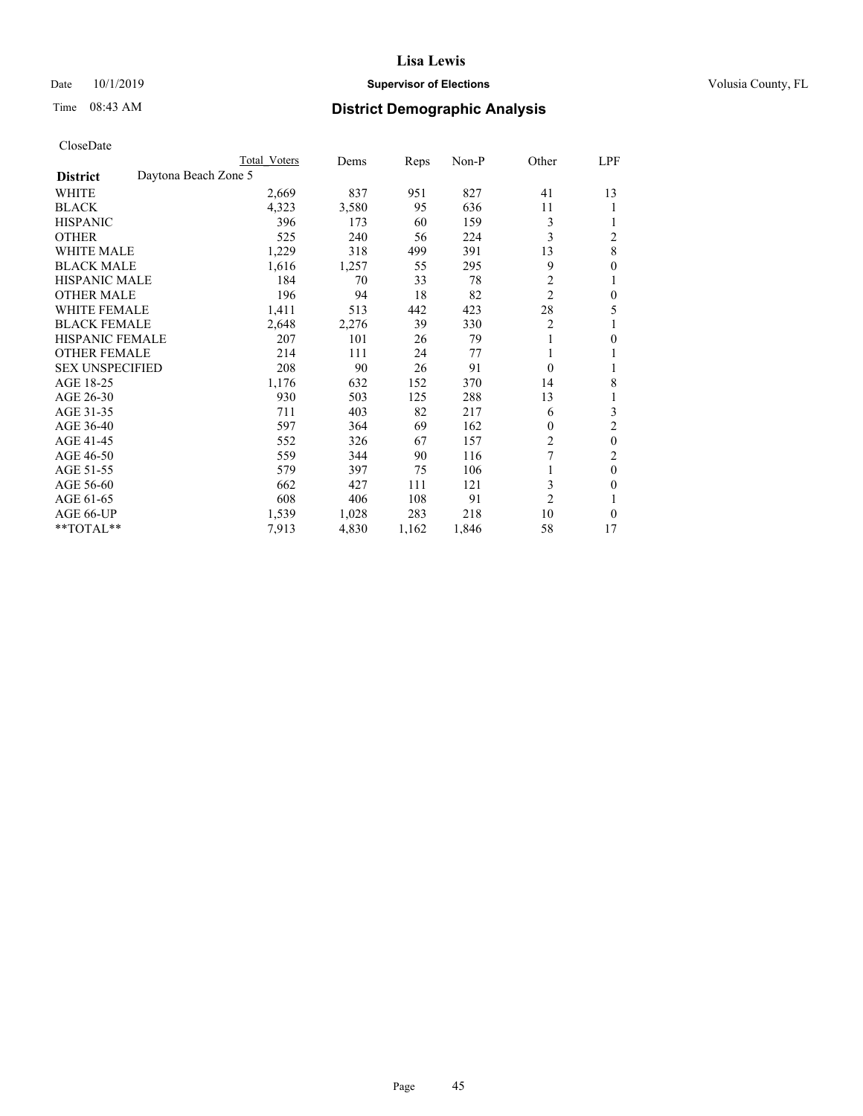## Date 10/1/2019 **Supervisor of Elections Supervisor of Elections** Volusia County, FL

# Time 08:43 AM **District Demographic Analysis**

|                        |                      | Total Voters | Dems  | Reps  | Non-P | Other          | LPF            |
|------------------------|----------------------|--------------|-------|-------|-------|----------------|----------------|
| <b>District</b>        | Daytona Beach Zone 5 |              |       |       |       |                |                |
| WHITE                  |                      | 2,669        | 837   | 951   | 827   | 41             | 13             |
| <b>BLACK</b>           |                      | 4,323        | 3,580 | 95    | 636   | 11             |                |
| <b>HISPANIC</b>        |                      | 396          | 173   | 60    | 159   | 3              |                |
| <b>OTHER</b>           |                      | 525          | 240   | 56    | 224   | 3              | $\overline{2}$ |
| WHITE MALE             |                      | 1,229        | 318   | 499   | 391   | 13             | 8              |
| <b>BLACK MALE</b>      |                      | 1,616        | 1,257 | 55    | 295   | 9              | 0              |
| <b>HISPANIC MALE</b>   |                      | 184          | 70    | 33    | 78    | 2              | 1              |
| <b>OTHER MALE</b>      |                      | 196          | 94    | 18    | 82    | $\overline{2}$ | 0              |
| WHITE FEMALE           |                      | 1,411        | 513   | 442   | 423   | 28             | 5              |
| <b>BLACK FEMALE</b>    |                      | 2,648        | 2,276 | 39    | 330   | $\overline{2}$ |                |
| <b>HISPANIC FEMALE</b> |                      | 207          | 101   | 26    | 79    |                | 0              |
| <b>OTHER FEMALE</b>    |                      | 214          | 111   | 24    | 77    | 1              |                |
| <b>SEX UNSPECIFIED</b> |                      | 208          | 90    | 26    | 91    | $\theta$       |                |
| AGE 18-25              |                      | 1,176        | 632   | 152   | 370   | 14             | 8              |
| AGE 26-30              |                      | 930          | 503   | 125   | 288   | 13             | 1              |
| AGE 31-35              |                      | 711          | 403   | 82    | 217   | 6              | 3              |
| AGE 36-40              |                      | 597          | 364   | 69    | 162   | 0              | 2              |
| AGE 41-45              |                      | 552          | 326   | 67    | 157   | 2              | 0              |
| AGE 46-50              |                      | 559          | 344   | 90    | 116   | 7              | 2              |
| AGE 51-55              |                      | 579          | 397   | 75    | 106   |                | 0              |
| AGE 56-60              |                      | 662          | 427   | 111   | 121   | 3              | 0              |
| AGE 61-65              |                      | 608          | 406   | 108   | 91    | $\overline{2}$ |                |
| AGE 66-UP              |                      | 1,539        | 1,028 | 283   | 218   | 10             | 0              |
| **TOTAL**              |                      | 7,913        | 4,830 | 1,162 | 1,846 | 58             | 17             |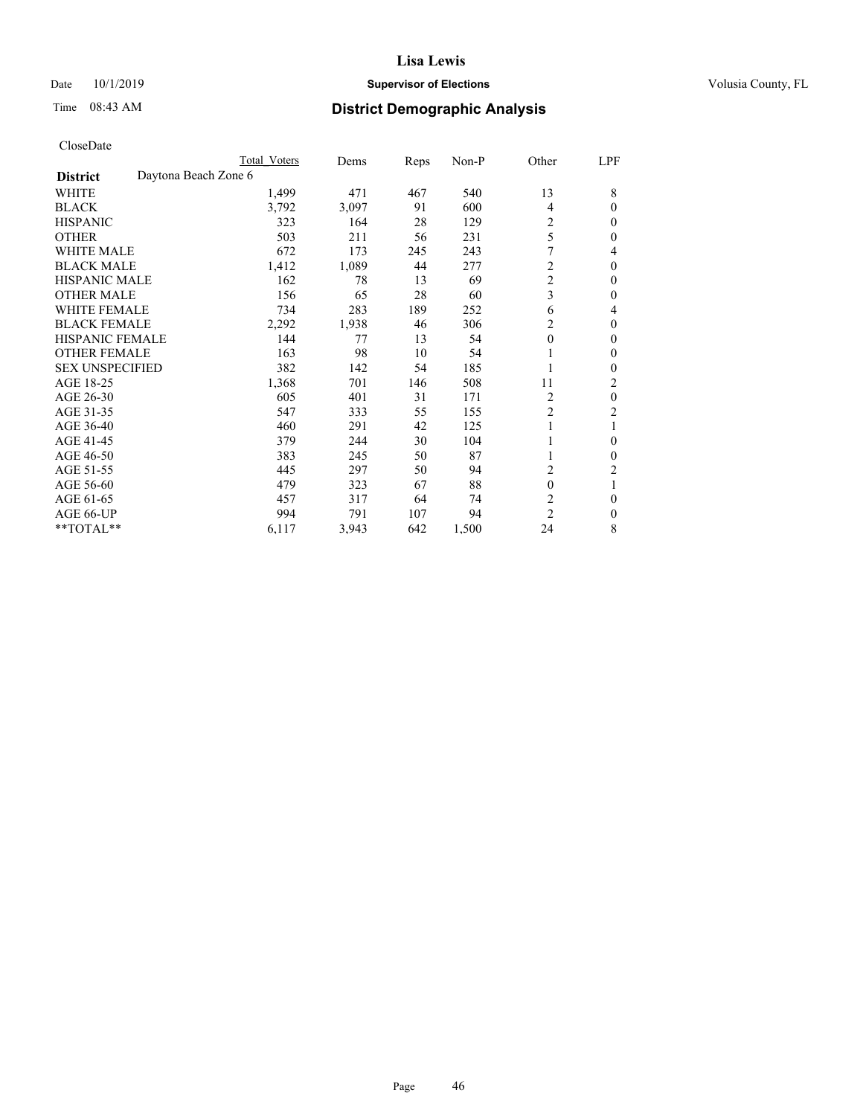## Date 10/1/2019 **Supervisor of Elections Supervisor of Elections** Volusia County, FL

# Time 08:43 AM **District Demographic Analysis**

|                        | Total Voters         | Dems  | Reps | Non-P | Other          | <u>LPF</u>     |
|------------------------|----------------------|-------|------|-------|----------------|----------------|
| <b>District</b>        | Daytona Beach Zone 6 |       |      |       |                |                |
| WHITE                  | 1,499                | 471   | 467  | 540   | 13             | 8              |
| <b>BLACK</b>           | 3,792                | 3,097 | 91   | 600   | $\overline{4}$ | $\theta$       |
| <b>HISPANIC</b>        | 323                  | 164   | 28   | 129   | 2              | 0              |
| <b>OTHER</b>           | 503                  | 211   | 56   | 231   | 5              | 0              |
| <b>WHITE MALE</b>      | 672                  | 173   | 245  | 243   |                | 4              |
| <b>BLACK MALE</b>      | 1,412                | 1,089 | 44   | 277   | $\mathfrak{2}$ | $\theta$       |
| <b>HISPANIC MALE</b>   | 162                  | 78    | 13   | 69    | $\overline{c}$ | 0              |
| <b>OTHER MALE</b>      | 156                  | 65    | 28   | 60    | 3              | 0              |
| <b>WHITE FEMALE</b>    | 734                  | 283   | 189  | 252   | 6              | 4              |
| <b>BLACK FEMALE</b>    | 2,292                | 1,938 | 46   | 306   | 2              | 0              |
| <b>HISPANIC FEMALE</b> | 144                  | 77    | 13   | 54    | $\theta$       | 0              |
| <b>OTHER FEMALE</b>    | 163                  | 98    | 10   | 54    | 1              | 0              |
| <b>SEX UNSPECIFIED</b> | 382                  | 142   | 54   | 185   |                | 0              |
| AGE 18-25              | 1,368                | 701   | 146  | 508   | 11             | 2              |
| AGE 26-30              | 605                  | 401   | 31   | 171   | 2              | $\theta$       |
| AGE 31-35              | 547                  | 333   | 55   | 155   | $\overline{c}$ | $\overline{c}$ |
| AGE 36-40              | 460                  | 291   | 42   | 125   | 1              |                |
| AGE 41-45              | 379                  | 244   | 30   | 104   |                | 0              |
| AGE 46-50              | 383                  | 245   | 50   | 87    | 1              | 0              |
| AGE 51-55              | 445                  | 297   | 50   | 94    | 2              | 2              |
| AGE 56-60              | 479                  | 323   | 67   | 88    | $\theta$       |                |
| AGE 61-65              | 457                  | 317   | 64   | 74    | 2              | 0              |
| AGE 66-UP              | 994                  | 791   | 107  | 94    | $\overline{c}$ | $\mathbf{0}$   |
| **TOTAL**              | 6,117                | 3,943 | 642  | 1,500 | 24             | 8              |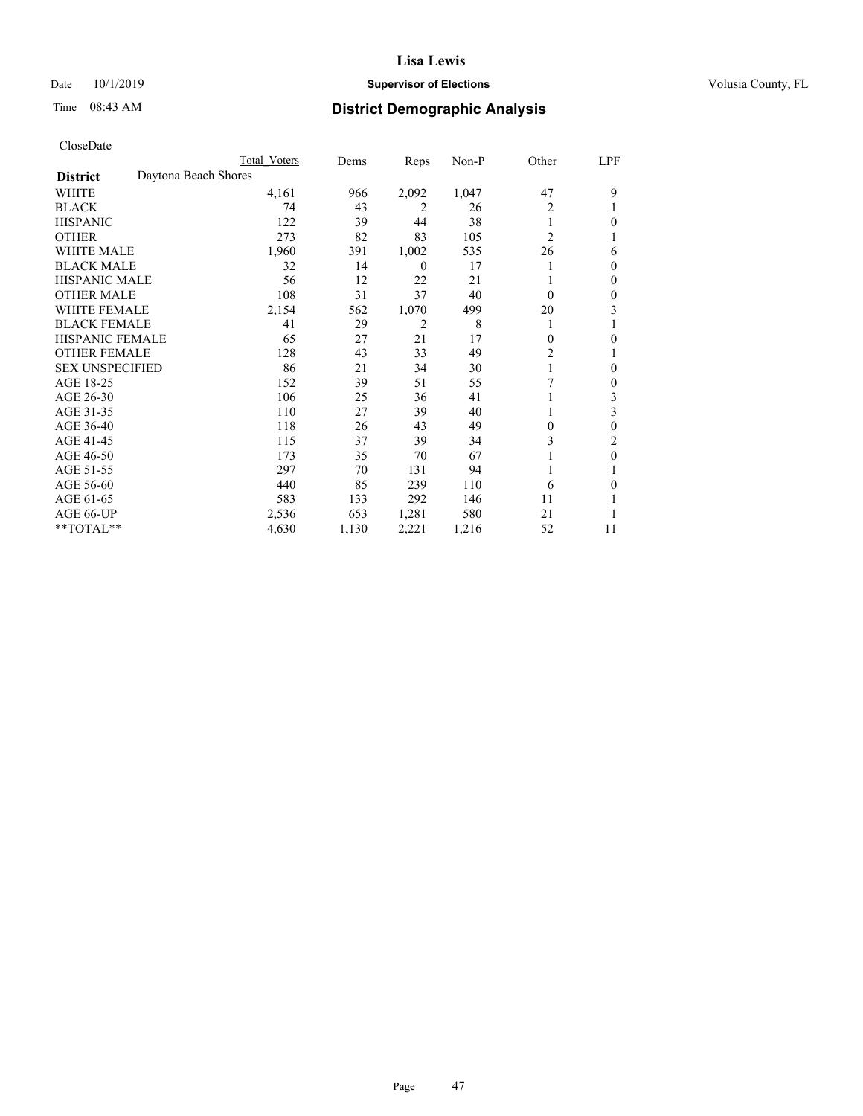## Date 10/1/2019 **Supervisor of Elections Supervisor of Elections** Volusia County, FL

# Time 08:43 AM **District Demographic Analysis**

|                        |                      | Total Voters | Dems  | Reps             | Non-P | Other          | LPF |
|------------------------|----------------------|--------------|-------|------------------|-------|----------------|-----|
| <b>District</b>        | Daytona Beach Shores |              |       |                  |       |                |     |
| WHITE                  |                      | 4,161        | 966   | 2,092            | 1,047 | 47             | 9   |
| <b>BLACK</b>           |                      | 74           | 43    | 2                | 26    | 2              |     |
| <b>HISPANIC</b>        |                      | 122          | 39    | 44               | 38    |                | 0   |
| <b>OTHER</b>           |                      | 273          | 82    | 83               | 105   | $\overline{2}$ |     |
| WHITE MALE             |                      | 1,960        | 391   | 1,002            | 535   | 26             | 6   |
| <b>BLACK MALE</b>      |                      | 32           | 14    | $\boldsymbol{0}$ | 17    |                | 0   |
| <b>HISPANIC MALE</b>   |                      | 56           | 12    | 22               | 21    |                | 0   |
| <b>OTHER MALE</b>      |                      | 108          | 31    | 37               | 40    | $\theta$       | 0   |
| WHITE FEMALE           |                      | 2,154        | 562   | 1,070            | 499   | 20             | 3   |
| <b>BLACK FEMALE</b>    |                      | 41           | 29    | 2                | 8     | 1              |     |
| <b>HISPANIC FEMALE</b> |                      | 65           | 27    | 21               | 17    | $\Omega$       | 0   |
| <b>OTHER FEMALE</b>    |                      | 128          | 43    | 33               | 49    | 2              |     |
| <b>SEX UNSPECIFIED</b> |                      | 86           | 21    | 34               | 30    |                | 0   |
| AGE 18-25              |                      | 152          | 39    | 51               | 55    | 7              | 0   |
| AGE 26-30              |                      | 106          | 25    | 36               | 41    |                | 3   |
| AGE 31-35              |                      | 110          | 27    | 39               | 40    |                | 3   |
| AGE 36-40              |                      | 118          | 26    | 43               | 49    | 0              | 0   |
| AGE 41-45              |                      | 115          | 37    | 39               | 34    | 3              | 2   |
| AGE 46-50              |                      | 173          | 35    | 70               | 67    |                | 0   |
| AGE 51-55              |                      | 297          | 70    | 131              | 94    |                |     |
| AGE 56-60              |                      | 440          | 85    | 239              | 110   | 6              | 0   |
| AGE 61-65              |                      | 583          | 133   | 292              | 146   | 11             |     |
| AGE 66-UP              |                      | 2,536        | 653   | 1,281            | 580   | 21             |     |
| **TOTAL**              |                      | 4,630        | 1,130 | 2,221            | 1,216 | 52             | 11  |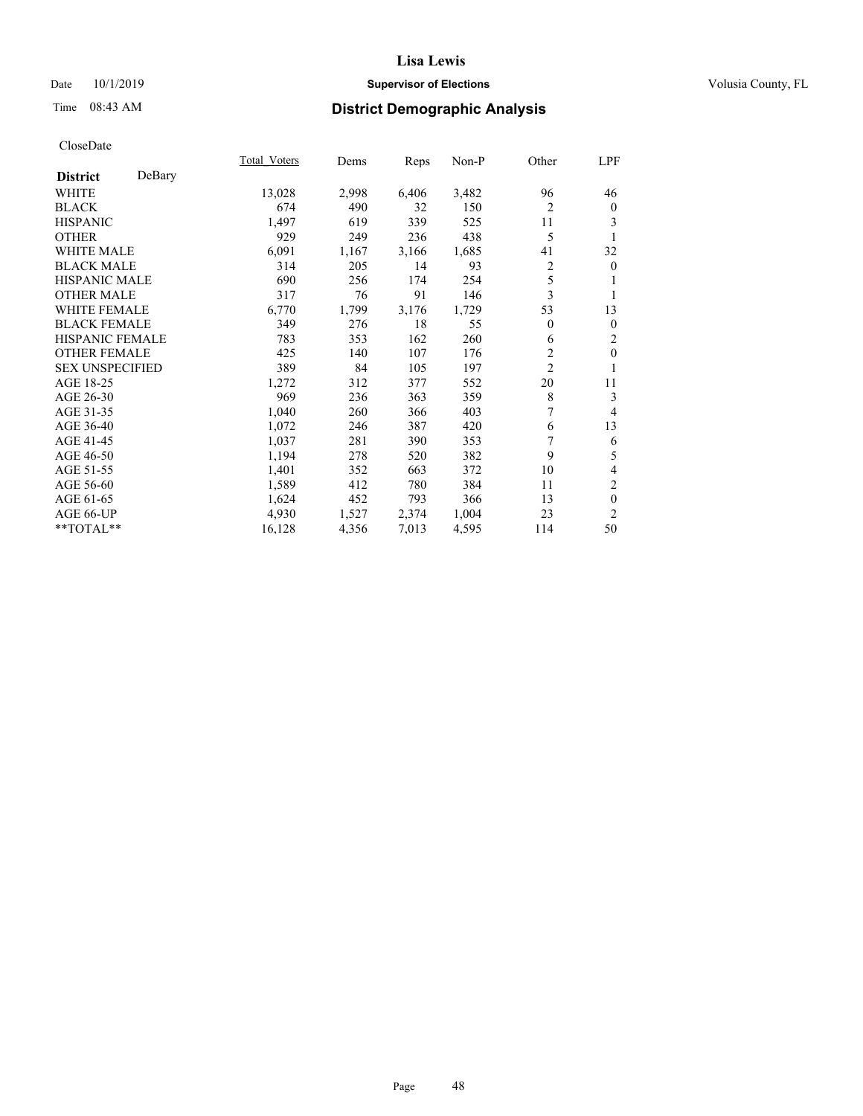## Date 10/1/2019 **Supervisor of Elections Supervisor of Elections** Volusia County, FL

# Time 08:43 AM **District Demographic Analysis**

|                           | Total Voters | Dems  | Reps  | Non-P | Other          | LPF            |
|---------------------------|--------------|-------|-------|-------|----------------|----------------|
| DeBary<br><b>District</b> |              |       |       |       |                |                |
| WHITE                     | 13,028       | 2,998 | 6,406 | 3,482 | 96             | 46             |
| <b>BLACK</b>              | 674          | 490   | 32    | 150   | $\overline{c}$ | $\mathbf{0}$   |
| <b>HISPANIC</b>           | 1,497        | 619   | 339   | 525   | 11             | 3              |
| <b>OTHER</b>              | 929          | 249   | 236   | 438   | 5              | 1              |
| WHITE MALE                | 6,091        | 1,167 | 3,166 | 1,685 | 41             | 32             |
| <b>BLACK MALE</b>         | 314          | 205   | 14    | 93    | 2              | $\mathbf{0}$   |
| <b>HISPANIC MALE</b>      | 690          | 256   | 174   | 254   | 5              |                |
| <b>OTHER MALE</b>         | 317          | 76    | 91    | 146   | 3              | 1              |
| WHITE FEMALE              | 6,770        | 1,799 | 3,176 | 1,729 | 53             | 13             |
| <b>BLACK FEMALE</b>       | 349          | 276   | 18    | 55    | $\theta$       | $\mathbf{0}$   |
| <b>HISPANIC FEMALE</b>    | 783          | 353   | 162   | 260   | 6              | 2              |
| <b>OTHER FEMALE</b>       | 425          | 140   | 107   | 176   | $\overline{c}$ | $\mathbf{0}$   |
| <b>SEX UNSPECIFIED</b>    | 389          | 84    | 105   | 197   | $\overline{c}$ | 1              |
| AGE 18-25                 | 1,272        | 312   | 377   | 552   | 20             | 11             |
| AGE 26-30                 | 969          | 236   | 363   | 359   | $\,$ 8 $\,$    | 3              |
| AGE 31-35                 | 1,040        | 260   | 366   | 403   | 7              | 4              |
| AGE 36-40                 | 1,072        | 246   | 387   | 420   | 6              | 13             |
| AGE 41-45                 | 1,037        | 281   | 390   | 353   | 7              | 6              |
| AGE 46-50                 | 1,194        | 278   | 520   | 382   | 9              | 5              |
| AGE 51-55                 | 1,401        | 352   | 663   | 372   | 10             | 4              |
| AGE 56-60                 | 1,589        | 412   | 780   | 384   | 11             | $\overline{c}$ |
| AGE 61-65                 | 1,624        | 452   | 793   | 366   | 13             | $\theta$       |
| AGE 66-UP                 | 4,930        | 1,527 | 2,374 | 1,004 | 23             | 2              |
| $*$ TOTAL $*$             | 16,128       | 4,356 | 7,013 | 4,595 | 114            | 50             |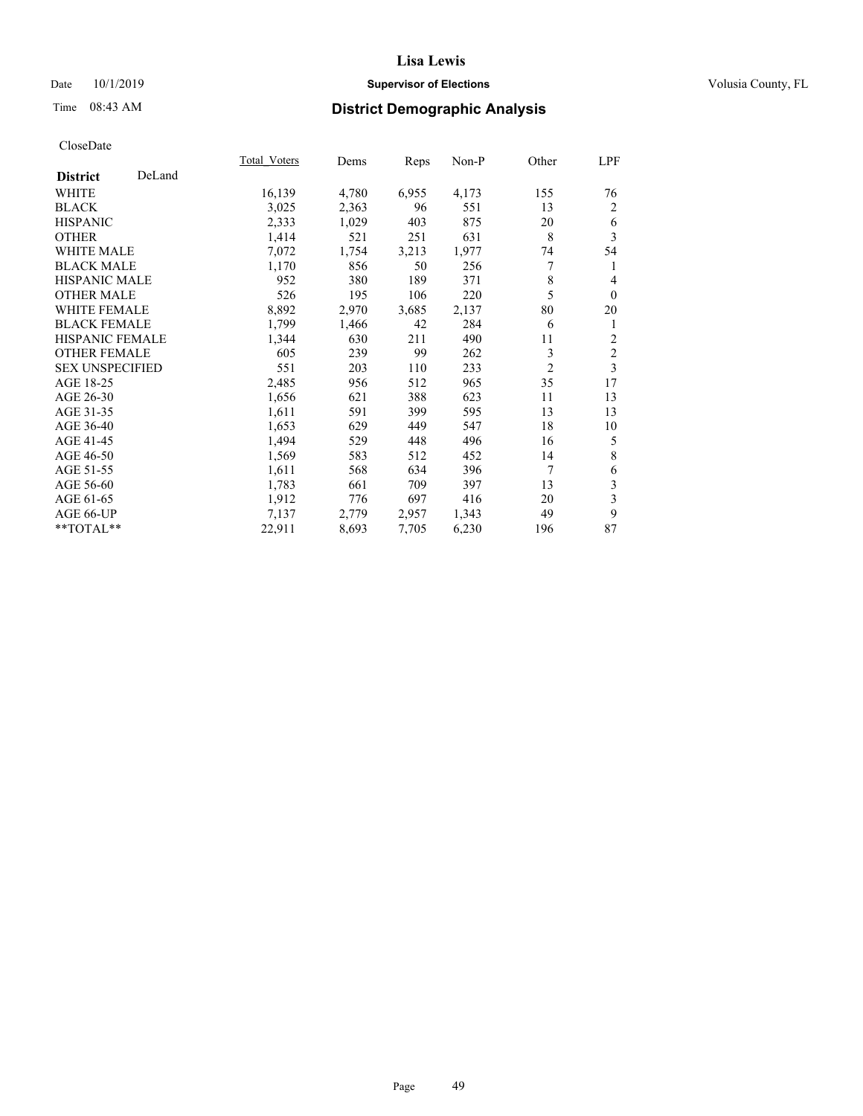## Date 10/1/2019 **Supervisor of Elections Supervisor of Elections** Volusia County, FL

# Time 08:43 AM **District Demographic Analysis**

|                        |        | Total Voters | Dems  | Reps  | Non-P | Other          | LPF            |
|------------------------|--------|--------------|-------|-------|-------|----------------|----------------|
| <b>District</b>        | DeLand |              |       |       |       |                |                |
| <b>WHITE</b>           |        | 16,139       | 4,780 | 6,955 | 4,173 | 155            | 76             |
| <b>BLACK</b>           |        | 3,025        | 2,363 | 96    | 551   | 13             | 2              |
| <b>HISPANIC</b>        |        | 2,333        | 1,029 | 403   | 875   | 20             | 6              |
| <b>OTHER</b>           |        | 1,414        | 521   | 251   | 631   | 8              | 3              |
| <b>WHITE MALE</b>      |        | 7,072        | 1,754 | 3,213 | 1,977 | 74             | 54             |
| <b>BLACK MALE</b>      |        | 1,170        | 856   | 50    | 256   | 7              | 1              |
| <b>HISPANIC MALE</b>   |        | 952          | 380   | 189   | 371   | 8              | 4              |
| <b>OTHER MALE</b>      |        | 526          | 195   | 106   | 220   | 5              | $\mathbf{0}$   |
| <b>WHITE FEMALE</b>    |        | 8,892        | 2,970 | 3,685 | 2,137 | 80             | 20             |
| <b>BLACK FEMALE</b>    |        | 1,799        | 1,466 | 42    | 284   | 6              | 1              |
| <b>HISPANIC FEMALE</b> |        | 1,344        | 630   | 211   | 490   | 11             | $\overline{c}$ |
| <b>OTHER FEMALE</b>    |        | 605          | 239   | 99    | 262   | 3              | $\overline{c}$ |
| <b>SEX UNSPECIFIED</b> |        | 551          | 203   | 110   | 233   | $\overline{2}$ | 3              |
| AGE 18-25              |        | 2,485        | 956   | 512   | 965   | 35             | 17             |
| AGE 26-30              |        | 1,656        | 621   | 388   | 623   | 11             | 13             |
| AGE 31-35              |        | 1,611        | 591   | 399   | 595   | 13             | 13             |
| AGE 36-40              |        | 1,653        | 629   | 449   | 547   | 18             | 10             |
| AGE 41-45              |        | 1,494        | 529   | 448   | 496   | 16             | 5              |
| AGE 46-50              |        | 1,569        | 583   | 512   | 452   | 14             | 8              |
| AGE 51-55              |        | 1,611        | 568   | 634   | 396   | 7              | 6              |
| AGE 56-60              |        | 1,783        | 661   | 709   | 397   | 13             | 3              |
| AGE 61-65              |        | 1,912        | 776   | 697   | 416   | 20             | 3              |
| AGE 66-UP              |        | 7,137        | 2,779 | 2,957 | 1,343 | 49             | 9              |
| **TOTAL**              |        | 22,911       | 8,693 | 7,705 | 6,230 | 196            | 87             |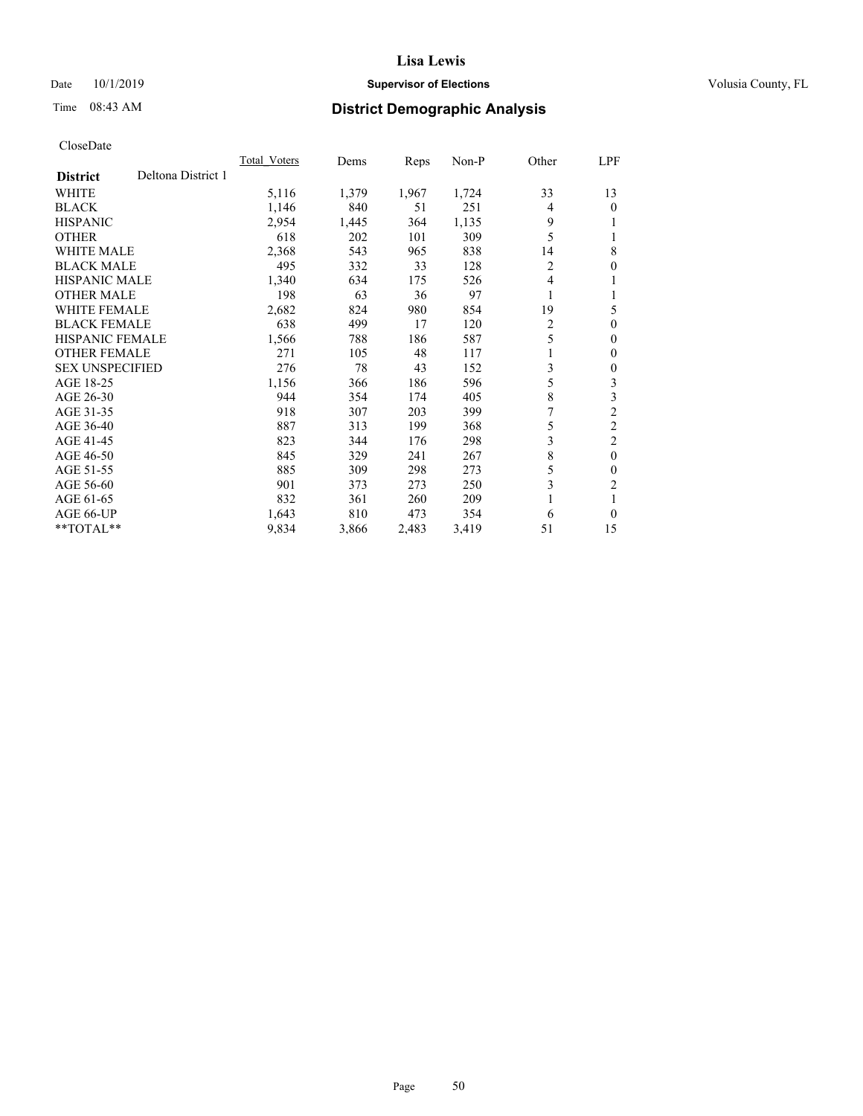## Date 10/1/2019 **Supervisor of Elections Supervisor of Elections** Volusia County, FL

# Time 08:43 AM **District Demographic Analysis**

|                        |                    | Total Voters | Dems  | Reps  | Non-P | Other          | LPF            |
|------------------------|--------------------|--------------|-------|-------|-------|----------------|----------------|
| <b>District</b>        | Deltona District 1 |              |       |       |       |                |                |
| WHITE                  |                    | 5,116        | 1,379 | 1,967 | 1,724 | 33             | 13             |
| <b>BLACK</b>           |                    | 1,146        | 840   | 51    | 251   | 4              | 0              |
| <b>HISPANIC</b>        |                    | 2,954        | 1,445 | 364   | 1,135 | 9              |                |
| <b>OTHER</b>           |                    | 618          | 202   | 101   | 309   | 5              |                |
| WHITE MALE             |                    | 2,368        | 543   | 965   | 838   | 14             | 8              |
| <b>BLACK MALE</b>      |                    | 495          | 332   | 33    | 128   | 2              | 0              |
| HISPANIC MALE          |                    | 1,340        | 634   | 175   | 526   | 4              |                |
| <b>OTHER MALE</b>      |                    | 198          | 63    | 36    | 97    | 1              |                |
| <b>WHITE FEMALE</b>    |                    | 2,682        | 824   | 980   | 854   | 19             | 5              |
| <b>BLACK FEMALE</b>    |                    | 638          | 499   | 17    | 120   | $\overline{2}$ | 0              |
| <b>HISPANIC FEMALE</b> |                    | 1,566        | 788   | 186   | 587   | 5              | 0              |
| <b>OTHER FEMALE</b>    |                    | 271          | 105   | 48    | 117   |                | 0              |
| <b>SEX UNSPECIFIED</b> |                    | 276          | 78    | 43    | 152   | 3              | 0              |
| AGE 18-25              |                    | 1,156        | 366   | 186   | 596   | 5              | 3              |
| AGE 26-30              |                    | 944          | 354   | 174   | 405   | 8              | 3              |
| AGE 31-35              |                    | 918          | 307   | 203   | 399   | 7              | $\overline{2}$ |
| AGE 36-40              |                    | 887          | 313   | 199   | 368   | 5              | $\overline{2}$ |
| AGE 41-45              |                    | 823          | 344   | 176   | 298   | 3              | $\overline{c}$ |
| AGE 46-50              |                    | 845          | 329   | 241   | 267   | 8              | $\theta$       |
| AGE 51-55              |                    | 885          | 309   | 298   | 273   | 5              | 0              |
| AGE 56-60              |                    | 901          | 373   | 273   | 250   | 3              | 2              |
| AGE 61-65              |                    | 832          | 361   | 260   | 209   |                |                |
| AGE 66-UP              |                    | 1,643        | 810   | 473   | 354   | 6              | 0              |
| **TOTAL**              |                    | 9,834        | 3,866 | 2,483 | 3,419 | 51             | 15             |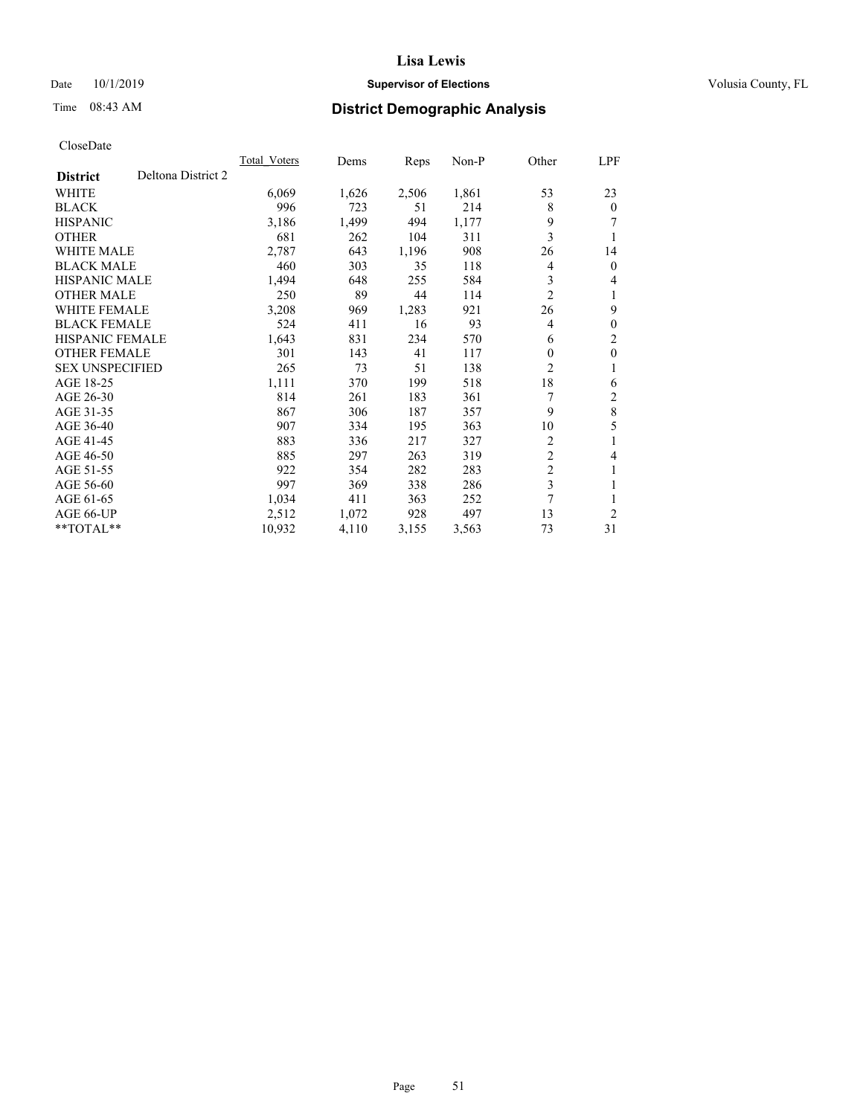## Date 10/1/2019 **Supervisor of Elections Supervisor of Elections** Volusia County, FL

# Time 08:43 AM **District Demographic Analysis**

|                        |                    | Total Voters | Dems  | Reps  | Non-P | Other          | LPF            |
|------------------------|--------------------|--------------|-------|-------|-------|----------------|----------------|
| <b>District</b>        | Deltona District 2 |              |       |       |       |                |                |
| <b>WHITE</b>           |                    | 6,069        | 1,626 | 2,506 | 1,861 | 53             | 23             |
| <b>BLACK</b>           |                    | 996          | 723   | 51    | 214   | 8              | $\theta$       |
| <b>HISPANIC</b>        |                    | 3,186        | 1,499 | 494   | 1,177 | 9              |                |
| <b>OTHER</b>           |                    | 681          | 262   | 104   | 311   | 3              |                |
| <b>WHITE MALE</b>      |                    | 2,787        | 643   | 1,196 | 908   | 26             | 14             |
| <b>BLACK MALE</b>      |                    | 460          | 303   | 35    | 118   | 4              | $\theta$       |
| <b>HISPANIC MALE</b>   |                    | 1,494        | 648   | 255   | 584   | 3              | 4              |
| <b>OTHER MALE</b>      |                    | 250          | 89    | 44    | 114   | $\overline{2}$ | 1              |
| WHITE FEMALE           |                    | 3,208        | 969   | 1,283 | 921   | 26             | 9              |
| <b>BLACK FEMALE</b>    |                    | 524          | 411   | 16    | 93    | 4              | $\theta$       |
| <b>HISPANIC FEMALE</b> |                    | 1,643        | 831   | 234   | 570   | 6              | $\overline{c}$ |
| <b>OTHER FEMALE</b>    |                    | 301          | 143   | 41    | 117   | $\Omega$       | $\mathbf{0}$   |
| <b>SEX UNSPECIFIED</b> |                    | 265          | 73    | 51    | 138   | $\overline{c}$ |                |
| AGE 18-25              |                    | 1,111        | 370   | 199   | 518   | 18             | 6              |
| AGE 26-30              |                    | 814          | 261   | 183   | 361   |                | $\overline{c}$ |
| AGE 31-35              |                    | 867          | 306   | 187   | 357   | 9              | 8              |
| AGE 36-40              |                    | 907          | 334   | 195   | 363   | 10             | 5              |
| AGE 41-45              |                    | 883          | 336   | 217   | 327   | 2              | 1              |
| AGE 46-50              |                    | 885          | 297   | 263   | 319   | $\overline{c}$ | 4              |
| AGE 51-55              |                    | 922          | 354   | 282   | 283   | $\overline{2}$ |                |
| AGE 56-60              |                    | 997          | 369   | 338   | 286   | 3              |                |
| AGE 61-65              |                    | 1,034        | 411   | 363   | 252   | 7              |                |
| AGE 66-UP              |                    | 2,512        | 1,072 | 928   | 497   | 13             | $\overline{c}$ |
| $*$ TOTAL $*$          |                    | 10,932       | 4,110 | 3,155 | 3,563 | 73             | 31             |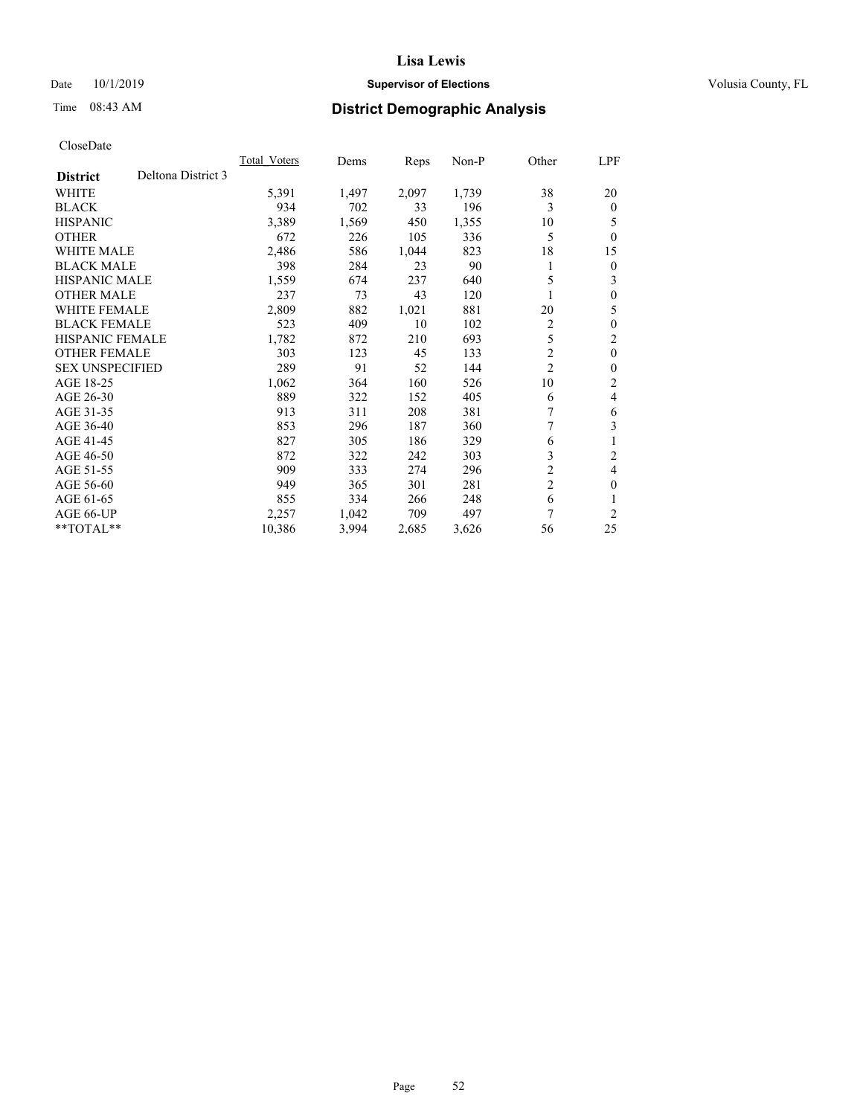## Date 10/1/2019 **Supervisor of Elections Supervisor of Elections** Volusia County, FL

# Time 08:43 AM **District Demographic Analysis**

|                        |                    | Total Voters | Dems  | Reps  | Non-P | Other          | LPF            |
|------------------------|--------------------|--------------|-------|-------|-------|----------------|----------------|
| <b>District</b>        | Deltona District 3 |              |       |       |       |                |                |
| WHITE                  |                    | 5,391        | 1,497 | 2,097 | 1,739 | 38             | 20             |
| <b>BLACK</b>           |                    | 934          | 702   | 33    | 196   | 3              | $\Omega$       |
| <b>HISPANIC</b>        |                    | 3,389        | 1,569 | 450   | 1,355 | 10             | 5              |
| <b>OTHER</b>           |                    | 672          | 226   | 105   | 336   | 5              | $\Omega$       |
| WHITE MALE             |                    | 2,486        | 586   | 1,044 | 823   | 18             | 15             |
| <b>BLACK MALE</b>      |                    | 398          | 284   | 23    | 90    | 1              | 0              |
| HISPANIC MALE          |                    | 1,559        | 674   | 237   | 640   | 5              | 3              |
| <b>OTHER MALE</b>      |                    | 237          | 73    | 43    | 120   |                | 0              |
| <b>WHITE FEMALE</b>    |                    | 2,809        | 882   | 1,021 | 881   | 20             | 5              |
| <b>BLACK FEMALE</b>    |                    | 523          | 409   | 10    | 102   | $\overline{2}$ | 0              |
| <b>HISPANIC FEMALE</b> |                    | 1,782        | 872   | 210   | 693   | 5              | 2              |
| <b>OTHER FEMALE</b>    |                    | 303          | 123   | 45    | 133   | $\overline{2}$ | $\theta$       |
| <b>SEX UNSPECIFIED</b> |                    | 289          | 91    | 52    | 144   | $\overline{c}$ | 0              |
| AGE 18-25              |                    | 1,062        | 364   | 160   | 526   | 10             | $\overline{c}$ |
| AGE 26-30              |                    | 889          | 322   | 152   | 405   | 6              | 4              |
| AGE 31-35              |                    | 913          | 311   | 208   | 381   | 7              | 6              |
| AGE 36-40              |                    | 853          | 296   | 187   | 360   |                | 3              |
| AGE 41-45              |                    | 827          | 305   | 186   | 329   | 6              |                |
| AGE 46-50              |                    | 872          | 322   | 242   | 303   | 3              | 2              |
| AGE 51-55              |                    | 909          | 333   | 274   | 296   | $\overline{c}$ | 4              |
| AGE 56-60              |                    | 949          | 365   | 301   | 281   | $\overline{2}$ | 0              |
| AGE 61-65              |                    | 855          | 334   | 266   | 248   | 6              |                |
| AGE 66-UP              |                    | 2,257        | 1,042 | 709   | 497   | 7              | $\overline{c}$ |
| **TOTAL**              |                    | 10,386       | 3,994 | 2,685 | 3,626 | 56             | 25             |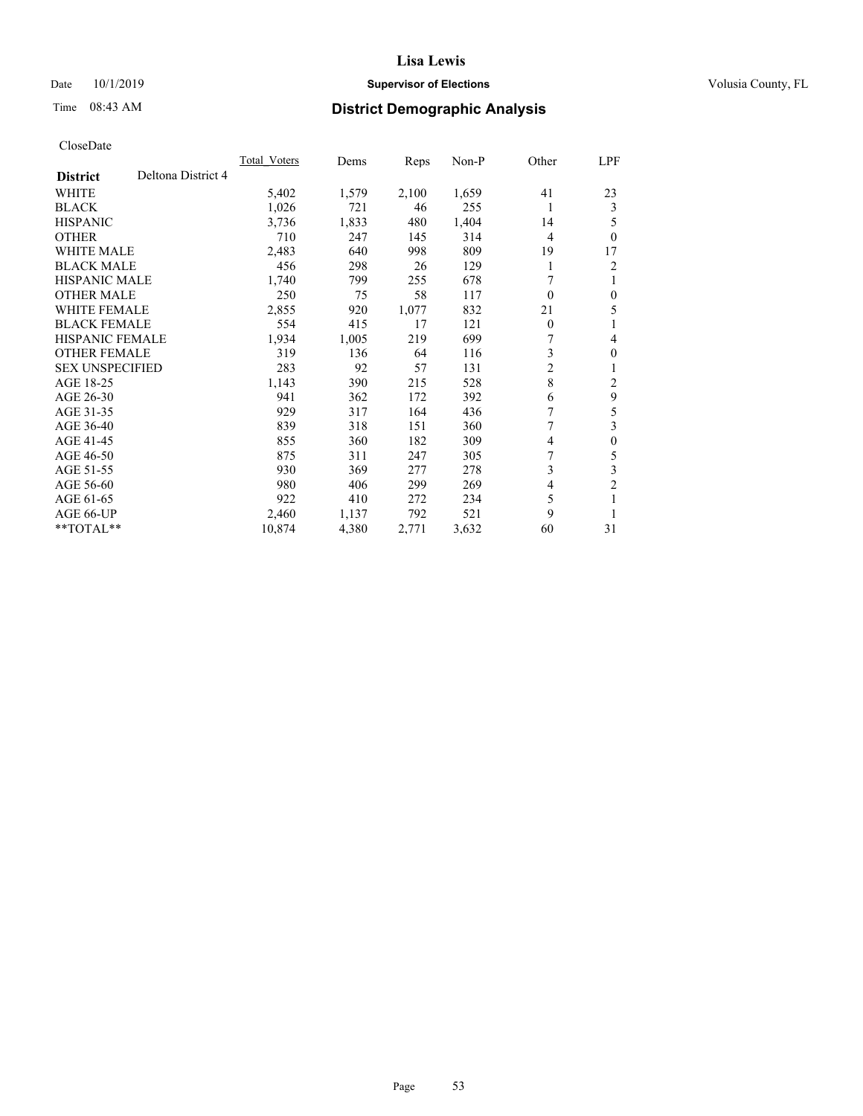## Date 10/1/2019 **Supervisor of Elections Supervisor of Elections** Volusia County, FL

# Time 08:43 AM **District Demographic Analysis**

|                                       | Total Voters | Dems  | Reps  | $Non-P$ | Other          | <u>LPF</u>       |
|---------------------------------------|--------------|-------|-------|---------|----------------|------------------|
| Deltona District 4<br><b>District</b> |              |       |       |         |                |                  |
| WHITE                                 | 5,402        | 1,579 | 2,100 | 1,659   | 41             | 23               |
| <b>BLACK</b>                          | 1,026        | 721   | 46    | 255     | 1              | 3                |
| <b>HISPANIC</b>                       | 3,736        | 1,833 | 480   | 1,404   | 14             | 5                |
| <b>OTHER</b>                          | 710          | 247   | 145   | 314     | 4              | $\theta$         |
| <b>WHITE MALE</b>                     | 2,483        | 640   | 998   | 809     | 19             | 17               |
| <b>BLACK MALE</b>                     | 456          | 298   | 26    | 129     | 1              | 2                |
| <b>HISPANIC MALE</b>                  | 1,740        | 799   | 255   | 678     | 7              | 1                |
| <b>OTHER MALE</b>                     | 250          | 75    | 58    | 117     | $\theta$       | $\mathbf{0}$     |
| <b>WHITE FEMALE</b>                   | 2,855        | 920   | 1,077 | 832     | 21             | 5                |
| <b>BLACK FEMALE</b>                   | 554          | 415   | 17    | 121     | $\mathbf{0}$   | 1                |
| <b>HISPANIC FEMALE</b>                | 1,934        | 1,005 | 219   | 699     | 7              | 4                |
| <b>OTHER FEMALE</b>                   | 319          | 136   | 64    | 116     | 3              | $\mathbf{0}$     |
| <b>SEX UNSPECIFIED</b>                | 283          | 92    | 57    | 131     | 2              | 1                |
| AGE 18-25                             | 1,143        | 390   | 215   | 528     | 8              | 2                |
| AGE 26-30                             | 941          | 362   | 172   | 392     | 6              | 9                |
| AGE 31-35                             | 929          | 317   | 164   | 436     | 7              | 5                |
| AGE 36-40                             | 839          | 318   | 151   | 360     | 7              | 3                |
| AGE 41-45                             | 855          | 360   | 182   | 309     | 4              | $\boldsymbol{0}$ |
| AGE 46-50                             | 875          | 311   | 247   | 305     | 7              | 5                |
| AGE 51-55                             | 930          | 369   | 277   | 278     | 3              | 3                |
| AGE 56-60                             | 980          | 406   | 299   | 269     | $\overline{4}$ | $\overline{2}$   |
| AGE 61-65                             | 922          | 410   | 272   | 234     | 5              | 1                |
| AGE 66-UP                             | 2,460        | 1,137 | 792   | 521     | 9              | 1                |
| $*$ TOTAL $*$                         | 10,874       | 4,380 | 2,771 | 3,632   | 60             | 31               |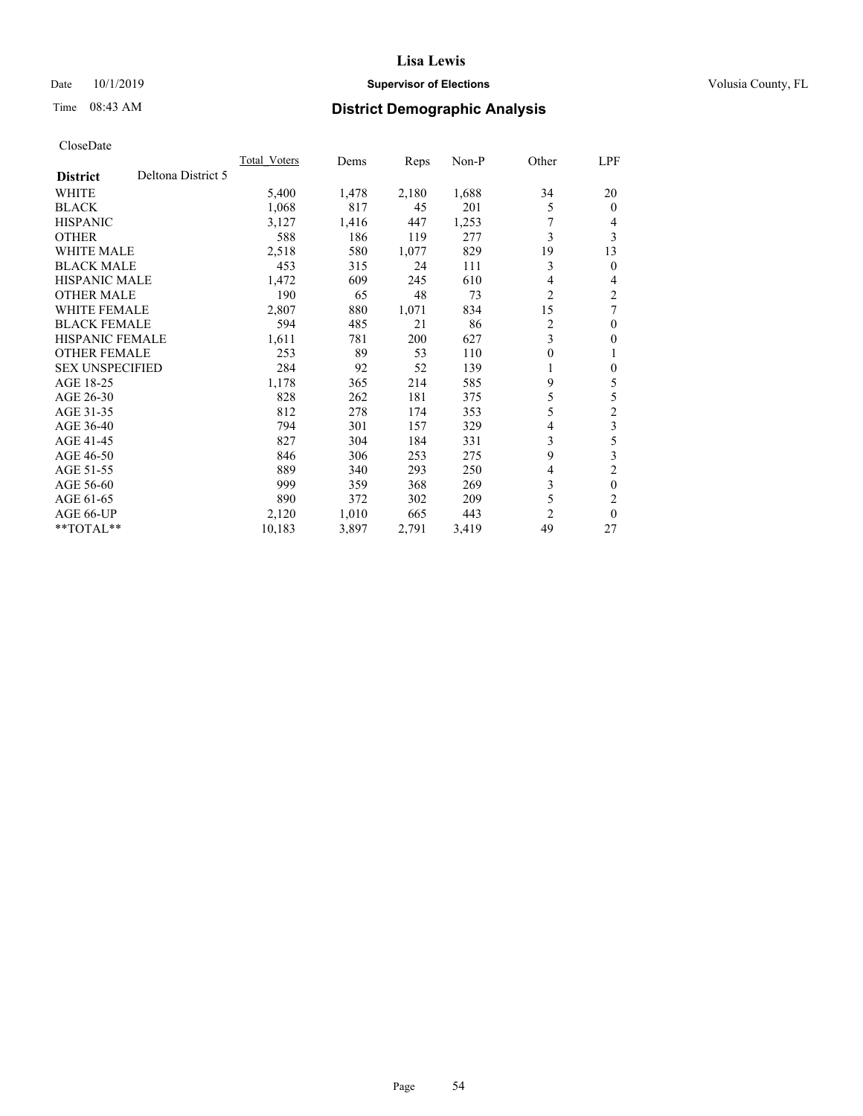## Date 10/1/2019 **Supervisor of Elections Supervisor of Elections** Volusia County, FL

# Time 08:43 AM **District Demographic Analysis**

|                                       | Total Voters | Dems  | Reps  | $Non-P$ | Other | <u>LPF</u>     |
|---------------------------------------|--------------|-------|-------|---------|-------|----------------|
| Deltona District 5<br><b>District</b> |              |       |       |         |       |                |
| WHITE                                 | 5,400        | 1,478 | 2,180 | 1,688   | 34    | 20             |
| <b>BLACK</b>                          | 1,068        | 817   | 45    | 201     | 5     | $\theta$       |
| <b>HISPANIC</b>                       | 3,127        | 1,416 | 447   | 1,253   | 7     | 4              |
| <b>OTHER</b>                          | 588          | 186   | 119   | 277     | 3     | 3              |
| <b>WHITE MALE</b>                     | 2,518        | 580   | 1,077 | 829     | 19    | 13             |
| <b>BLACK MALE</b>                     | 453          | 315   | 24    | 111     | 3     | $\mathbf{0}$   |
| <b>HISPANIC MALE</b>                  | 1,472        | 609   | 245   | 610     | 4     | 4              |
| <b>OTHER MALE</b>                     | 190          | 65    | 48    | 73      | 2     | 2              |
| <b>WHITE FEMALE</b>                   | 2,807        | 880   | 1,071 | 834     | 15    | 7              |
| <b>BLACK FEMALE</b>                   | 594          | 485   | 21    | 86      | 2     | $\mathbf{0}$   |
| <b>HISPANIC FEMALE</b>                | 1,611        | 781   | 200   | 627     | 3     | $\mathbf{0}$   |
| <b>OTHER FEMALE</b>                   | 253          | 89    | 53    | 110     | 0     | 1              |
| <b>SEX UNSPECIFIED</b>                | 284          | 92    | 52    | 139     | 1     | $\mathbf{0}$   |
| AGE 18-25                             | 1,178        | 365   | 214   | 585     | 9     | 5              |
| AGE 26-30                             | 828          | 262   | 181   | 375     | 5     | 5              |
| AGE 31-35                             | 812          | 278   | 174   | 353     | 5     | $\overline{c}$ |
| AGE 36-40                             | 794          | 301   | 157   | 329     | 4     | $\overline{3}$ |
| AGE 41-45                             | 827          | 304   | 184   | 331     | 3     | 5              |
| AGE 46-50                             | 846          | 306   | 253   | 275     | 9     | 3              |
| AGE 51-55                             | 889          | 340   | 293   | 250     | 4     | $\overline{2}$ |
| AGE 56-60                             | 999          | 359   | 368   | 269     | 3     | $\theta$       |
| AGE 61-65                             | 890          | 372   | 302   | 209     | 5     | $\overline{2}$ |
| AGE 66-UP                             | 2,120        | 1,010 | 665   | 443     | 2     | $\theta$       |
| $*$ TOTAL $*$                         | 10,183       | 3,897 | 2,791 | 3,419   | 49    | 27             |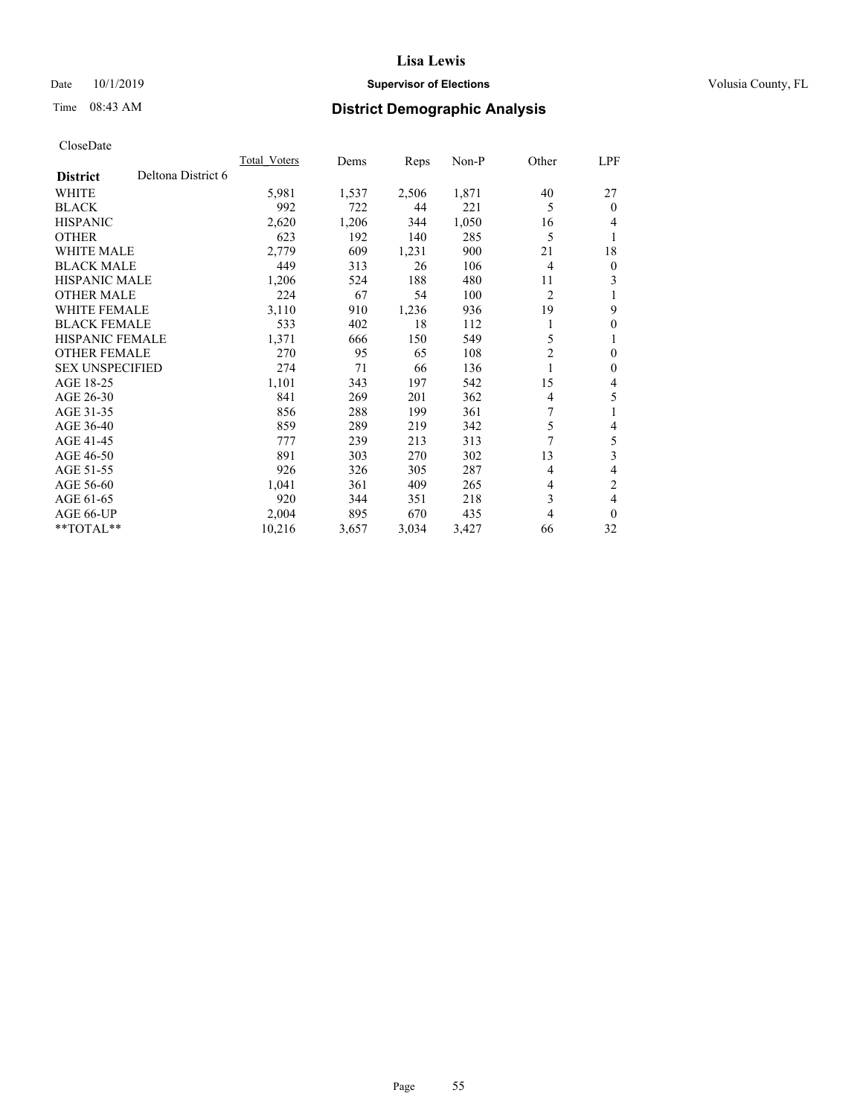## Date 10/1/2019 **Supervisor of Elections Supervisor of Elections** Volusia County, FL

# Time 08:43 AM **District Demographic Analysis**

|                        |                    | <b>Total Voters</b> | Dems  | Reps  | $Non-P$ | Other          | LPF          |
|------------------------|--------------------|---------------------|-------|-------|---------|----------------|--------------|
| <b>District</b>        | Deltona District 6 |                     |       |       |         |                |              |
| WHITE                  |                    | 5,981               | 1,537 | 2,506 | 1,871   | 40             | 27           |
| <b>BLACK</b>           |                    | 992                 | 722   | 44    | 221     | 5              | $\theta$     |
| <b>HISPANIC</b>        |                    | 2,620               | 1,206 | 344   | 1,050   | 16             | 4            |
| <b>OTHER</b>           |                    | 623                 | 192   | 140   | 285     | 5              | 1            |
| <b>WHITE MALE</b>      |                    | 2,779               | 609   | 1,231 | 900     | 21             | 18           |
| <b>BLACK MALE</b>      |                    | 449                 | 313   | 26    | 106     | 4              | $\mathbf{0}$ |
| <b>HISPANIC MALE</b>   |                    | 1,206               | 524   | 188   | 480     | 11             | 3            |
| <b>OTHER MALE</b>      |                    | 224                 | 67    | 54    | 100     | $\overline{2}$ | 1            |
| <b>WHITE FEMALE</b>    |                    | 3,110               | 910   | 1,236 | 936     | 19             | 9            |
| <b>BLACK FEMALE</b>    |                    | 533                 | 402   | 18    | 112     |                | $\theta$     |
| <b>HISPANIC FEMALE</b> |                    | 1,371               | 666   | 150   | 549     | 5              | 1            |
| <b>OTHER FEMALE</b>    |                    | 270                 | 95    | 65    | 108     | $\overline{c}$ | $\theta$     |
| <b>SEX UNSPECIFIED</b> |                    | 274                 | 71    | 66    | 136     |                | $\theta$     |
| AGE 18-25              |                    | 1,101               | 343   | 197   | 542     | 15             | 4            |
| AGE 26-30              |                    | 841                 | 269   | 201   | 362     | 4              | 5            |
| AGE 31-35              |                    | 856                 | 288   | 199   | 361     | 7              | 1            |
| AGE 36-40              |                    | 859                 | 289   | 219   | 342     | 5              | 4            |
| AGE 41-45              |                    | 777                 | 239   | 213   | 313     | 7              | 5            |
| AGE 46-50              |                    | 891                 | 303   | 270   | 302     | 13             | 3            |
| AGE 51-55              |                    | 926                 | 326   | 305   | 287     | 4              | 4            |
| AGE 56-60              |                    | 1,041               | 361   | 409   | 265     | 4              | 2            |
| AGE 61-65              |                    | 920                 | 344   | 351   | 218     | 3              | 4            |
| AGE 66-UP              |                    | 2,004               | 895   | 670   | 435     | 4              | $\theta$     |
| $*$ TOTAL $*$          |                    | 10,216              | 3,657 | 3,034 | 3,427   | 66             | 32           |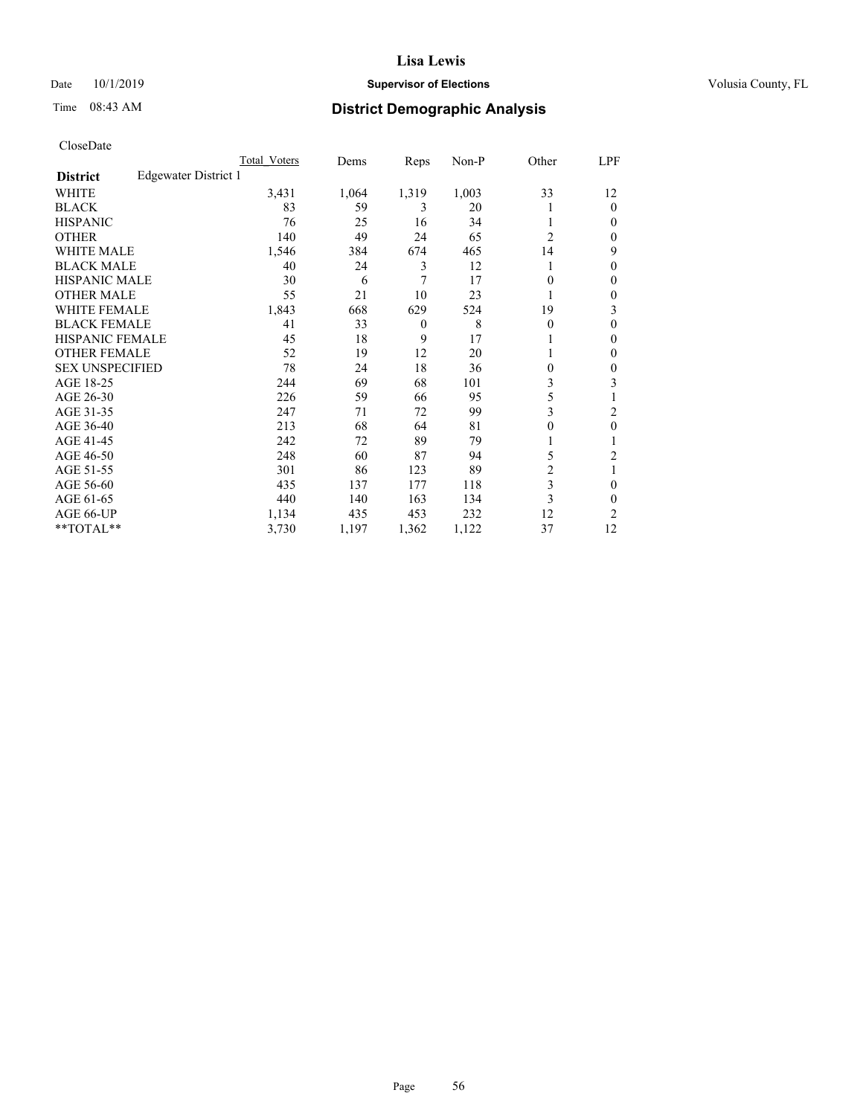## Date 10/1/2019 **Supervisor of Elections Supervisor of Elections** Volusia County, FL

# Time 08:43 AM **District Demographic Analysis**

|                        |                      | Total Voters | Dems  | Reps         | Non-P | Other          | LPF            |
|------------------------|----------------------|--------------|-------|--------------|-------|----------------|----------------|
| <b>District</b>        | Edgewater District 1 |              |       |              |       |                |                |
| WHITE                  |                      | 3,431        | 1,064 | 1,319        | 1,003 | 33             | 12             |
| <b>BLACK</b>           |                      | 83           | 59    | 3            | 20    |                | $\mathbf{0}$   |
| <b>HISPANIC</b>        |                      | 76           | 25    | 16           | 34    |                | $\Omega$       |
| <b>OTHER</b>           |                      | 140          | 49    | 24           | 65    | $\overline{2}$ | $\Omega$       |
| WHITE MALE             |                      | 1,546        | 384   | 674          | 465   | 14             | 9              |
| <b>BLACK MALE</b>      |                      | 40           | 24    | 3            | 12    |                | $\mathbf{0}$   |
| <b>HISPANIC MALE</b>   |                      | 30           | 6     | 7            | 17    | 0              | $\mathbf{0}$   |
| <b>OTHER MALE</b>      |                      | 55           | 21    | 10           | 23    | 1              | $\mathbf{0}$   |
| WHITE FEMALE           |                      | 1,843        | 668   | 629          | 524   | 19             | 3              |
| <b>BLACK FEMALE</b>    |                      | 41           | 33    | $\mathbf{0}$ | 8     | 0              | $\theta$       |
| <b>HISPANIC FEMALE</b> |                      | 45           | 18    | 9            | 17    |                | $\Omega$       |
| <b>OTHER FEMALE</b>    |                      | 52           | 19    | 12           | 20    |                | $\Omega$       |
| <b>SEX UNSPECIFIED</b> |                      | 78           | 24    | 18           | 36    | 0              | $\theta$       |
| AGE 18-25              |                      | 244          | 69    | 68           | 101   | 3              | 3              |
| AGE 26-30              |                      | 226          | 59    | 66           | 95    | 5              |                |
| AGE 31-35              |                      | 247          | 71    | 72           | 99    | 3              | $\overline{2}$ |
| AGE 36-40              |                      | 213          | 68    | 64           | 81    | 0              | $\theta$       |
| AGE 41-45              |                      | 242          | 72    | 89           | 79    |                |                |
| AGE 46-50              |                      | 248          | 60    | 87           | 94    | 5              | $\overline{c}$ |
| AGE 51-55              |                      | 301          | 86    | 123          | 89    | $\overline{2}$ |                |
| AGE 56-60              |                      | 435          | 137   | 177          | 118   | 3              | $\theta$       |
| AGE 61-65              |                      | 440          | 140   | 163          | 134   | 3              | $\theta$       |
| AGE 66-UP              |                      | 1,134        | 435   | 453          | 232   | 12             | $\overline{c}$ |
| **TOTAL**              |                      | 3,730        | 1,197 | 1,362        | 1,122 | 37             | 12             |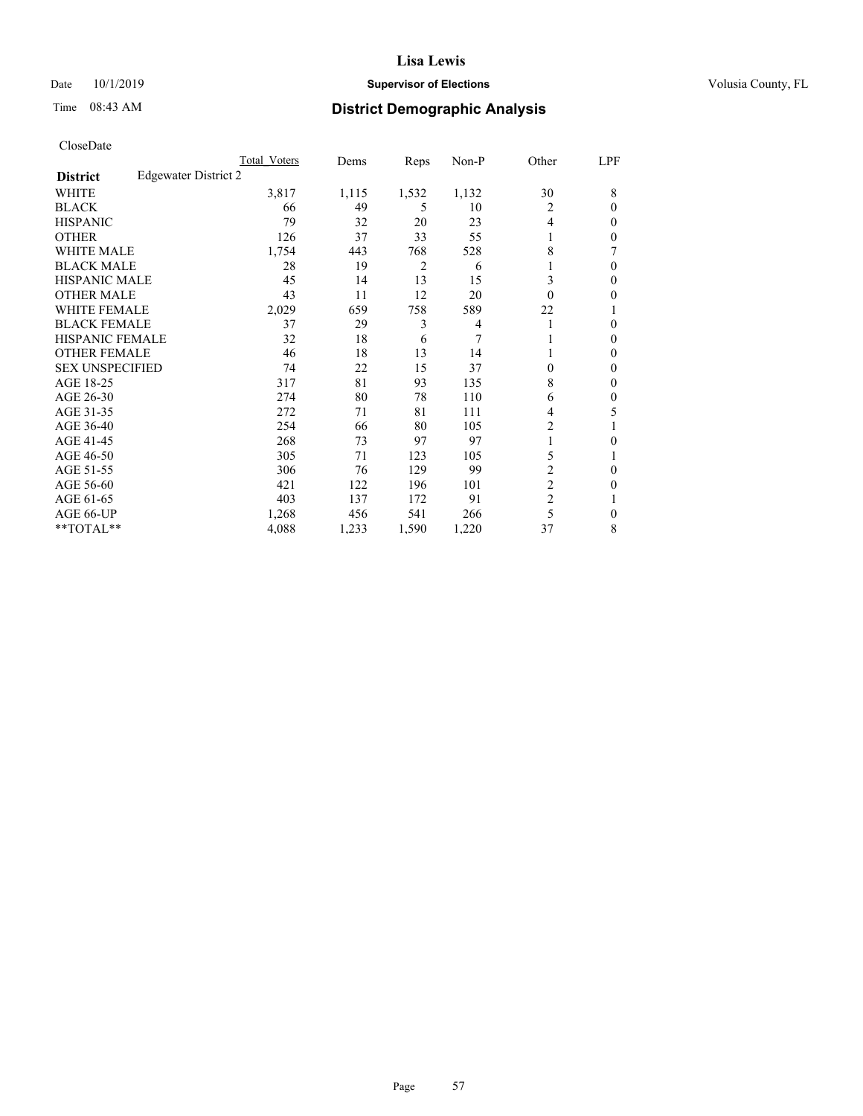## Date 10/1/2019 **Supervisor of Elections Supervisor of Elections** Volusia County, FL

# Time 08:43 AM **District Demographic Analysis**

|                        |                      | Total Voters | Dems  | Reps           | Non-P          | Other          | LPF    |
|------------------------|----------------------|--------------|-------|----------------|----------------|----------------|--------|
| <b>District</b>        | Edgewater District 2 |              |       |                |                |                |        |
| WHITE                  |                      | 3,817        | 1,115 | 1,532          | 1,132          | 30             | 8      |
| <b>BLACK</b>           |                      | 66           | 49    | 5              | 10             | 2              | 0      |
| <b>HISPANIC</b>        |                      | 79           | 32    | 20             | 23             | 4              | $_{0}$ |
| <b>OTHER</b>           |                      | 126          | 37    | 33             | 55             |                | 0      |
| WHITE MALE             |                      | 1,754        | 443   | 768            | 528            | 8              |        |
| <b>BLACK MALE</b>      |                      | 28           | 19    | $\overline{2}$ | 6              |                | 0      |
| <b>HISPANIC MALE</b>   |                      | 45           | 14    | 13             | 15             | 3              | 0      |
| <b>OTHER MALE</b>      |                      | 43           | 11    | 12             | 20             | $\Omega$       | 0      |
| WHITE FEMALE           |                      | 2,029        | 659   | 758            | 589            | 22             |        |
| <b>BLACK FEMALE</b>    |                      | 37           | 29    | 3              | $\overline{4}$ |                | 0      |
| <b>HISPANIC FEMALE</b> |                      | 32           | 18    | 6              | 7              |                | 0      |
| <b>OTHER FEMALE</b>    |                      | 46           | 18    | 13             | 14             |                | 0      |
| <b>SEX UNSPECIFIED</b> |                      | 74           | 22    | 15             | 37             | 0              | 0      |
| AGE 18-25              |                      | 317          | 81    | 93             | 135            | 8              | 0      |
| AGE 26-30              |                      | 274          | 80    | 78             | 110            | 6              | 0      |
| AGE 31-35              |                      | 272          | 71    | 81             | 111            | 4              | 5      |
| AGE 36-40              |                      | 254          | 66    | 80             | 105            | 2              |        |
| AGE 41-45              |                      | 268          | 73    | 97             | 97             |                | 0      |
| AGE 46-50              |                      | 305          | 71    | 123            | 105            | 5              |        |
| AGE 51-55              |                      | 306          | 76    | 129            | 99             | 2              | 0      |
| AGE 56-60              |                      | 421          | 122   | 196            | 101            | $\overline{c}$ | 0      |
| AGE 61-65              |                      | 403          | 137   | 172            | 91             | $\overline{2}$ |        |
| AGE 66-UP              |                      | 1,268        | 456   | 541            | 266            | 5              | 0      |
| **TOTAL**              |                      | 4,088        | 1,233 | 1,590          | 1,220          | 37             | 8      |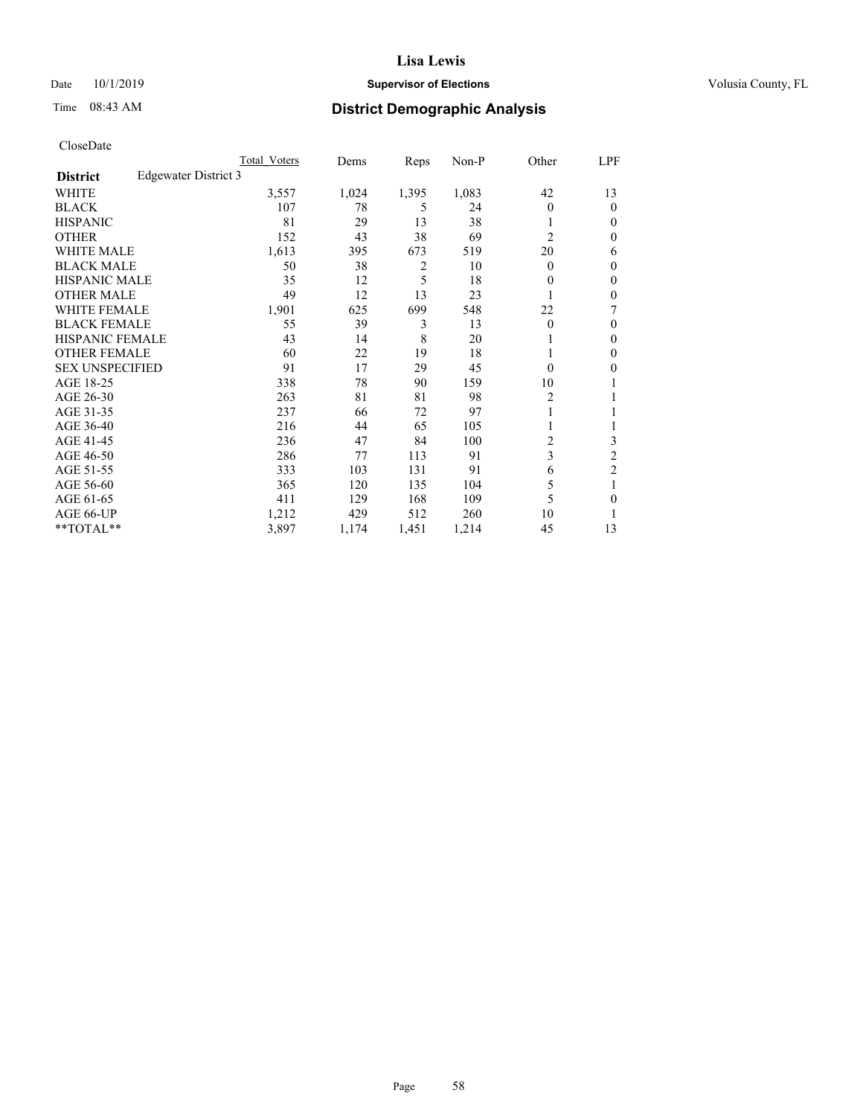## Date 10/1/2019 **Supervisor of Elections Supervisor of Elections** Volusia County, FL

# Time 08:43 AM **District Demographic Analysis**

|                        |                      | Total Voters | Dems  | Reps  | Non-P | Other          | LPF            |
|------------------------|----------------------|--------------|-------|-------|-------|----------------|----------------|
| <b>District</b>        | Edgewater District 3 |              |       |       |       |                |                |
| WHITE                  |                      | 3,557        | 1,024 | 1,395 | 1,083 | 42             | 13             |
| <b>BLACK</b>           |                      | 107          | 78    | 5     | 24    | 0              | $\mathbf{0}$   |
| <b>HISPANIC</b>        |                      | 81           | 29    | 13    | 38    |                | $\Omega$       |
| <b>OTHER</b>           |                      | 152          | 43    | 38    | 69    | $\overline{2}$ | 0              |
| <b>WHITE MALE</b>      |                      | 1,613        | 395   | 673   | 519   | 20             | 6              |
| <b>BLACK MALE</b>      |                      | 50           | 38    | 2     | 10    | 0              | $\mathbf{0}$   |
| <b>HISPANIC MALE</b>   |                      | 35           | 12    | 5     | 18    | 0              | $\theta$       |
| <b>OTHER MALE</b>      |                      | 49           | 12    | 13    | 23    |                | 0              |
| WHITE FEMALE           |                      | 1,901        | 625   | 699   | 548   | 22             | 7              |
| <b>BLACK FEMALE</b>    |                      | 55           | 39    | 3     | 13    | 0              | $\mathbf{0}$   |
| <b>HISPANIC FEMALE</b> |                      | 43           | 14    | 8     | 20    |                | 0              |
| <b>OTHER FEMALE</b>    |                      | 60           | 22    | 19    | 18    |                | 0              |
| <b>SEX UNSPECIFIED</b> |                      | 91           | 17    | 29    | 45    | 0              | 0              |
| AGE 18-25              |                      | 338          | 78    | 90    | 159   | 10             |                |
| AGE 26-30              |                      | 263          | 81    | 81    | 98    | 2              | 1              |
| AGE 31-35              |                      | 237          | 66    | 72    | 97    |                |                |
| AGE 36-40              |                      | 216          | 44    | 65    | 105   |                |                |
| AGE 41-45              |                      | 236          | 47    | 84    | 100   | 2              | 3              |
| AGE 46-50              |                      | 286          | 77    | 113   | 91    | 3              | $\overline{2}$ |
| AGE 51-55              |                      | 333          | 103   | 131   | 91    | 6              | $\overline{c}$ |
| AGE 56-60              |                      | 365          | 120   | 135   | 104   | 5              |                |
| AGE 61-65              |                      | 411          | 129   | 168   | 109   | 5              | 0              |
| AGE 66-UP              |                      | 1,212        | 429   | 512   | 260   | 10             |                |
| **TOTAL**              |                      | 3,897        | 1,174 | 1,451 | 1,214 | 45             | 13             |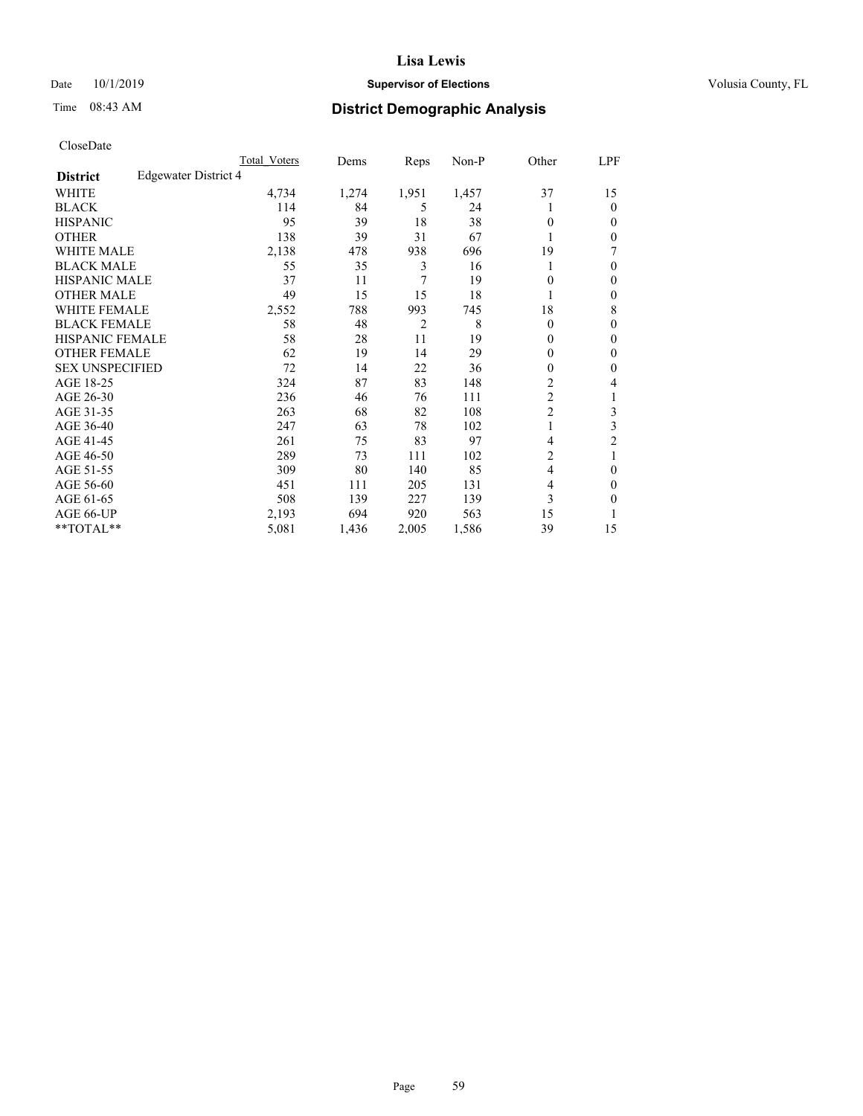## Date 10/1/2019 **Supervisor of Elections Supervisor of Elections** Volusia County, FL

# Time 08:43 AM **District Demographic Analysis**

|                                         | Total Voters | Dems  | Reps           | $Non-P$ | Other          | LPF            |
|-----------------------------------------|--------------|-------|----------------|---------|----------------|----------------|
| Edgewater District 4<br><b>District</b> |              |       |                |         |                |                |
| WHITE                                   | 4,734        | 1,274 | 1,951          | 1,457   | 37             | 15             |
| <b>BLACK</b>                            | 114          | 84    | 5              | 24      |                | $\theta$       |
| <b>HISPANIC</b>                         | 95           | 39    | 18             | 38      | 0              | $\Omega$       |
| <b>OTHER</b>                            | 138          | 39    | 31             | 67      |                | $\Omega$       |
| <b>WHITE MALE</b>                       | 2,138        | 478   | 938            | 696     | 19             | 7              |
| <b>BLACK MALE</b>                       | 55           | 35    | 3              | 16      |                | 0              |
| HISPANIC MALE                           | 37           | 11    | 7              | 19      | 0              | $\theta$       |
| <b>OTHER MALE</b>                       | 49           | 15    | 15             | 18      |                | $\mathbf{0}$   |
| <b>WHITE FEMALE</b>                     | 2,552        | 788   | 993            | 745     | 18             | 8              |
| <b>BLACK FEMALE</b>                     | 58           | 48    | $\overline{2}$ | 8       | 0              | $\theta$       |
| <b>HISPANIC FEMALE</b>                  | 58           | 28    | 11             | 19      | $\mathbf{0}$   | $\mathbf{0}$   |
| <b>OTHER FEMALE</b>                     | 62           | 19    | 14             | 29      | 0              | $\Omega$       |
| <b>SEX UNSPECIFIED</b>                  | 72           | 14    | 22             | 36      | 0              | 0              |
| AGE 18-25                               | 324          | 87    | 83             | 148     | 2              | 4              |
| AGE 26-30                               | 236          | 46    | 76             | 111     | $\overline{2}$ | 1              |
| AGE 31-35                               | 263          | 68    | 82             | 108     | $\overline{2}$ | 3              |
| AGE 36-40                               | 247          | 63    | 78             | 102     | 1              | 3              |
| AGE 41-45                               | 261          | 75    | 83             | 97      | 4              | $\overline{2}$ |
| AGE 46-50                               | 289          | 73    | 111            | 102     | 2              |                |
| AGE 51-55                               | 309          | 80    | 140            | 85      | 4              | $\theta$       |
| AGE 56-60                               | 451          | 111   | 205            | 131     | 4              | $\Omega$       |
| AGE 61-65                               | 508          | 139   | 227            | 139     | 3              | 0              |
| AGE 66-UP                               | 2,193        | 694   | 920            | 563     | 15             | 1              |
| $*$ TOTAL $*$                           | 5,081        | 1,436 | 2,005          | 1,586   | 39             | 15             |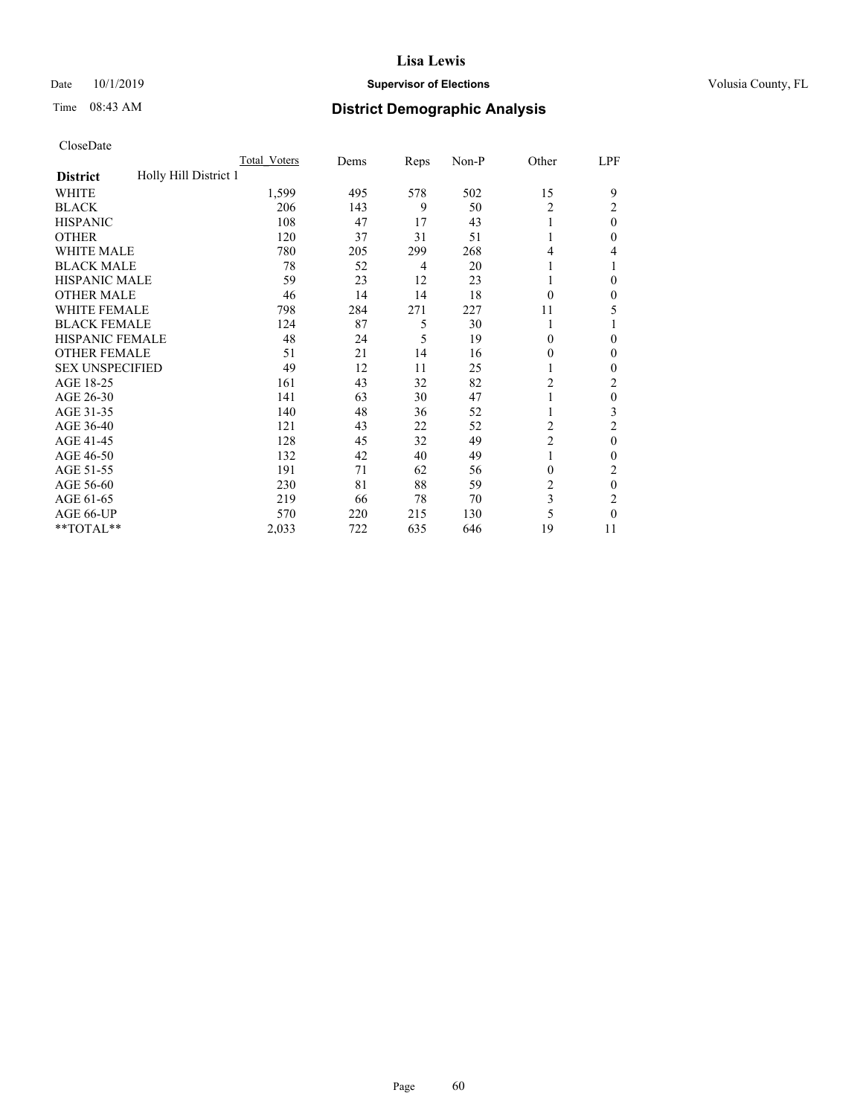## Date 10/1/2019 **Supervisor of Elections Supervisor of Elections** Volusia County, FL

# Time 08:43 AM **District Demographic Analysis**

|                                          | Total Voters | Dems | Reps | Non-P | Other          | LPF      |
|------------------------------------------|--------------|------|------|-------|----------------|----------|
| Holly Hill District 1<br><b>District</b> |              |      |      |       |                |          |
| WHITE                                    | 1,599        | 495  | 578  | 502   | 15             | 9        |
| <b>BLACK</b>                             | 206          | 143  | 9    | 50    | 2              | 2        |
| <b>HISPANIC</b>                          | 108          | 47   | 17   | 43    | 1              | $\theta$ |
| <b>OTHER</b>                             | 120          | 37   | 31   | 51    |                | 0        |
| WHITE MALE                               | 780          | 205  | 299  | 268   | 4              | 4        |
| <b>BLACK MALE</b>                        | 78           | 52   | 4    | 20    | 1              |          |
| <b>HISPANIC MALE</b>                     | 59           | 23   | 12   | 23    | 1              | 0        |
| <b>OTHER MALE</b>                        | 46           | 14   | 14   | 18    | $\Omega$       | 0        |
| WHITE FEMALE                             | 798          | 284  | 271  | 227   | 11             | 5        |
| <b>BLACK FEMALE</b>                      | 124          | 87   | 5    | 30    | 1              |          |
| <b>HISPANIC FEMALE</b>                   | 48           | 24   | 5    | 19    | $\Omega$       | 0        |
| <b>OTHER FEMALE</b>                      | 51           | 21   | 14   | 16    | $\Omega$       | 0        |
| <b>SEX UNSPECIFIED</b>                   | 49           | 12   | 11   | 25    | 1              | 0        |
| AGE 18-25                                | 161          | 43   | 32   | 82    | $\overline{2}$ | 2        |
| AGE 26-30                                | 141          | 63   | 30   | 47    | 1              | $\theta$ |
| AGE 31-35                                | 140          | 48   | 36   | 52    | 1              | 3        |
| AGE 36-40                                | 121          | 43   | 22   | 52    | 2              | 2        |
| AGE 41-45                                | 128          | 45   | 32   | 49    | $\overline{c}$ | $\theta$ |
| AGE 46-50                                | 132          | 42   | 40   | 49    | 1              | 0        |
| AGE 51-55                                | 191          | 71   | 62   | 56    | $\theta$       | 2        |
| AGE 56-60                                | 230          | 81   | 88   | 59    | $\overline{c}$ | $\theta$ |
| AGE 61-65                                | 219          | 66   | 78   | 70    | 3              | 2        |
| AGE 66-UP                                | 570          | 220  | 215  | 130   | 5              | 0        |
| **TOTAL**                                | 2,033        | 722  | 635  | 646   | 19             | 11       |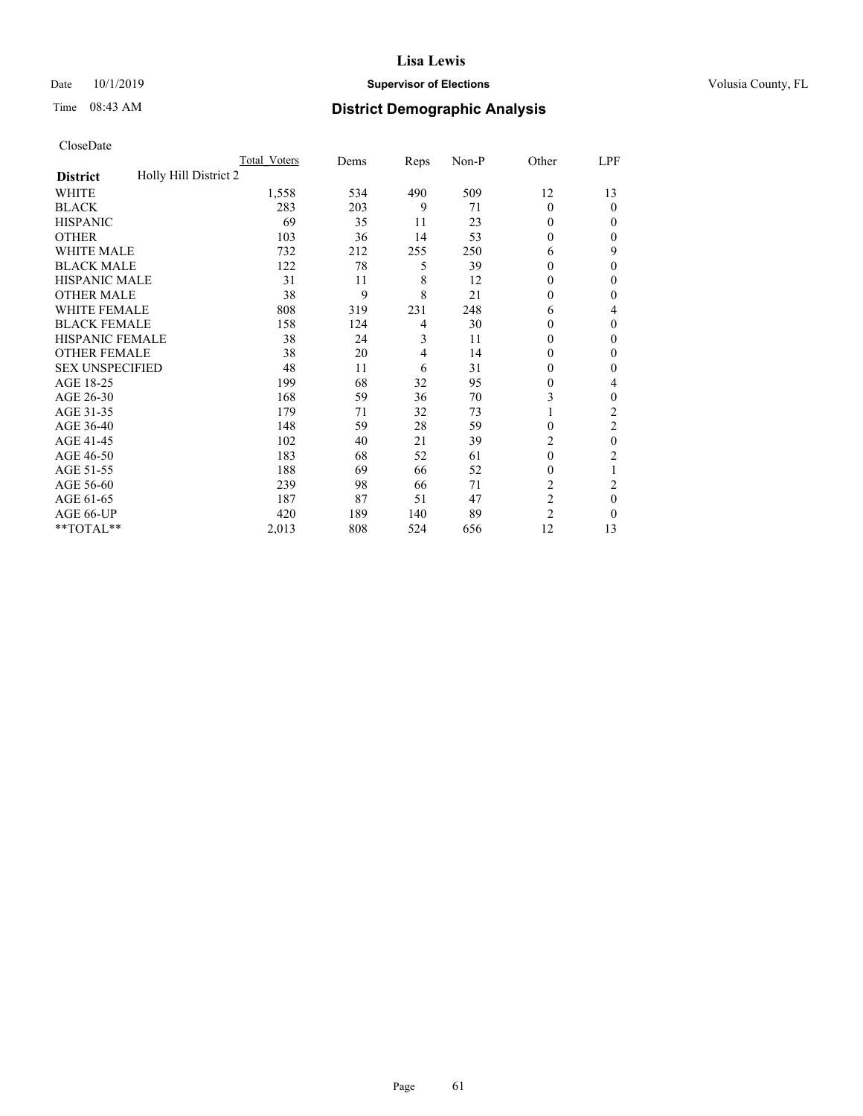## Date 10/1/2019 **Supervisor of Elections Supervisor of Elections** Volusia County, FL

# Time 08:43 AM **District Demographic Analysis**

|                                          | Total Voters | Dems | Reps | Non-P | Other          | LPF            |
|------------------------------------------|--------------|------|------|-------|----------------|----------------|
| Holly Hill District 2<br><b>District</b> |              |      |      |       |                |                |
| WHITE                                    | 1,558        | 534  | 490  | 509   | 12             | 13             |
| <b>BLACK</b>                             | 283          | 203  | 9    | 71    | $\Omega$       | 0              |
| <b>HISPANIC</b>                          | 69           | 35   | 11   | 23    | 0              | $_{0}$         |
| <b>OTHER</b>                             | 103          | 36   | 14   | 53    | 0              | 0              |
| WHITE MALE                               | 732          | 212  | 255  | 250   | 6              | 9              |
| <b>BLACK MALE</b>                        | 122          | 78   | 5    | 39    | 0              | 0              |
| <b>HISPANIC MALE</b>                     | 31           | 11   | 8    | 12    | 0              | 0              |
| <b>OTHER MALE</b>                        | 38           | 9    | 8    | 21    | 0              | 0              |
| WHITE FEMALE                             | 808          | 319  | 231  | 248   | 6              | 4              |
| <b>BLACK FEMALE</b>                      | 158          | 124  | 4    | 30    | 0              | 0              |
| <b>HISPANIC FEMALE</b>                   | 38           | 24   | 3    | 11    | 0              | 0              |
| <b>OTHER FEMALE</b>                      | 38           | 20   | 4    | 14    | 0              | 0              |
| <b>SEX UNSPECIFIED</b>                   | 48           | 11   | 6    | 31    | 0              | 0              |
| AGE 18-25                                | 199          | 68   | 32   | 95    | 0              | 4              |
| AGE 26-30                                | 168          | 59   | 36   | 70    | 3              | 0              |
| AGE 31-35                                | 179          | 71   | 32   | 73    |                | $\overline{c}$ |
| AGE 36-40                                | 148          | 59   | 28   | 59    | 0              | 2              |
| AGE 41-45                                | 102          | 40   | 21   | 39    | 2              | 0              |
| AGE 46-50                                | 183          | 68   | 52   | 61    | $\theta$       | 2              |
| AGE 51-55                                | 188          | 69   | 66   | 52    | 0              | 1              |
| AGE 56-60                                | 239          | 98   | 66   | 71    | $\overline{c}$ | $\overline{2}$ |
| AGE 61-65                                | 187          | 87   | 51   | 47    | $\overline{2}$ | 0              |
| AGE 66-UP                                | 420          | 189  | 140  | 89    | $\overline{c}$ | 0              |
| **TOTAL**                                | 2,013        | 808  | 524  | 656   | 12             | 13             |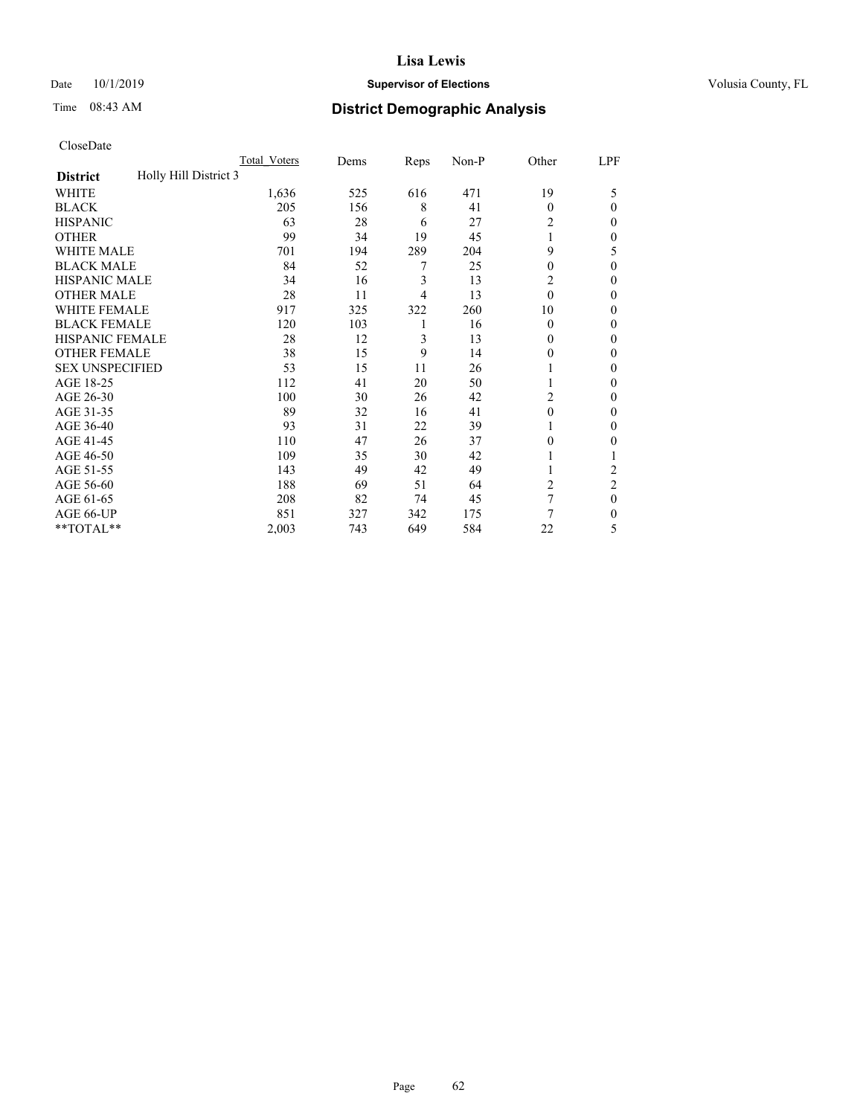## Date 10/1/2019 **Supervisor of Elections Supervisor of Elections** Volusia County, FL

# Time 08:43 AM **District Demographic Analysis**

|                                          | Total Voters | Dems | Reps | Non-P | Other    | LPF            |
|------------------------------------------|--------------|------|------|-------|----------|----------------|
| Holly Hill District 3<br><b>District</b> |              |      |      |       |          |                |
| WHITE                                    | 1,636        | 525  | 616  | 471   | 19       | 5              |
| <b>BLACK</b>                             | 205          | 156  | 8    | 41    | $\Omega$ | 0              |
| <b>HISPANIC</b>                          | 63           | 28   | 6    | 27    | 2        | $_{0}$         |
| <b>OTHER</b>                             | 99           | 34   | 19   | 45    |          | 0              |
| WHITE MALE                               | 701          | 194  | 289  | 204   | 9        | 5              |
| <b>BLACK MALE</b>                        | 84           | 52   | 7    | 25    | 0        | 0              |
| <b>HISPANIC MALE</b>                     | 34           | 16   | 3    | 13    | 2        | 0              |
| <b>OTHER MALE</b>                        | 28           | 11   | 4    | 13    | $\theta$ | 0              |
| WHITE FEMALE                             | 917          | 325  | 322  | 260   | 10       | 0              |
| <b>BLACK FEMALE</b>                      | 120          | 103  | 1    | 16    | $\Omega$ | 0              |
| <b>HISPANIC FEMALE</b>                   | 28           | 12   | 3    | 13    | 0        | 0              |
| <b>OTHER FEMALE</b>                      | 38           | 15   | 9    | 14    | $_{0}$   | 0              |
| <b>SEX UNSPECIFIED</b>                   | 53           | 15   | 11   | 26    |          | 0              |
| AGE 18-25                                | 112          | 41   | 20   | 50    |          | 0              |
| AGE 26-30                                | 100          | 30   | 26   | 42    | 2        | 0              |
| AGE 31-35                                | 89           | 32   | 16   | 41    | 0        | 0              |
| AGE 36-40                                | 93           | 31   | 22   | 39    |          | 0              |
| AGE 41-45                                | 110          | 47   | 26   | 37    | 0        | 0              |
| AGE 46-50                                | 109          | 35   | 30   | 42    |          |                |
| AGE 51-55                                | 143          | 49   | 42   | 49    |          | $\overline{2}$ |
| AGE 56-60                                | 188          | 69   | 51   | 64    | 2        | $\overline{2}$ |
| AGE 61-65                                | 208          | 82   | 74   | 45    | 7        | 0              |
| AGE 66-UP                                | 851          | 327  | 342  | 175   | 7        | 0              |
| **TOTAL**                                | 2,003        | 743  | 649  | 584   | 22       | 5              |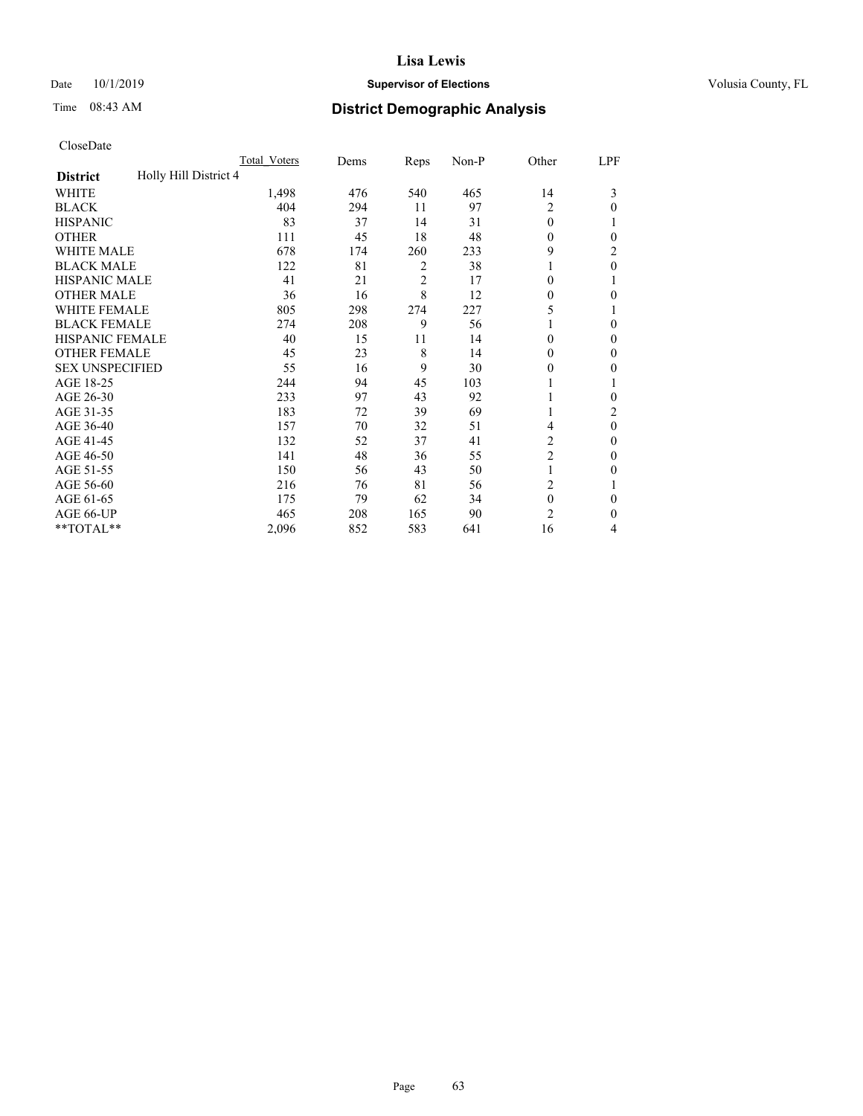## Date 10/1/2019 **Supervisor of Elections Supervisor of Elections** Volusia County, FL

# Time 08:43 AM **District Demographic Analysis**

|                                          | Total Voters | Dems | Reps           | Non-P | Other          | LPF            |
|------------------------------------------|--------------|------|----------------|-------|----------------|----------------|
| Holly Hill District 4<br><b>District</b> |              |      |                |       |                |                |
| WHITE                                    | 1,498        | 476  | 540            | 465   | 14             | 3              |
| <b>BLACK</b>                             | 404          | 294  | 11             | 97    | 2              | $\Omega$       |
| <b>HISPANIC</b>                          | 83           | 37   | 14             | 31    | $\theta$       |                |
| <b>OTHER</b>                             | 111          | 45   | 18             | 48    | $\theta$       | 0              |
| WHITE MALE                               | 678          | 174  | 260            | 233   | 9              | 2              |
| <b>BLACK MALE</b>                        | 122          | 81   | 2              | 38    | 1              | $\theta$       |
| <b>HISPANIC MALE</b>                     | 41           | 21   | $\overline{2}$ | 17    | 0              |                |
| <b>OTHER MALE</b>                        | 36           | 16   | 8              | 12    | $\mathbf{0}$   | 0              |
| <b>WHITE FEMALE</b>                      | 805          | 298  | 274            | 227   | 5              |                |
| <b>BLACK FEMALE</b>                      | 274          | 208  | 9              | 56    | 1              | $\Omega$       |
| <b>HISPANIC FEMALE</b>                   | 40           | 15   | 11             | 14    | $\Omega$       | 0              |
| <b>OTHER FEMALE</b>                      | 45           | 23   | 8              | 14    | $\theta$       | $\Omega$       |
| <b>SEX UNSPECIFIED</b>                   | 55           | 16   | 9              | 30    | $\theta$       | 0              |
| AGE 18-25                                | 244          | 94   | 45             | 103   |                |                |
| AGE 26-30                                | 233          | 97   | 43             | 92    | 1              | $\mathbf{0}$   |
| AGE 31-35                                | 183          | 72   | 39             | 69    | 1              | $\overline{2}$ |
| AGE 36-40                                | 157          | 70   | 32             | 51    | 4              | $\theta$       |
| AGE 41-45                                | 132          | 52   | 37             | 41    | 2              | 0              |
| AGE 46-50                                | 141          | 48   | 36             | 55    | $\overline{c}$ | $\Omega$       |
| AGE 51-55                                | 150          | 56   | 43             | 50    | 1              | 0              |
| AGE 56-60                                | 216          | 76   | 81             | 56    | 2              |                |
| AGE 61-65                                | 175          | 79   | 62             | 34    | $\mathbf{0}$   | $\theta$       |
| AGE 66-UP                                | 465          | 208  | 165            | 90    | $\overline{c}$ | $\Omega$       |
| **TOTAL**                                | 2,096        | 852  | 583            | 641   | 16             | 4              |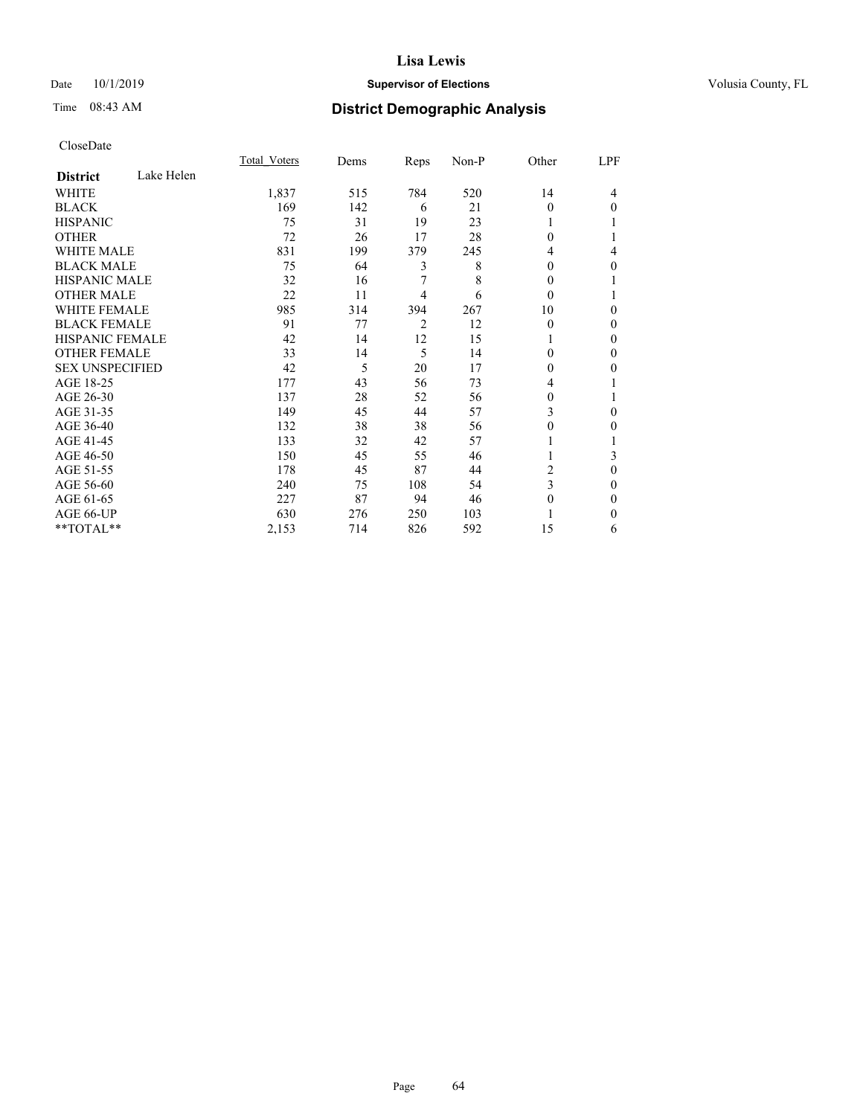## Date 10/1/2019 **Supervisor of Elections Supervisor of Elections** Volusia County, FL

# Time 08:43 AM **District Demographic Analysis**

|                        |            | Total Voters | Dems | Reps           | Non-P | Other    | LPF      |
|------------------------|------------|--------------|------|----------------|-------|----------|----------|
| <b>District</b>        | Lake Helen |              |      |                |       |          |          |
| WHITE                  |            | 1,837        | 515  | 784            | 520   | 14       | 4        |
| <b>BLACK</b>           |            | 169          | 142  | 6              | 21    | $\Omega$ | $\Omega$ |
| <b>HISPANIC</b>        |            | 75           | 31   | 19             | 23    |          |          |
| <b>OTHER</b>           |            | 72           | 26   | 17             | 28    | $\Omega$ |          |
| <b>WHITE MALE</b>      |            | 831          | 199  | 379            | 245   | 4        | 4        |
| <b>BLACK MALE</b>      |            | 75           | 64   | 3              | 8     | $\Omega$ | 0        |
| <b>HISPANIC MALE</b>   |            | 32           | 16   | 7              | 8     | $\Omega$ |          |
| <b>OTHER MALE</b>      |            | 22           | 11   | 4              | 6     | $\theta$ |          |
| <b>WHITE FEMALE</b>    |            | 985          | 314  | 394            | 267   | 10       | 0        |
| <b>BLACK FEMALE</b>    |            | 91           | 77   | $\overline{2}$ | 12    | $\Omega$ | 0        |
| <b>HISPANIC FEMALE</b> |            | 42           | 14   | 12             | 15    |          | 0        |
| <b>OTHER FEMALE</b>    |            | 33           | 14   | 5              | 14    | $\Omega$ | 0        |
| <b>SEX UNSPECIFIED</b> |            | 42           | 5    | 20             | 17    | $\Omega$ | 0        |
| AGE 18-25              |            | 177          | 43   | 56             | 73    | 4        |          |
| AGE 26-30              |            | 137          | 28   | 52             | 56    | $\Omega$ |          |
| AGE 31-35              |            | 149          | 45   | 44             | 57    | 3        | 0        |
| AGE 36-40              |            | 132          | 38   | 38             | 56    | 0        | 0        |
| AGE 41-45              |            | 133          | 32   | 42             | 57    |          |          |
| AGE 46-50              |            | 150          | 45   | 55             | 46    |          | 3        |
| AGE 51-55              |            | 178          | 45   | 87             | 44    | 2        | 0        |
| AGE 56-60              |            | 240          | 75   | 108            | 54    | 3        | 0        |
| AGE 61-65              |            | 227          | 87   | 94             | 46    | $\Omega$ | 0        |
| AGE 66-UP              |            | 630          | 276  | 250            | 103   |          | 0        |
| **TOTAL**              |            | 2,153        | 714  | 826            | 592   | 15       | 6        |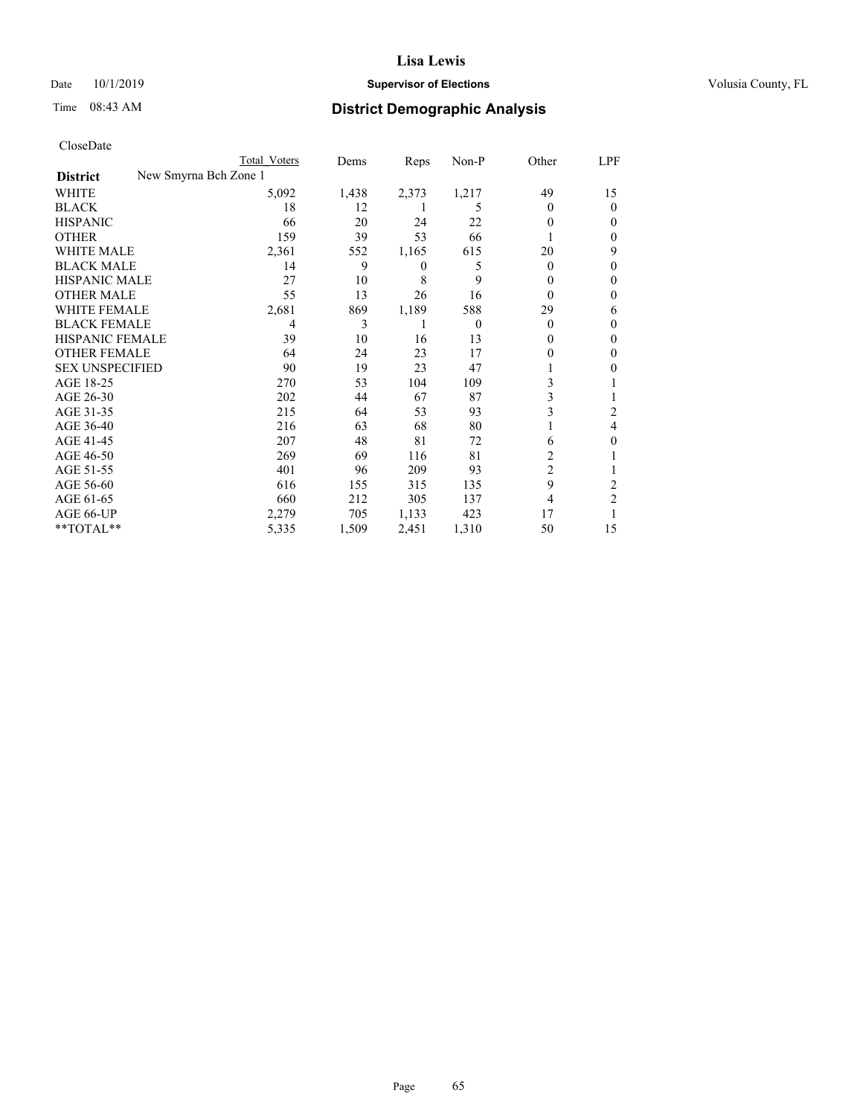## Date 10/1/2019 **Supervisor of Elections Supervisor of Elections** Volusia County, FL

| CloseDate |
|-----------|
|-----------|

|                                          | Total Voters | Dems  | Reps           | Non-P    | Other          | LPF            |
|------------------------------------------|--------------|-------|----------------|----------|----------------|----------------|
| New Smyrna Bch Zone 1<br><b>District</b> |              |       |                |          |                |                |
| WHITE                                    | 5,092        | 1,438 | 2,373          | 1,217    | 49             | 15             |
| <b>BLACK</b>                             | 18           | 12    |                | 5        | $\theta$       | 0              |
| <b>HISPANIC</b>                          | 66           | 20    | 24             | 22       | $\theta$       | $_{0}$         |
| <b>OTHER</b>                             | 159          | 39    | 53             | 66       |                | 0              |
| <b>WHITE MALE</b>                        | 2,361        | 552   | 1,165          | 615      | 20             | 9              |
| <b>BLACK MALE</b>                        | 14           | 9     | $\overline{0}$ | 5        | $\theta$       | 0              |
| <b>HISPANIC MALE</b>                     | 27           | 10    | 8              | 9        | $_{0}$         | 0              |
| <b>OTHER MALE</b>                        | 55           | 13    | 26             | 16       | $\theta$       | 0              |
| <b>WHITE FEMALE</b>                      | 2,681        | 869   | 1,189          | 588      | 29             | 6              |
| <b>BLACK FEMALE</b>                      | 4            | 3     | 1              | $\theta$ | $\theta$       | 0              |
| <b>HISPANIC FEMALE</b>                   | 39           | 10    | 16             | 13       | 0              | 0              |
| <b>OTHER FEMALE</b>                      | 64           | 24    | 23             | 17       | $\theta$       | $_{0}$         |
| <b>SEX UNSPECIFIED</b>                   | 90           | 19    | 23             | 47       |                | 0              |
| AGE 18-25                                | 270          | 53    | 104            | 109      | 3              |                |
| AGE 26-30                                | 202          | 44    | 67             | 87       | 3              |                |
| AGE 31-35                                | 215          | 64    | 53             | 93       | 3              | 2              |
| AGE 36-40                                | 216          | 63    | 68             | 80       | 1              | 4              |
| AGE 41-45                                | 207          | 48    | 81             | 72       | 6              | 0              |
| AGE 46-50                                | 269          | 69    | 116            | 81       | 2              |                |
| AGE 51-55                                | 401          | 96    | 209            | 93       | $\overline{2}$ |                |
| AGE 56-60                                | 616          | 155   | 315            | 135      | 9              | 2              |
| AGE 61-65                                | 660          | 212   | 305            | 137      | 4              | $\overline{c}$ |
| AGE 66-UP                                | 2,279        | 705   | 1,133          | 423      | 17             |                |
| **TOTAL**                                | 5,335        | 1,509 | 2,451          | 1,310    | 50             | 15             |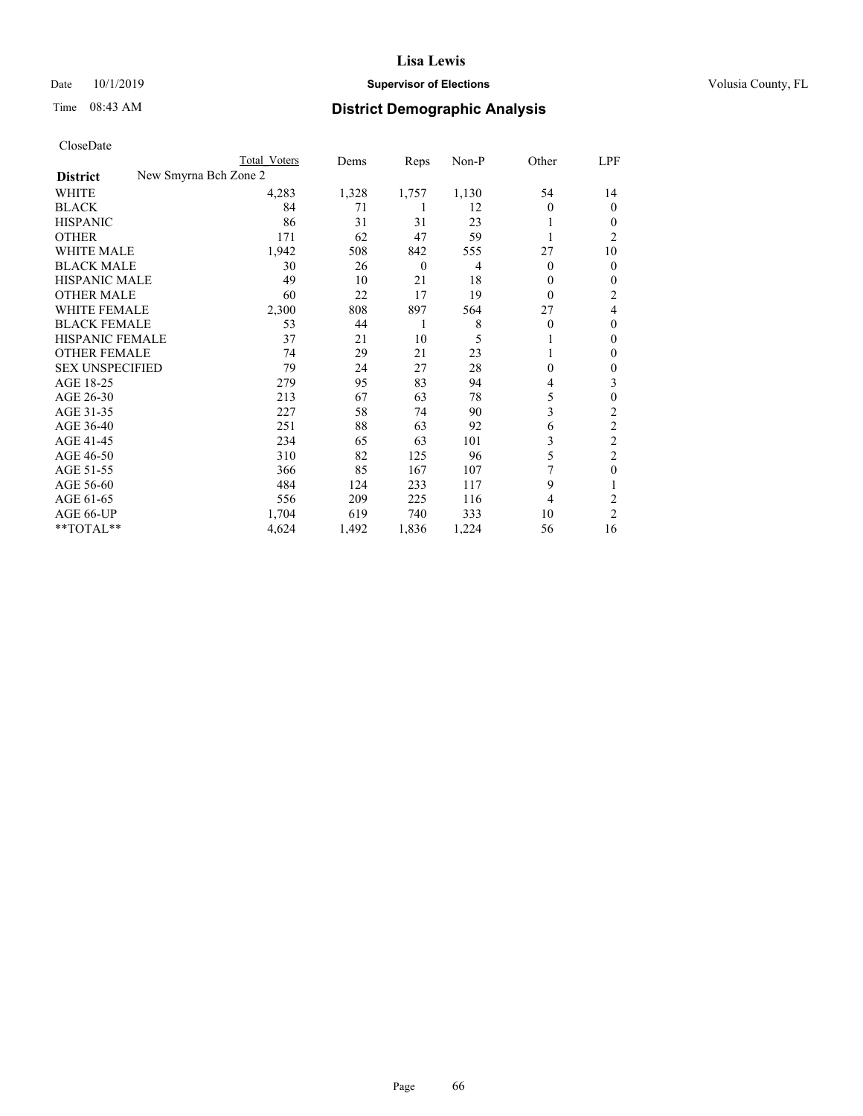## Date 10/1/2019 **Supervisor of Elections Supervisor of Elections** Volusia County, FL

| CloseDate |
|-----------|
|-----------|

|                                          | Total Voters | Dems  | Reps             | Non-P | Other    | LPF            |
|------------------------------------------|--------------|-------|------------------|-------|----------|----------------|
| New Smyrna Bch Zone 2<br><b>District</b> |              |       |                  |       |          |                |
| WHITE                                    | 4,283        | 1,328 | 1,757            | 1,130 | 54       | 14             |
| <b>BLACK</b>                             | 84           | 71    |                  | 12    | $\Omega$ | $\theta$       |
| <b>HISPANIC</b>                          | 86           | 31    | 31               | 23    | 1        | $_{0}$         |
| <b>OTHER</b>                             | 171          | 62    | 47               | 59    |          | 2              |
| WHITE MALE                               | 1,942        | 508   | 842              | 555   | 27       | 10             |
| <b>BLACK MALE</b>                        | 30           | 26    | $\boldsymbol{0}$ | 4     | $\Omega$ | 0              |
| <b>HISPANIC MALE</b>                     | 49           | 10    | 21               | 18    | $\theta$ | $_{0}$         |
| <b>OTHER MALE</b>                        | 60           | 22    | 17               | 19    | $\Omega$ | 2              |
| WHITE FEMALE                             | 2,300        | 808   | 897              | 564   | 27       | 4              |
| <b>BLACK FEMALE</b>                      | 53           | 44    | 1                | 8     | $\Omega$ | 0              |
| <b>HISPANIC FEMALE</b>                   | 37           | 21    | 10               | 5     |          | 0              |
| <b>OTHER FEMALE</b>                      | 74           | 29    | 21               | 23    |          | 0              |
| <b>SEX UNSPECIFIED</b>                   | 79           | 24    | 27               | 28    | $\theta$ | 0              |
| AGE 18-25                                | 279          | 95    | 83               | 94    | 4        | 3              |
| AGE 26-30                                | 213          | 67    | 63               | 78    | 5        | 0              |
| AGE 31-35                                | 227          | 58    | 74               | 90    | 3        | 2              |
| AGE 36-40                                | 251          | 88    | 63               | 92    | 6        | 2              |
| AGE 41-45                                | 234          | 65    | 63               | 101   | 3        | $\overline{c}$ |
| AGE 46-50                                | 310          | 82    | 125              | 96    | 5        | 2              |
| AGE 51-55                                | 366          | 85    | 167              | 107   |          | 0              |
| AGE 56-60                                | 484          | 124   | 233              | 117   | 9        |                |
| AGE 61-65                                | 556          | 209   | 225              | 116   | 4        | 2              |
| AGE 66-UP                                | 1,704        | 619   | 740              | 333   | 10       | $\overline{c}$ |
| **TOTAL**                                | 4,624        | 1,492 | 1,836            | 1,224 | 56       | 16             |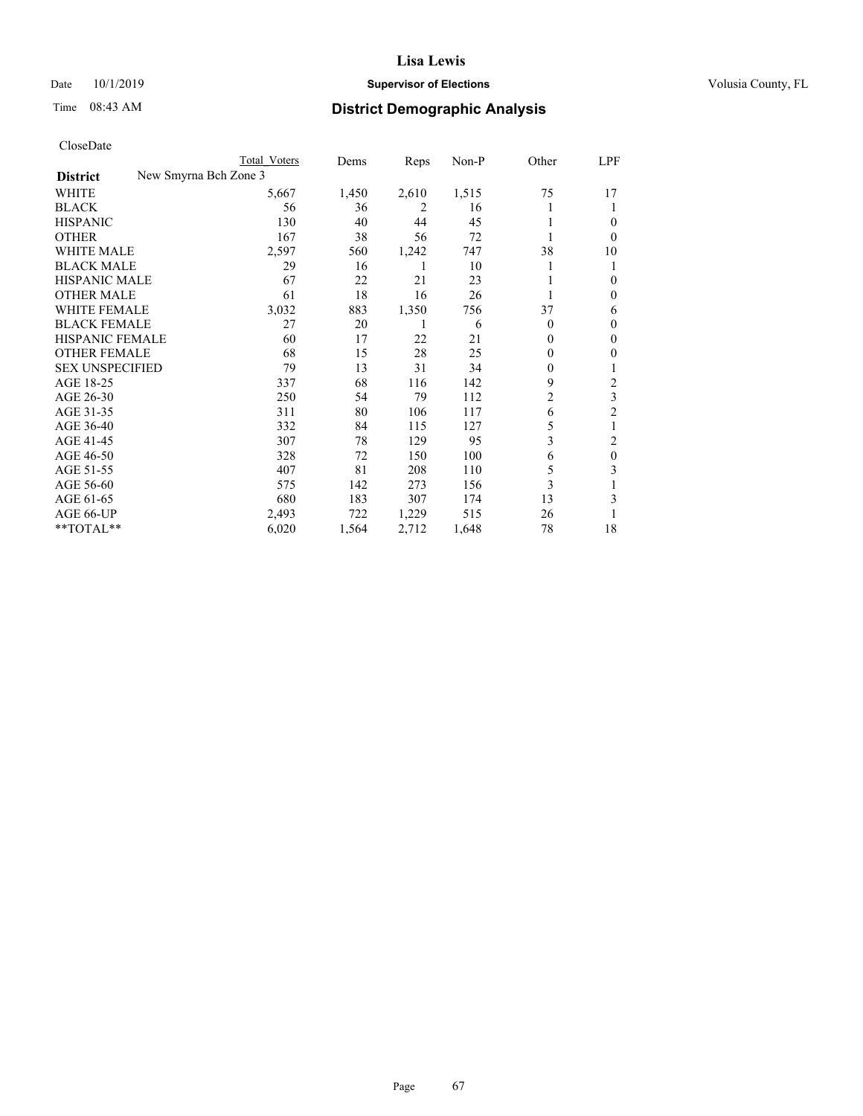## Date 10/1/2019 **Supervisor of Elections Supervisor of Elections** Volusia County, FL

|                                          | Total Voters | Dems  | Reps  | $Non-P$ | Other          | LPF                     |
|------------------------------------------|--------------|-------|-------|---------|----------------|-------------------------|
| New Smyrna Bch Zone 3<br><b>District</b> |              |       |       |         |                |                         |
| WHITE                                    | 5,667        | 1,450 | 2,610 | 1,515   | 75             | 17                      |
| <b>BLACK</b>                             | 56           | 36    | 2     | 16      |                | 1                       |
| <b>HISPANIC</b>                          | 130          | 40    | 44    | 45      |                | $\theta$                |
| <b>OTHER</b>                             | 167          | 38    | 56    | 72      |                | $\theta$                |
| WHITE MALE                               | 2,597        | 560   | 1,242 | 747     | 38             | 10                      |
| <b>BLACK MALE</b>                        | 29           | 16    | 1     | 10      |                | 1                       |
| <b>HISPANIC MALE</b>                     | 67           | 22    | 21    | 23      |                | $\mathbf{0}$            |
| <b>OTHER MALE</b>                        | 61           | 18    | 16    | 26      | 1              | $\mathbf{0}$            |
| <b>WHITE FEMALE</b>                      | 3,032        | 883   | 1,350 | 756     | 37             | 6                       |
| <b>BLACK FEMALE</b>                      | 27           | 20    |       | 6       | 0              | $\mathbf{0}$            |
| <b>HISPANIC FEMALE</b>                   | 60           | 17    | 22    | 21      | 0              | $\theta$                |
| <b>OTHER FEMALE</b>                      | 68           | 15    | 28    | 25      | $\Omega$       | $\mathbf{0}$            |
| <b>SEX UNSPECIFIED</b>                   | 79           | 13    | 31    | 34      | 0              | 1                       |
| AGE 18-25                                | 337          | 68    | 116   | 142     | 9              | $\overline{c}$          |
| AGE 26-30                                | 250          | 54    | 79    | 112     | $\overline{c}$ | $\overline{\mathbf{3}}$ |
| AGE 31-35                                | 311          | 80    | 106   | 117     | 6              | $\overline{c}$          |
| AGE 36-40                                | 332          | 84    | 115   | 127     | 5              | 1                       |
| AGE 41-45                                | 307          | 78    | 129   | 95      | 3              | 2                       |
| AGE 46-50                                | 328          | 72    | 150   | 100     | 6              | $\mathbf{0}$            |
| AGE 51-55                                | 407          | 81    | 208   | 110     | 5              | 3                       |
| AGE 56-60                                | 575          | 142   | 273   | 156     | 3              |                         |
| AGE 61-65                                | 680          | 183   | 307   | 174     | 13             | 3                       |
| AGE 66-UP                                | 2,493        | 722   | 1,229 | 515     | 26             |                         |
| **TOTAL**                                | 6,020        | 1,564 | 2,712 | 1,648   | 78             | 18                      |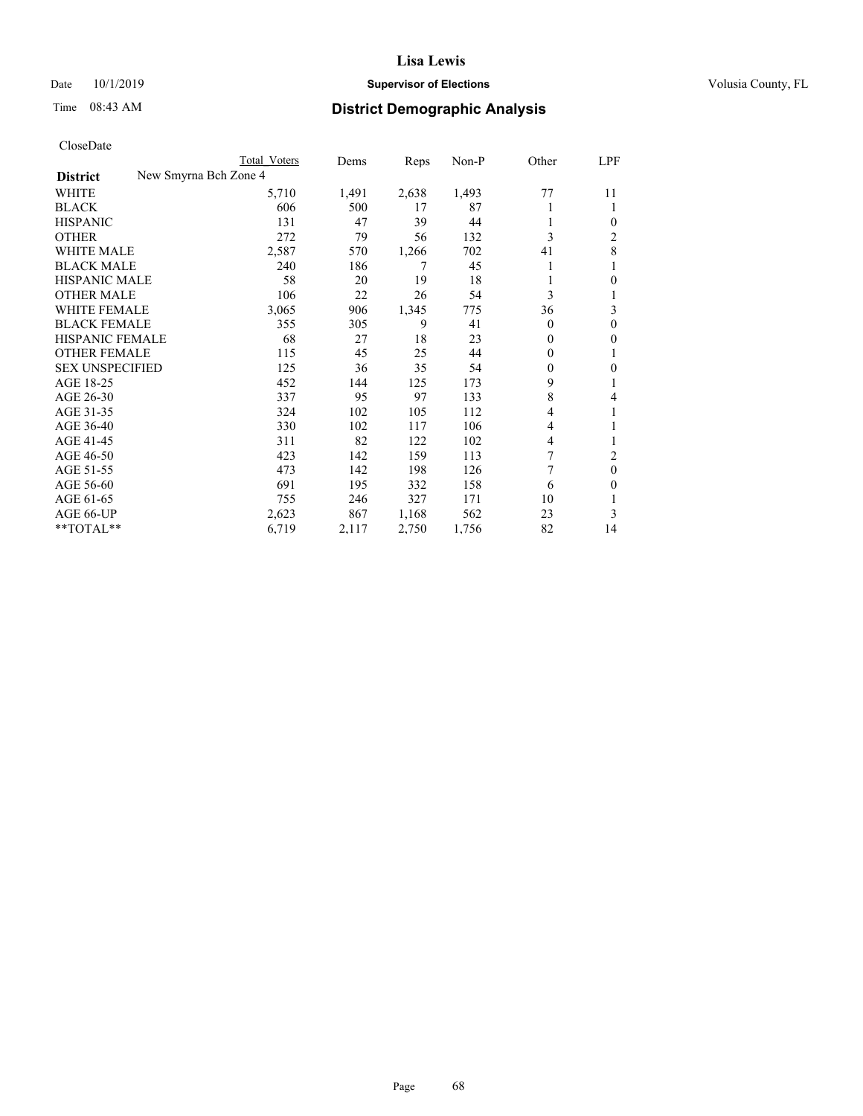## Date 10/1/2019 **Supervisor of Elections Supervisor of Elections** Volusia County, FL

| CloseDate |
|-----------|
|-----------|

|                        |                       | Total Voters | Dems  | Reps  | $Non-P$ | Other        | LPF          |
|------------------------|-----------------------|--------------|-------|-------|---------|--------------|--------------|
| <b>District</b>        | New Smyrna Bch Zone 4 |              |       |       |         |              |              |
| WHITE                  |                       | 5,710        | 1,491 | 2,638 | 1,493   | 77           | 11           |
| <b>BLACK</b>           |                       | 606          | 500   | 17    | 87      |              | 1            |
| <b>HISPANIC</b>        |                       | 131          | 47    | 39    | 44      |              | $\theta$     |
| <b>OTHER</b>           |                       | 272          | 79    | 56    | 132     | 3            | 2            |
| <b>WHITE MALE</b>      |                       | 2,587        | 570   | 1,266 | 702     | 41           | 8            |
| <b>BLACK MALE</b>      |                       | 240          | 186   | 7     | 45      |              | 1            |
| <b>HISPANIC MALE</b>   |                       | 58           | 20    | 19    | 18      |              | $\theta$     |
| <b>OTHER MALE</b>      |                       | 106          | 22    | 26    | 54      | 3            | 1            |
| WHITE FEMALE           |                       | 3,065        | 906   | 1,345 | 775     | 36           | 3            |
| <b>BLACK FEMALE</b>    |                       | 355          | 305   | 9     | 41      | $\theta$     | $\mathbf{0}$ |
| HISPANIC FEMALE        |                       | 68           | 27    | 18    | 23      | $\theta$     | $\mathbf{0}$ |
| <b>OTHER FEMALE</b>    |                       | 115          | 45    | 25    | 44      | 0            | 1            |
| <b>SEX UNSPECIFIED</b> |                       | 125          | 36    | 35    | 54      | $\mathbf{0}$ | $\theta$     |
| AGE 18-25              |                       | 452          | 144   | 125   | 173     | 9            | 1            |
| AGE 26-30              |                       | 337          | 95    | 97    | 133     | 8            | 4            |
| AGE 31-35              |                       | 324          | 102   | 105   | 112     | 4            | 1            |
| AGE 36-40              |                       | 330          | 102   | 117   | 106     | 4            | 1            |
| AGE 41-45              |                       | 311          | 82    | 122   | 102     | 4            | 1            |
| AGE 46-50              |                       | 423          | 142   | 159   | 113     | 7            | 2            |
| AGE 51-55              |                       | 473          | 142   | 198   | 126     | 7            | $\mathbf{0}$ |
| AGE 56-60              |                       | 691          | 195   | 332   | 158     | 6            | $\theta$     |
| AGE 61-65              |                       | 755          | 246   | 327   | 171     | 10           | 1            |
| AGE 66-UP              |                       | 2,623        | 867   | 1,168 | 562     | 23           | 3            |
| $*$ $TOTAL**$          |                       | 6,719        | 2,117 | 2,750 | 1,756   | 82           | 14           |
|                        |                       |              |       |       |         |              |              |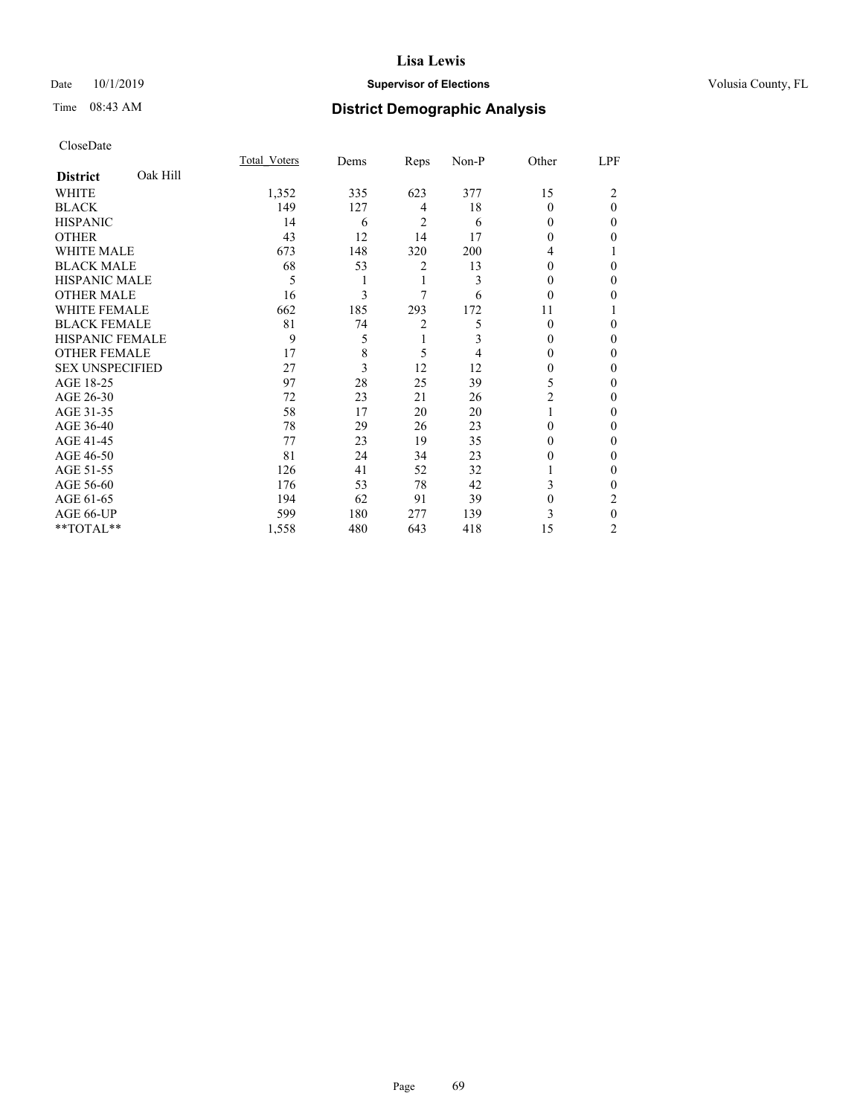## Date 10/1/2019 **Supervisor of Elections Supervisor of Elections** Volusia County, FL

# Time 08:43 AM **District Demographic Analysis**

|                        |          | Total Voters | Dems | Reps           | Non-P | Other    | LPF          |
|------------------------|----------|--------------|------|----------------|-------|----------|--------------|
| <b>District</b>        | Oak Hill |              |      |                |       |          |              |
| WHITE                  |          | 1,352        | 335  | 623            | 377   | 15       | 2            |
| <b>BLACK</b>           |          | 149          | 127  | 4              | 18    | $\Omega$ | $\theta$     |
| <b>HISPANIC</b>        |          | 14           | 6    | 2              | 6     | 0        | 0            |
| <b>OTHER</b>           |          | 43           | 12   | 14             | 17    | $\Omega$ | 0            |
| WHITE MALE             |          | 673          | 148  | 320            | 200   | 4        |              |
| <b>BLACK MALE</b>      |          | 68           | 53   | 2              | 13    | $\Omega$ | 0            |
| <b>HISPANIC MALE</b>   |          | 5            | 1    | 1              | 3     | 0        | 0            |
| <b>OTHER MALE</b>      |          | 16           | 3    | 7              | 6     | $\theta$ | 0            |
| WHITE FEMALE           |          | 662          | 185  | 293            | 172   | 11       |              |
| <b>BLACK FEMALE</b>    |          | 81           | 74   | $\overline{2}$ | 5     | $\Omega$ | 0            |
| <b>HISPANIC FEMALE</b> |          | 9            | 5    | 1              | 3     | 0        | 0            |
| <b>OTHER FEMALE</b>    |          | 17           | 8    | 5              | 4     | 0        | 0            |
| <b>SEX UNSPECIFIED</b> |          | 27           | 3    | 12             | 12    | $\theta$ | 0            |
| AGE 18-25              |          | 97           | 28   | 25             | 39    | 5        | 0            |
| AGE 26-30              |          | 72           | 23   | 21             | 26    | 2        | 0            |
| AGE 31-35              |          | 58           | 17   | 20             | 20    |          | 0            |
| AGE 36-40              |          | 78           | 29   | 26             | 23    | $\Omega$ | 0            |
| AGE 41-45              |          | 77           | 23   | 19             | 35    | 0        | 0            |
| AGE 46-50              |          | 81           | 24   | 34             | 23    | 0        | 0            |
| AGE 51-55              |          | 126          | 41   | 52             | 32    |          | $\mathbf{0}$ |
| AGE 56-60              |          | 176          | 53   | 78             | 42    | 3        | 0            |
| AGE 61-65              |          | 194          | 62   | 91             | 39    | 0        | 2            |
| AGE 66-UP              |          | 599          | 180  | 277            | 139   | 3        | $\theta$     |
| **TOTAL**              |          | 1,558        | 480  | 643            | 418   | 15       | 2            |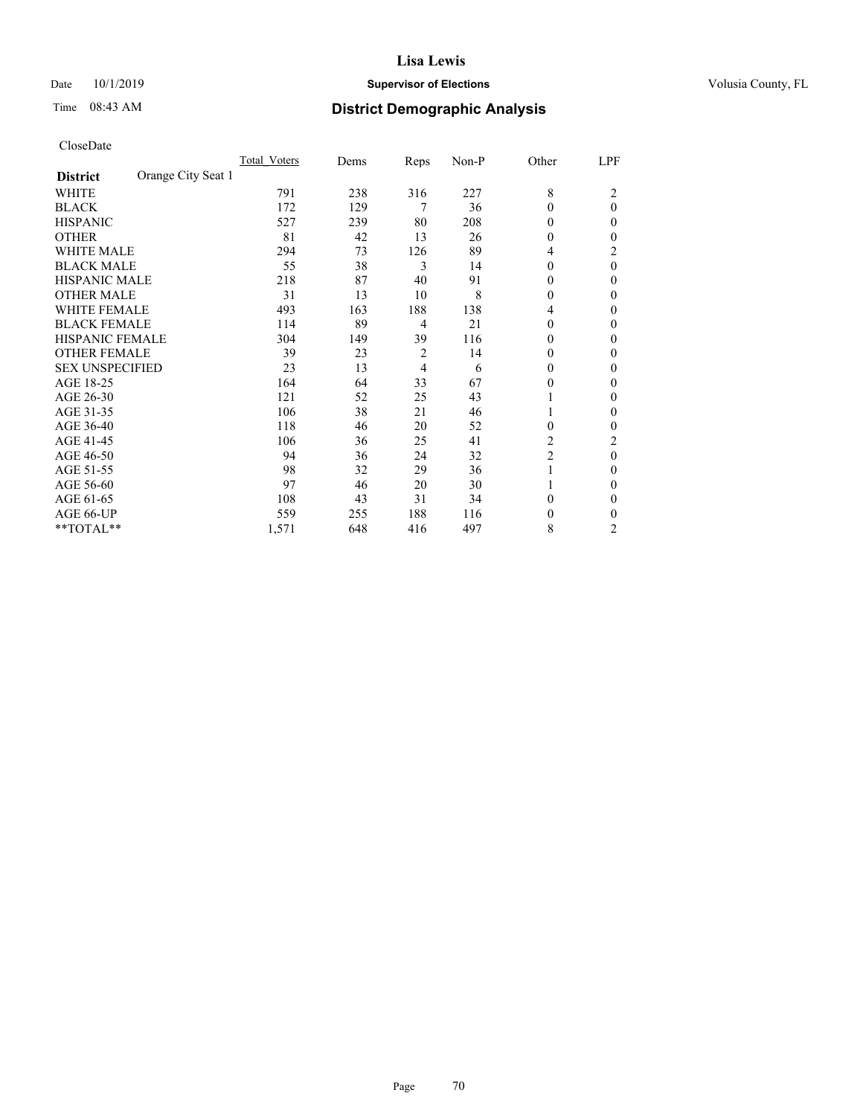## Date 10/1/2019 **Supervisor of Elections Supervisor of Elections** Volusia County, FL

# Time 08:43 AM **District Demographic Analysis**

|                                       | Total Voters | Dems | Reps           | Non-P | Other          | LPF            |
|---------------------------------------|--------------|------|----------------|-------|----------------|----------------|
| Orange City Seat 1<br><b>District</b> |              |      |                |       |                |                |
| WHITE                                 | 791          | 238  | 316            | 227   | 8              | 2              |
| <b>BLACK</b>                          | 172          | 129  | 7              | 36    | $\Omega$       | $\theta$       |
| <b>HISPANIC</b>                       | 527          | 239  | 80             | 208   | $\Omega$       | 0              |
| <b>OTHER</b>                          | 81           | 42   | 13             | 26    | $\Omega$       | 0              |
| <b>WHITE MALE</b>                     | 294          | 73   | 126            | 89    | 4              | 2              |
| <b>BLACK MALE</b>                     | 55           | 38   | 3              | 14    | $\overline{0}$ | $\theta$       |
| <b>HISPANIC MALE</b>                  | 218          | 87   | 40             | 91    | 0              | 0              |
| <b>OTHER MALE</b>                     | 31           | 13   | 10             | 8     | $\theta$       | 0              |
| <b>WHITE FEMALE</b>                   | 493          | 163  | 188            | 138   | 4              | 0              |
| <b>BLACK FEMALE</b>                   | 114          | 89   | $\overline{4}$ | 21    | $\theta$       | 0              |
| <b>HISPANIC FEMALE</b>                | 304          | 149  | 39             | 116   | $\Omega$       | 0              |
| <b>OTHER FEMALE</b>                   | 39           | 23   | $\overline{2}$ | 14    | $\Omega$       | 0              |
| <b>SEX UNSPECIFIED</b>                | 23           | 13   | $\overline{4}$ | 6     | $\Omega$       | 0              |
| AGE 18-25                             | 164          | 64   | 33             | 67    | 0              | 0              |
| AGE 26-30                             | 121          | 52   | 25             | 43    |                | 0              |
| AGE 31-35                             | 106          | 38   | 21             | 46    | 1              | 0              |
| AGE 36-40                             | 118          | 46   | 20             | 52    | $\theta$       | 0              |
| AGE 41-45                             | 106          | 36   | 25             | 41    | 2              | 2              |
| AGE 46-50                             | 94           | 36   | 24             | 32    | $\overline{2}$ | $\theta$       |
| AGE 51-55                             | 98           | 32   | 29             | 36    | 1              | 0              |
| AGE 56-60                             | 97           | 46   | 20             | 30    |                | 0              |
| AGE 61-65                             | 108          | 43   | 31             | 34    | $\theta$       | 0              |
| AGE 66-UP                             | 559          | 255  | 188            | 116   | 0              | 0              |
| **TOTAL**                             | 1,571        | 648  | 416            | 497   | 8              | $\overline{2}$ |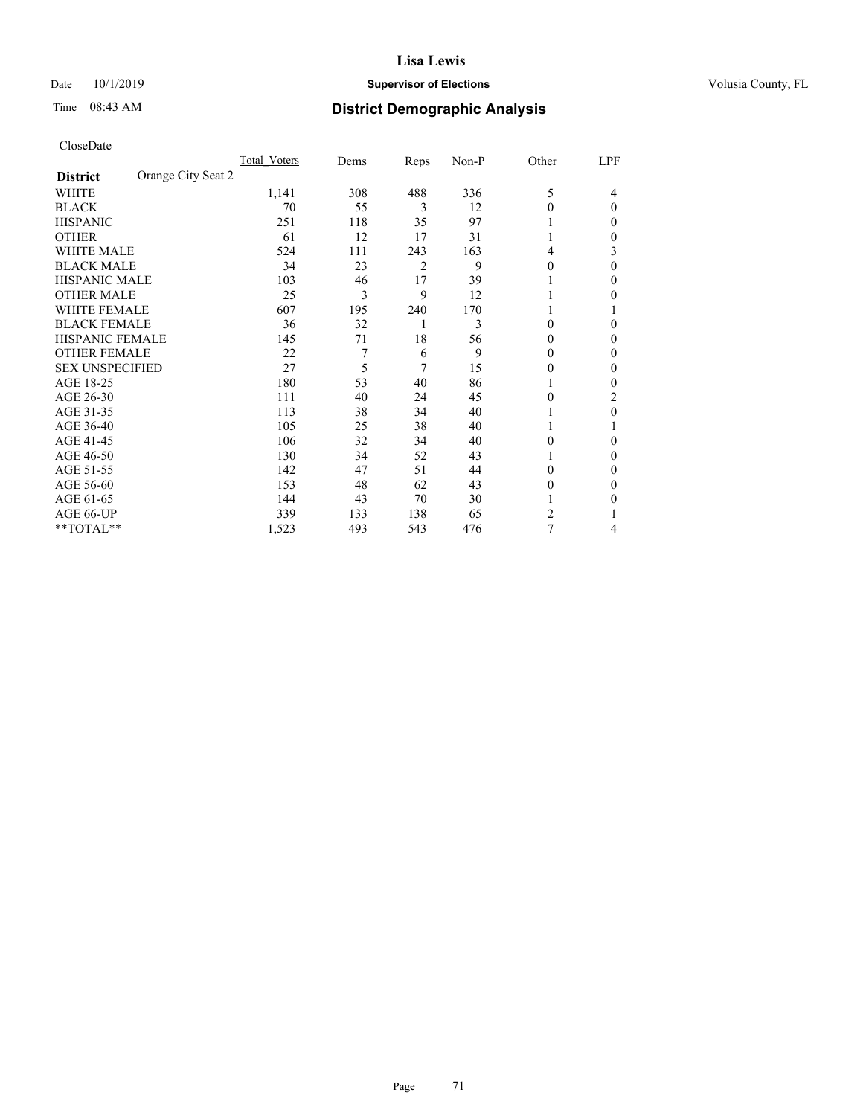## Date 10/1/2019 **Supervisor of Elections Supervisor of Elections** Volusia County, FL

# Time 08:43 AM **District Demographic Analysis**

|                                       | Total Voters | Dems | Reps | Non-P | Other    | LPF      |
|---------------------------------------|--------------|------|------|-------|----------|----------|
| Orange City Seat 2<br><b>District</b> |              |      |      |       |          |          |
| WHITE                                 | 1,141        | 308  | 488  | 336   | 5        | 4        |
| <b>BLACK</b>                          | 70           | 55   | 3    | 12    | $\Omega$ | $\Omega$ |
| <b>HISPANIC</b>                       | 251          | 118  | 35   | 97    | 1        | 0        |
| <b>OTHER</b>                          | 61           | 12   | 17   | 31    |          | 0        |
| <b>WHITE MALE</b>                     | 524          | 111  | 243  | 163   | 4        | 3        |
| <b>BLACK MALE</b>                     | 34           | 23   | 2    | 9     | $\theta$ | $\Omega$ |
| HISPANIC MALE                         | 103          | 46   | 17   | 39    |          | 0        |
| <b>OTHER MALE</b>                     | 25           | 3    | 9    | 12    | 1        | 0        |
| <b>WHITE FEMALE</b>                   | 607          | 195  | 240  | 170   |          |          |
| <b>BLACK FEMALE</b>                   | 36           | 32   | 1    | 3     | $\theta$ | 0        |
| <b>HISPANIC FEMALE</b>                | 145          | 71   | 18   | 56    | $\theta$ | 0        |
| <b>OTHER FEMALE</b>                   | 22           | 7    | 6    | 9     | $\Omega$ | 0        |
| <b>SEX UNSPECIFIED</b>                | 27           | 5    | 7    | 15    | $\Omega$ | 0        |
| AGE 18-25                             | 180          | 53   | 40   | 86    |          | 0        |
| AGE 26-30                             | 111          | 40   | 24   | 45    | $\theta$ | 2        |
| AGE 31-35                             | 113          | 38   | 34   | 40    |          | 0        |
| AGE 36-40                             | 105          | 25   | 38   | 40    | 1        |          |
| AGE 41-45                             | 106          | 32   | 34   | 40    | 0        | 0        |
| AGE 46-50                             | 130          | 34   | 52   | 43    | 1        | 0        |
| AGE 51-55                             | 142          | 47   | 51   | 44    | $\Omega$ | 0        |
| AGE 56-60                             | 153          | 48   | 62   | 43    | $\theta$ | 0        |
| AGE 61-65                             | 144          | 43   | 70   | 30    |          | 0        |
| AGE 66-UP                             | 339          | 133  | 138  | 65    | 2        |          |
| **TOTAL**                             | 1,523        | 493  | 543  | 476   | 7        | 4        |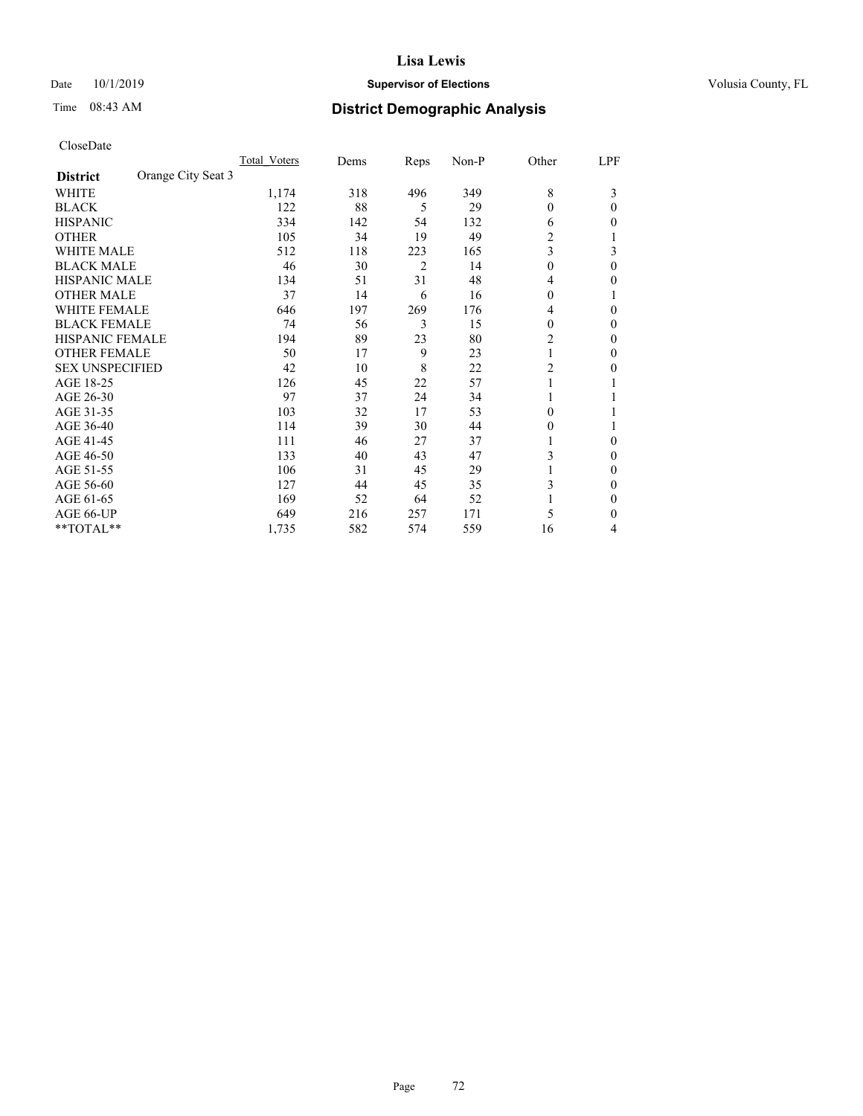## Date 10/1/2019 **Supervisor of Elections Supervisor of Elections** Volusia County, FL

# Time 08:43 AM **District Demographic Analysis**

|                                       | Total Voters | Dems | Reps | Non-P | Other            | LPF          |
|---------------------------------------|--------------|------|------|-------|------------------|--------------|
| Orange City Seat 3<br><b>District</b> |              |      |      |       |                  |              |
| WHITE                                 | 1,174        | 318  | 496  | 349   | 8                | 3            |
| <b>BLACK</b>                          | 122          | 88   | 5    | 29    | $\theta$         | $\Omega$     |
| <b>HISPANIC</b>                       | 334          | 142  | 54   | 132   | 6                | 0            |
| <b>OTHER</b>                          | 105          | 34   | 19   | 49    | 2                | 1            |
| <b>WHITE MALE</b>                     | 512          | 118  | 223  | 165   | 3                | 3            |
| <b>BLACK MALE</b>                     | 46           | 30   | 2    | 14    | $\boldsymbol{0}$ | $\theta$     |
| <b>HISPANIC MALE</b>                  | 134          | 51   | 31   | 48    | 4                | 0            |
| <b>OTHER MALE</b>                     | 37           | 14   | 6    | 16    | 0                |              |
| <b>WHITE FEMALE</b>                   | 646          | 197  | 269  | 176   | 4                | 0            |
| <b>BLACK FEMALE</b>                   | 74           | 56   | 3    | 15    | 0                | 0            |
| <b>HISPANIC FEMALE</b>                | 194          | 89   | 23   | 80    | $\overline{2}$   | $\mathbf{0}$ |
| <b>OTHER FEMALE</b>                   | 50           | 17   | 9    | 23    |                  | $\mathbf{0}$ |
| <b>SEX UNSPECIFIED</b>                | 42           | 10   | 8    | 22    | 2                | 0            |
| AGE 18-25                             | 126          | 45   | 22   | 57    |                  |              |
| AGE 26-30                             | 97           | 37   | 24   | 34    |                  |              |
| AGE 31-35                             | 103          | 32   | 17   | 53    | 0                |              |
| AGE 36-40                             | 114          | 39   | 30   | 44    | 0                | 1            |
| AGE 41-45                             | 111          | 46   | 27   | 37    |                  | 0            |
| AGE 46-50                             | 133          | 40   | 43   | 47    | 3                | $\mathbf{0}$ |
| AGE 51-55                             | 106          | 31   | 45   | 29    |                  | $\mathbf{0}$ |
| AGE 56-60                             | 127          | 44   | 45   | 35    | 3                | 0            |
| AGE 61-65                             | 169          | 52   | 64   | 52    |                  | $\mathbf{0}$ |
| AGE 66-UP                             | 649          | 216  | 257  | 171   | 5                | $\Omega$     |
| **TOTAL**                             | 1,735        | 582  | 574  | 559   | 16               | 4            |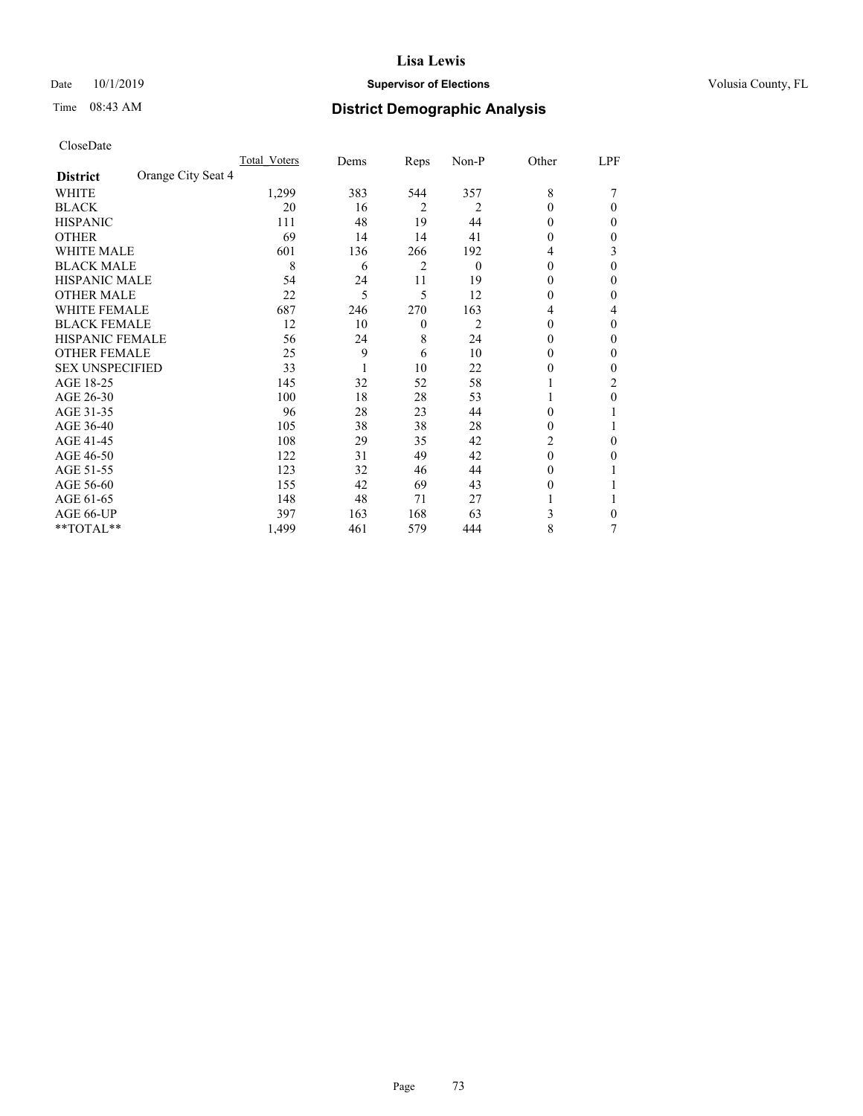#### Date 10/1/2019 **Supervisor of Elections Supervisor of Elections** Volusia County, FL

## Time 08:43 AM **District Demographic Analysis**

|                        |                    | Total Voters | Dems | Reps           | Non-P    | Other    | LPF |
|------------------------|--------------------|--------------|------|----------------|----------|----------|-----|
| <b>District</b>        | Orange City Seat 4 |              |      |                |          |          |     |
| WHITE                  |                    | 1,299        | 383  | 544            | 357      | 8        |     |
| <b>BLACK</b>           |                    | 20           | 16   | $\overline{2}$ | 2        | $\Omega$ | 0   |
| <b>HISPANIC</b>        |                    | 111          | 48   | 19             | 44       | 0        | 0   |
| <b>OTHER</b>           |                    | 69           | 14   | 14             | 41       | 0        | 0   |
| <b>WHITE MALE</b>      |                    | 601          | 136  | 266            | 192      | 4        | 3   |
| <b>BLACK MALE</b>      |                    | 8            | 6    | 2              | $\Omega$ | $\theta$ | 0   |
| <b>HISPANIC MALE</b>   |                    | 54           | 24   | 11             | 19       | 0        | 0   |
| <b>OTHER MALE</b>      |                    | 22           | 5    | 5              | 12       | 0        | 0   |
| <b>WHITE FEMALE</b>    |                    | 687          | 246  | 270            | 163      | 4        | 4   |
| <b>BLACK FEMALE</b>    |                    | 12           | 10   | $\theta$       | 2        | $\theta$ | 0   |
| <b>HISPANIC FEMALE</b> |                    | 56           | 24   | 8              | 24       | 0        | 0   |
| <b>OTHER FEMALE</b>    |                    | 25           | 9    | 6              | 10       | $\Omega$ | 0   |
| <b>SEX UNSPECIFIED</b> |                    | 33           |      | 10             | 22       | 0        | 0   |
| AGE 18-25              |                    | 145          | 32   | 52             | 58       |          | 2   |
| AGE 26-30              |                    | 100          | 18   | 28             | 53       |          | 0   |
| AGE 31-35              |                    | 96           | 28   | 23             | 44       | 0        |     |
| AGE 36-40              |                    | 105          | 38   | 38             | 28       | 0        |     |
| AGE 41-45              |                    | 108          | 29   | 35             | 42       | 2        | 0   |
| AGE 46-50              |                    | 122          | 31   | 49             | 42       | $\Omega$ | 0   |
| AGE 51-55              |                    | 123          | 32   | 46             | 44       | $_{0}$   |     |
| AGE 56-60              |                    | 155          | 42   | 69             | 43       | $_{0}$   |     |
| AGE 61-65              |                    | 148          | 48   | 71             | 27       |          |     |
| AGE 66-UP              |                    | 397          | 163  | 168            | 63       | 3        | 0   |
| **TOTAL**              |                    | 1,499        | 461  | 579            | 444      | 8        | 7   |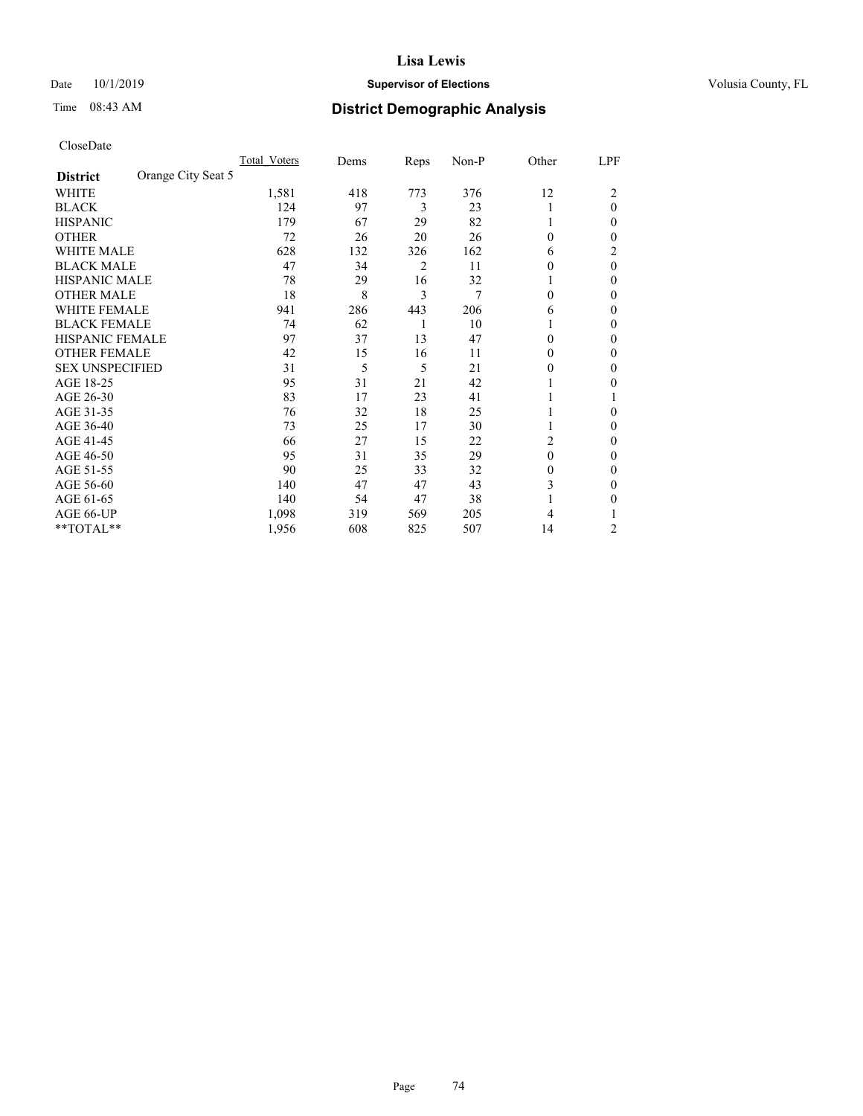## Date 10/1/2019 **Supervisor of Elections Supervisor of Elections** Volusia County, FL

## Time 08:43 AM **District Demographic Analysis**

|                                       | Total Voters | Dems | Reps | Non-P | Other    | LPF          |
|---------------------------------------|--------------|------|------|-------|----------|--------------|
| Orange City Seat 5<br><b>District</b> |              |      |      |       |          |              |
| WHITE                                 | 1,581        | 418  | 773  | 376   | 12       | 2            |
| <b>BLACK</b>                          | 124          | 97   | 3    | 23    |          | $\theta$     |
| <b>HISPANIC</b>                       | 179          | 67   | 29   | 82    |          | 0            |
| <b>OTHER</b>                          | 72           | 26   | 20   | 26    | 0        | 0            |
| <b>WHITE MALE</b>                     | 628          | 132  | 326  | 162   | 6        | 2            |
| <b>BLACK MALE</b>                     | 47           | 34   | 2    | 11    | 0        | $\theta$     |
| <b>HISPANIC MALE</b>                  | 78           | 29   | 16   | 32    |          | $\theta$     |
| <b>OTHER MALE</b>                     | 18           | 8    | 3    | 7     | $\Omega$ | $\mathbf{0}$ |
| WHITE FEMALE                          | 941          | 286  | 443  | 206   | 6        | 0            |
| <b>BLACK FEMALE</b>                   | 74           | 62   | 1    | 10    |          | 0            |
| <b>HISPANIC FEMALE</b>                | 97           | 37   | 13   | 47    | 0        | 0            |
| <b>OTHER FEMALE</b>                   | 42           | 15   | 16   | 11    | 0        | 0            |
| <b>SEX UNSPECIFIED</b>                | 31           | 5    | 5    | 21    | 0        | 0            |
| AGE 18-25                             | 95           | 31   | 21   | 42    |          | 0            |
| AGE 26-30                             | 83           | 17   | 23   | 41    |          | 1            |
| AGE 31-35                             | 76           | 32   | 18   | 25    |          | 0            |
| AGE 36-40                             | 73           | 25   | 17   | 30    |          | 0            |
| AGE 41-45                             | 66           | 27   | 15   | 22    | 2        | 0            |
| AGE 46-50                             | 95           | 31   | 35   | 29    | $\theta$ | 0            |
| AGE 51-55                             | 90           | 25   | 33   | 32    | 0        | 0            |
| AGE 56-60                             | 140          | 47   | 47   | 43    | 3        | 0            |
| AGE 61-65                             | 140          | 54   | 47   | 38    |          | 0            |
| AGE 66-UP                             | 1,098        | 319  | 569  | 205   | 4        |              |
| **TOTAL**                             | 1,956        | 608  | 825  | 507   | 14       | 2            |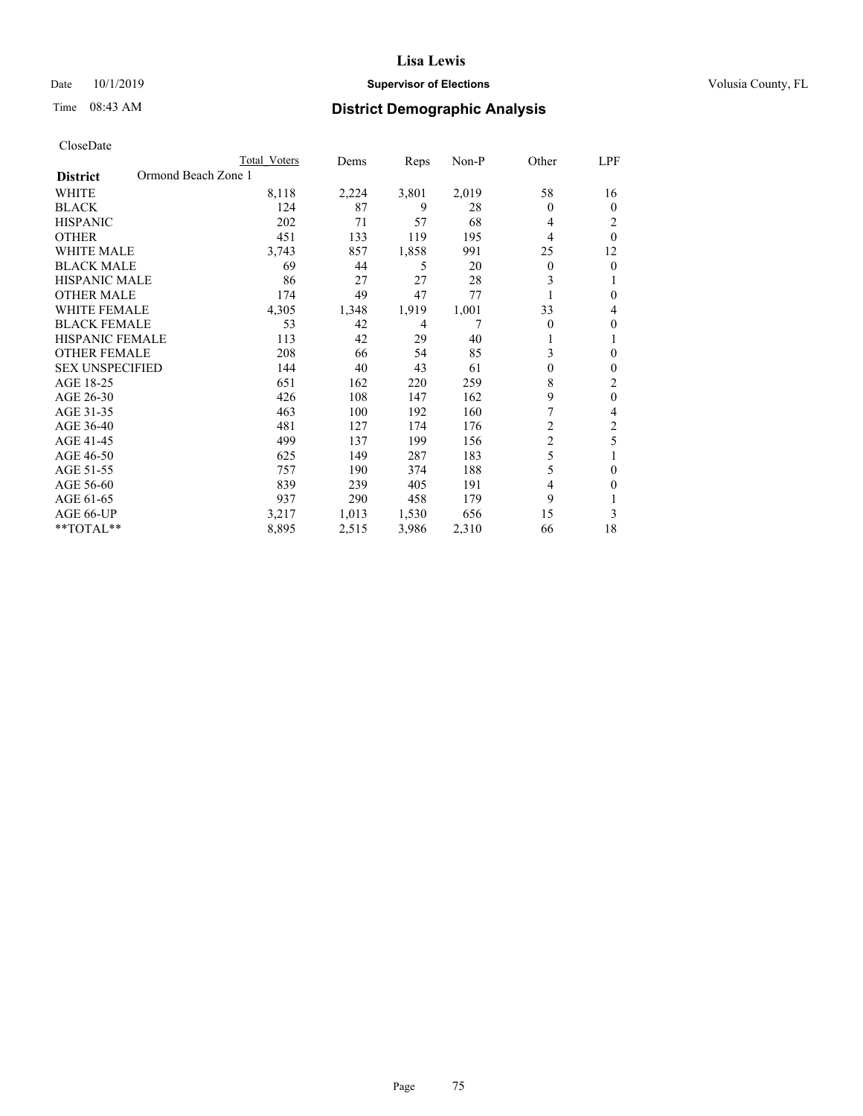## Date 10/1/2019 **Supervisor of Elections Supervisor of Elections** Volusia County, FL

# Time 08:43 AM **District Demographic Analysis**

|                                        | Total Voters | Dems  | Reps  | $Non-P$ | Other          | LPF            |
|----------------------------------------|--------------|-------|-------|---------|----------------|----------------|
| Ormond Beach Zone 1<br><b>District</b> |              |       |       |         |                |                |
| <b>WHITE</b>                           | 8,118        | 2,224 | 3,801 | 2,019   | 58             | 16             |
| <b>BLACK</b>                           | 124          | 87    | 9     | 28      | $\theta$       | $\theta$       |
| <b>HISPANIC</b>                        | 202          | 71    | 57    | 68      | 4              | 2              |
| <b>OTHER</b>                           | 451          | 133   | 119   | 195     | $\overline{4}$ | $\theta$       |
| <b>WHITE MALE</b>                      | 3,743        | 857   | 1,858 | 991     | 25             | 12             |
| <b>BLACK MALE</b>                      | 69           | 44    | 5     | 20      | 0              | $\mathbf{0}$   |
| HISPANIC MALE                          | 86           | 27    | 27    | 28      | 3              | 1              |
| <b>OTHER MALE</b>                      | 174          | 49    | 47    | 77      |                | $\theta$       |
| <b>WHITE FEMALE</b>                    | 4,305        | 1,348 | 1,919 | 1,001   | 33             | 4              |
| <b>BLACK FEMALE</b>                    | 53           | 42    | 4     | 7       | $\theta$       | $\theta$       |
| <b>HISPANIC FEMALE</b>                 | 113          | 42    | 29    | 40      | 1              | 1              |
| <b>OTHER FEMALE</b>                    | 208          | 66    | 54    | 85      | 3              | $\theta$       |
| <b>SEX UNSPECIFIED</b>                 | 144          | 40    | 43    | 61      | $\theta$       | $\theta$       |
| AGE 18-25                              | 651          | 162   | 220   | 259     | 8              | 2              |
| AGE 26-30                              | 426          | 108   | 147   | 162     | 9              | $\theta$       |
| AGE 31-35                              | 463          | 100   | 192   | 160     | 7              | 4              |
| AGE 36-40                              | 481          | 127   | 174   | 176     | $\overline{c}$ | $\overline{2}$ |
| AGE 41-45                              | 499          | 137   | 199   | 156     | $\overline{c}$ | 5              |
| AGE 46-50                              | 625          | 149   | 287   | 183     | 5              |                |
| AGE 51-55                              | 757          | 190   | 374   | 188     | 5              | $\theta$       |
| AGE 56-60                              | 839          | 239   | 405   | 191     | 4              | $\Omega$       |
| AGE 61-65                              | 937          | 290   | 458   | 179     | 9              |                |
| AGE 66-UP                              | 3,217        | 1,013 | 1,530 | 656     | 15             | 3              |
| $*$ TOTAL $*$                          | 8,895        | 2,515 | 3,986 | 2,310   | 66             | 18             |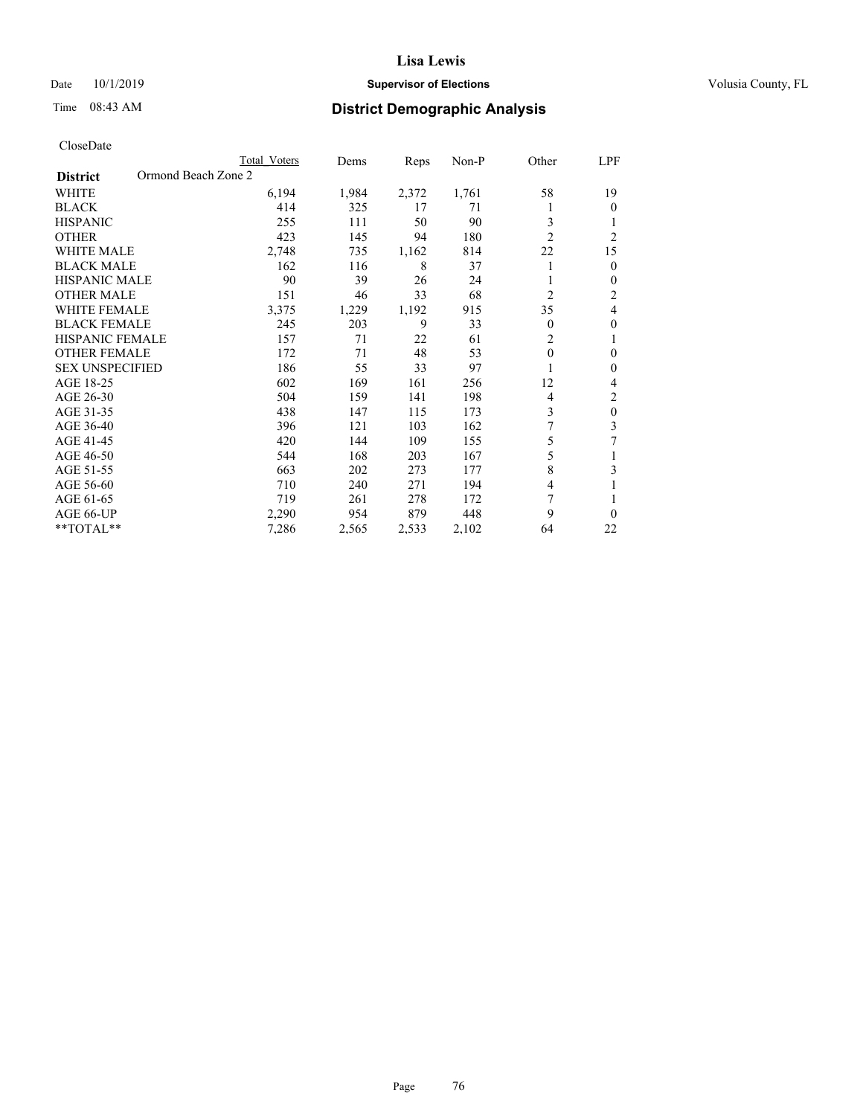## Date 10/1/2019 **Supervisor of Elections Supervisor of Elections** Volusia County, FL

# Time 08:43 AM **District Demographic Analysis**

|                                        | Total Voters | Dems  | Reps  | $Non-P$ | Other          | LPF            |
|----------------------------------------|--------------|-------|-------|---------|----------------|----------------|
| Ormond Beach Zone 2<br><b>District</b> |              |       |       |         |                |                |
| <b>WHITE</b>                           | 6,194        | 1,984 | 2,372 | 1,761   | 58             | 19             |
| <b>BLACK</b>                           | 414          | 325   | 17    | 71      |                | $\Omega$       |
| <b>HISPANIC</b>                        | 255          | 111   | 50    | 90      | 3              |                |
| <b>OTHER</b>                           | 423          | 145   | 94    | 180     | $\overline{2}$ | $\overline{c}$ |
| <b>WHITE MALE</b>                      | 2,748        | 735   | 1,162 | 814     | 22             | 15             |
| <b>BLACK MALE</b>                      | 162          | 116   | 8     | 37      | 1              | $\theta$       |
| HISPANIC MALE                          | 90           | 39    | 26    | 24      |                | $\mathbf{0}$   |
| <b>OTHER MALE</b>                      | 151          | 46    | 33    | 68      | $\overline{c}$ | 2              |
| <b>WHITE FEMALE</b>                    | 3,375        | 1,229 | 1,192 | 915     | 35             | 4              |
| <b>BLACK FEMALE</b>                    | 245          | 203   | 9     | 33      | $\theta$       | $\theta$       |
| <b>HISPANIC FEMALE</b>                 | 157          | 71    | 22    | 61      | $\overline{c}$ | 1              |
| <b>OTHER FEMALE</b>                    | 172          | 71    | 48    | 53      | $\theta$       | $\theta$       |
| <b>SEX UNSPECIFIED</b>                 | 186          | 55    | 33    | 97      |                | $\theta$       |
| AGE 18-25                              | 602          | 169   | 161   | 256     | 12             | 4              |
| AGE 26-30                              | 504          | 159   | 141   | 198     | 4              | $\overline{2}$ |
| AGE 31-35                              | 438          | 147   | 115   | 173     | 3              | $\mathbf{0}$   |
| AGE 36-40                              | 396          | 121   | 103   | 162     | 7              | 3              |
| AGE 41-45                              | 420          | 144   | 109   | 155     | 5              | 7              |
| AGE 46-50                              | 544          | 168   | 203   | 167     | 5              |                |
| AGE 51-55                              | 663          | 202   | 273   | 177     | 8              | 3              |
| AGE 56-60                              | 710          | 240   | 271   | 194     | 4              |                |
| AGE 61-65                              | 719          | 261   | 278   | 172     | 7              |                |
| AGE 66-UP                              | 2,290        | 954   | 879   | 448     | 9              | $\theta$       |
| $*$ TOTAL $*$                          | 7,286        | 2,565 | 2,533 | 2,102   | 64             | 22             |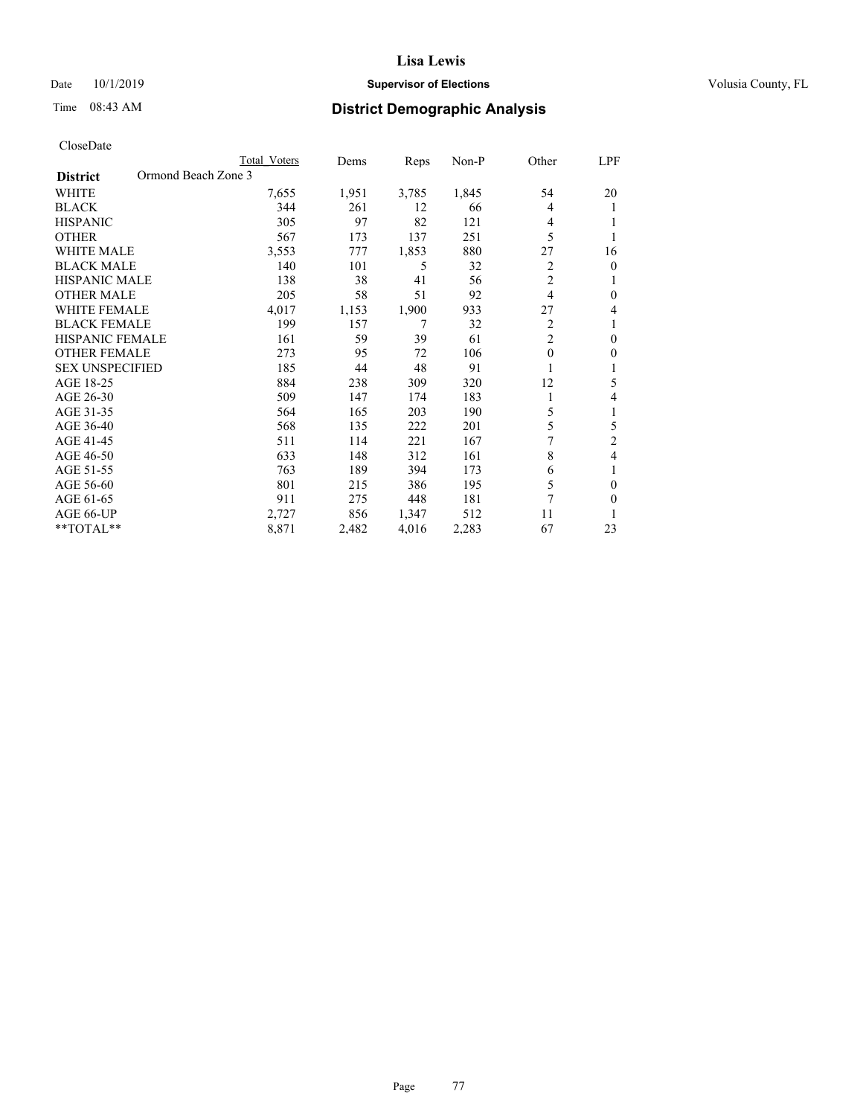#### Date 10/1/2019 **Supervisor of Elections Supervisor of Elections** Volusia County, FL

# Time 08:43 AM **District Demographic Analysis**

|                                        | Total Voters | Dems  | Reps  | Non-P | Other          | LPF          |
|----------------------------------------|--------------|-------|-------|-------|----------------|--------------|
| Ormond Beach Zone 3<br><b>District</b> |              |       |       |       |                |              |
| WHITE                                  | 7,655        | 1,951 | 3,785 | 1,845 | 54             | 20           |
| <b>BLACK</b>                           | 344          | 261   | 12    | 66    | 4              |              |
| <b>HISPANIC</b>                        | 305          | 97    | 82    | 121   | 4              |              |
| <b>OTHER</b>                           | 567          | 173   | 137   | 251   | 5              |              |
| <b>WHITE MALE</b>                      | 3,553        | 777   | 1,853 | 880   | 27             | 16           |
| <b>BLACK MALE</b>                      | 140          | 101   | 5     | 32    | 2              | $\theta$     |
| <b>HISPANIC MALE</b>                   | 138          | 38    | 41    | 56    | $\overline{2}$ | 1            |
| <b>OTHER MALE</b>                      | 205          | 58    | 51    | 92    | $\overline{4}$ | $\mathbf{0}$ |
| <b>WHITE FEMALE</b>                    | 4,017        | 1,153 | 1,900 | 933   | 27             | 4            |
| <b>BLACK FEMALE</b>                    | 199          | 157   | 7     | 32    | $\overline{2}$ |              |
| <b>HISPANIC FEMALE</b>                 | 161          | 59    | 39    | 61    | $\overline{2}$ | $\theta$     |
| <b>OTHER FEMALE</b>                    | 273          | 95    | 72    | 106   | $\theta$       | $\theta$     |
| <b>SEX UNSPECIFIED</b>                 | 185          | 44    | 48    | 91    |                |              |
| AGE 18-25                              | 884          | 238   | 309   | 320   | 12             | 5            |
| AGE 26-30                              | 509          | 147   | 174   | 183   | 1              | 4            |
| AGE 31-35                              | 564          | 165   | 203   | 190   | 5              | 1            |
| AGE 36-40                              | 568          | 135   | 222   | 201   | 5              | 5            |
| AGE 41-45                              | 511          | 114   | 221   | 167   | 7              | 2            |
| AGE 46-50                              | 633          | 148   | 312   | 161   | 8              | 4            |
| AGE 51-55                              | 763          | 189   | 394   | 173   | 6              | 1            |
| AGE 56-60                              | 801          | 215   | 386   | 195   | 5              | $\theta$     |
| AGE 61-65                              | 911          | 275   | 448   | 181   | 7              | $\theta$     |
| AGE 66-UP                              | 2,727        | 856   | 1,347 | 512   | 11             |              |
| **TOTAL**                              | 8,871        | 2,482 | 4,016 | 2,283 | 67             | 23           |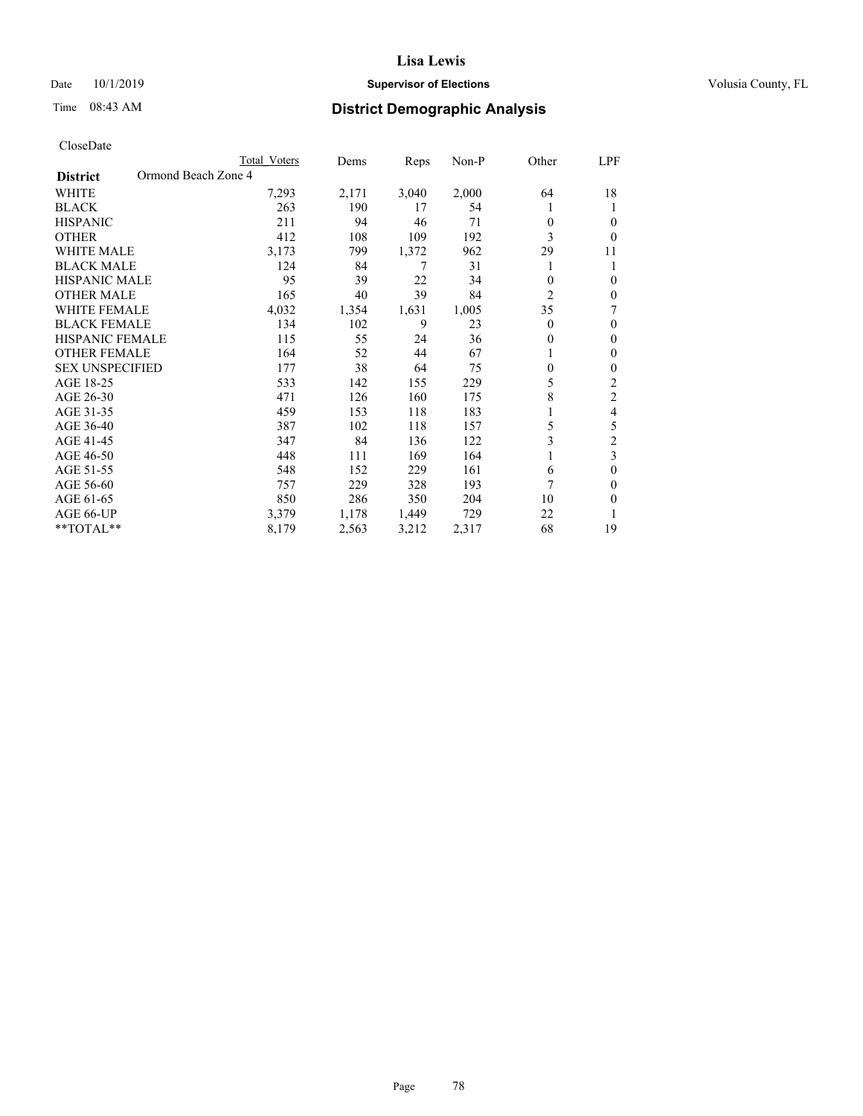## Date 10/1/2019 **Supervisor of Elections Supervisor of Elections** Volusia County, FL

# Time 08:43 AM **District Demographic Analysis**

|                                        | Total Voters | Dems  | Reps  | Non-P | Other          | LPF            |
|----------------------------------------|--------------|-------|-------|-------|----------------|----------------|
| Ormond Beach Zone 4<br><b>District</b> |              |       |       |       |                |                |
| WHITE                                  | 7,293        | 2,171 | 3,040 | 2,000 | 64             | 18             |
| <b>BLACK</b>                           | 263          | 190   | 17    | 54    |                | 1              |
| <b>HISPANIC</b>                        | 211          | 94    | 46    | 71    | 0              | $\theta$       |
| <b>OTHER</b>                           | 412          | 108   | 109   | 192   | 3              | $\theta$       |
| <b>WHITE MALE</b>                      | 3,173        | 799   | 1,372 | 962   | 29             | 11             |
| <b>BLACK MALE</b>                      | 124          | 84    | 7     | 31    | 1              | 1              |
| <b>HISPANIC MALE</b>                   | 95           | 39    | 22    | 34    | 0              | $\mathbf{0}$   |
| <b>OTHER MALE</b>                      | 165          | 40    | 39    | 84    | $\overline{2}$ | $\mathbf{0}$   |
| <b>WHITE FEMALE</b>                    | 4,032        | 1,354 | 1,631 | 1,005 | 35             | 7              |
| <b>BLACK FEMALE</b>                    | 134          | 102   | 9     | 23    | 0              | $\mathbf{0}$   |
| <b>HISPANIC FEMALE</b>                 | 115          | 55    | 24    | 36    | 0              | $\mathbf{0}$   |
| <b>OTHER FEMALE</b>                    | 164          | 52    | 44    | 67    | 1              | $\theta$       |
| <b>SEX UNSPECIFIED</b>                 | 177          | 38    | 64    | 75    | $\theta$       | $\mathbf{0}$   |
| AGE 18-25                              | 533          | 142   | 155   | 229   | 5              | $\overline{2}$ |
| AGE 26-30                              | 471          | 126   | 160   | 175   | 8              | $\mathfrak{2}$ |
| AGE 31-35                              | 459          | 153   | 118   | 183   |                | 4              |
| AGE 36-40                              | 387          | 102   | 118   | 157   | 5              | 5              |
| AGE 41-45                              | 347          | 84    | 136   | 122   | 3              | $\overline{c}$ |
| AGE 46-50                              | 448          | 111   | 169   | 164   | 1              | 3              |
| AGE 51-55                              | 548          | 152   | 229   | 161   | 6              | $\theta$       |
| AGE 56-60                              | 757          | 229   | 328   | 193   | 7              | $\theta$       |
| AGE 61-65                              | 850          | 286   | 350   | 204   | 10             | $\mathbf{0}$   |
| AGE 66-UP                              | 3,379        | 1,178 | 1,449 | 729   | 22             | 1              |
| **TOTAL**                              | 8,179        | 2,563 | 3,212 | 2,317 | 68             | 19             |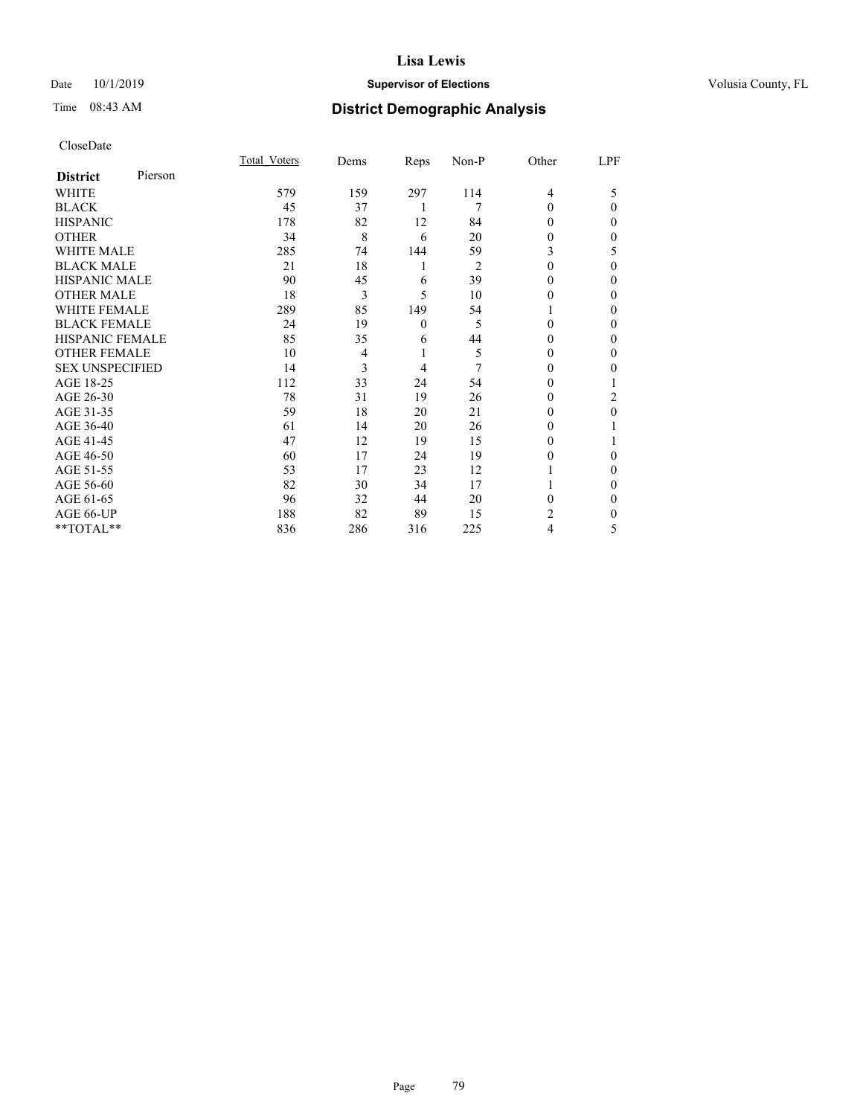## Date 10/1/2019 **Supervisor of Elections Supervisor of Elections** Volusia County, FL

# Time 08:43 AM **District Demographic Analysis**

| CloseDate |
|-----------|
|-----------|

|                        |         | Total Voters | Dems           | Reps     | Non-P | Other | LPF      |
|------------------------|---------|--------------|----------------|----------|-------|-------|----------|
| <b>District</b>        | Pierson |              |                |          |       |       |          |
| WHITE                  |         | 579          | 159            | 297      | 114   | 4     | 5        |
| <b>BLACK</b>           |         | 45           | 37             | 1        | 7     | 0     | $\theta$ |
| <b>HISPANIC</b>        |         | 178          | 82             | 12       | 84    | 0     | 0        |
| <b>OTHER</b>           |         | 34           | 8              | 6        | 20    | 0     | 0        |
| <b>WHITE MALE</b>      |         | 285          | 74             | 144      | 59    | 3     | 5        |
| <b>BLACK MALE</b>      |         | 21           | 18             | 1        | 2     | 0     | 0        |
| <b>HISPANIC MALE</b>   |         | 90           | 45             | 6        | 39    | 0     | 0        |
| <b>OTHER MALE</b>      |         | 18           | 3              | 5        | 10    | 0     | 0        |
| <b>WHITE FEMALE</b>    |         | 289          | 85             | 149      | 54    |       | 0        |
| <b>BLACK FEMALE</b>    |         | 24           | 19             | $\theta$ | 5     | 0     | 0        |
| <b>HISPANIC FEMALE</b> |         | 85           | 35             | 6        | 44    | 0     | 0        |
| <b>OTHER FEMALE</b>    |         | 10           | $\overline{4}$ | 1        | 5     | 0     | 0        |
| <b>SEX UNSPECIFIED</b> |         | 14           | 3              | 4        | 7     | 0     | 0        |
| AGE 18-25              |         | 112          | 33             | 24       | 54    | 0     |          |
| AGE 26-30              |         | 78           | 31             | 19       | 26    | 0     | 2        |
| AGE 31-35              |         | 59           | 18             | 20       | 21    | 0     | 0        |
| AGE 36-40              |         | 61           | 14             | 20       | 26    | 0     |          |
| AGE 41-45              |         | 47           | 12             | 19       | 15    | 0     |          |
| AGE 46-50              |         | 60           | 17             | 24       | 19    | 0     | 0        |
| AGE 51-55              |         | 53           | 17             | 23       | 12    |       | 0        |
| AGE 56-60              |         | 82           | 30             | 34       | 17    |       | 0        |
| AGE 61-65              |         | 96           | 32             | 44       | 20    | 0     | 0        |
| AGE 66-UP              |         | 188          | 82             | 89       | 15    | 2     | 0        |
| **TOTAL**              |         | 836          | 286            | 316      | 225   | 4     | 5        |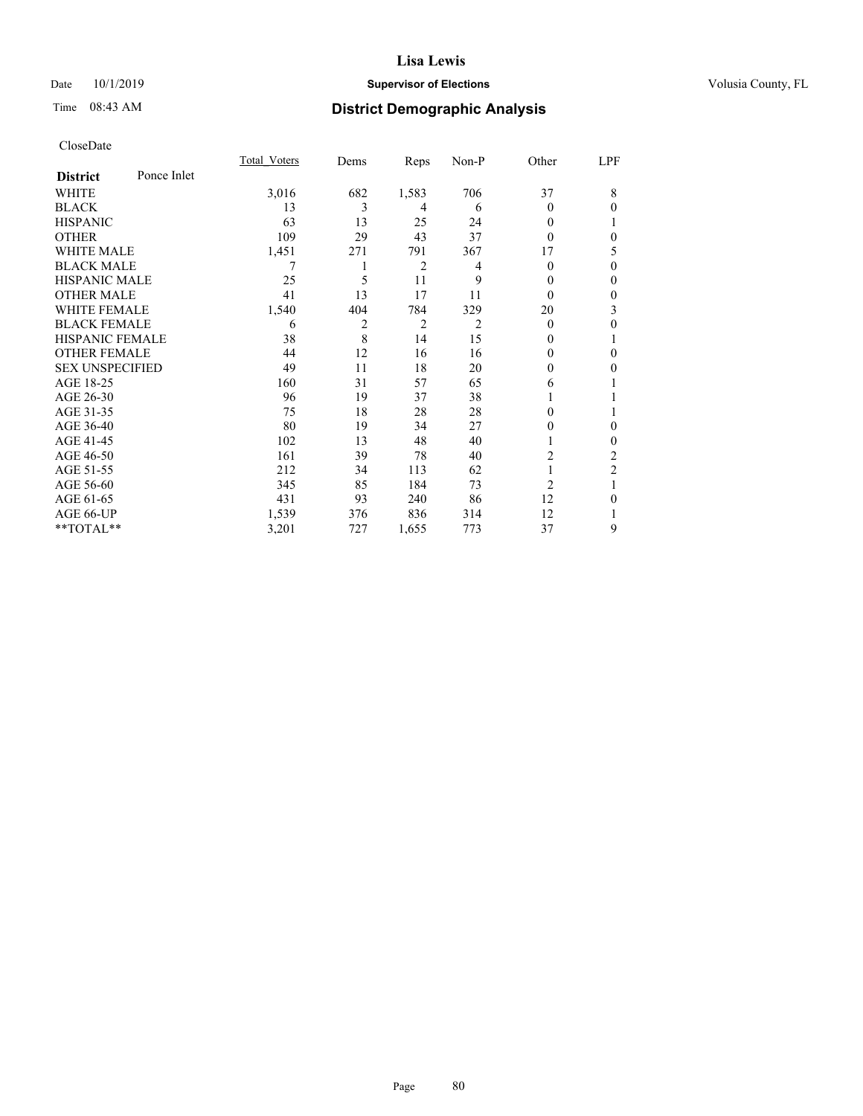#### Date 10/1/2019 **Supervisor of Elections Supervisor of Elections** Volusia County, FL

# Time 08:43 AM **District Demographic Analysis**

|                        |             | Total Voters | Dems | Reps           | Non-P | Other          | LPF            |
|------------------------|-------------|--------------|------|----------------|-------|----------------|----------------|
| <b>District</b>        | Ponce Inlet |              |      |                |       |                |                |
| WHITE                  |             | 3,016        | 682  | 1,583          | 706   | 37             | 8              |
| <b>BLACK</b>           |             | 13           | 3    | 4              | 6     | 0              | $\Omega$       |
| <b>HISPANIC</b>        |             | 63           | 13   | 25             | 24    | 0              |                |
| <b>OTHER</b>           |             | 109          | 29   | 43             | 37    | 0              | $\theta$       |
| WHITE MALE             |             | 1,451        | 271  | 791            | 367   | 17             | 5              |
| <b>BLACK MALE</b>      |             |              |      | $\overline{2}$ | 4     | 0              | $\theta$       |
| <b>HISPANIC MALE</b>   |             | 25           | 5    | 11             | 9     | 0              | $\theta$       |
| <b>OTHER MALE</b>      |             | 41           | 13   | 17             | 11    | $\theta$       | $\mathbf{0}$   |
| <b>WHITE FEMALE</b>    |             | 1,540        | 404  | 784            | 329   | 20             | 3              |
| <b>BLACK FEMALE</b>    |             | 6            | 2    | 2              | 2     | $\theta$       | $\theta$       |
| <b>HISPANIC FEMALE</b> |             | 38           | 8    | 14             | 15    | $_{0}$         | 1              |
| <b>OTHER FEMALE</b>    |             | 44           | 12   | 16             | 16    | 0              | $\theta$       |
| <b>SEX UNSPECIFIED</b> |             | 49           | 11   | 18             | 20    | 0              | $\theta$       |
| AGE 18-25              |             | 160          | 31   | 57             | 65    | 6              |                |
| AGE 26-30              |             | 96           | 19   | 37             | 38    |                |                |
| AGE 31-35              |             | 75           | 18   | 28             | 28    | 0              | 1              |
| AGE 36-40              |             | 80           | 19   | 34             | 27    | 0              | $\theta$       |
| AGE 41-45              |             | 102          | 13   | 48             | 40    |                | $\theta$       |
| AGE 46-50              |             | 161          | 39   | 78             | 40    | 2              | 2              |
| AGE 51-55              |             | 212          | 34   | 113            | 62    |                | $\overline{2}$ |
| AGE 56-60              |             | 345          | 85   | 184            | 73    | $\overline{2}$ | 1              |
| AGE 61-65              |             | 431          | 93   | 240            | 86    | 12             | $\theta$       |
| AGE 66-UP              |             | 1,539        | 376  | 836            | 314   | 12             |                |
| **TOTAL**              |             | 3,201        | 727  | 1,655          | 773   | 37             | 9              |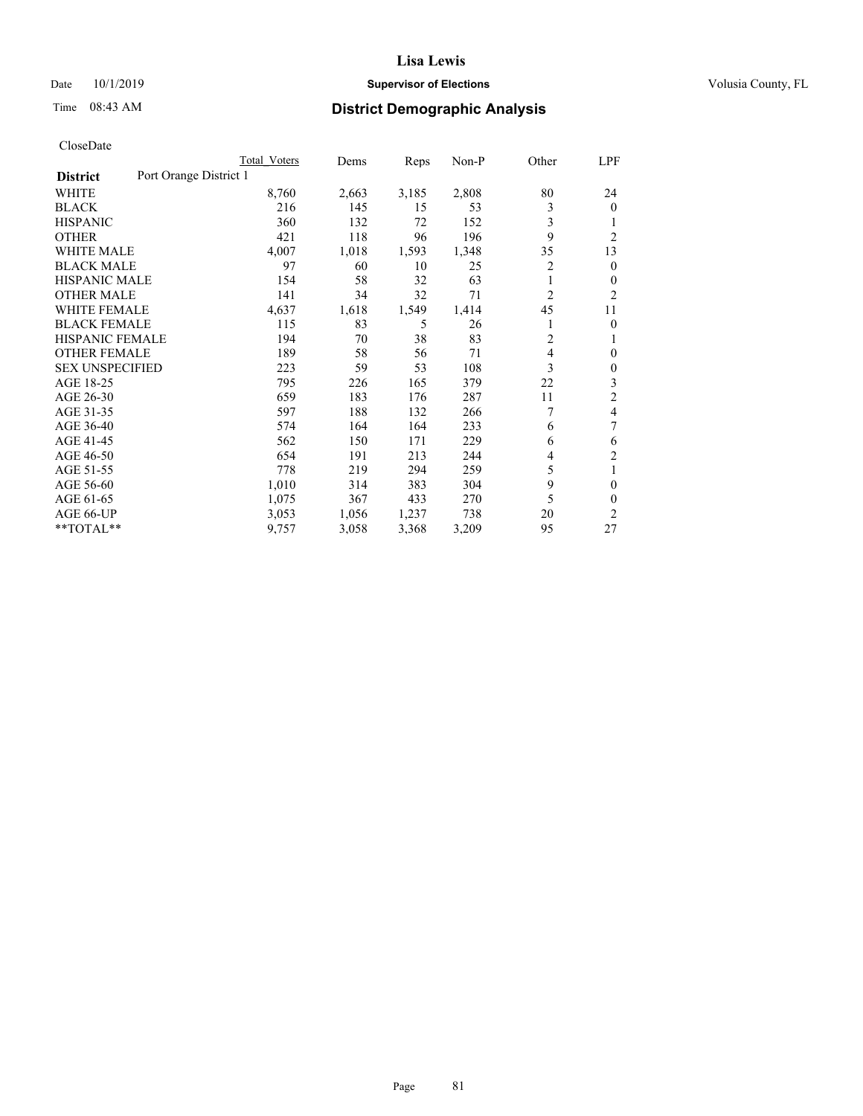## Date 10/1/2019 **Supervisor of Elections Supervisor of Elections** Volusia County, FL

# Time 08:43 AM **District Demographic Analysis**

|                                           | Total Voters | Dems  | Reps  | $Non-P$ | Other | <u>LPF</u>     |
|-------------------------------------------|--------------|-------|-------|---------|-------|----------------|
| Port Orange District 1<br><b>District</b> |              |       |       |         |       |                |
| WHITE                                     | 8,760        | 2,663 | 3,185 | 2,808   | 80    | 24             |
| <b>BLACK</b>                              | 216          | 145   | 15    | 53      | 3     | $\theta$       |
| <b>HISPANIC</b>                           | 360          | 132   | 72    | 152     | 3     | 1              |
| <b>OTHER</b>                              | 421          | 118   | 96    | 196     | 9     | $\overline{2}$ |
| <b>WHITE MALE</b>                         | 4,007        | 1,018 | 1,593 | 1,348   | 35    | 13             |
| <b>BLACK MALE</b>                         | 97           | 60    | 10    | 25      | 2     | $\mathbf{0}$   |
| <b>HISPANIC MALE</b>                      | 154          | 58    | 32    | 63      | 1     | $\mathbf{0}$   |
| <b>OTHER MALE</b>                         | 141          | 34    | 32    | 71      | 2     | 2              |
| <b>WHITE FEMALE</b>                       | 4,637        | 1,618 | 1,549 | 1,414   | 45    | 11             |
| <b>BLACK FEMALE</b>                       | 115          | 83    | 5     | 26      |       | $\theta$       |
| <b>HISPANIC FEMALE</b>                    | 194          | 70    | 38    | 83      | 2     | 1              |
| <b>OTHER FEMALE</b>                       | 189          | 58    | 56    | 71      | 4     | $\mathbf{0}$   |
| <b>SEX UNSPECIFIED</b>                    | 223          | 59    | 53    | 108     | 3     | $\mathbf{0}$   |
| AGE 18-25                                 | 795          | 226   | 165   | 379     | 22    | 3              |
| AGE 26-30                                 | 659          | 183   | 176   | 287     | 11    | $\overline{2}$ |
| AGE 31-35                                 | 597          | 188   | 132   | 266     | 7     | 4              |
| AGE 36-40                                 | 574          | 164   | 164   | 233     | 6     | 7              |
| AGE 41-45                                 | 562          | 150   | 171   | 229     | 6     | 6              |
| AGE 46-50                                 | 654          | 191   | 213   | 244     | 4     | $\overline{2}$ |
| AGE 51-55                                 | 778          | 219   | 294   | 259     | 5     | 1              |
| AGE 56-60                                 | 1,010        | 314   | 383   | 304     | 9     | $\theta$       |
| AGE 61-65                                 | 1,075        | 367   | 433   | 270     | 5     | $\theta$       |
| AGE 66-UP                                 | 3,053        | 1,056 | 1,237 | 738     | 20    | 2              |
| **TOTAL**                                 | 9,757        | 3,058 | 3,368 | 3,209   | 95    | 27             |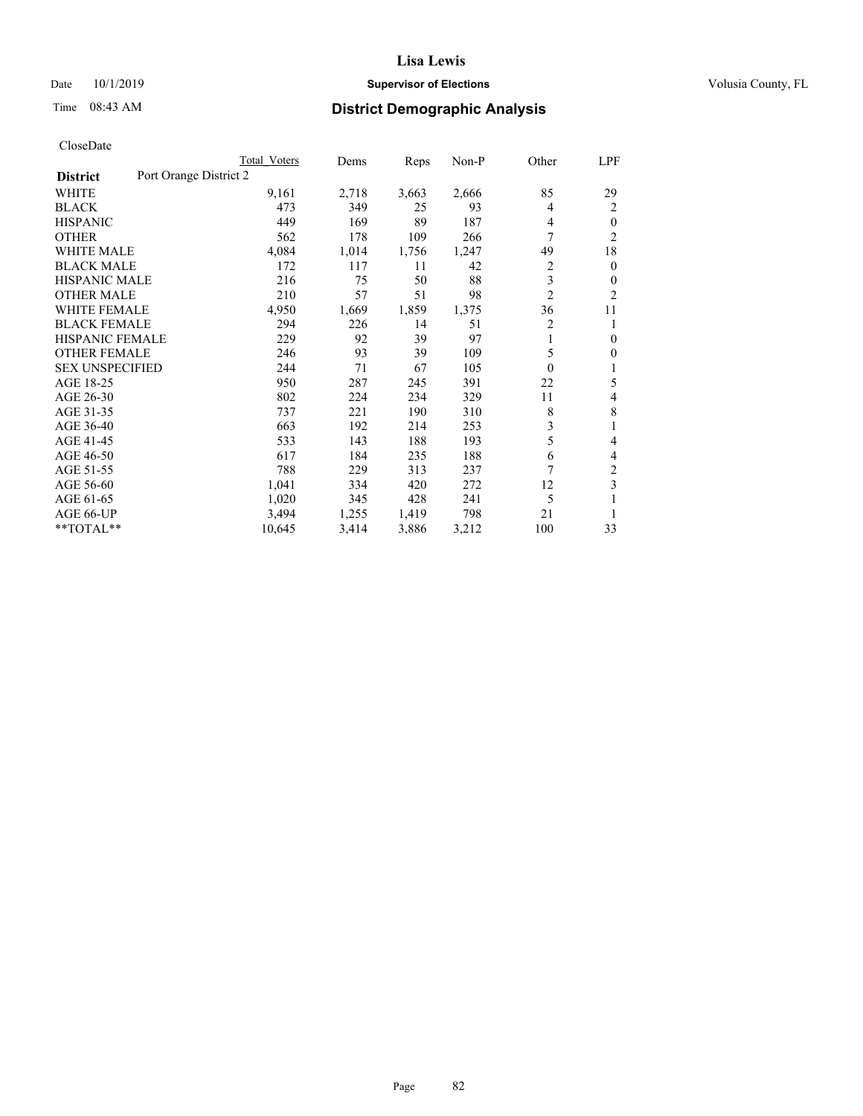## Date 10/1/2019 **Supervisor of Elections Supervisor of Elections** Volusia County, FL

# Time 08:43 AM **District Demographic Analysis**

|                                           | Total Voters | Dems  | Reps  | Non-P | Other          | <u>LPF</u>     |
|-------------------------------------------|--------------|-------|-------|-------|----------------|----------------|
| Port Orange District 2<br><b>District</b> |              |       |       |       |                |                |
| WHITE                                     | 9,161        | 2,718 | 3,663 | 2,666 | 85             | 29             |
| <b>BLACK</b>                              | 473          | 349   | 25    | 93    | 4              | 2              |
| <b>HISPANIC</b>                           | 449          | 169   | 89    | 187   | 4              | $\theta$       |
| <b>OTHER</b>                              | 562          | 178   | 109   | 266   | 7              | $\overline{2}$ |
| <b>WHITE MALE</b>                         | 4,084        | 1,014 | 1,756 | 1,247 | 49             | 18             |
| <b>BLACK MALE</b>                         | 172          | 117   | 11    | 42    | $\overline{c}$ | $\mathbf{0}$   |
| <b>HISPANIC MALE</b>                      | 216          | 75    | 50    | 88    | 3              | $\theta$       |
| <b>OTHER MALE</b>                         | 210          | 57    | 51    | 98    | $\overline{2}$ | 2              |
| <b>WHITE FEMALE</b>                       | 4,950        | 1,669 | 1,859 | 1,375 | 36             | 11             |
| <b>BLACK FEMALE</b>                       | 294          | 226   | 14    | 51    | $\overline{2}$ | 1              |
| <b>HISPANIC FEMALE</b>                    | 229          | 92    | 39    | 97    | 1              | $\mathbf{0}$   |
| <b>OTHER FEMALE</b>                       | 246          | 93    | 39    | 109   | 5              | $\overline{0}$ |
| <b>SEX UNSPECIFIED</b>                    | 244          | 71    | 67    | 105   | $\theta$       | 1              |
| AGE 18-25                                 | 950          | 287   | 245   | 391   | 22             | 5              |
| AGE 26-30                                 | 802          | 224   | 234   | 329   | 11             | 4              |
| AGE 31-35                                 | 737          | 221   | 190   | 310   | 8              | 8              |
| AGE 36-40                                 | 663          | 192   | 214   | 253   | 3              | 1              |
| AGE 41-45                                 | 533          | 143   | 188   | 193   | 5              | 4              |
| AGE 46-50                                 | 617          | 184   | 235   | 188   | 6              | 4              |
| AGE 51-55                                 | 788          | 229   | 313   | 237   | 7              | 2              |
| AGE 56-60                                 | 1,041        | 334   | 420   | 272   | 12             | 3              |
| AGE 61-65                                 | 1,020        | 345   | 428   | 241   | 5              | 1              |
| AGE 66-UP                                 | 3,494        | 1,255 | 1,419 | 798   | 21             | 1              |
| **TOTAL**                                 | 10,645       | 3,414 | 3,886 | 3,212 | 100            | 33             |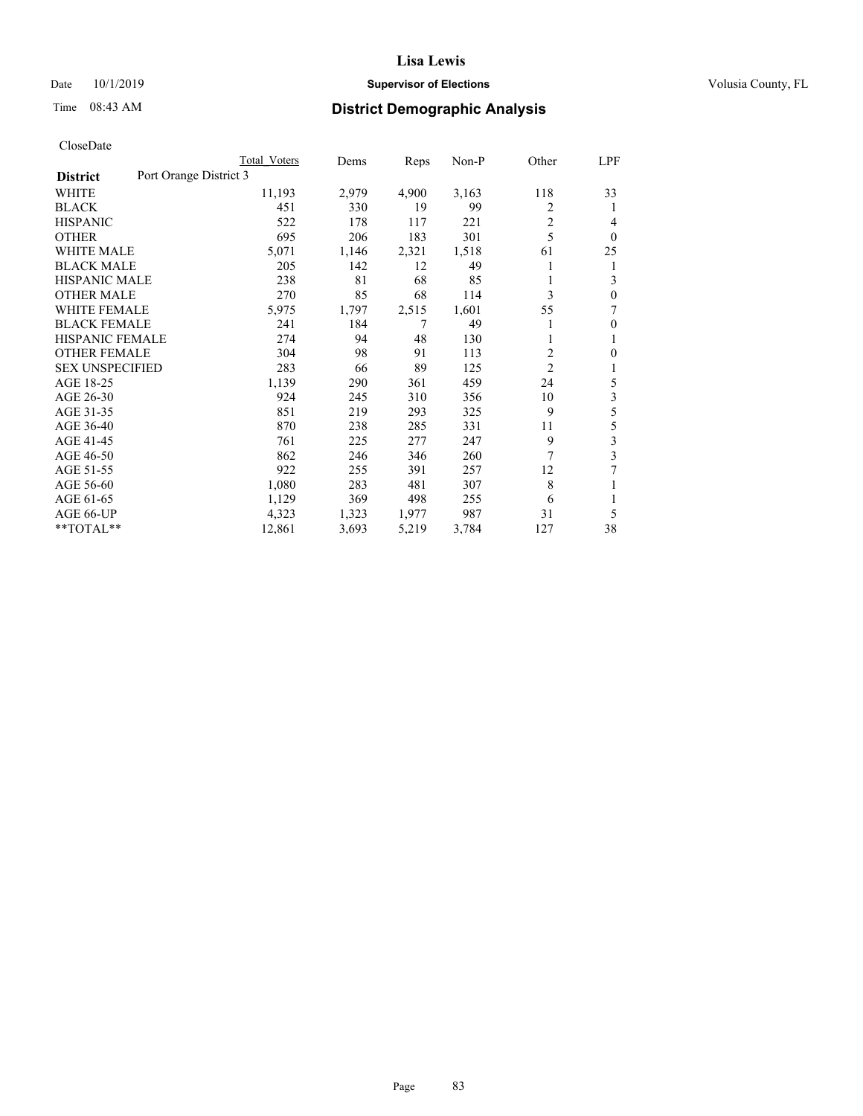#### Date 10/1/2019 **Supervisor of Elections Supervisor of Elections** Volusia County, FL

# Time 08:43 AM **District Demographic Analysis**

|                                           | Total Voters | Dems  | Reps  | $Non-P$ | Other          | LPF          |
|-------------------------------------------|--------------|-------|-------|---------|----------------|--------------|
| Port Orange District 3<br><b>District</b> |              |       |       |         |                |              |
| WHITE                                     | 11,193       | 2,979 | 4,900 | 3,163   | 118            | 33           |
| <b>BLACK</b>                              | 451          | 330   | 19    | 99      | 2              | 1            |
| <b>HISPANIC</b>                           | 522          | 178   | 117   | 221     | 2              | 4            |
| <b>OTHER</b>                              | 695          | 206   | 183   | 301     | 5              | $\theta$     |
| <b>WHITE MALE</b>                         | 5,071        | 1,146 | 2,321 | 1,518   | 61             | 25           |
| <b>BLACK MALE</b>                         | 205          | 142   | 12    | 49      |                | 1            |
| <b>HISPANIC MALE</b>                      | 238          | 81    | 68    | 85      | 1              | 3            |
| <b>OTHER MALE</b>                         | 270          | 85    | 68    | 114     | 3              | $\mathbf{0}$ |
| <b>WHITE FEMALE</b>                       | 5,975        | 1,797 | 2,515 | 1,601   | 55             | 7            |
| <b>BLACK FEMALE</b>                       | 241          | 184   | 7     | 49      |                | $\mathbf{0}$ |
| HISPANIC FEMALE                           | 274          | 94    | 48    | 130     |                | 1            |
| <b>OTHER FEMALE</b>                       | 304          | 98    | 91    | 113     | $\overline{2}$ | $\theta$     |
| <b>SEX UNSPECIFIED</b>                    | 283          | 66    | 89    | 125     | $\overline{2}$ | 1            |
| AGE 18-25                                 | 1,139        | 290   | 361   | 459     | 24             | 5            |
| AGE 26-30                                 | 924          | 245   | 310   | 356     | 10             | 3            |
| AGE 31-35                                 | 851          | 219   | 293   | 325     | 9              | 5            |
| AGE 36-40                                 | 870          | 238   | 285   | 331     | 11             | 5            |
| AGE 41-45                                 | 761          | 225   | 277   | 247     | 9              | 3            |
| AGE 46-50                                 | 862          | 246   | 346   | 260     | 7              | 3            |
| AGE 51-55                                 | 922          | 255   | 391   | 257     | 12             |              |
| AGE 56-60                                 | 1,080        | 283   | 481   | 307     | 8              |              |
| AGE 61-65                                 | 1,129        | 369   | 498   | 255     | 6              | 1            |
| AGE 66-UP                                 | 4,323        | 1,323 | 1,977 | 987     | 31             | 5            |
| **TOTAL**                                 | 12,861       | 3,693 | 5,219 | 3,784   | 127            | 38           |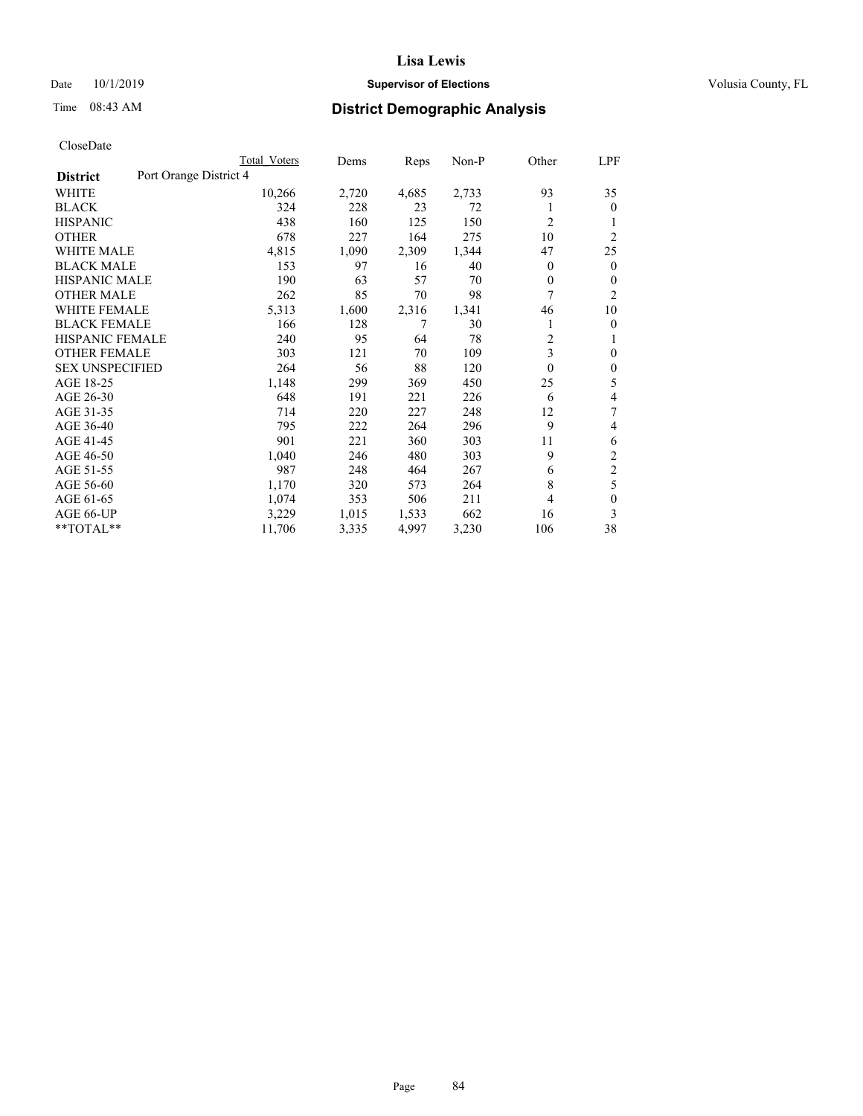## Date 10/1/2019 **Supervisor of Elections Supervisor of Elections** Volusia County, FL

# Time 08:43 AM **District Demographic Analysis**

|                        |                        | Total Voters | Dems  | Reps  | Non-P | Other | LPF            |
|------------------------|------------------------|--------------|-------|-------|-------|-------|----------------|
| <b>District</b>        | Port Orange District 4 |              |       |       |       |       |                |
| WHITE                  |                        | 10,266       | 2,720 | 4,685 | 2,733 | 93    | 35             |
| <b>BLACK</b>           |                        | 324          | 228   | 23    | 72    |       | $\mathbf{0}$   |
| <b>HISPANIC</b>        |                        | 438          | 160   | 125   | 150   | 2     | 1              |
| <b>OTHER</b>           |                        | 678          | 227   | 164   | 275   | 10    | $\overline{2}$ |
| <b>WHITE MALE</b>      |                        | 4,815        | 1,090 | 2,309 | 1,344 | 47    | 25             |
| <b>BLACK MALE</b>      |                        | 153          | 97    | 16    | 40    | 0     | $\mathbf{0}$   |
| <b>HISPANIC MALE</b>   |                        | 190          | 63    | 57    | 70    | 0     | 0              |
| <b>OTHER MALE</b>      |                        | 262          | 85    | 70    | 98    | 7     | $\overline{2}$ |
| <b>WHITE FEMALE</b>    |                        | 5,313        | 1,600 | 2,316 | 1,341 | 46    | 10             |
| <b>BLACK FEMALE</b>    |                        | 166          | 128   | 7     | 30    |       | 0              |
| <b>HISPANIC FEMALE</b> |                        | 240          | 95    | 64    | 78    | 2     | 1              |
| <b>OTHER FEMALE</b>    |                        | 303          | 121   | 70    | 109   | 3     | 0              |
| <b>SEX UNSPECIFIED</b> |                        | 264          | 56    | 88    | 120   | 0     | $\theta$       |
| AGE 18-25              |                        | 1,148        | 299   | 369   | 450   | 25    | 5              |
| AGE 26-30              |                        | 648          | 191   | 221   | 226   | 6     | 4              |
| AGE 31-35              |                        | 714          | 220   | 227   | 248   | 12    | 7              |
| AGE 36-40              |                        | 795          | 222   | 264   | 296   | 9     | 4              |
| AGE 41-45              |                        | 901          | 221   | 360   | 303   | 11    | 6              |
| AGE 46-50              |                        | 1,040        | 246   | 480   | 303   | 9     | 2              |
| AGE 51-55              |                        | 987          | 248   | 464   | 267   | 6     | $\overline{c}$ |
| AGE 56-60              |                        | 1,170        | 320   | 573   | 264   | 8     | 5              |
| AGE 61-65              |                        | 1,074        | 353   | 506   | 211   | 4     | $\theta$       |
| AGE 66-UP              |                        | 3,229        | 1,015 | 1,533 | 662   | 16    | 3              |
| $*$ TOTAL $*$          |                        | 11,706       | 3,335 | 4,997 | 3,230 | 106   | 38             |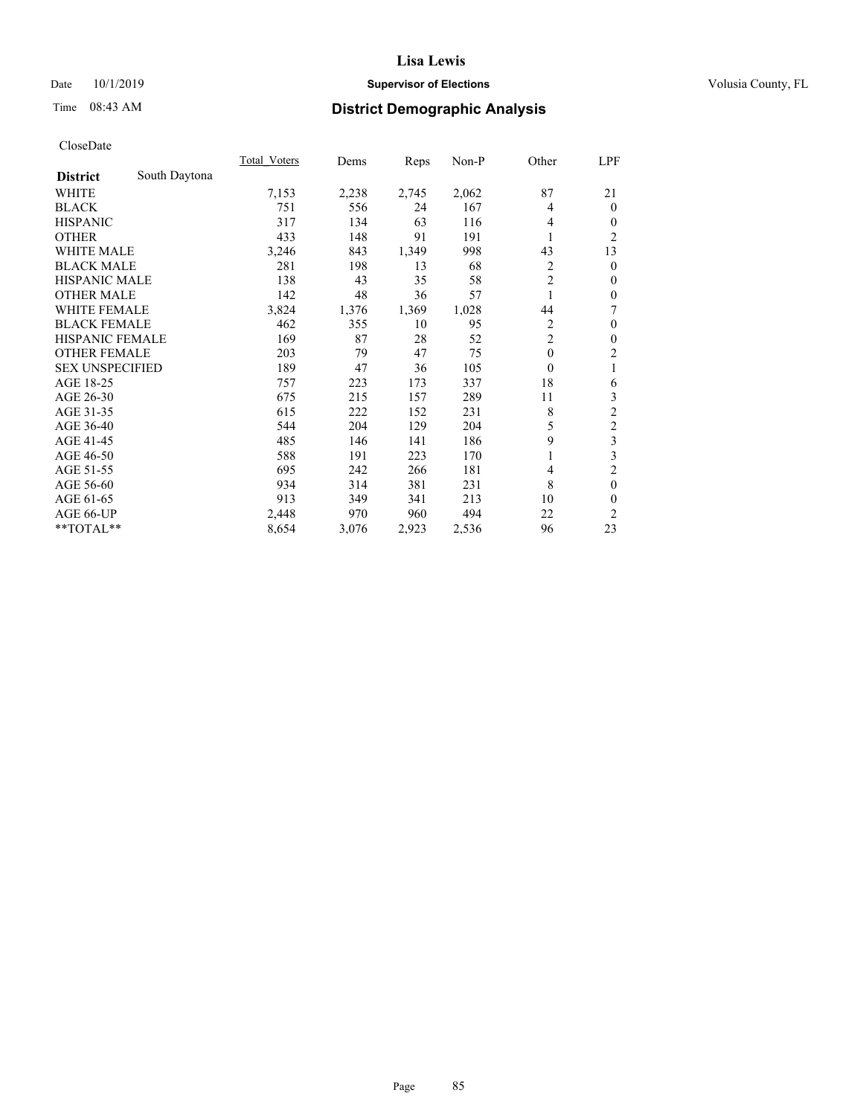## Date 10/1/2019 **Supervisor of Elections Supervisor of Elections** Volusia County, FL

## Time 08:43 AM **District Demographic Analysis**

|                        |               | Total Voters | Dems  | Reps  | Non-P | Other          | LPF            |
|------------------------|---------------|--------------|-------|-------|-------|----------------|----------------|
| <b>District</b>        | South Daytona |              |       |       |       |                |                |
| WHITE                  |               | 7,153        | 2,238 | 2,745 | 2,062 | 87             | 21             |
| <b>BLACK</b>           |               | 751          | 556   | 24    | 167   | 4              | $\mathbf{0}$   |
| <b>HISPANIC</b>        |               | 317          | 134   | 63    | 116   | 4              | 0              |
| <b>OTHER</b>           |               | 433          | 148   | 91    | 191   |                | $\overline{2}$ |
| <b>WHITE MALE</b>      |               | 3,246        | 843   | 1,349 | 998   | 43             | 13             |
| <b>BLACK MALE</b>      |               | 281          | 198   | 13    | 68    | 2              | $\theta$       |
| <b>HISPANIC MALE</b>   |               | 138          | 43    | 35    | 58    | $\overline{c}$ | $\theta$       |
| <b>OTHER MALE</b>      |               | 142          | 48    | 36    | 57    | 1              | $\theta$       |
| <b>WHITE FEMALE</b>    |               | 3,824        | 1,376 | 1,369 | 1,028 | 44             | 7              |
| <b>BLACK FEMALE</b>    |               | 462          | 355   | 10    | 95    | 2              | $\theta$       |
| <b>HISPANIC FEMALE</b> |               | 169          | 87    | 28    | 52    | 2              | $\theta$       |
| <b>OTHER FEMALE</b>    |               | 203          | 79    | 47    | 75    | $\mathbf{0}$   | 2              |
| <b>SEX UNSPECIFIED</b> |               | 189          | 47    | 36    | 105   | $\theta$       | 1              |
| AGE 18-25              |               | 757          | 223   | 173   | 337   | 18             | 6              |
| AGE 26-30              |               | 675          | 215   | 157   | 289   | 11             | 3              |
| AGE 31-35              |               | 615          | 222   | 152   | 231   | 8              | $\overline{c}$ |
| AGE 36-40              |               | 544          | 204   | 129   | 204   | 5              | 2              |
| AGE 41-45              |               | 485          | 146   | 141   | 186   | 9              | 3              |
| AGE 46-50              |               | 588          | 191   | 223   | 170   |                | 3              |
| AGE 51-55              |               | 695          | 242   | 266   | 181   | 4              | $\overline{c}$ |
| AGE 56-60              |               | 934          | 314   | 381   | 231   | 8              | $\mathbf{0}$   |
| AGE 61-65              |               | 913          | 349   | 341   | 213   | 10             | 0              |
| AGE 66-UP              |               | 2,448        | 970   | 960   | 494   | 22             | $\overline{2}$ |
| **TOTAL**              |               | 8,654        | 3,076 | 2,923 | 2,536 | 96             | 23             |